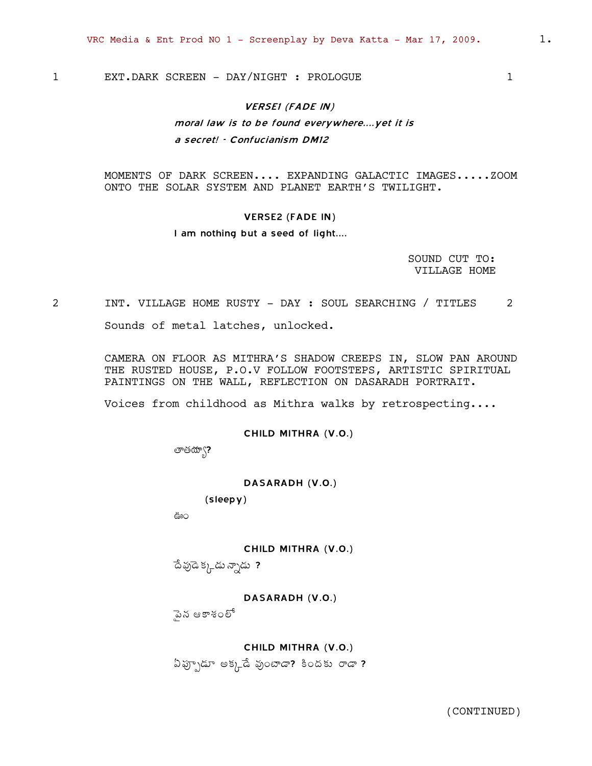1 EXT.DARK SCREEN - DAY/NIGHT : PROLOGUE 1

# VERSE1 (FADE IN)

# moral law is to be found everywhere....yet it is

a secret! - Confucianism DM12

MOMENTS OF DARK SCREEN.... EXPANDING GALACTIC IMAGES.....ZOOM ONTO THE SOLAR SYSTEM AND PLANET EARTH'S TWILIGHT.

#### VERSE2 (FADE IN)

### I am nothing but a seed of light....

SOUND CUT TO: VILLAGE HOME

# 2 INT. VILLAGE HOME RUSTY - DAY : SOUL SEARCHING / TITLES 2 Sounds of metal latches, unlocked.

CAMERA ON FLOOR AS MITHRA'S SHADOW CREEPS IN, SLOW PAN AROUND THE RUSTED HOUSE, P.O.V FOLLOW FOOTSTEPS, ARTISTIC SPIRITUAL PAINTINGS ON THE WALL, REFLECTION ON DASARADH PORTRAIT.

Voices from childhood as Mithra walks by retrospecting....

#### CHILD MITHRA (V.O.)

తాతయా\?

DASARADH (V.O.)

(sleepy)

…Ï

#### CHILD MITHRA (V.O.)

 $\hat{\Phi}$  పుడె $\hat{\Phi}$ న్నడు ?

### DASARADH (V.O.)

ైఎన ఆకాశంలో

# CHILD MITHRA (V.O.)

 $\delta$ ğ $\gamma$ డూ అక్కడే వుంటాడా? కిందకు రాడా ?

(CONTINUED)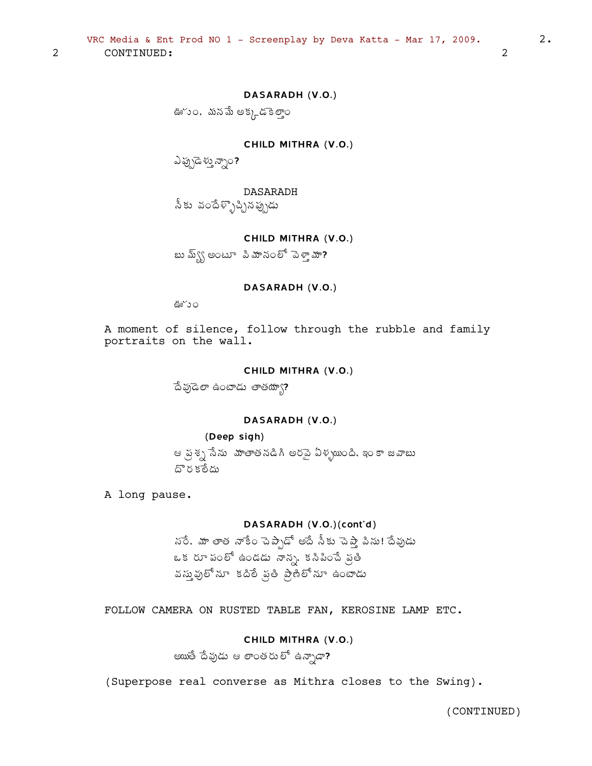CONTINUED:

 $\overline{2}$ 

# DASARADH (V.O.)

ఊ~ు౦, మనమే అక్కడెకెలాౖ౦

CHILD MITHRA (V.O.)

ఎప్పుడెళు న్నాం?

DASARADH సీకు వందేళ్ళొచ్చినప్పుడు

# CHILD MITHRA (V.O.)

బు మ్వ్వ్ అంటూ సిమానంలో పెళ్తామా?

# DASARADH (V.O.)

ఊ~ు౦

A moment of silence, follow through the rubble and family portraits on the wall.

### CHILD MITHRA (V.O.)

దేవుడెలా ఉంటాడు తాతయ్యా?

# DASARADH (V.O.)

# (Deep sigh)

ఆ వ్రస్థ సేను మాతాతనడిగి అరనై ఏళ్ళయింది. ఇంకా జవాబు దొరకేందు

A long pause.

# DASARADH (V.O.)(cont'd)

నరే. మా తాత నాకేం చెప్పాడో అదే సీకు చెప్తా పిను! దేవుడు ఒక రూ పంలో ఉండడు నాన్న, కనిపించే ప్రతి వస్తువులో నూ కదిలే ప్రతి ప్రాణిలో నూ ఉంటాడు

FOLLOW CAMERA ON RUSTED TABLE FAN, KEROSINE LAMP ETC.

# CHILD MITHRA (V.O.)

అయితే దేవుడు ఆ లాంతరులో ఉన్నాడా?

(Superpose real converse as Mithra closes to the Swing).

 $\overline{2}$ 

(CONTINUED)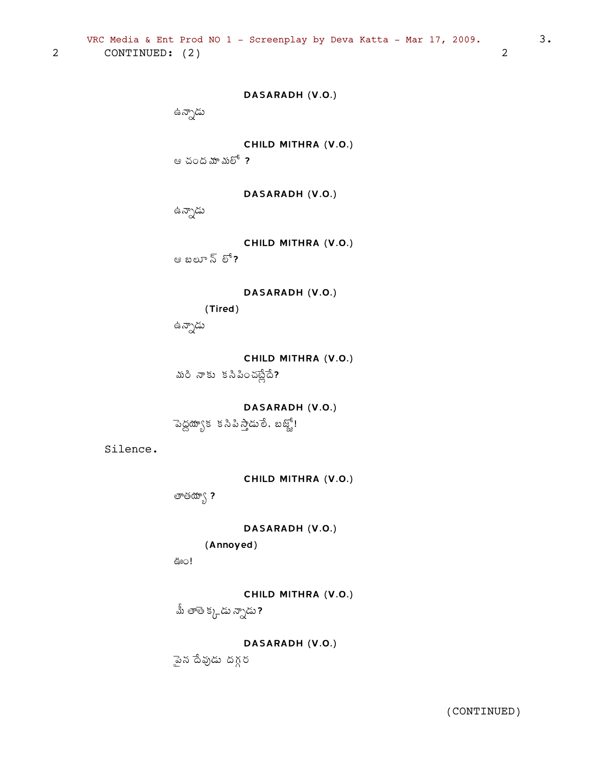ైఎన దేవుడు దగ్గర

DASARADH (V.O.)

CHILD MITHRA (V.O.)  $\mathring{\mathbb{A}}$ ు తాతె క్క్లడు న్నాడు ?

ఊo!

(Annoyed)

DASARADH (V.O.)

తాతయా $\zeta$  ?

CHILD MITHRA (V.O.)

Silence.

DASARADH (V.O.)  $\sim$ సెద్దయ్యాక కనిపి స్తాడులే, బజ్జో!

మరి నాకు కనిపించట్లేదే?

CHILD MITHRA (V.O.)

DASARADH (V.O.) (Tired)

CHILD MITHRA (V.O.) ఆ బలూ న్ $^{\rm 5}$  లో ?

ఉన్నాడు

DASARADH (V.O.) ఉన్నాడు

CHILD MITHRA (V.O.)

ఆ చంద మా మలో $\,$  ?

ఉన్నాడు

DASARADH (V.O.)

VRC Media & Ent Prod NO 1 - Screenplay by Deva Katta - Mar 17, 2009.  $\sim$  3. 2 CONTINUED: (2) 2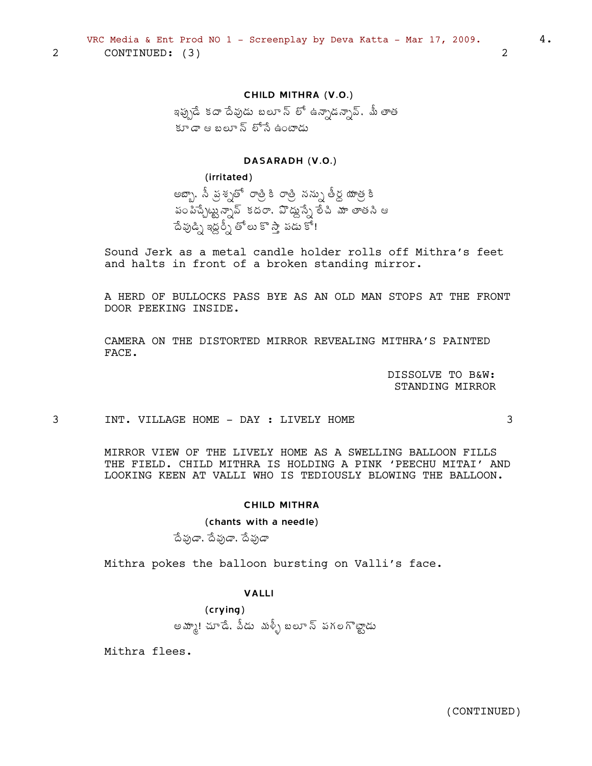# CHILD MITHRA (V.O.)

ఇప్పుడే కదా దేవుడు బలూ న్ లో ఉన్నాడన్సావ్, మీ తాత కూడా ఆ బలూ న్ లోసే ఉంటాడు

### DASARADH (V.O.)

### (irritated)

 $\overline{2}$ 

అబ్బా, సీ ప్రశ్నతో రాత్రికి రాత్రి నన్ను తీర్ద యాత్ర కి .<br>పంపిచ్చేట్టున్నావ్ కదరా, వొద్దుస్సే లేచి మా తాతని ఆ ేదేవుడ్ని ఇద్దర్స్ తోలు కొస్తా పడు కో!

Sound Jerk as a metal candle holder rolls off Mithra's feet and halts in front of a broken standing mirror.

A HERD OF BULLOCKS PASS BYE AS AN OLD MAN STOPS AT THE FRONT DOOR PEEKING INSIDE.

CAMERA ON THE DISTORTED MIRROR REVEALING MITHRA'S PAINTED FACE.

> DISSOLVE TO B&W: STANDING MIRROR

> > 3

3 INT. VILLAGE HOME - DAY : LIVELY HOME

> MIRROR VIEW OF THE LIVELY HOME AS A SWELLING BALLOON FILLS THE FIELD. CHILD MITHRA IS HOLDING A PINK 'PEECHU MITAI' AND LOOKING KEEN AT VALLI WHO IS TEDIOUSLY BLOWING THE BALLOON.

### **CHILD MITHRA**

# (chants with a needle)

దేవుడా, దేవుడా, దేవుడా

Mithra pokes the balloon bursting on Valli's face.

### **VAIII**

 $(crying)$ అమ్మా! చూడే. వీడు మళ్ళీ బలూ స్ పగలగొట్టాడు

Mithra flees.

 $\overline{2}$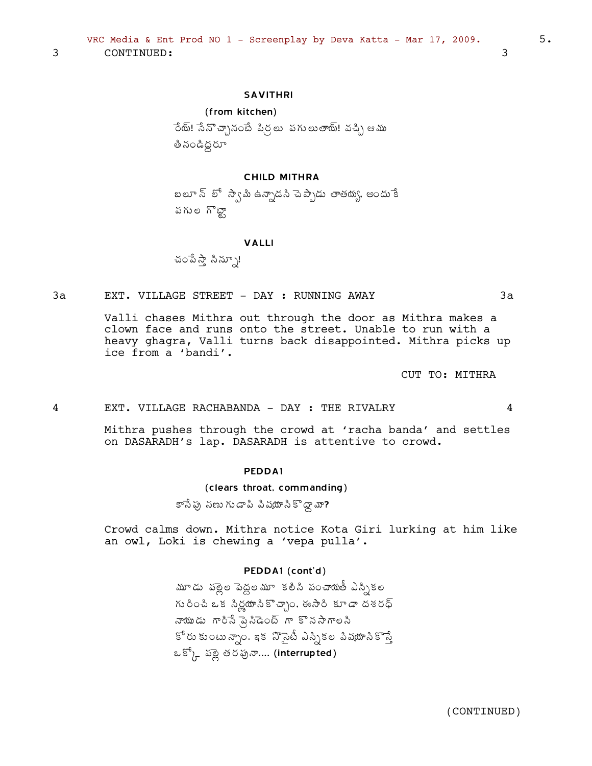3 CONTINUED: 3

### SAVITHRI

#### (from kitchen)

ేంద్ు! సేనొచ్చానంటే పిర్ణలు పగులుతాయ్! వచ్చి ఆము తి నండిద్ద**రూ** 

### CHILD MITHRA

బలూ న్ లో స్వామి ఉన్నాడని చెప్పాడు తాతయ్య, అందు<sup>-</sup>కే పగుల గొట్టా

#### VALLI

చంపేస్తే సిన్నూ!

#### 3a EXT. VILLAGE STREET - DAY : RUNNING AWAY 3a

Valli chases Mithra out through the door as Mithra makes a clown face and runs onto the street. Unable to run with a heavy ghagra, Valli turns back disappointed. Mithra picks up ice from a 'bandi'.

CUT TO: MITHRA

#### 4 EXT. VILLAGE RACHABANDA - DAY : THE RIVALRY 4

Mithra pushes through the crowd at 'racha banda' and settles on DASARADH's lap. DASARADH is attentive to crowd.

#### PEDDA1

#### (clears throat, commanding)

కాసేపు నణు గుడాపి పిషయాసికొద్దా మా?

Crowd calms down. Mithra notice Kota Giri lurking at him like an owl, Loki is chewing a 'vepa pulla'.

#### PEDDA1 (cont'd)

మూడు పల్లెల పెద్దలమూ కలిసి పంచాయుతీ ఎస్సికల గు రించి ఒక సిర్లయాసికొచ్చాం. ఈ సారి కూడా దశరధ్ నాయుడు గారినే పై*సి*ఉంట్ గా కొనసాగాలని కోరు కుంటున్నాం. ఇక నొసైటీ ఎస్సికల పిషయాసికొస్తే ఒక్కో పల్లి తరఫునా.... (interrupted)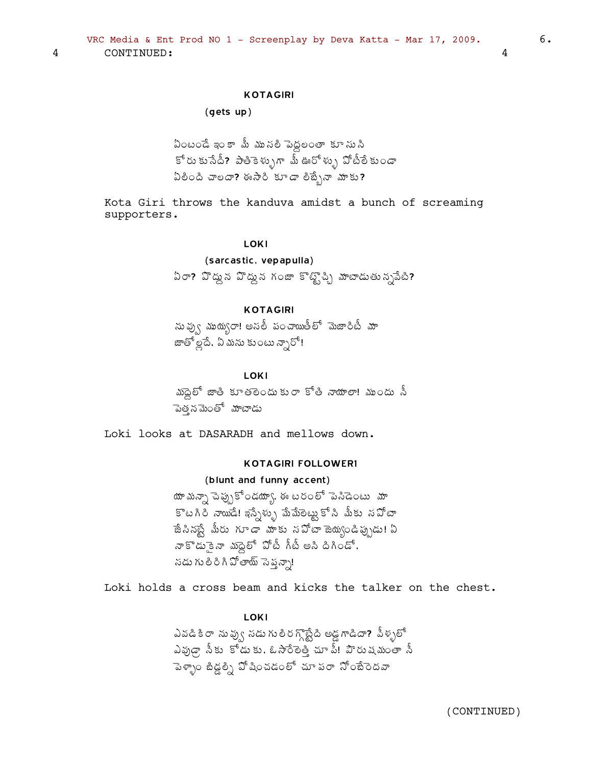# **KOTAGIRI**

#### $(qets up)$

ఏంటండే ఇంకా మీ మునలి పెద్దలంతా కూసు సి కోరు కుసేదీ? పాతికెళ్ళుగా మీ ఊరోళ్ళు పోటీలేకుండా  $\delta$ ပီပင်ငံတို့ အစားပြီး အားလေး အေးလုံး အားလုံး အ

Kota Giri throws the kanduva amidst a bunch of screaming supporters.

### **LOKI**

# (sarcastic, vepapulla)

ఏరా? హొద్దున హొద్దున గంజా కొట్టొచ్చి మాటాడుతున్నపేటి?

# **KOTAGIRI**

ను వ్వు ముయ్యరా! అనలీ పంచాయితీలో మెజారిటీ మా జాతో ల్లదే. ఏ మను కుంటు న్నారో!

#### LOKI

మండ్ జాతి కూతలెందుకురా కోతి నాయాలా! ముందు సీ పెత్తనమెంతో మాటాడు

Loki looks at DASARADH and mellows down.

### **KOTAGIRI FOLLOWER1**

### (blunt and funny accent)

యా మన్నా పెప్పుకోండయ్యా, ఈ టరంలో పెనిడెంటు మా కొటగిరి నాయిడే! ఇస్నేళ్ళు మేమేలెట్టుకోసి మీకు నపోటా ాజేసినప్టే మీరు గూడా మాకు నపోటా జెయ్యండిప్పుడు! ఏ నాకొడుకైనా మంద్రో పోటీ గీటీ అని దిగిండో, నడు గులిరిగి పోతాయ్ సెప్తన్నా!

Loki holds a cross beam and kicks the talker on the chest.

**LOKI** 

ఎవడికి రా ను ఫ్వు నడు గు లీర గ్గొట్టేది అడ్డ గాడిదా**?** పీళ్ళలో ఎవుడ్గా సీకు కోడుకు, ఓసారేలెత్తి చూ పీ! హెరుషమంతా సీ పెళ్ళాం జీడ్డల్ని ఏో షించడంలో చూ పరా నోంబేరెదవా

6.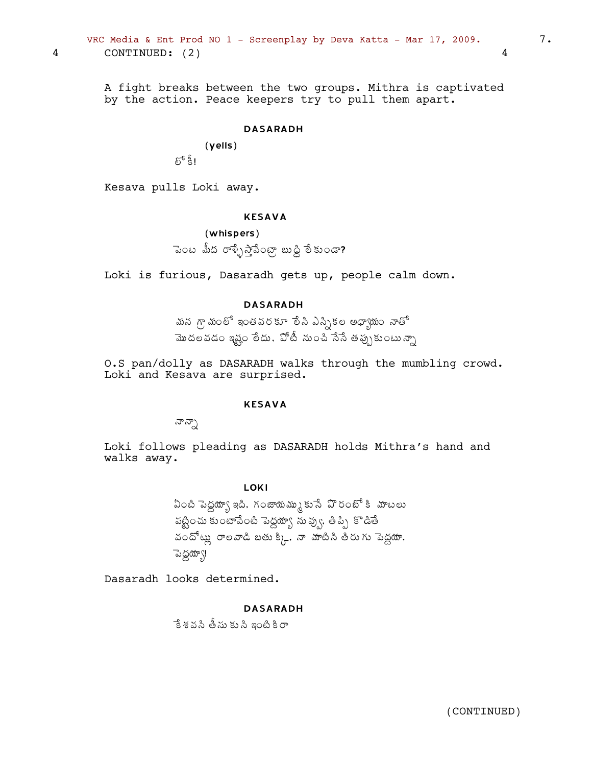VRC Media & Ent Prod NO 1 - Screenplay by Deva Katta - Mar 17, 2009.  $7.$ 4 CONTINUED: (2) 4

> A fight breaks between the two groups. Mithra is captivated by the action. Peace keepers try to pull them apart.

### DASARADH

(yells)  $\mathfrak{F}^{\mathfrak{e}}$  ရို !

Kesava pulls Loki away.

### KESAVA

```
(whispers)
```
ెఎంట మీద రాళ్ళేస్తాపేంట్గా బుడ్డి లేకుండా?

Loki is furious, Dasaradh gets up, people calm down.

# DASARADH

మన గ్రామంలో ఇంతవరకూ లేసి ఎస్సికల అధ్యాయం నాతో మొదలవడం ఇష్టం లేదు. ఏోటీ నుంచి సేసే తప్పుకుంటున్నా

O.S pan/dolly as DASARADH walks through the mumbling crowd. Loki and Kesava are surprised.

# KESAVA

నాన్నా

Loki follows pleading as DASARADH holds Mithra's hand and walks away.

LOKI

ఏంటి పెద్దయ్యా ఇది, గంజాయమ్ము కుసే ఏొరంబో కి మాటలు పట్టించు కుంటాపేంటి పెద్దయ్యా నువ్వు, తిప్పి కొడితే వందోట్లు రాలవాడి బతు క్కి, నా మాటినీ తీరు గు పెద్దయా, ెపెద్దయా్!

Dasaradh looks determined.

DASARADH

ేక శవసి తీసు కుసి ఇంటి కి రా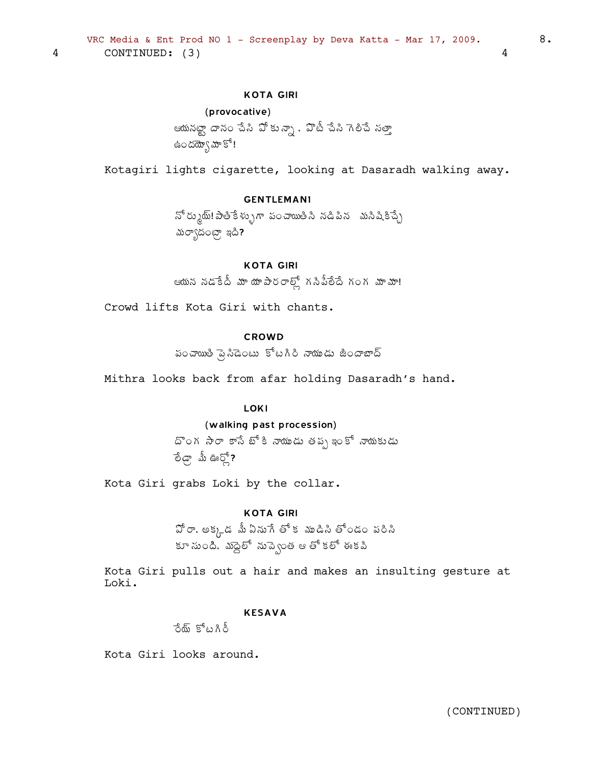# **KOTA GIRI**

# (provocative)

4

ఆయనట్టా దానం చేసి పోకున్నా , పొటీ చేసి గెలిచే సత్తా ఉందయ్యో హోకో!

Kotagiri lights cigarette, looking at Dasaradh walking away.

# **GENTLEMAN1**

నో ర్ముట్: పాతికేళ్ళుగా పంచాయితీసి నడిపిన మసిషికిచ్చే మర్యాదంట్రా ఇది?

# **KOTA GIRI**

ఆయన నడకేదీ మా యాపారరాల్లో గనిపీలేదే గంగ మామా!

Crowd lifts Kota Giri with chants.

# CROWD

పంచాయితి పై సిడెంటు కోటగిరి నాయుడు జీందాబాద్

Mithra looks back from afar holding Dasaradh's hand.

### **LOKI**

### (walking past procession)

దొంగ సారా కాసే బోకి నాయుడు తప్ప ఇంకో నాయకుడు ு மீன் மீன் **பிரி** 

Kota Giri grabs Loki by the collar.

### **KOTA GIRI**

 $\mathfrak{\hat{D}}$ రా, అక్కడ మీఏనుగే తోక ముడిసి తోండం పరిసి కూ నుంది. మద్దెలో నుప్వెంత ఆ తో కలో ఈకపి

Kota Giri pulls out a hair and makes an insulting gesture at Loki.

#### **KESAVA**

రేయ్ కోటగిరీ

Kota Giri looks around.

 $\overline{4}$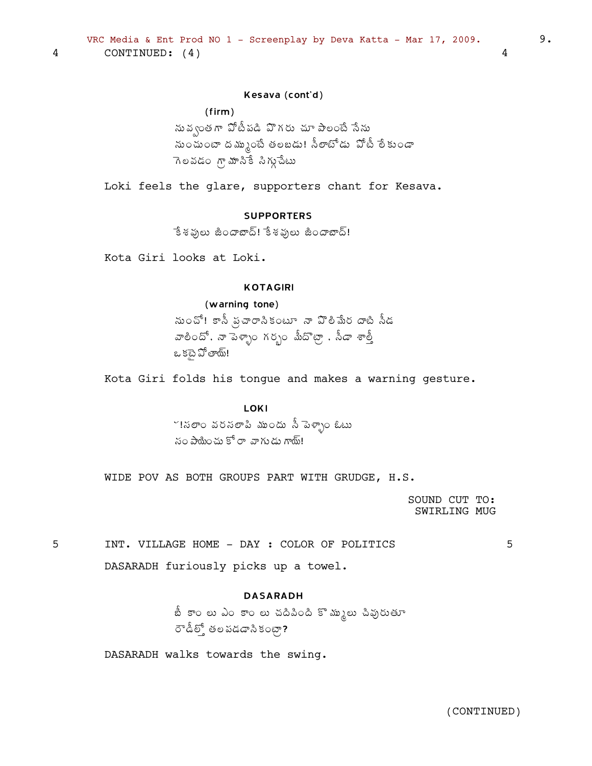# Kesava (cont'd)

# (firm)

సు వ్వంత గా వోటీపడి వొగరు చూ పాలంటే సేను సుంచుంటా దమ్ముంటే తలబడు! సీలాటోడు ఏోటీ లేకుండా  $7$ లవడం గ్రామానికే సిగ్గు చేటు

Loki feels the glare, supporters chant for Kesava.

# **SUPPORTFRS**

ేకశథులు జిందాబాద్! కేశథులు జిందాబాద్!

Kota Giri looks at Loki.

# KOTAGIRI

### (warning tone)

సు౦చో! కానీ ఫ్రచారానిక౦టూ నా పొలిమేర దాటి నీడ  $\tilde{\mathcal{S}}$ ံႀကီးဦးနီးနီးမီးမီးမီးကို နီးကိုးကို အသုံး ఒ కటై పోతాయ్!

Kota Giri folds his tongue and makes a warning gesture.

#### LOKI

<u>~!</u>నలా౦ వరసలాపి ము౦దు సీ పెళ్ళా౦ ఓటు  $\frac{1}{6}$ సం పాయించు కోరా వాగుడు గాయ్!

WIDE POV AS BOTH GROUPS PART WITH GRUDGE, H.S.

SOUND CUT TO: SWIRLING MUG

5 INT. VILLAGE HOME - DAY : COLOR OF POLITICS 5 DASARADH furiously picks up a towel.

# DASARADH

బీ కాం లు ఎం కాం లు చదిపింది కొమ్ములు చివురుతూ  $\sigma^2$ డీలో తల పడడాని కంటా?

DASARADH walks towards the swing.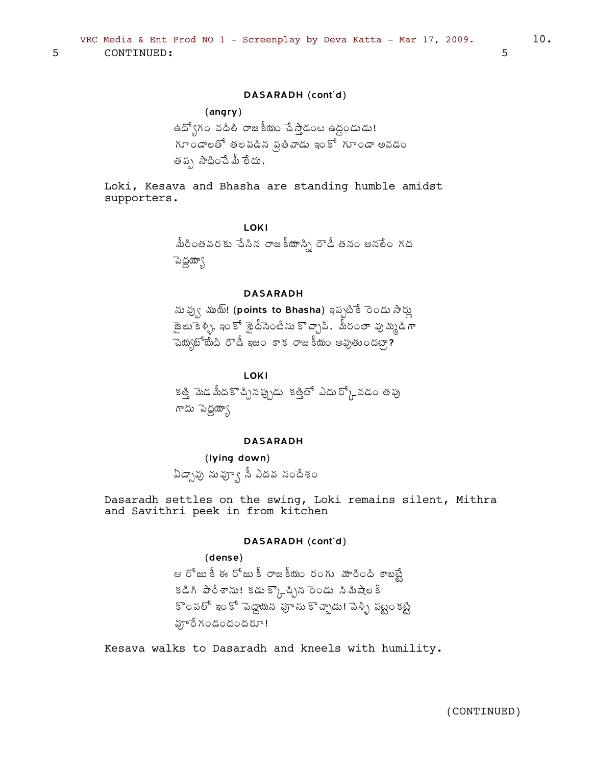### DASARADH (cont'd)

# (angry)

ఉద్యోగం వదిలి రాజకీయం చేస్తాడంట ఉద్ధండుడు!  $\delta$ గూ౦డాలతో తలపడిన ప్రతీవాడు ఇంకో గూ౦డా అవడ౦ తప $\setminus$  సాధించే మీ లేదు,

Loki, Kesava and Bhasha are standing humble amidst supporters.

> LOKI మీరి౦తవరకు చేసిన రాజకీయాస్ని రౌడీ తన౦ అనలే౦ గద ెపెద్దయ్యా

# DASARADH

ను ఫ్వు ముట్! (points to Bhasha) ఇప్పటికే ెండు సార్లు ాజెలుకేళ్ళీ, ఇంకో శ్లైదీసెంటేసు కొచ్చావ్. మీరంతా వు*మ్మ*డిగా  $\vec{a}$ చి ప్రీణీషీ ప్రామ్నా ప్రామీతో రాజకీయం అవుతుందట్గా?

#### **LOKI**

కత్తి మెడ మీదకొచ్చినప్పుడు కత్తితో ఎదుర్గ్కోవడం తపు గాదు పెద్దయ్యా

#### DASARADH

(lying down) ఏడ్పావు నువ్వూ సీ ఎదవ సందేశం

Dasaradh settles on the swing, Loki remains silent, Mithra and Savithri peek in from kitchen

#### DASARADH (cont'd)

(dense) ఆ రోజు కీ ఈ రోజు కీ రాజకీయం రంగు మారింది కాబబ్టే కడిగి పారేశాను! కడుక్క్కొచ్చిన రెండు సిమిషేలాేక కొంపలో ఇంకో పెద్దాయన<sup>్</sup>పూను కొచ్చాడు! పెళ్ళి పట్టం కట్టి హెంేగండందందరూ!

Kesava walks to Dasaradh and kneels with humility.

(CONTINUED)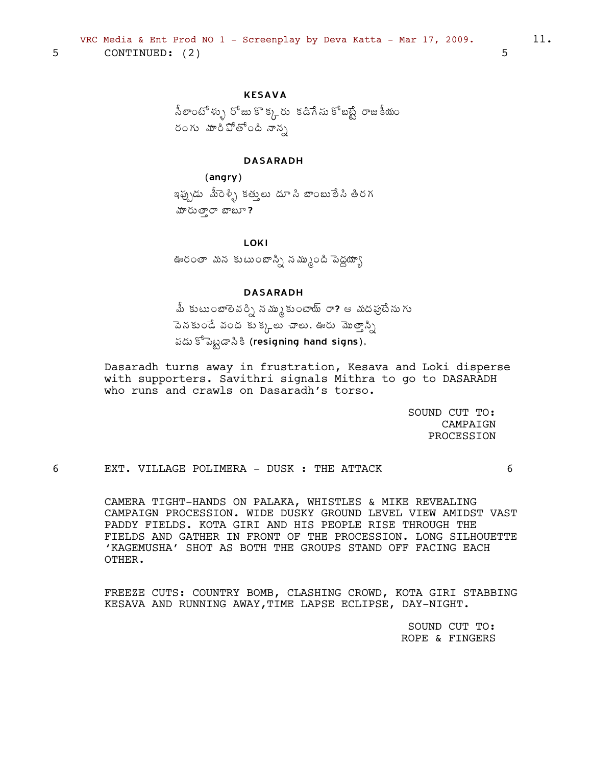```
VRC Media & Ent Prod NO 1 - Screenplay by Deva Katta - Mar 17, 2009.
   CONTINUED: (2)
```
# **KESAVA**

నీలాంటోళ్ళు రోజు కొక్కరు కడిగేను కోబట్టే రాజకీయం రంగు మారిపోతోంది నాన్న

### **DASARADH**

 $(angry)$ ఇప్పుడు మీరెళ్ళి కత్తులు దూసి బాంబులేసి తిరగ హరుత్తారా బాబూ?

**LOKI** 

ఊరంతా మన కుటుంబాస్ని నమ్ముంది పెద్దయ్యా

# **DASARADH**

మీ కుటుంబాలెవర్ని నమ్ముకుంటాయ్ రా? ఆ మదపుైటేను గు పెనకుండే వంద కుక్కలు చాలు. ఊరు మొత్తాన్ని పడు కోపెట్టడాసి కి (resigning hand signs),

Dasaradh turns away in frustration, Kesava and Loki disperse with supporters. Savithri signals Mithra to go to DASARADH who runs and crawls on Dasaradh's torso.

> SOUND CUT TO: CAMPAIGN PROCESSION

EXT. VILLAGE POLIMERA - DUSK : THE ATTACK

 $\epsilon$ 

CAMERA TIGHT-HANDS ON PALAKA, WHISTLES & MIKE REVEALING CAMPAIGN PROCESSION. WIDE DUSKY GROUND LEVEL VIEW AMIDST VAST PADDY FIELDS. KOTA GIRI AND HIS PEOPLE RISE THROUGH THE FIELDS AND GATHER IN FRONT OF THE PROCESSION. LONG SILHOUETTE 'KAGEMUSHA' SHOT AS BOTH THE GROUPS STAND OFF FACING EACH OTHER.

FREEZE CUTS: COUNTRY BOMB, CLASHING CROWD, KOTA GIRI STABBING KESAVA AND RUNNING AWAY, TIME LAPSE ECLIPSE, DAY-NIGHT.

> SOUND CUT TO: ROPE & FINGERS

11.

5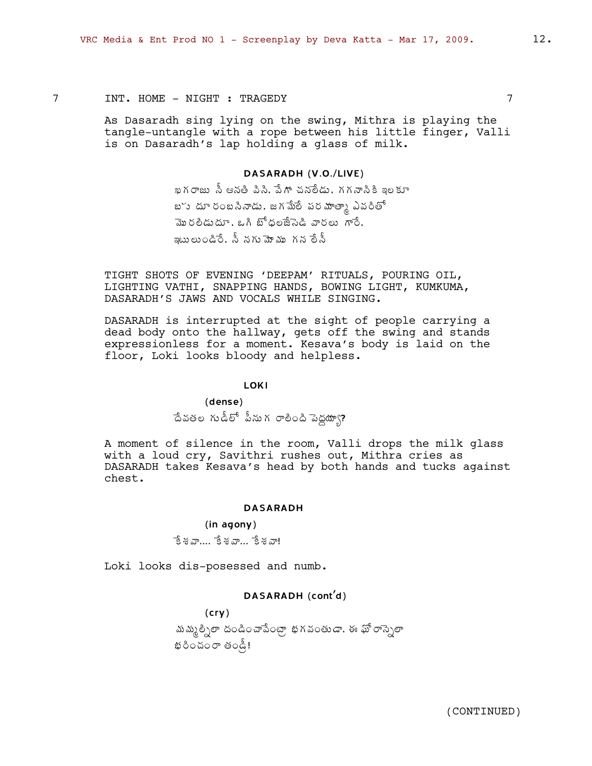# 7 INT. HOME - NIGHT : TRAGEDY 7

As Dasaradh sing lying on the swing, Mithra is playing the tangle-untangle with a rope between his little finger, Valli is on Dasaradh's lap holding a glass of milk.

### DASARADH (V.O./LIVE)

ఖగరాజు నీ ఆనతి పిని. పేగా చనలేడు. గగనానికి ఇలకూ బోు దూ రంబసినాడు, జగమేలే పర మాత్మా ఎవరితో మొరలీడుదూ, ఒగి బోధలజేసెడి వారలు గారే, ఇటులు౦డిరే. స్త్నగు మోము గన లేస్తే

TIGHT SHOTS OF EVENING 'DEEPAM' RITUALS, POURING OIL, LIGHTING VATHI, SNAPPING HANDS, BOWING LIGHT, KUMKUMA, DASARADH'S JAWS AND VOCALS WHILE SINGING.

DASARADH is interrupted at the sight of people carrying a dead body onto the hallway, gets off the swing and stands expressionless for a moment. Kesava's body is laid on the floor, Loki looks bloody and helpless.

#### LOKI

(dense)

 $\hat{\triangle}$ వతల గుడీలో పీనుగ రాలింది పెద్దయ్యా?

A moment of silence in the room, Valli drops the milk glass with a loud cry, Savithri rushes out, Mithra cries as DASARADH takes Kesava's head by both hands and tucks against chest.

#### DASARADH

# (in agony)  $\mathbf{\hat{S}}$ & $\mathbf{\hat{S}}$ ....  $\mathbf{\hat{S}}$ & $\mathbf{\hat{S}}$ ...

Loki looks dis-posessed and numb.

# DASARADH (cont'd)

(cry) మమ్మల్నిలా దండించాపేంట్రా భగవంతు*డా*, ఈ ఫో రాస్నెలా  $\upalpha$ రీంచంరా తండ్రీ!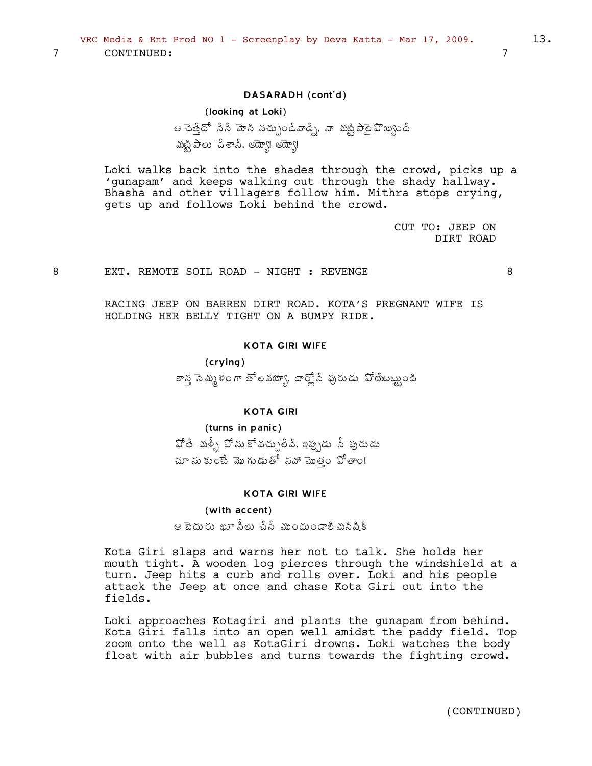$\overline{7}$ 

8

### DASARADH (cont'd)

# (looking at Loki) ఆ చెత్తేదో నేనే మోసి సచ్చుండేవాడ్నే, నా మట్టిపాలై వొయ్యిందే మట్టిపాలు చేశానే. అయ్యో! అయ్యో!

Loki walks back into the shades through the crowd, picks up a 'gunapam' and keeps walking out through the shady hallway. Bhasha and other villagers follow him. Mithra stops crying, gets up and follows Loki behind the crowd.

> CUT TO: JEEP ON DIRT ROAD

EXT. REMOTE SOIL ROAD - NIGHT : REVENGE

8

RACING JEEP ON BARREN DIRT ROAD. KOTA'S PREGNANT WIFE IS HOLDING HER BELLY TIGHT ON A BUMPY RIDE.

### **KOTA GIRI WIFE**

 $(crying)$ కాన సెమ్మళంగా తోలవయ్యా, దార్లోనే పురుడు పోయేబట్టుంది

# **KOTA GIRI**

#### (turns in panic)

హోతే మళ్ళీ పోసుకోవచ్చులేపే. ఇప్పుడు సీ పురుడు చూ సు కుంటే మొగుడుతో నవో మొత్తం పోతాం!

### **KOTA GIRI WIFE**

### (with accent)

ఆ టెదురు ఖూ సీలు చేసే ముందుండాలి మసిషికి

Kota Giri slaps and warns her not to talk. She holds her mouth tight. A wooden log pierces through the windshield at a turn. Jeep hits a curb and rolls over. Loki and his people attack the Jeep at once and chase Kota Giri out into the fields.

Loki approaches Kotagiri and plants the gunapam from behind. Kota Giri falls into an open well amidst the paddy field. Top zoom onto the well as KotaGiri drowns. Loki watches the body float with air bubbles and turns towards the fighting crowd.

13.

 $\overline{7}$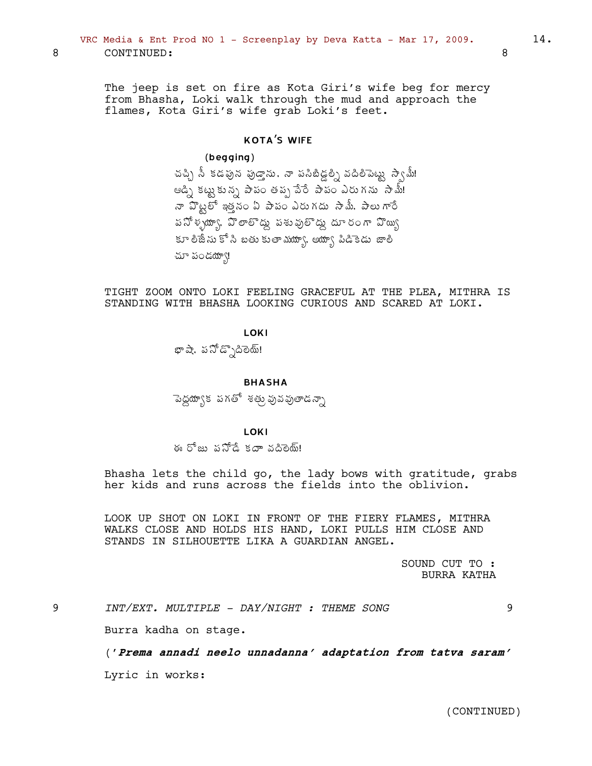The jeep is set on fire as Kota Giri's wife beg for mercy from Bhasha, Loki walk through the mud and approach the flames, Kota Giri's wife grab Loki's feet.

# **KOTA'S WIFE**

### $(b$ egging $)$

చచ్చి నీ కడపున పుడ్తాను. నా పసిబిడ్డల్ని వదిలిపెట్టు స్వామీ! ఆడ్సి కట్టుకున్న పాపం తప్ప పేరే పాపం ఎరుగను సామ్! నా హెట్టలో ఇత్తనం ఏ పాపం ఎరుగదు సామీ, పాలుగారే పనోళ్ళయ్యా, పొలాలొద్దు పశువులొద్దు దూరంగా పొయ్యి కూ లీజేను కోసి బతు కుతా మయ్యా, అయ్యా పిడికెడు జాలీ చూ పండయా్!

TIGHT ZOOM ONTO LOKI FEELING GRACEFUL AT THE PLEA, MITHRA IS STANDING WITH BHASHA LOOKING CURIOUS AND SCARED AT LOKI.

**LOKI** 

భాషా, పసోడ్సొదిలెయ్!

#### **BHASHA**

<sup>ె</sup> పెద్దయ్యాక పగతో శత్రు వువవుతాడన్నా

#### **LOKI**

ఈ రోజు పనోడే కదాా వదిలెయ్!

Bhasha lets the child go, the lady bows with gratitude, grabs her kids and runs across the fields into the oblivion.

LOOK UP SHOT ON LOKI IN FRONT OF THE FIERY FLAMES, MITHRA WALKS CLOSE AND HOLDS HIS HAND, LOKI PULLS HIM CLOSE AND STANDS IN SILHOUETTE LIKA A GUARDIAN ANGEL.

> SOUND CUT TO: **BURRA KATHA**

INT/EXT. MULTIPLE - DAY/NIGHT : THEME SONG

9

Burra kadha on stage.

('Prema annadi neelo unnadanna' adaptation from tatva saram'

Lyric in works:

8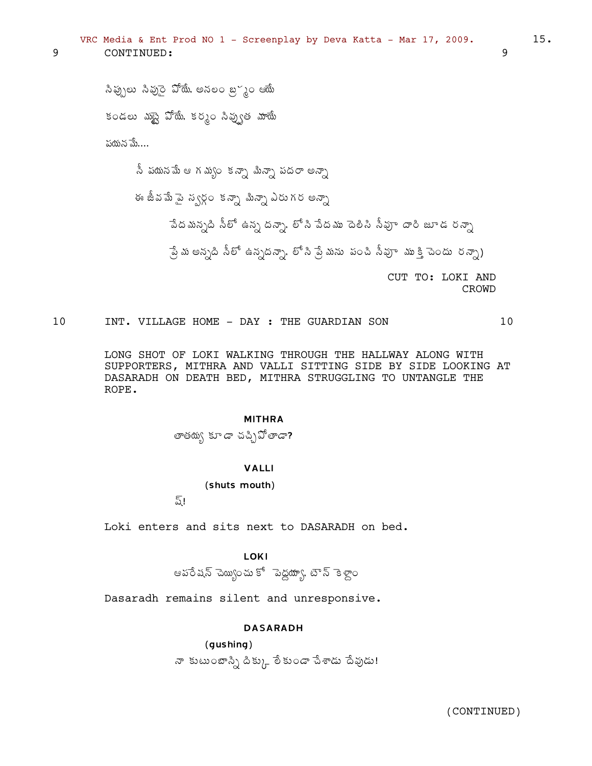సిప్పులు సివుసై పోయే, అనలం బ్రస్థం ఆయే కండలు మట్టై పోయే, కర్మం సివ్పుత మాయే పయన మే.... నీ పయనమే ఆ గమ్యం కన్నా మిన్సా పదరా అన్నా

9

ఈ జీవమే పై స్వర్గం కన్నా మిన్నా ఎరుగర అన్నా పేదమన్నది నీలో ఉన్న దన్నా, లోని పేదము దెలిసి నీవూ దారి జూడ రన్నా ్షే మ అన్నది నీలో ఉన్నదన్నా, లో సి ప్రే మను పంచి సీవూ ముక్తి చెందు రన్నా)

CUT TO: LOKI AND CROWD

 $10$ INT. VILLAGE HOME - DAY : THE GUARDIAN SON

> LONG SHOT OF LOKI WALKING THROUGH THE HALLWAY ALONG WITH SUPPORTERS, MITHRA AND VALLI SITTING SIDE BY SIDE LOOKING AT DASARADH ON DEATH BED, MITHRA STRUGGLING TO UNTANGLE THE ROPE.

#### **MITHRA**

తాతయ్య కూడా చచ్చిపోతాడా?

# **VALLI**

(shuts mouth)

ష్!

Loki enters and sits next to DASARADH on bed.

# **LOKI**

ఆపరేషన్ చెయ్యించు కో పెద్దయ్యా, టౌన్ కెళ్లాం

Dasaradh remains silent and unresponsive.

### **DASARADH**

 $(gushing)$ నా కుటుంబాస్సి దిక్కు లేకుండా చేశాడు దేవుడు! 9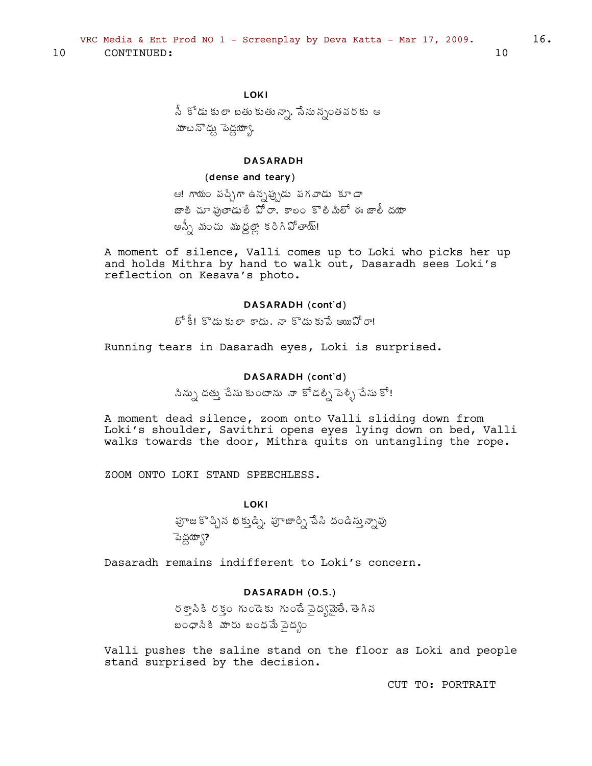10 CONTINUED:

నీ కోడు కులా బతు కుతున్నా, సేనున్నంతవరకు ఆ మాటనొద్దు పెద్దయ్యా,

# **DASARADH**

### (dense and teary)

ఆ! గాయం పచ్చిగా ఉన్నప్పుడు పగవాడు కూడా .<br>జాలి చూ ఫుతాడురే పోరా, కాలం కొలిమిలో ఈ జాలీ దయా అన్నీ మంచు ముద్దల్లో కరిగిపోతాయ్!

A moment of silence, Valli comes up to Loki who picks her up and holds Mithra by hand to walk out, Dasaradh sees Loki's reflection on Kesava's photo.

# DASARADH (cont'd)

లో కీ! కొడుకులా కాదు, నా కొడుకుపే అయిఏో రా!

Running tears in Dasaradh eyes, Loki is surprised.

### DASARADH (cont'd)

.<br>సిన్సు దత్తు చేసు కుంటాను నా కోడల్ని పెళ్ళి చేసు కో!

A moment dead silence, zoom onto Valli sliding down from Loki's shoulder, Savithri opens eyes lying down on bed, Valli walks towards the door, Mithra quits on untangling the rope.

ZOOM ONTO LOKI STAND SPEECHLESS.

**LOKI** హ్రాజ కొచ్చిన భక్తుడ్ని. పూజార్ని పేసి దండిస్తున్నావు ెపెద్దయ్యా?

Dasaradh remains indifferent to Loki's concern.

# DASARADH (O.S.)

రక్తానికి రక్తం గుండెకు గుండే పైద్యమైతే, తెగిన బంధానికి మారు బంధమే వైద్యం

Valli pushes the saline stand on the floor as Loki and people stand surprised by the decision.

CUT TO: PORTRAIT

 $16.$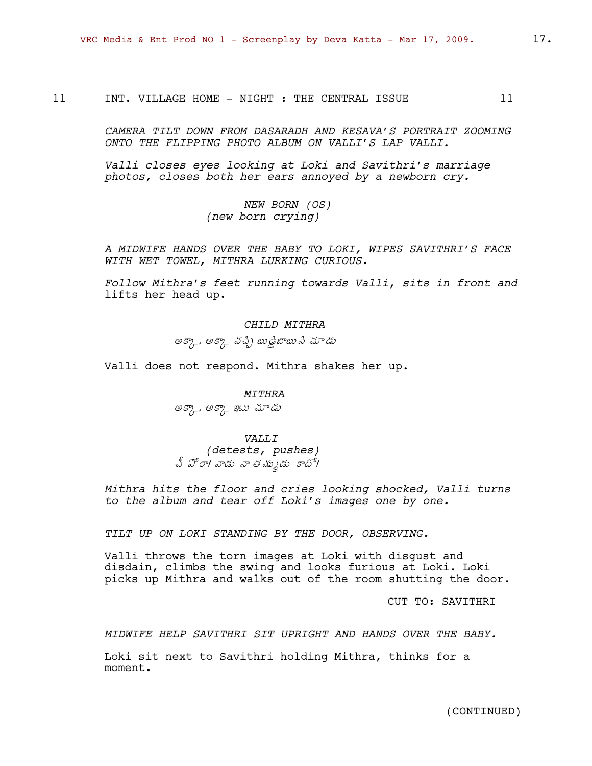11 INT. VILLAGE HOME - NIGHT : THE CENTRAL ISSUE 11

*CAMERA TILT DOWN FROM DASARADH AND KESAVA'S PORTRAIT ZOOMING ONTO THE FLIPPING PHOTO ALBUM ON VALLI'S LAP VALLI.* 

*Valli closes eyes looking at Loki and Savithri's marriage photos, closes both her ears annoyed by a newborn cry.*

> *NEW BORN (OS) (new born crying)*

*A MIDWIFE HANDS OVER THE BABY TO LOKI, WIPES SAVITHRI'S FACE WITH WET TOWEL, MITHRA LURKING CURIOUS.*

*Follow Mithra's feet running towards Valli, sits in front and*  lifts her head up.

> *CHILD MITHRA* అక్కా, అక్కా వచ్చి బుడ్డి జాబు సి చూడు

Valli does not respond. Mithra shakes her up.

*MITHRA*  అక్కా, అక్కా ఇటు చూడు

*VALLI (detests, pushes)* చీ పోరా! వాడు నా తమ్ముడు కాదో!

*Mithra hits the floor and cries looking shocked, Valli turns to the album and tear off Loki's images one by one.*

*TILT UP ON LOKI STANDING BY THE DOOR, OBSERVING.*

Valli throws the torn images at Loki with disgust and disdain, climbs the swing and looks furious at Loki. Loki picks up Mithra and walks out of the room shutting the door.

CUT TO: SAVITHRI

*MIDWIFE HELP SAVITHRI SIT UPRIGHT AND HANDS OVER THE BABY.*

Loki sit next to Savithri holding Mithra, thinks for a moment.

(CONTINUED)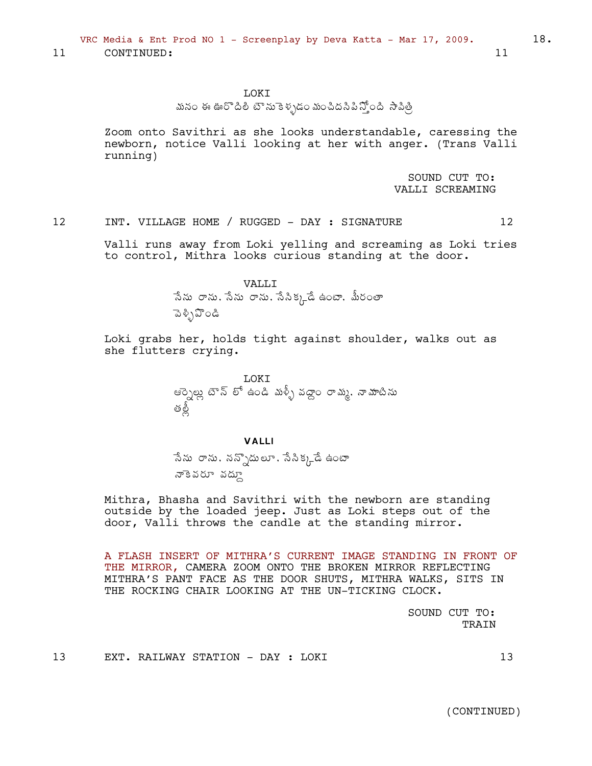11 CONTINUED: 11

#### LOKI

# మనం ఈ ఊరొదిలీ టౌను కెళ్ళడం మంచిదసిపిస్తోంది *సా*విత్రీ

Zoom onto Savithri as she looks understandable, caressing the newborn, notice Valli looking at her with anger. (Trans Valli running)

> SOUND CUT TO: VALLI SCREAMING

12 INT. VILLAGE HOME / RUGGED - DAY : SIGNATURE 12

Valli runs away from Loki yelling and screaming as Loki tries to control, Mithra looks curious standing at the door.

VALLI

సేను రాను, సేను రాను, సేనిక్కడే ఉంటా, మీరంతా ಾತ್ಸಿನಿಂಡಿ

Loki grabs her, holds tight against shoulder, walks out as she flutters crying.

> LOKI ఆర్నెల్లు టౌన్ లో ఉండి మళ్ళీ వద్దాం రామ్మ, నామాటిను ઌઁૹ

#### VALLI

సేను రాను, నన్నొదులూ, సేసిక్కడే ఉంటా నాకెవరూ వద్దూ

Mithra, Bhasha and Savithri with the newborn are standing outside by the loaded jeep. Just as Loki steps out of the door, Valli throws the candle at the standing mirror.

A FLASH INSERT OF MITHRA'S CURRENT IMAGE STANDING IN FRONT OF THE MIRROR, CAMERA ZOOM ONTO THE BROKEN MIRROR REFLECTING MITHRA'S PANT FACE AS THE DOOR SHUTS, MITHRA WALKS, SITS IN THE ROCKING CHAIR LOOKING AT THE UN-TICKING CLOCK.

> SOUND CUT TO: TRAIN

13 EXT. RAILWAY STATION - DAY : LOKI 13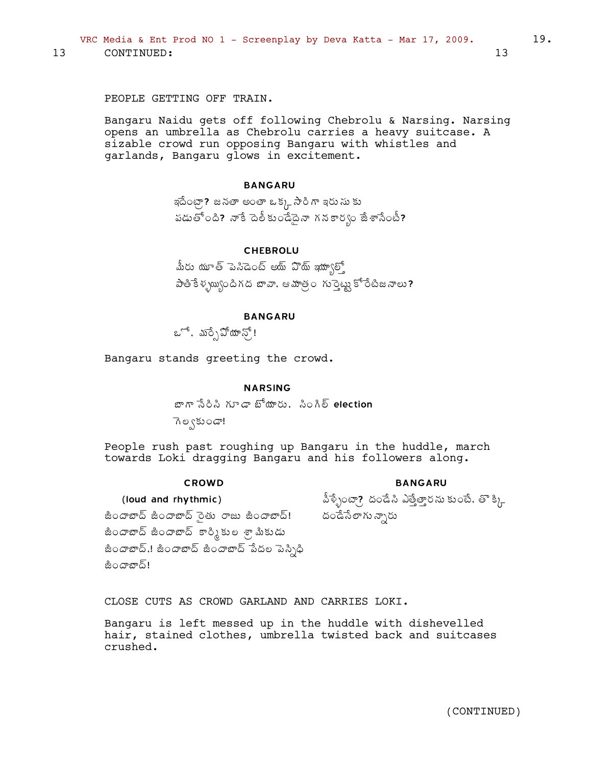VRC Media & Ent Prod NO 1 - Screenplay by Deva Katta - Mar 17, 2009.

13 CONTINUED:

PEOPLE GETTING OFF TRAIN.

Bangaru Naidu gets off following Chebrolu & Narsing. Narsing opens an umbrella as Chebrolu carries a heavy suitcase. A sizable crowd run opposing Bangaru with whistles and garlands, Bangaru glows in excitement.

### **BANGARU**

ఇదేంట్గా? జనతా అంతా ఒక్క సారి గా ఇరు సు కు పడుతోంది? నాకే దెలీకుండేదైనా గనకార్యం జేశాసేంటీ?

# **CHEBROLU**

మీరు యూత్ పెనిడెంట్ అయ్ పొయ్ ఇయా్ుల్ పాతికేళ్య్యుందిగద బావా, ఆమాత్రం గుర్తెట్టు కోరేటీజనాలు?

### **BANGARU**

ఒో, మర్చి పోయాన్!

Bangaru stands greeting the crowd.

### **NARSING**

బాగా సేరిసి గూడా బోయారు. సింగిల్ election

ెగల్వకుండా!

People rush past roughing up Bangaru in the huddle, march towards Loki dragging Bangaru and his followers along.

#### **CROWD**

#### **BANGARU**

పీళ్ళేంటా? దండేసి ఎత్తేత్తారను కుంటే. తొ క్కి దండేసేలాగు న్నారు

(loud and rhythmic)

జిందాబాద్ జిందాబాద్ సైతు రాజు జిందాబాద్! జిందాబాద్ జిందాబాద్ కార్మికుల శ్రామికుడు జిందాబాద్.! జిందాబాద్ జిందాబాద్ పేదల పెస్సిధి జిందాబాద్!

CLOSE CUTS AS CROWD GARLAND AND CARRIES LOKI.

Bangaru is left messed up in the huddle with dishevelled hair, stained clothes, umbrella twisted back and suitcases crushed.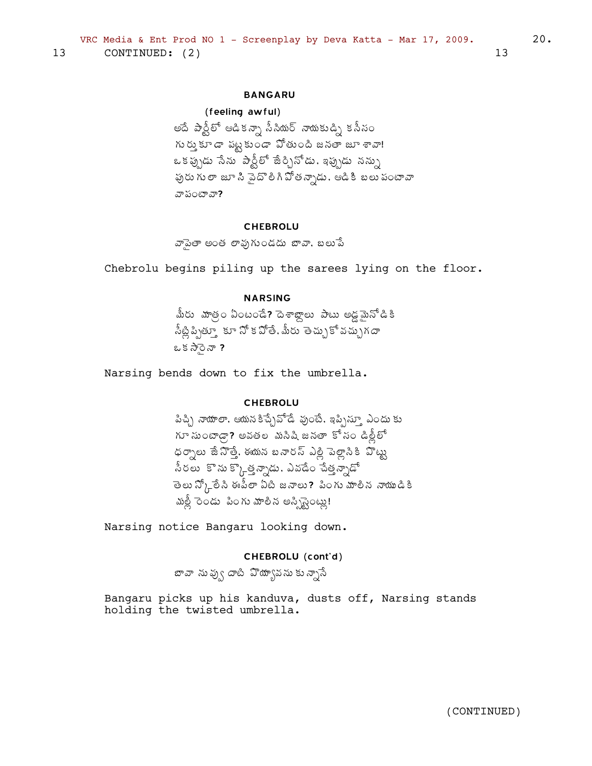# **BANGARU**

# (feeling awful)

అదే పార్టీలో ఆడికన్నా సీసియర్ నాయకుడ్ని కనీసం గుర్తు కూడా పట్టకుండా వోతుంది జనతా జూ శావా! ఒక ప్రృడు సేను పార్టీలో జేర్చినోడు. ఇప్పుడు నన్ను పురు గు లా జూ సి పైదొలి గి వోతన్నాడు. ఆడికి బలు పంటావా వా పంటావా?

#### **CHEBROLU**

వాపైతా అంత లావుగుండదు బావా, బలుపే

Chebrolu begins piling up the sarees lying on the floor.

# **NARSING**

.<br>మీరు వూత్రం ఏంటండే**?** దెశాబ్దాలు పాటు అడ్డమైనోడికి సీట్లిప్పిత్తూ కూ నో క వోతే, మీరు తెచ్చుకో వచ్చుగదా ఒకసారెనా ?

Narsing bends down to fix the umbrella.

### **CHEBROLU**

పిచ్చి నాయాలా, ఆయన కిచ్చేవోడే వుంటే, ఇప్పిస్తూ ఎందు కు గూ సుంటాడ్గా? అవతల మసిషి జనతా కోసం డిల్లీలో ధర్నాలు జేనొత్తే, ఈయన బనారస్ ఎల్లి పెల్లానికి వొట్టు సీరలు కొను కొ}్తత్వూడు. ఎవడేం చేత్తన్నాడో తెలు న్క్లోరేని ఈపీలా ఏటి జనాలు? పింగు మాలిన నాయుడికి మల్లీ రెండు పింగు మాలిన అస్సిస్టెంట్లు!

Narsing notice Bangaru looking down.

# CHEBROLU (cont'd)

బావా నువ్వు దాటి వొయ్యావను కున్నాసే

Bangaru picks up his kanduva, dusts off, Narsing stands holding the twisted umbrella.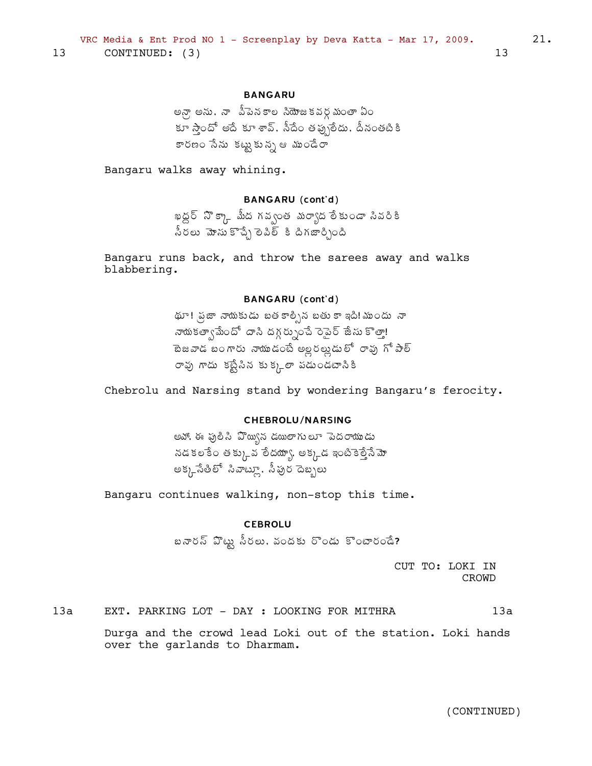# **BANGARU**

అన్గా అను. నా పీపెనకాల సియోజకవర్గమంతా ఏం కూ స్తాందో అదే కూ శావ్. సీదేం తప్పులేదు. దీనంతటికి కారణం సేను కట్టుకున్న ఆ ముండేరా

Bangaru walks away whining.

# **BANGARU** (cont'd)

ఖద్దర్ నొక్కా మీద గవ్వంత మర్యాద లేకుండా సివరికి నీరలు మోనుకొచ్చే లెవిల్ కి దిగజార్చింది

Bangaru runs back, and throw the sarees away and walks blabbering.

### **BANGARU** (cont'd)

థూ! ప్రజా నాయకుడు బత కాల్పిన బతు కా ఇది! ముందు నా నాయకత్వామేందో దాసి దగ్గర్సుంచే రెపైర్ జేసు కొత్తా! రావు గాదు కట్టేసిన కుక్కలా పడుండటానికి

Chebrolu and Narsing stand by wondering Bangaru's ferocity.

# **CHEBROLU/NARSING**

అవో, ఈ ఫులిసి ఏొయ్యిన డయిలాగులూ పెదరాయుడు నడకలకేం తక్కువ లేదయ్యా, అక్కడ ఇంటికెల్తేనే మో అక్క్ సేతిలో సివాట్లూ, సీపుర దెబ్బలు

Bangaru continues walking, non-stop this time.

## **CEBROLU**

బనారస్ హొట్లు సీరలు, వందకు రొండు కొంటారండే?

CUT TO: LOKI IN CROWD

 $13a$ EXT. PARKING LOT - DAY : LOOKING FOR MITHRA  $13a$ 

> Durga and the crowd lead Loki out of the station. Loki hands over the garlands to Dharmam.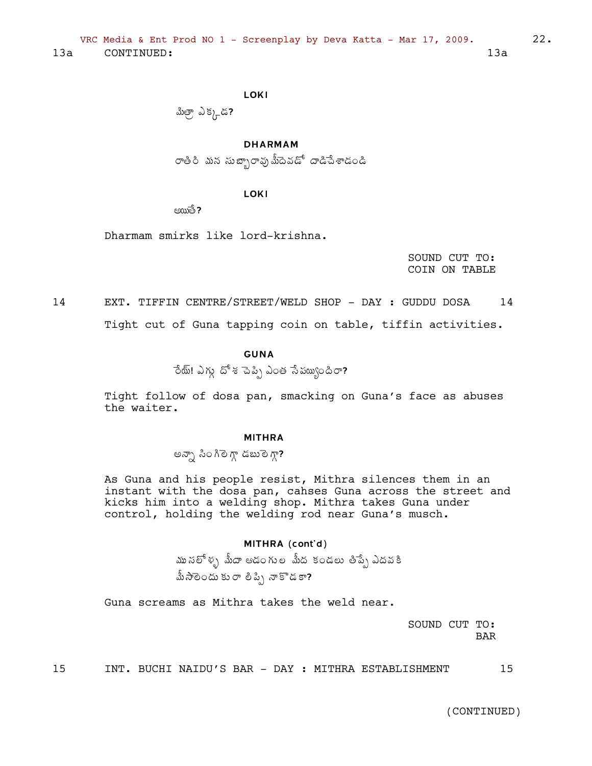**LOKI** 

మిత్రా ఎక్కడ?

**DHARMAM** 

రాతిరి మన సుబ్బారావుమీదెవడో దాడిచేశాడండి

LOKI

 $\epsilon$  $\epsilon$  $\epsilon$ 

Dharmam smirks like lord-krishna.

SOUND CUT TO: COIN ON TABLE  $22.$ 

14 EXT. TIFFIN CENTRE/STREET/WELD SHOP - DAY : GUDDU DOSA 14 Tight cut of Guna tapping coin on table, tiffin activities.

# **GUNA**

ేయ్! ఎగ్గు దోశ చెప్పి ఎంత సేపయ్యందిరా?

Tight follow of dosa pan, smacking on Guna's face as abuses the waiter.

### **MITHRA**

అన్నా సింగిలెగ్గా డబులెగ్గా?

As Guna and his people resist, Mithra silences them in an instant with the dosa pan, cahses Guna across the street and kicks him into a welding shop. Mithra takes Guna under control, holding the welding rod near Guna's musch.

# MITHRA (cont'd)

ము నలోళ్ళ మీదా ఆడంగుల మీద కండలు తిప్పే ఎదవకి మీసాలెందు కురా లిప్పి నాకొడకా?

Guna screams as Mithra takes the weld near.

SOUND CUT TO: **BAR** 

INT. BUCHI NAIDU'S BAR - DAY : MITHRA ESTABLISHMENT 15

15

(CONTINUED)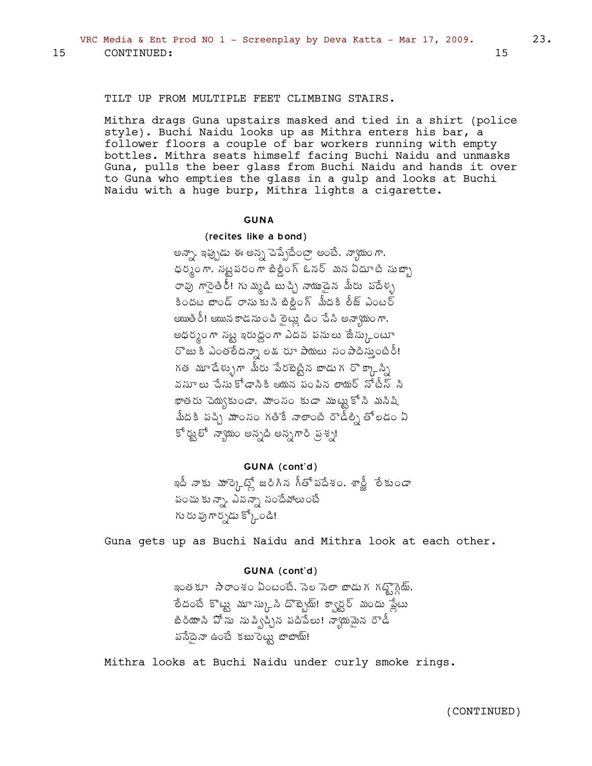### TILT UP FROM MULTIPLE FEET CLIMBING STAIRS.

Mithra drags Guna upstairs masked and tied in a shirt (police style). Buchi Naidu looks up as Mithra enters his bar, a follower floors a couple of bar workers running with empty bottles. Mithra seats himself facing Buchi Naidu and unmasks Guna, pulls the beer glass from Buchi Naidu and hands it over to Guna who empties the glass in a gulp and looks at Buchi Naidu with a huge burp, Mithra lights a cigarette.

#### **GUNA**

### (recites like a bond)

అన్నా, ఇప్పుడు ఈ అన్న పెప్పేదేంట్రా అంటే, న్యాయంగా, ధర్మంగా, నట్టపరంగా బిల్డింగ్ ఓనర్ మన ఏదూటి సుబ్బా రావు గారెతిరీ! గు మృడి బుచ్చి నాయుడైన మీరు పదేళ్ళ కిందట బాండ్ రాసుకుని బిల్డింగ్ మీదకి లీజ్ ఎంటర్ అయితిరీ! అయిన కాడను౦చి లైట్లు డి౦ చేసి అన్యాయంగా, అధర్మంగా నట్ట ఇరుద్దంగా ఎదవ పనులు జేస్కుంటూ రొజు కి ఎంతరేదన్నా లకు రూ పాయలు సంపాదిస్తుంటిరీ! గత మూడేళ్ళుగా మీరు పేరబెట్టిన బాడుగ రొక్కాన్ని వసూలు చేసుకోడానికి ఆయన పంపిన లాయర్ నోటీస్ సి ఖాతరు చెయ్యకుండా, మాంసం కుడా ముట్టుకోసి మసిషి మీదకి పచ్చి మాంసం గతికే నాలాంటి రౌడీల్ని తోలడం ఏ కోర్టులో న్యాయం అన్నది అన్నగారి ప్రశ్న!

# GUNA (cont'd)

ఇదీ నాకు మార్కెట్స్లో జరిగిన గీతోపదేశం. శాన్జీ లేకుండా పంచు కున్నా, ఎవన్నా సందేవోలుంటే గు రు వు గార్పడు క్కోండి!

Guna gets up as Buchi Naidu and Mithra look at each other.

#### GUNA (cont'd)

ఇంత కూ సారాంశం ఏంటంటే, సెల సెలా బాడు గగట్టొగ్గెట్, తేదంటే కొట్టు మూస్కుని దొబ్బేయ్! క్వార్టర్ మందు ప్లేటు ,<br>జిరియాని పోను నుప్విచ్చిన పదిపేలు! న్యాయమైన రౌడీ పస్తేదైనా ఉంటే కబురెట్టు బాబాయ్!

Mithra looks at Buchi Naidu under curly smoke rings.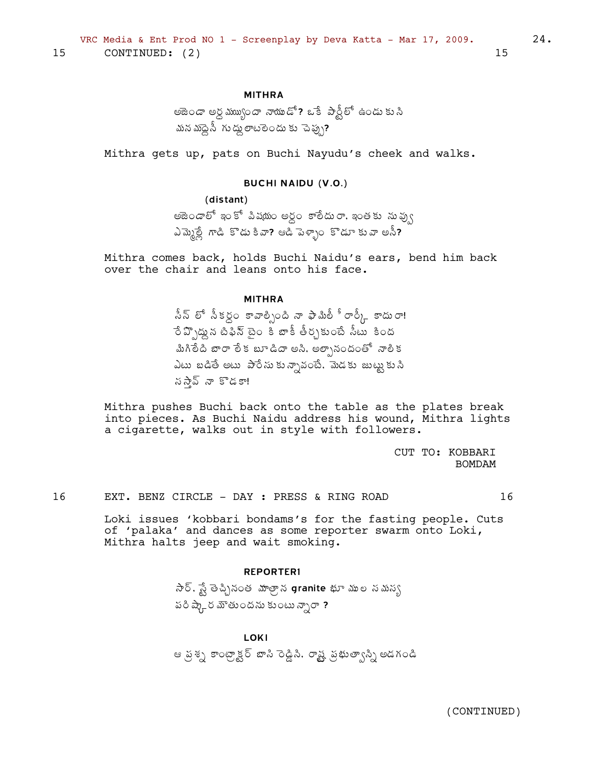### **MITHRA**

అజెండా అర్ధ ముఖ్యందా నాయుడో? ఒకే పార్టీలో ఉండు కుసి మన మాప్దెసీ గుద్దు ఠాటలెందు కు ెచెప్పు?

Mithra gets up, pats on Buchi Nayudu's cheek and walks.

### **BUCHI NAIDU (V.O.)**

(distant) అజెండాలో ఇంకో పిషయం అర్ధం కాలీదురా, ఇంతకు నువ్వు ఎమ్మెల్లే గాడి కొడు కివా? ఆడి పెళ్ళాం కొడూ కువా అనీ?

Mithra comes back, holds Buchi Naidu's ears, bend him back over the chair and leans onto his face.

**MITHRA** 

సీన్ లో సీకర్గం కావాల్సింది నా ఫామిలీ ీ రార్కీ కాదురా! ే ప్పొడ్డున టీఫిన్ టైం కీ బాకీ తీర్చకుంటే సీటు కింద మిగిలేది బారా లేక బూడిదా అసి, అల్చానందంతో నాలిక ఎటు బడితే అటు పారేసుకున్నావంటే, మెడకు జుట్టుకుని నస్న్ నా కొడకా!

Mithra pushes Buchi back onto the table as the plates break into pieces. As Buchi Naidu address his wound, Mithra lights a cigarette, walks out in style with followers.

> CUT TO: KOBBARI **BOMDAM**

16 EXT. BENZ CIRCLE - DAY : PRESS & RING ROAD 16

Loki issues 'kobbari bondams's for the fasting people. Cuts of 'palaka' and dances as some reporter swarm onto Loki, Mithra halts jeep and wait smoking.

#### **REPORTER1**

సార్. స్టే తెచ్చినంత మాత్రాన granite భూ ముల నమన్య పరి ష్కార మౌతుందను కుంటు న్నారా ?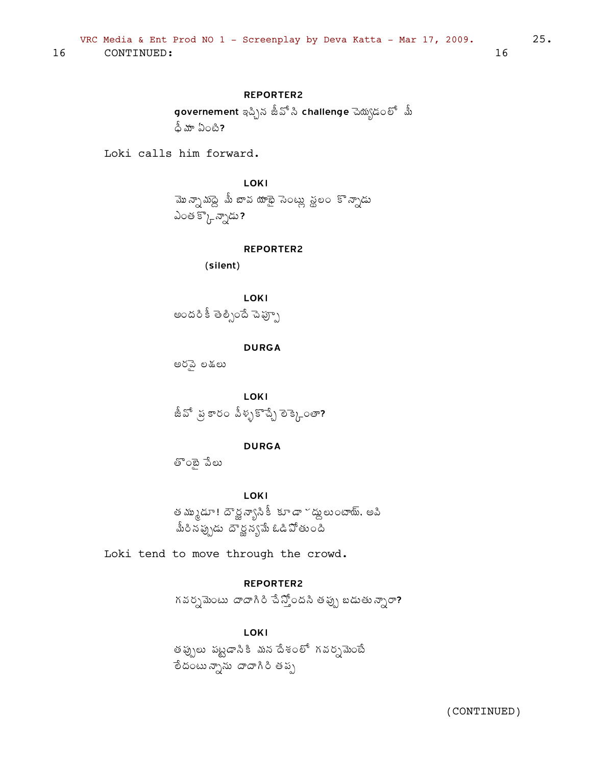# **REPORTER2**

governement ఇచ్చిన జీవో సి challenge చెయ్యడంలో ్మీ ధీ మా ఏంటి?

Loki calls him forward.

LOKI

మొన్నామద్దె మీ జావ యాభై సెంట్లు స్థలం కొన్నాడు ఎంత క్కొన్నాడు?

#### **REPORTER2**

(silent)

**LOKI** అందరి కీ తెల్పిందే పెప్పూ

**DURGA** 

అరపె లకులు

LOKI జీవో ప్రకారం పీళ్ళకొచ్చే లెక్కెంతా?

# **DURGA**

తొంబై పేలు

LOKI

త మ్ముడూ! దౌర్జ్ న్యాసికీ కూడా ~ద్దులుంటాయ్, అవి మీరినప్పుడు దౌర్జన్యమే ఓడిపోతుంది

Loki tend to move through the crowd.

# **REPORTER2**

గవర్సమెంటు దాదాగిరి చేస్తోందని తప్పు బడుతున్నారా?

# LOKI

తప్పులు పట్టడాసికి మన దేశంలో గవర్నమెంటే ేందంటున్నాను దాదాగిరి తప్ప

 $25.$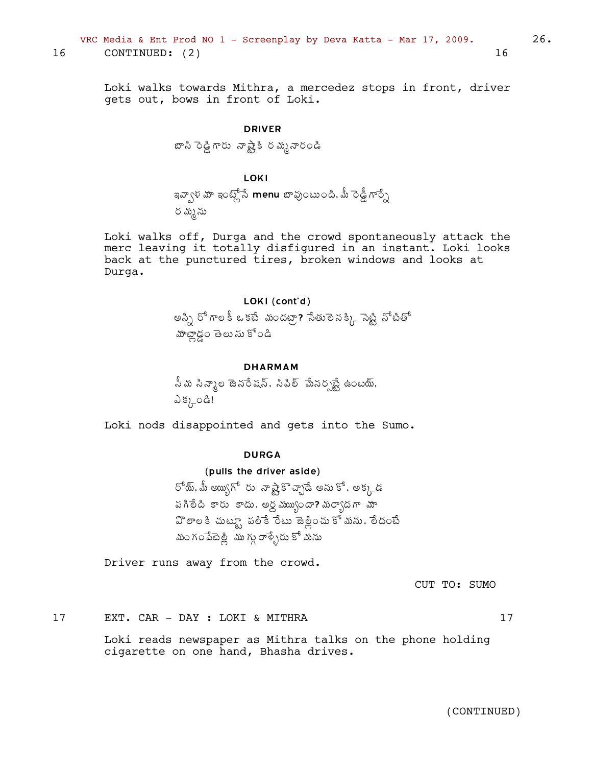Loki walks towards Mithra, a mercedez stops in front, driver gets out, bows in front of Loki.

# DRIVER

 $E\approx\lambda\Im\lambda$  శ్రీశ్రీ శ్రీ ప్రాంధిం

# LOKI

'©Âí®Á¥Á 'ÏýÍìþÊ menu £Â©ÁôÏýÅÏžÃ,¥Ä §É™ÄÝ§Êä §Á¥ÁéþÁÅ

Loki walks off, Durga and the crowd spontaneously attack the merc leaving it totally disfigured in an instant. Loki looks back at the punctured tires, broken windows and looks at Durga.

### LOKI (cont'd)

అస్సి రో గాల కీ ఒకటే మందట్రా? సేతులెన క్క్రి సెట్టి నోటితో మాచ్లాడం తెలు ను కోండి

# DHARMAM

వీ మ సిన్మాల జెనరేషన్, సిపిల్ మేనర్పట్టే ఉంటయ్,  $\Im z^{j-\circ}$ ಥಿ:

Loki nods disappointed and gets into the Sumo.

# **DURGA**

# (pulls the driver aside)

రోయ్, మీ అయ్యిగో రు నాష్టేకొచ్చాడే అను కో, అక్కడ పగిలేది కారు కాదు, అర్ధముబ్బండా? మర్యాదగా మా  $\mathfrak I$  లాల కి చుట్కావలీకే రేటు జెల్లించు కో మను, లేదంబే మం గంపేటెల్లి ము గ్గు రాళ్ళేరు కో మను

Driver runs away from the crowd.

CUT TO: SUMO

17 EXT. CAR - DAY : LOKI & MITHRA 17

Loki reads newspaper as Mithra talks on the phone holding cigarette on one hand, Bhasha drives.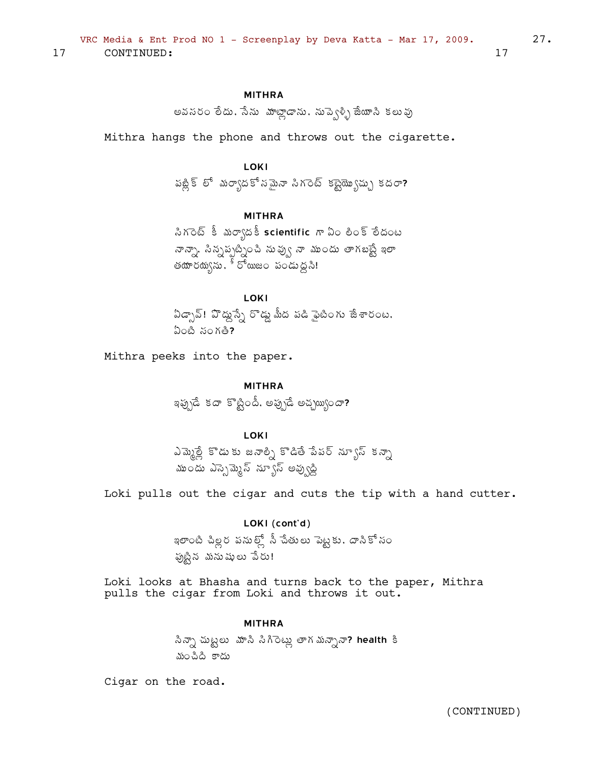# **MITHRA**

అవనరం లేదు. సేను వూట్లాడాను. నుపె్ట్బి జేయాని కలువు

Mithra hangs the phone and throws out the cigarette.

# LOKI

పబ్లిక్ లో మర్యాదకో సమైనా సిగరెట్ కబ్టెయ్యొచ్చు కదరా?

# **MITHRA**

సిగరెట్ కీ మర్యాదకీ scientific గా ఏం లింక్ లేదంట నాన్నా, సిన్నప్పట్నించి నువ్వు నా ముందు తాగబట్టే ఇలా తయారయ్యను,  $\widetilde{\mathfrak{s}}$  రోయిజం పండుద్దని!

LOKI

ఏడ్చావ్! వొద్దుస్సే రొడ్డు మీద పడి ఫైటింగు జేశారంట.  $\omega$ ంటి సంగతి?

Mithra peeks into the paper.

**MITHRA** ఇప్పుడే కదా కొట్టిందీ, అప్పుడే అచ్చయ్యందా?

**LOKI** 

ఎమ్మెల్లీ కొడుకు జనాల్ని కొడితే పేపర్ న్యూస్ కన్నా ముందు ఎస్పెమ్మెస్ న్యూస్ అవ్వుడ్డి

Loki pulls out the cigar and cuts the tip with a hand cutter.

# LOKI (cont'd)

ఇలాంటి చిల్లర పనుల్లో నీ చేతులు పెట్టకు. దానికోసం పుట్టిన మనుషులు పేరు!

Loki looks at Bhasha and turns back to the paper, Mithra pulls the cigar from Loki and throws it out.

#### **MITHRA**

సిన్నా చుట్టలు మాసి సిగిరెట్లు తాగ మన్నానా? health కి మంచిది కాదు

Cigar on the road.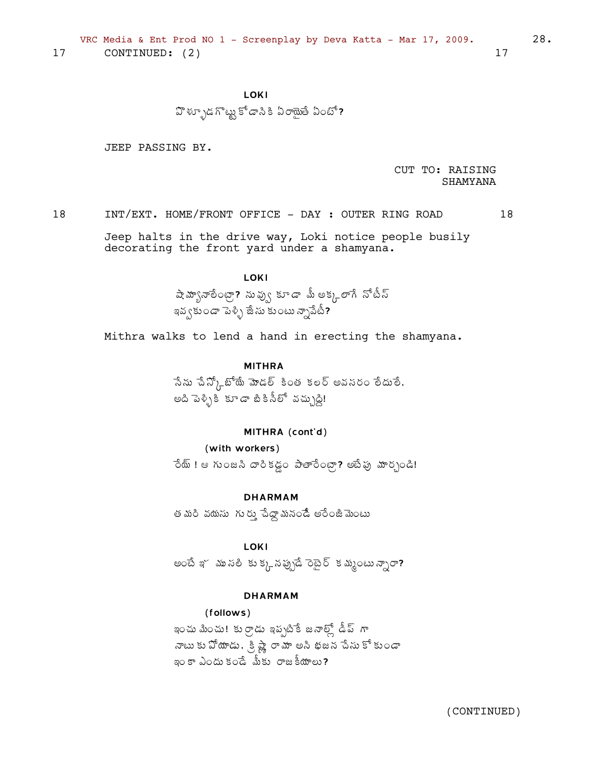**LOKI** 

హిళ్ళూడగొట్టు కోడాని కి ఏరాయైతే ఏంటో?

JEEP PASSING BY.

CUT TO: RAISING **SHAMYANA** 

 $18$ INT/EXT. HOME/FRONT OFFICE - DAY: OUTER RING ROAD 18

Jeep halts in the drive way, Loki notice people busily decorating the front yard under a shamyana.

# **LOKI**

షెహ్యానాలేంట్రా? నువ్వు కూడా మీ అక్కలాగే నోటీన్ ఇవ్వకుండా పెళ్ళి జేసు కుంటు న్నాపేటీ?

Mithra walks to lend a hand in erecting the shamyana.

### **MITHRA**

సేను చేన్కో బోయే మోడల్ కింత కలర్ అవనరం లేదులే. అది పెళ్ళికి కూడా బీకినీలో వచ్చుద్ది!

# MITHRA (cont'd)

### (with workers)

రేయ్ ! ఆ గుంజసి దారికడ్డం పాతారేంట్గా? అబేఫు మార్చండి!

**DHARMAM** 

త మరి వయసు గురు చేద్దామనండే అరేంజీ మెంటు

**LOKI** 

అంటే ఇ~ ము సలీ కు క్కన ప్పుడే రెటైర్ క మ్మంటు న్నారా?

# **DHARMAM**

### (follows)

ఇంచు మించు! కుర్రాడు ఇప్పటికే జనాల్లో డీప్ గా నాటు కు పోయాడు. క్రిష్ణే రామా అని భజన చేసు కోకుండా ఇం కా ఎందు కండే మీకు రాజకీయాలు?

(CONTINUED)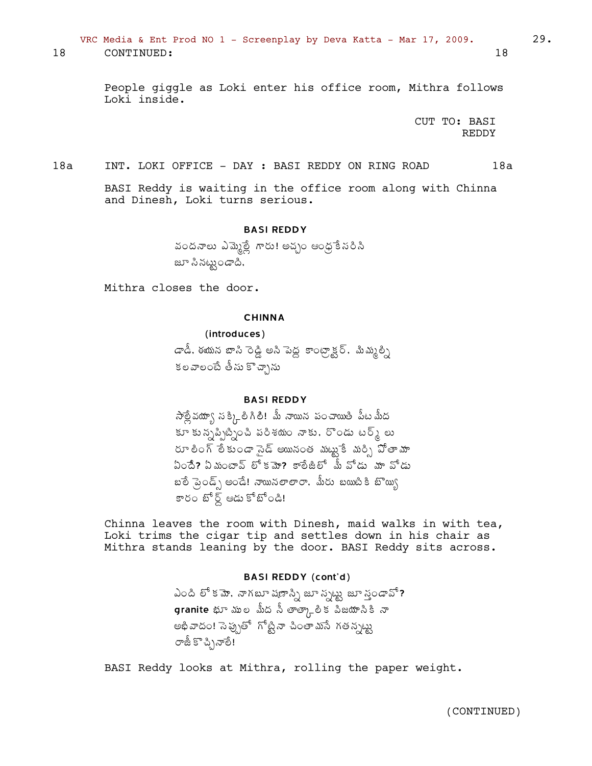VRC Media & Ent Prod NO 1 - Screenplay by Deva Katta - Mar 17, 2009. 29.

18 CONTINUED: 18

People giggle as Loki enter his office room, Mithra follows Loki inside.

> CUT TO: BASI REDDY

18a INT. LOKI OFFICE - DAY : BASI REDDY ON RING ROAD 18a

BASI Reddy is waiting in the office room along with Chinna and Dinesh, Loki turns serious.

BASI REDDY

వందనాలు ఎమ్మెట్లే గారు! అచ్చం ఆంధ్ర ేసరిసి జూ సినట్టుండాది,

Mithra closes the door.

#### **CHINNA**

(introduces)

డాడీ, ఈయన బాసి ెండ్డి అని పెద్ద కాంట్గ్ాక్టర్, మిమ్మల్ని కలవాలంటే తీసు కొచ్చాను

# BASI REDDY

 $\lambda$ త్లే వయ్వా న క్కి లీ గిలీ! మీ నాయిన పంచాయితి పీట మీద  $\widetilde{\mathbf{F}}$   $\widetilde{\mathbf{S}}$   $\widetilde{\mathbf{S}}$   $\widetilde{\mathbf{S}}$   $\widetilde{\mathbf{S}}$   $\widetilde{\mathbf{S}}$   $\widetilde{\mathbf{S}}$   $\widetilde{\mathbf{S}}$   $\widetilde{\mathbf{S}}$   $\widetilde{\mathbf{S}}$   $\widetilde{\mathbf{S}}$   $\widetilde{\mathbf{S}}$   $\widetilde{\mathbf{S}}$   $\widetilde{\mathbf{S}}$   $\widetilde{\mathbf{S}}$   $\widetilde{\mathbf{S}}$   $\widetilde{\mathbf{S}}$ రూ లింగ్ లేకుండా సైడ్ అయినంత *మ*ట్టుకే మర్సి పోతామా  $\rm{Co}$ దీ? ఏమంటాన్ లోకమా? కాలేజిలో మీ వోడు మా వోడు  $\bm{x}$ ံ బేండ్స్ అండే! నాయినలాలా $\bm{x}$ , మీరు బయిబీకి బొయ్య కారం బోర్డ్ ఆడు కోబోండి!

Chinna leaves the room with Dinesh, maid walks in with tea, Loki trims the cigar tip and settles down in his chair as Mithra stands leaning by the door. BASI Reddy sits across.

# BASI REDDY (cont'd)

ఎంది లో క $\overline{a}$ , నాగబూ షణాస్ని జూ స్పట్టు, జూ స్తండావో?  $\bm{g}$ ranite భూ ముల మీద సీ తాత్కాలిక పిజయానికి నా అభివాదం! సెప్పుతో గోట్టినా చింతామసే గతన్నట్ట రాజీ కొచ్చినాలే!

BASI Reddy looks at Mithra, rolling the paper weight.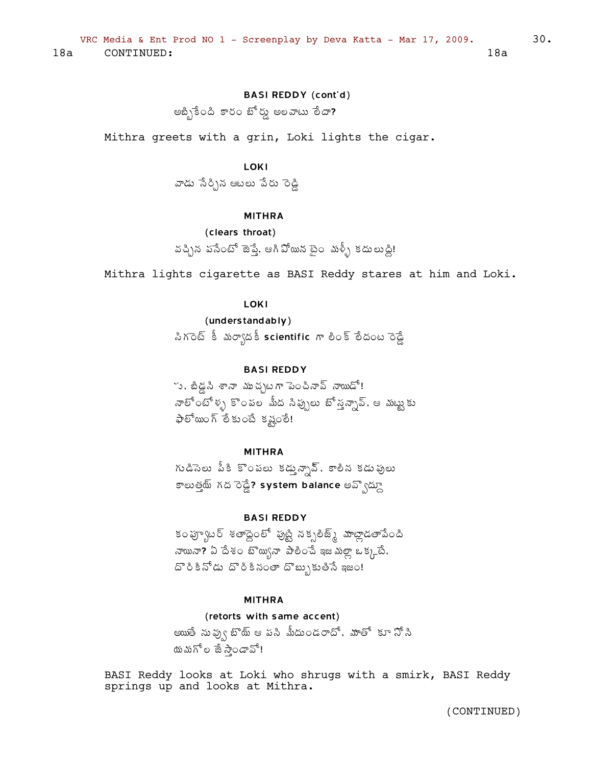# BASI REDDY (cont'd)

 $\mathfrak{B}$ න්දුවයි පරිද කීර් පිරිදි සහයා වි $\varpi$ ?

Mithra greets with a grin, Loki lights the cigar.

# **LOKI**

వాడు సేర్చిన ఆటలు పేరు రెడ్డి

# MITHRA

```
(clears throat)
```

```
వచ్చిన పసేంటో జెప్తే, ఆగి వోయిన టైం మళ్ళీ కదులుడ్డి!
```
Mithra lights cigarette as BASI Reddy stares at him and Loki.

# LOKI

(understandably) సిగరెట్ కీ మర్యాదకీ scientific గా లింక్ లేదంట రెడ్డే

# BASI REDDY

్న, బీడ్డసి శానా ముచ్చటగా పె౦చినావ్ నాయిడో! నాలోంటోళ్ళ కొంపల మీద సిచ్చులు టో స్త్రన్సావ్. ఆ మట్టుకు  $\varphi$ లో జుంగ్ లేకుంటే కష్టంలే!

### MITHRA

గుడిసెలు పీకి కొంపలు కడ్తు*న్నావ్*, కాలీన కడుఫులు కాలుత్తమ్ గద రెడ్డే? system balance అవ్వోద్ధూ

# BASI REDDY

కం ఫ్యూటర్ శతాద్దెంలో ఫుట్టి నక్సలీజ్<sub>థి</sub> హజ్లాడతాపేంది నాయినా? ఏ దేశం బొయ్బనా పాలించే ఇజమల్లా ఒక్కటే,  $\Sigma$ రీకినోడు దొరికినంతా దొబ్బుకుతీసే ఇజం!

### MITHRA

# (retorts with same accent)

ఆయుతే ను వృ్ౕ ఓొయ్ ఆ పని మీదు౦డరాదో, మాతో కూ సోని యమగోల జే స్తాండావో!

BASI Reddy looks at Loki who shrugs with a smirk, BASI Reddy springs up and looks at Mithra.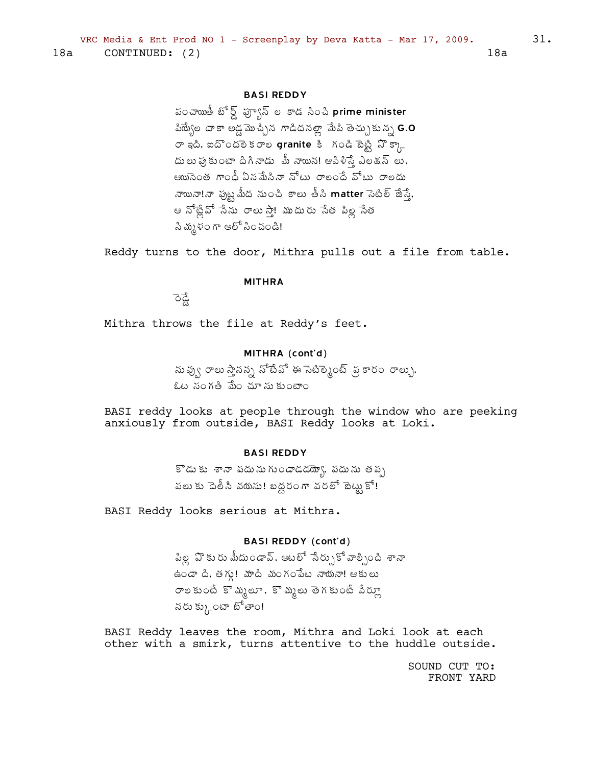# **BASI REDDY**

పంచాయితీ బోర్డ్ ఫ్ఫ్వాన్ ల కాడ సించి prime minister పియ్యేల దాకా అడ్డమొచ్చిన గాడిదనల్లా మేపి తెచ్చుకున్న **G.O** రా ఇది, ఐదొందలె కరాల granite కి గండి బెట్టి నొక్కా దులు ఫుకుంటా దిగినాడు మీ నాయిన! ఆపిళిస్తే ఎలకున్ లు, ఆయిసెంత గాంధీ ఏనమేసినా నోటు రాలందే వోటు రాలదు నాయినా!నా ఫుట్ట మీద ను౦చి కాలు తీసి matter సెటిల్ జేస్తే, ఆ నోట్లేవో సేను రాలుస్తా! ముదురు సేత పిల్ల సేత సి మృళంగా ఆలో సించండి!

Reddy turns to the door, Mithra pulls out a file from table.

#### **MITHRA**

ैठ

Mithra throws the file at Reddy's feet.

# MITHRA (cont'd)

నువ్వు రాలు స్తానన్న నోటేవో ఈ సెటిర్మెంట్ , వ్రకారం రాల్సు, ఓట సంగతి మేం చూ సు కుంటాం

BASI reddy looks at people through the window who are peeking anxiously from outside, BASI Reddy looks at Loki.

# **BASI REDDY**

కొడుకు శానా పదునుగుండాడడయ్యో, పదును తప్ప పలు కు దెలీసి వదుసు! బద్ధరంగా వరలో టెట్టుకో!

BASI Reddy looks serious at Mithra.

# **BASI REDDY (cont'd)**

పిల్ల ఏొకురు మీదు౦డావ్, ఆటలో సేర్సుకోవాల్సింది శానా ఉండా ది. తగ్గు! మాది మంగంపేట నాయనా! ఆకులు రాలకుంటే కొ మ్మలూ, కొ మ్మలు తెగకుంటే పేర్కూ నరు క్కుంటా బోతాం!

BASI Reddy leaves the room, Mithra and Loki look at each other with a smirk, turns attentive to the huddle outside.

> SOUND CUT TO: FRONT YARD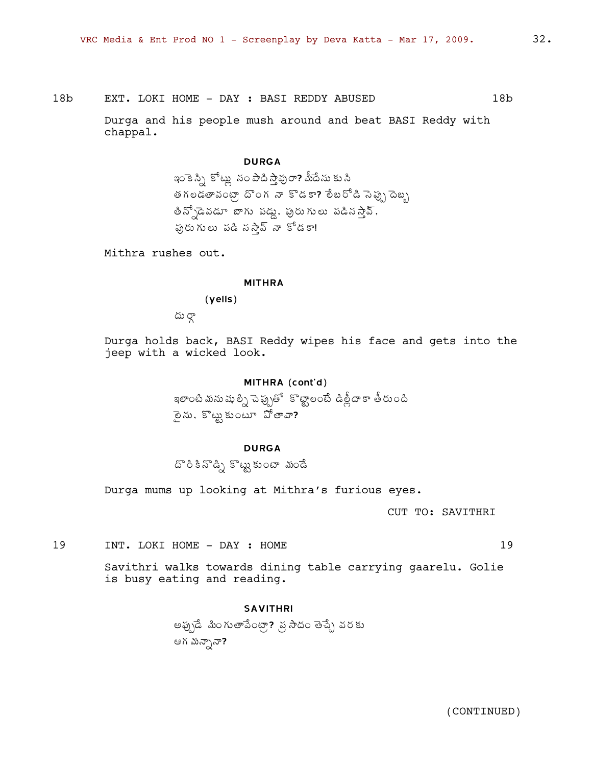18b EXT. LOKI HOME - DAY: BASI REDDY ABUSED 18b

Durga and his people mush around and beat BASI Reddy with chappal.

# DURGA

ఇం కె స్ని కోట్లు సం పాది స్తాపురా? మీదేసు కు సి తగలడతావంట్గా దొంగ నా కొడకా? లేబరోడి సెప్పు దెబ్బ తిన్పోడెవడూ బాగు పడ్డు, పురుగులు పడినస్తాన్,  $\check{\mathfrak{g}}$ రుగులు పడి సస్తేన్ నా కోడకా!

Mithra rushes out.

#### MITHRA

(yells)

 $\omega$   $\infty$ 

Durga holds back, BASI Reddy wipes his face and gets into the jeep with a wicked look.

# MITHRA (cont'd)

ఇలాంటి మను షు ల్ని చెప్పుతో ్కొట్టాలంటే డిత్లీదా కా తీరుంది ైంను, కొట్టుకుంటూ  $\tilde{\mathfrak{D}}$ తావా?

# DURGA

దొంకి నొడ్ని కొట్టు కుంటా *మం*డే

Durga mums up looking at Mithra's furious eyes.

CUT TO: SAVITHRI

19 INT. LOKI HOME - DAY : HOME 19

Savithri walks towards dining table carrying gaarelu. Golie is busy eating and reading.

#### SAVITHRI

అఫ్సుడే మింగుతాపేంట్రా? ప్ర సాదం తెచ్చే వరకు ఆగ మన్సానా?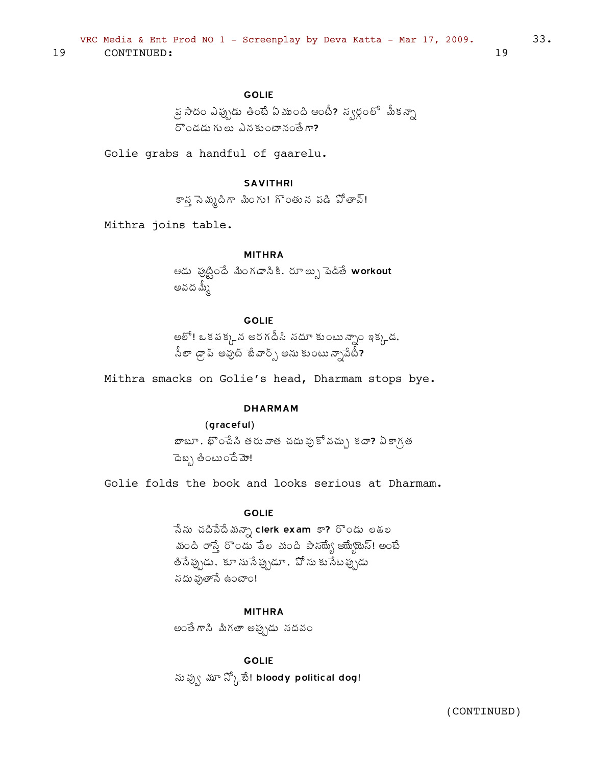# **GOLIE**

్ర సాదం ఎప్పుడు తింటే ఏముంది ఆంటీ? న్వర్గంలో మీకన్నా రొండడు గులు ఎనకుంటానంతే గా?

Golie grabs a handful of gaarelu.

# **SAVITHRI**

కాన్త సెమ్మదిగా మింగు! గొంతున పడి పోతావ్!

Mithra joins table.

### **MITHRA**

ఆడు ఫుట్టిందే మింగడానికి, రూల్సు పెడితే workout అవద మ్మీ

# **GOLIE**

అలో! ఒకపక్కన అరగదీసి సదూ కుంటున్నాం ఇక్కడ. ,<br>సీలా డ్రాప్ అవుట్ టేవార్స్ అను కుంటు న్సాపేటీ**?** 

Mithra smacks on Golie's head, Dharmam stops bye.

#### **DHARMAM**

### (graceful)

బాబూ , భొంచేసి తరువాత చదువుకోవచ్చు కదా? ఏకాగత ెదెబ్బ తింటుందే మో!

Golie folds the book and looks serious at Dharmam.

### **GOLIE**

ేనను చదివేదేమన్నా clerk exam కా? రొండు లకుల మంది రాస్తే రొండు పేల మంది పాన్య్యే అయ్యేయెస్! అంటే తిసే ప్రృడు,కూ సుసే ప్రృడూ,వో సు కుసేట ప్రృడు సదు ఫుతాసే ఉంటాం!

# **MITHRA**

అంతే గాని మిగతా అప్పుడు సదవం

**GOLIE** ను వ్వు మా న్కో్టే! bloody political dog!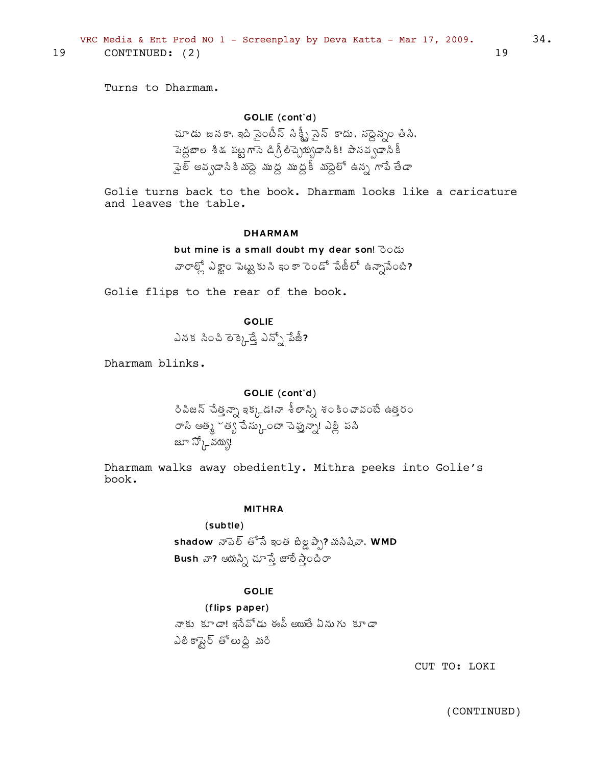19

Turns to Dharmam.

CONTINUED: (2)

# GOLIE (cont'd)

చూడు జనకా, ఇది సైంటీన్ సిక్ట్ఫీ సైన్ కాదు, సద్దెన్నం తీసి, పెద్దబాల శీకు పట్టగాసె డిగ్రీ లిచ్చెయ్యడానికి! పాసవ్వడానికీ ్థెల్ అవ్వడానికిమండై ముద్ద ముద్దకీ మండైలో ఉన్న గాపే తేడా

Golie turns back to the book. Dharmam looks like a caricature and leaves the table.

#### **DHARMAM**

but mine is a small doubt my dear son! ිරයෝ వారాల్లో ఎక్టాం పెట్టుకుని ఇంకా రెండో పేజీలో ఉన్నాపేంటి?

Golie flips to the rear of the book.

**GOLIE** ఎనక సించి లెక్కెడ్డే ఎన్నో పేజీ?

Dharmam blinks.

### GOLIE (cont'd)

రిపిజన్ చేత్తన్నా ఇక్కడడ!నా శీలాస్ని శంకించావంటే ఉత్తరం రాసి ఆత్మ ~త్య చేస్కుంటా చెప్తున్నా! ఎల్లీ పసి జూ స్కో నయ్య!

Dharmam walks away obediently. Mithra peeks into Golie's book.

#### **MITHRA**

#### $(subtle)$

shadow నాపెల్ తోనే ఇంత బిల్డ ప్పే? మసిషివా, WMD Bush వా? ఆయన్ని చూస్తే జాలీ స్తాందిరా

### **GOLIE**

(flips paper) నాకు కూడా! ఇనేవోడు ఈపీ అయితే ఏనుగు కూడా ఎలికాషైర్ తోలుద్ది మరి

CUT TO: LOKI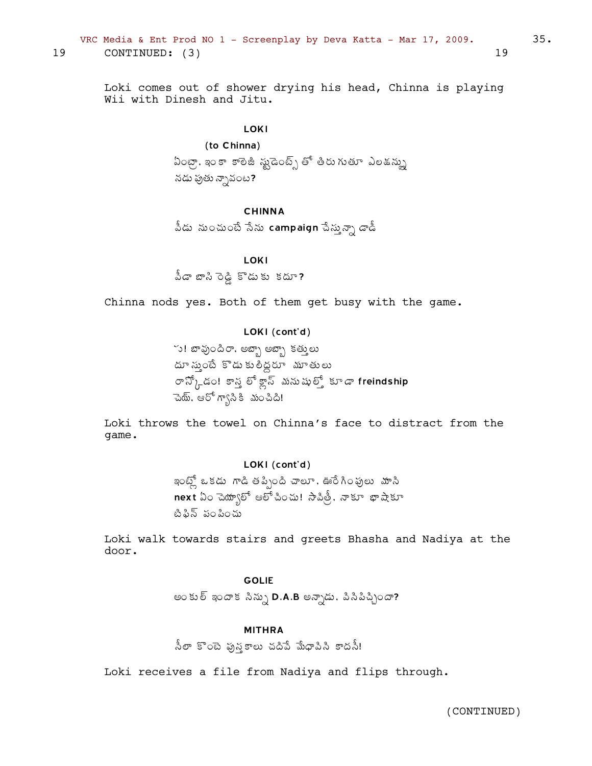# VRC Media & Ent Prod NO 1 - Screenplay by Deva Katta - Mar 17, 2009. 35. 19 CONTINUED: (3) 19

Loki comes out of shower drying his head, Chinna is playing Wii with Dinesh and Jitu.

# LOKI

# (to Chinna)

ఏంట్రా, ఇం కా కాలెజీ స్టుడెంట్స్ తో తీరు గుతూ ఎలకున్ను నడు ఫుతు న్నావంట?

### CHINNA

 $\delta$ డు నుంచుంటే సేను <code>campaign</code> పేస్తున్నా డాడీ

### LOKI

 $\delta$ డా బాసి రెడ్డి కొడుకు కదూ?

Chinna nods yes. Both of them get busy with the game.

### LOKI (cont'd)

్తు! బావుందిరా, అబ్బా అబ్బా కత్తులు దూ స్మంటే కొడు కులిద్దరూ మూతులు ూ $\mathfrak{F}^{\lambda}_{\mathfrak{h}}$ డం! కాస్త లో క్లాస్ మనుషుల్తో కూడా freindship సెయ్, ఆరో గ్వాసికి మంచిది!

Loki throws the towel on Chinna's face to distract from the game.

### LOKI (cont'd)

ఇంట్లో ఒకడు గాడి తపిృంది చాలూ, ఊరేగింపులు మాసి next ఏం చెయ్వాలో ఆలోచించు! సాపిత్రీ, నాకూ థాషాకూ టి పిన్ పం సించు

Loki walk towards stairs and greets Bhasha and Nadiya at the door.

# GOLIE

అంకుల్ ఇందాక సిన్ను D.A.B అన్నాడు, పిసిపిచ్చిందా?

### MITHRA

<u>నీ</u>లా కొంటె ఫున్హకాలు చదిపే మేధాపిని కాదనీ!

Loki receives a file from Nadiya and flips through.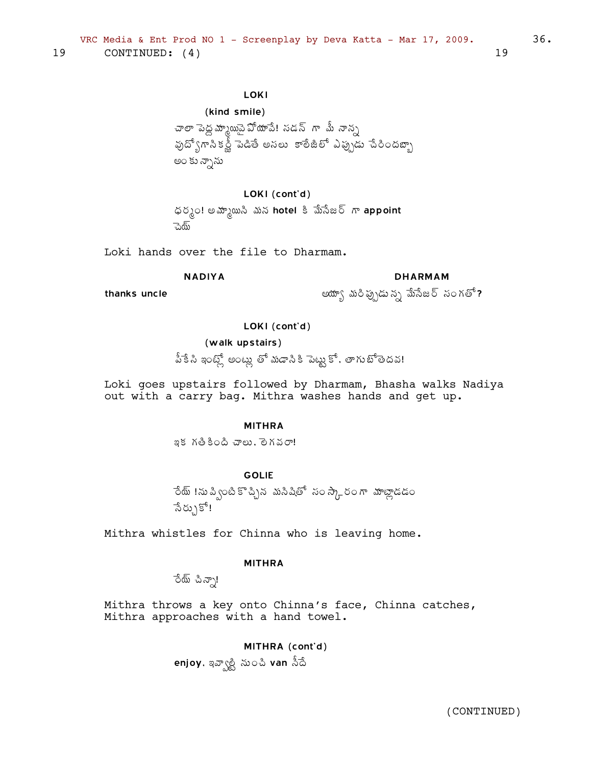# LOKI

```
(kind smile)
చాలా పెద్దమ్మాయిపై వోయాపే! సడన్ గా మీ నాన్స
పుద్యోగానికర్ణీ పెడితే అనలు కాలేజీలో ఎప్పుడు చేరిందబ్బా
అం కు న్నాను
```
LOKI (cont'd) ధర్మం! అమ్మాయిసి మన hotel కి మేసేజర్ గా appoint ్నెయ్

Loki hands over the file to Dharmam.

# **NADIYA**

# **DHARMAM**

thanks uncle

అయ్యా మరిప్పుడున్న మేసేజర్ సంగతో?

LOKI (cont'd)

### (walk upstairs)

పీకే సి ఇంట్లో అంట్లు తో మడాసికి పెట్టుకో, తాగుటోతెదవ!

Loki goes upstairs followed by Dharmam, Bhasha walks Nadiya out with a carry bag. Mithra washes hands and get up.

### **MITHRA**

ఇక గతికింది చాలు. లెగవరా!

# **GOLIE**

ేయ్ !ను ప్వింటి కొచ్చిన మసిషితో సం స్కారం గా మాట్లాడడం ేనేరు}కో!

Mithra whistles for Chinna who is leaving home.

### **MITHRA**

రేయ్ చిన్సా!

Mithra throws a key onto Chinna's face, Chinna catches, Mithra approaches with a hand towel.

> MITHRA (cont'd) enjoy, ఇవ్వాల్టి నుంచి van సీదే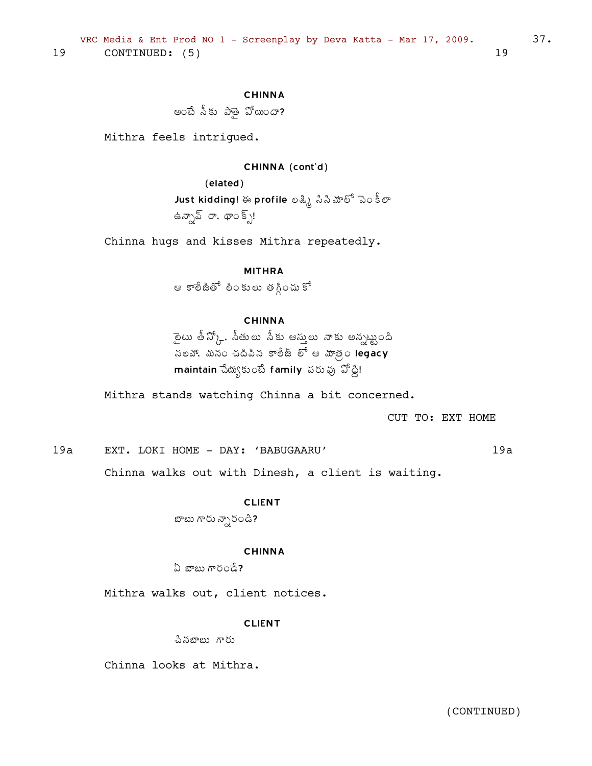### CHINNA

అంబే సీకు పాతై పోయిందా?

Mithra feels intrigued.

#### CHINNA (cont'd)

(elated) Just kidding! ఈ profile లక్ష్మి సిసిమాలో పెం కీలా ఉన్నావ్ రా. థాంక్స్!

Chinna hugs and kisses Mithra repeatedly.

#### MITHRA

ఆ కారేజీతో లింకులు తగ్గించుకో

### CHINNA

 $\bar{\psi}$ టు తీన్కో. సీతులు సీకు ఆస్తులు నాకు అన్నట్టంది  $\frac{1}{2}$ సలవో, మనం చదిపిన కాలీజ్ లో ఆ హాత్ర legacy  $m$ aintain చేయ్యకుంటే family పరువు ఏోడ్డి!

Mithra stands watching Chinna a bit concerned.

CUT TO: EXT HOME

19a EXT. LOKI HOME - DAY: 'BABUGAARU' 19a

Chinna walks out with Dinesh, a client is waiting.

#### CLIENT

బాబు గారు న్నారండి**?** 

#### CHINNA

 $\Omega$   $x$ ాలు గారండే?

Mithra walks out, client notices.

#### **CLIENT**

చినబాబు గారు

Chinna looks at Mithra.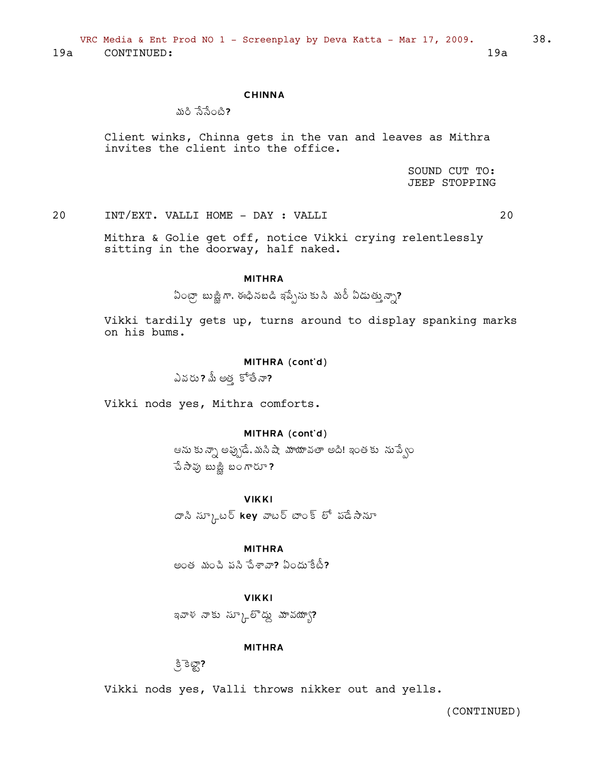VRC Media & Ent Prod NO 1 - Screenplay by Deva Katta - Mar 17, 2009.  $19a$ 

CONTINUED:  $19a$ 

#### **CHINNA**

నురి పేపేంటి?

Client winks, Chinna gets in the van and leaves as Mithra invites the client into the office.

> SOUND CUT TO: **JEEP STOPPING**

INT/EXT. VALLI HOME - DAY : VALLI 20

20

Mithra & Golie get off, notice Vikki crying relentlessly sitting in the doorway, half naked.

### **MITHRA**

ఏంట్రా బుజ్జీగా, ఈధినబడి ఇప్పేసు కు సి మరీ ఏడుత్తున్నా?

Vikki tardily gets up, turns around to display spanking marks on his bums.

#### MITHRA (cont'd)

ఎవరు? మీ అత్త కోతేనా?

Vikki nods yes, Mithra comforts.

### MITHRA (cont'd)

ఆను కున్నా అప్పుడే, మసి షా మాయావతా అది! ఇంతకు సుప్పేం చే సావు బుజ్జి బంగారూ?

#### **VIKKI**

దాని స్కూటర్ key వాటర్ టాంక్ లో పడేసానూ

### **MITHRA**

అంత మంచి పని చేశావా? ఏందు కేటీ?

#### **VIKKI**

ఇవాళ నాకు స్కూల్లో ద్దు మావయ్యా?

#### **MITHRA**

್ರಿ ತಿಟ್ಟ್?

Vikki nods yes, Valli throws nikker out and yells.

(CONTINUED)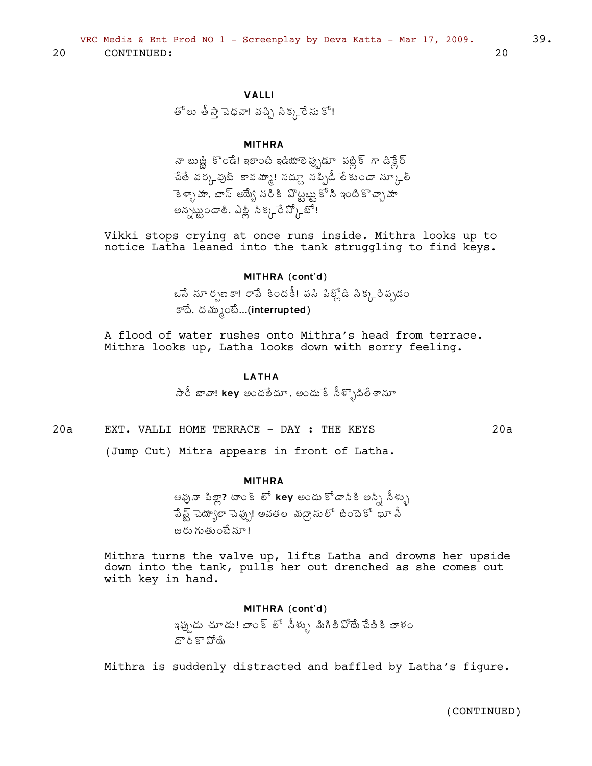తోలు తీస్తా పెధవా! వచ్చి సిక్కనేసు కో!

### **MITHRA**

నా బుజ్జీ కొండే! ఇలాంటి ఇడియాలె ప్రృడూ పబ్లిక్ గా డిక్లేర్ ేచేతే వర్కవుట్ కావమ్మా! సద్ద్దూ సప్పిడీ లేకుండా స్కూల్ ెకెళ్ళామా, టాస్ అయ్యే సరికి పొట్టట్ట కోసి ఇంటికొచ్చా మా అన్నబ్బండాలి. ఎల్ల సిక్కరే స్కోట్!

Vikki stops crying at once runs inside. Mithra looks up to notice Latha leaned into the tank struggling to find keys.

### MITHRA (cont'd)

ఒసే సూర్పణకా! రాపే కిందకీ! పసి పిల్గ్లోడి సిక్కనిప్పడం కాదే, దమ్మంటే...(interrupted)

A flood of water rushes onto Mithra's head from terrace. Mithra looks up, Latha looks down with sorry feeling.

#### **LATHA**

 $\partial \overline{\partial}$  బావా! key అందలేదూ, అందు కే నీళ్ళొదిలే శానూ

EXT. VALLI HOME TERRACE - DAY : THE KEYS  $20a$ 

(Jump Cut) Mitra appears in front of Latha.

#### **MITHRA**

ఆవునా పిల్లా? టాంక్ లో key అందు కోడానికి అస్సి సీళ్ళు పేష్ట్ చెయ్యాలా చెప్పు! అవతల మద్రాసులో బిందెకో ఖూ నీ జరు గుతుంటే నూ!

Mithra turns the valve up, lifts Latha and drowns her upside down into the tank, pulls her out drenched as she comes out with key in hand.

#### MITHRA (cont'd)

ఇప్పుడు చూడు! టాంక్ లో సీళ్ళు మిగిలిఏోయే చేతికి తాళం దొరికొపోయే

Mithra is suddenly distracted and baffled by Latha's figure.

20

 $20a$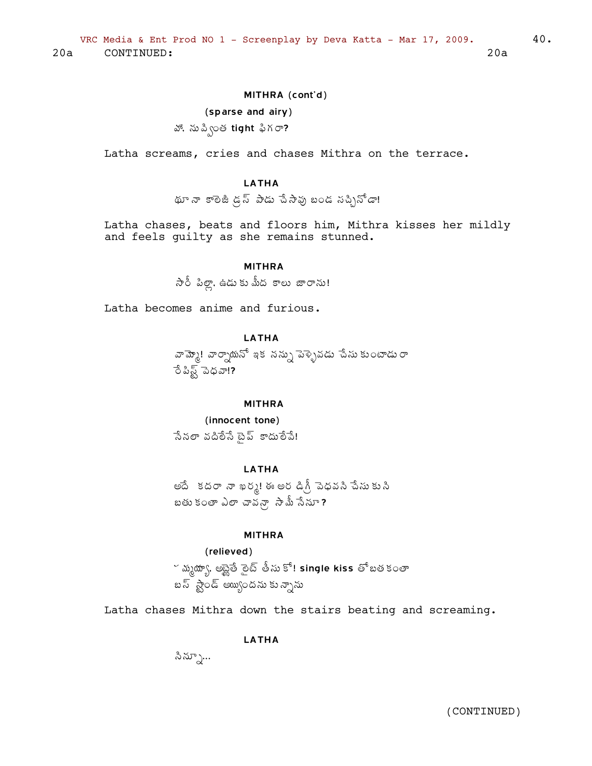### MITHRA (cont'd)

#### (sparse and airy)

వో, ను ప్వింత tight ఫిగ**ా?** 

Latha screams, cries and chases Mithra on the terrace.

### **LATHA**

థూ నా కాలెజీ డ్రస్ పాడు చేసావు బండ నచ్చినోడా!

Latha chases, beats and floors him, Mithra kisses her mildly and feels guilty as she remains stunned.

### **MITHRA**

 $\partial \mathring{\partial}$  పిల్లా, ఉడుకు మీద కాలు జారాను!

Latha becomes anime and furious.

**I ATHA** 

వామ్మో! వార్నాయనో ఇక నన్ను పెళ్ళెవడు చేసు కుంటాడురా రేపిష్ట్ పెధవా!?

#### **MITHRA**

(innocent tone) సేనలా వదిలేసే టైప్ కాదులేపే!

### **LATHA**

అదే కదరా నా ఖర్మ! ఈ అర డిగ్రీ పెధవని చేసు కుని బతు కంతా ఎలా చావన్గా సామీ సేనూ ?

#### **MITHRA**

(relieved) ~ మృథ్యూ, అబ్జైతే రైట్ తీసు కో! single kiss తో బతకంతా బస్ స్టాండ్ అయ్యిందను కున్నాను

Latha chases Mithra down the stairs beating and screaming.

### LATHA

సిన్నూ...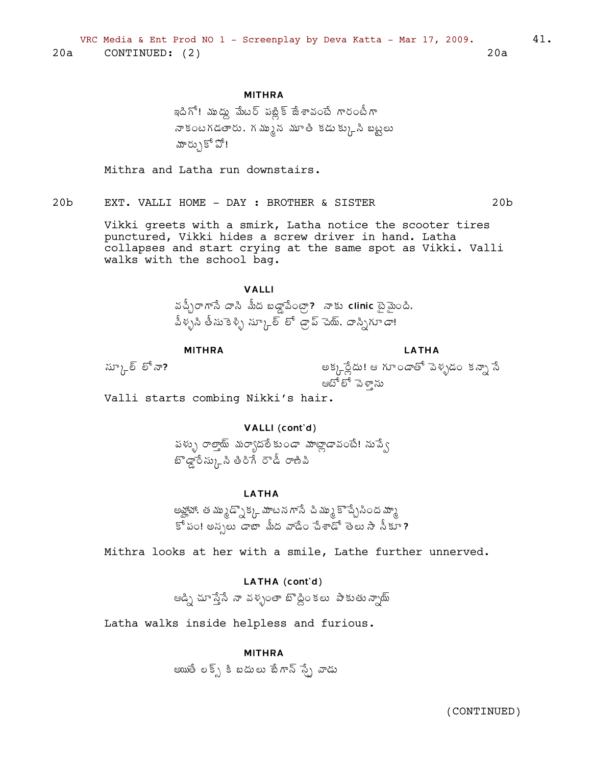### **MITHRA**

ఇదిగో! ముద్దు మేటర్ పట్లిక్ జేశావంటే గారంటీగా నా కంటగడతారు, గమ్మున మూతి కడుక్కుని బట్టలు మార్ుుకో పో!

Mithra and Latha run downstairs.

EXT. VALLI HOME - DAY : BROTHER & SISTER  $20<sub>b</sub>$ 

> Vikki greets with a smirk, Latha notice the scooter tires punctured, Vikki hides a screw driver in hand. Latha collapses and start crying at the same spot as Vikki. Valli walks with the school bag.

### **VALLI**

వచ్చీరాగానే దాని మీద బడ్డాపేంట్గా? నాకు clinic టైమైంది. పీళ్ళని తీసుకెళ్ళి స్కూల్ లో డ్రాప్ చెయ్. దాస్నిగూడా!

#### **MITHRA**

**LATHA** 

 $\widetilde{\omega}$ ్రీ లో నా?

అక్కన్లేదు! ఆ గూండాతో పెళ్ళడం కన్నా సే ఆటోలో పెళ్ను

Valli starts combing Nikki's hair.

### VALLI (cont'd)

పళ్ళు రాల్తాయ్ మర్యాదలే కుండా మాట్లాడావంటే! నుప్వే బొడ్డారేస్కుని తిరిగే రౌడీ రాణిపి

### **LATHA**

అవ్హాహా, త మ్ముడ్సొక్క మాటన గాసే చి మ్ము కొచ్చేసింద మ్మా  $\mathbb{S}^{\hat{a}}$  iso! అన్నలు డాబా మీద వాడేం చేశాడో తెలు సా నీకూ?

Mithra looks at her with a smile, Lathe further unnerved.

Latha walks inside helpless and furious.

#### **MITHRA**

అయితే లక్స్ కి బదులు బేగాన్ స్చే వాడు

 $20<sub>b</sub>$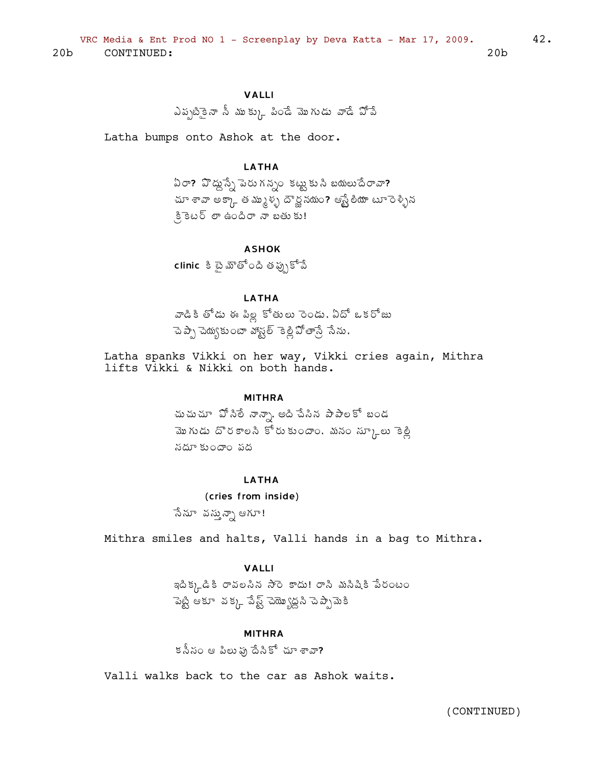### **VALLI**

ఎదృటికైనా న్ ము కు)\_ పిండే మొగుడు వాడే పోపే

Latha bumps onto Ashok at the door.

### **LATHA**

ఏరా? హిద్దుస్నే పెరుగన్నం కట్టుకుని బయలుదేరావా? చూ శావా అక్కాత మృళ్ళ దౌర్జ నదుం? ఆస్ట్రేలియా టూ రెళ్ళిన కి కెటర్ లా ఉందిరా నా బతుకు!

#### **ASHOK**

clinic కి టై మౌతోంది తప్పుకోవే

### **LATHA**

వాడికి తోడు ఈ పిల్ల కోతులు రెండు, ఏదో ఒకరోజు చెప్పా చెయ్యకు౦టా వోస్టల్ కెట్లిపోతాన్రే సేను,

Latha spanks Vikki on her way, Vikki cries again, Mithra lifts Vikki & Nikki on both hands.

#### **MITHRA**

చుచుచూ పోసిలే నాన్నా, అది చేసిన పాపాలకో బండ మొగుడు దొరకాలసి కోరుకుందాం, మనం స్కూలు కెల్లీ నదూ కుందాం వద

#### **LATHA**

(cries from inside) సేనూ వస్తున్నా ఆగూ!

Mithra smiles and halts, Valli hands in a bag to Mithra.

#### **VALLI**

ఇదిక్కడికి రావలసిన సారె కాదు! రాని మనిషికి పేరంటం ెపెట్టి ఆకూ వక్క పేష్ట్ చెయ్యొద్దని చెప్పామెకి

#### **MITHRA**

కనీసం ఆ పిలు ఫు దేనికో చూ శావా?

Valli walks back to the car as Ashok waits.

(CONTINUED)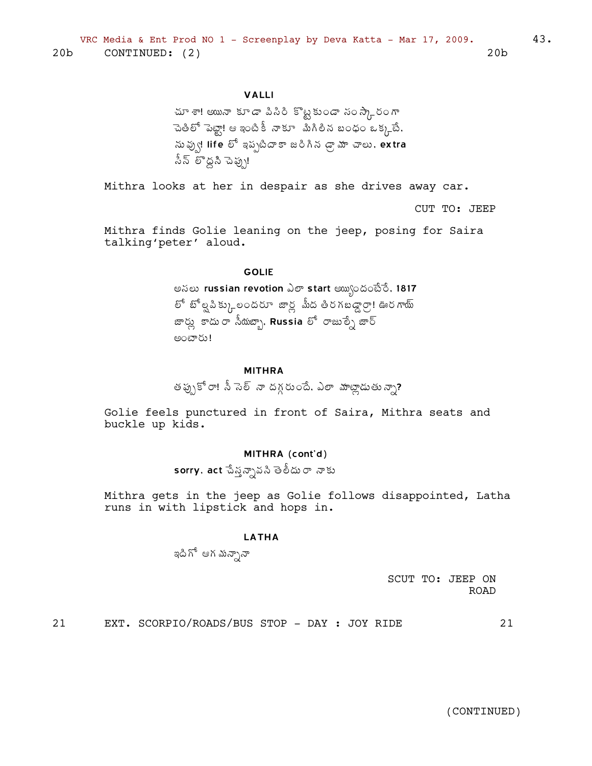### **VALLI**

Mithra looks at her in despair as she drives away car.

CUT TO: JEEP

Mithra finds Golie leaning on the jeep, posing for Saira talking'peter' aloud.

#### **GOLIE**

అసలు russian revotion ఎలా start అయ్యందంటేరే, 1817 లో బోల్టపిక్కు లందరూ జార్ల మీద తిరగబడ్డార్గా! ఊరగాయ్ జార్లు కాదు రా సీయజ్బా, Russia లో రాజుల్నే జార్ 

#### **MITHRA**

తప్పుకోరా! సీ సెల్ నా దగ్గరుందే. ఎలా మాట్లాడుతున్నా?

Golie feels punctured in front of Saira, Mithra seats and buckle up kids.

#### MITHRA (cont'd)

sorry, act చేస్తన్నావసి తెలీదురా నాకు

Mithra gets in the jeep as Golie follows disappointed, Latha runs in with lipstick and hops in.

#### **LATHA**

ఇది గో ఆగ మన్సానా

SCUT TO: JEEP ON **ROAD** 

 $21$ EXT. SCORPIO/ROADS/BUS STOP - DAY : JOY RIDE  $21$ 

(CONTINUED)

43.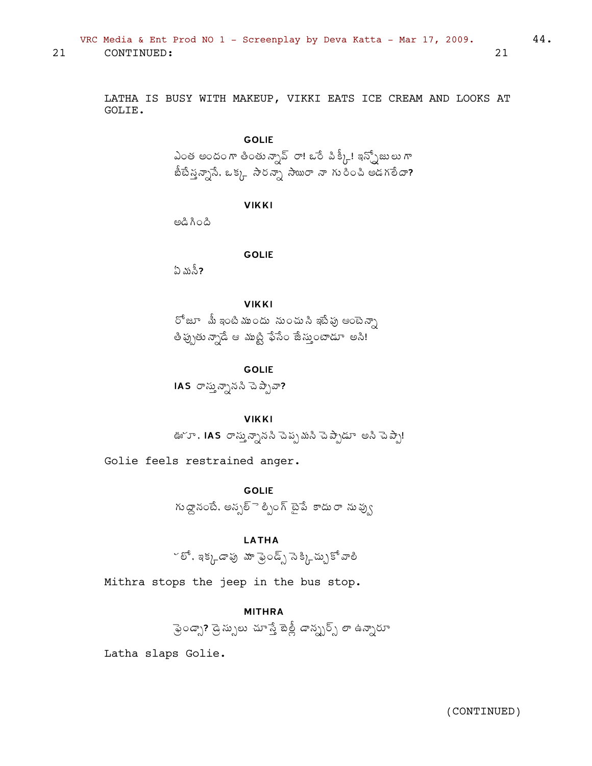VRC Media & Ent Prod NO 1 - Screenplay by Deva Katta - Mar 17, 2009.  $21$ CONTINUED:

> LATHA IS BUSY WITH MAKEUP, VIKKI EATS ICE CREAM AND LOOKS AT GOLIE.

### **GOLIE**

ఎంత అందంగా తింతున్నావ్ రా! ఒరే పిక్కీ! ఇన్ఫ్రోజులుగా బీటేన్త్యనానే, ఒక్క సౌరన్స్తా సామారా నా గురించి అడగలేదా?

**VIKKI** 

ಹಿಂಗೆ ವಿಅ

### **GOLIE**

ఏ మసీ?

#### **VIKKI**

రోజూ మీ ఇంటి ముందు నుంచు సి ఇటే పు ఆంటెన్సా తీ ప్పుతు న్నాడే ఆ ముట్టి ఫేసేం జేస్తుంటాడూ అసి!

#### **GOLIE**

IAS రాస్తున్నానని చెప్పేవా?

#### **VIKKI**

ఊొూ, IAS రాస్తున్నాననీ చెప్పమనీ చెప్పాడూ అనీ చెప్పా!

Golie feels restrained anger.

**GOLIE** 

గుద్దానంటే, అన్నల్ె ల్పింగ్ టైపే కాదురా నువ్వు

### **LATHA**

~ లో. ఇక్కడాపు మా ఫ్రెండ్స్ సెక్కి-చ్చుకో వాలి

Mithra stops the jeep in the bus stop.

### **MITHRA**

ఫ్రెండ్స్? డ్రెస్సులు చూస్తే బెత్లీ డాన్స్టర్స్ లా ఉన్నారూ

Latha slaps Golie.

44.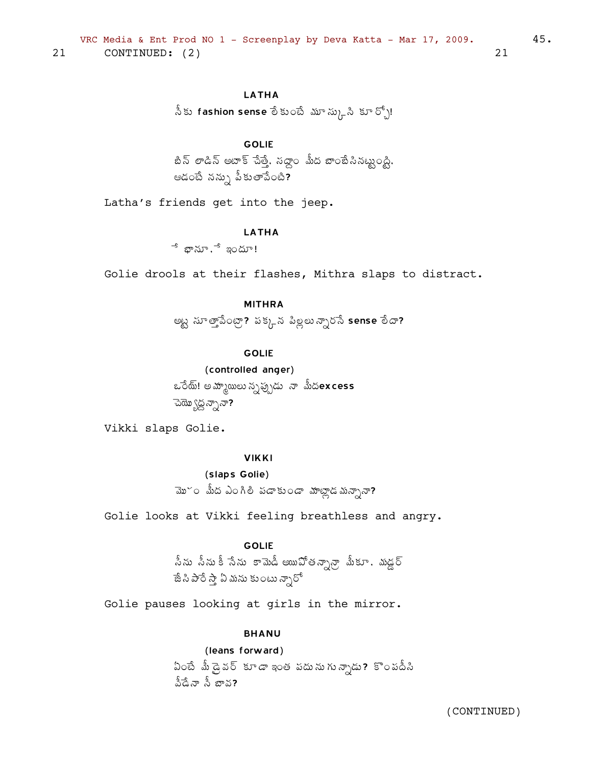### **LATHA**

సీకు fashion sense లేకుంటే మూస్కుని కూర్చో!

### **GOLIE**

బీన్ లాడిన్ అటాక్ చేత్తే, సద్దాం మీద బాంబేసినట్ట్యంద్ధి, ఆడంటే నన్ను పీకుతాపేంటి?

Latha's friends get into the jeep.

#### **LATHA**

 $\overline{\phantom{a}}^{\mathsf{s}}$  భానూ, $\overline{\phantom{a}}^{\mathsf{s}}$  ఇందూ!

Golie drools at their flashes, Mithra slaps to distract.

### **MITHRA**

అట్ట సూత్తాపేంట్రా? పక్కన పిల్లలు న్నారసే sense లేదా?

#### **GOLIE**

(controlled anger) ఒరేయ్! అమ్మాయిలు న్నప్పుడు నా మీదexcess ెచెయ్యొద్ద న్సానా?

Vikki slaps Golie.

### **VIKKI**

(slaps Golie)

మొ~ం మీద ఎంగిలి పడాకుండా మాట్లాడమన్నానా?

Golie looks at Vikki feeling breathless and angry.

### **GOLIE**

.సీను సీను కీ సేను కామెడీ అయిఏోతన్నాన్రా మీకూ . మడ్డర్<br>జేసిపారేస్తా ఏమను కుంటున్నారో

Golie pauses looking at girls in the mirror.

#### **BHANU**

## (leans forward) ఏంటే మీ డ్రైవర్ కూడా ఇంత పదును గున్నాడు? కొంపదీసి వీడేనా నీ బావ?

(CONTINUED)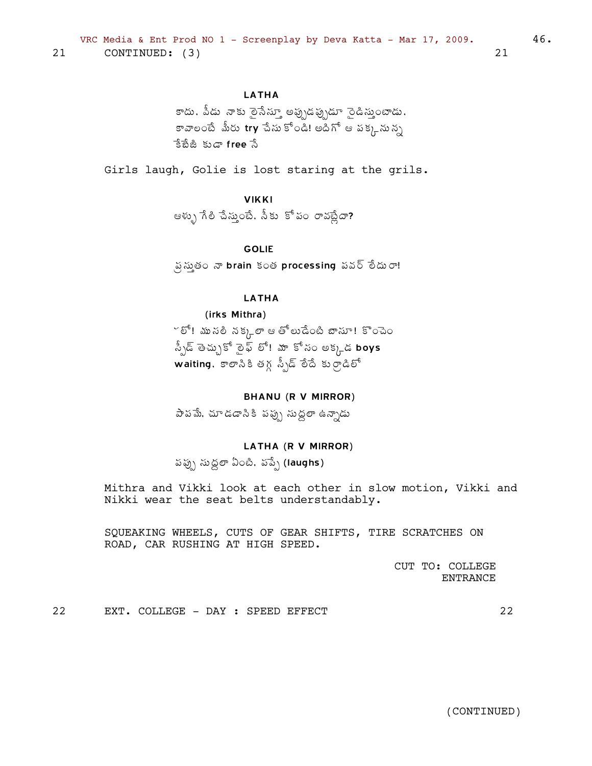### **LATHA**

కాదు, పీడు నాకు ఠైసేస్తూ అప్పుడప్పుడూ సైడిస్తుంటాడు, కావాలంటే మీరు try చేసు కోండి! అదిగో ఆ పక్కనున్న కేబేజీ కుడా free సే

Girls laugh, Golie is lost staring at the grils.

### **VIKKI**

ఆళ్ళు గేలి చేస్తుంటే, నీకు కోపం రావబ్లేదా?

**GOLIE** 

్రస్థ స్థుతం నా brain కంత processing పవర్ లేదురా!

#### **LATHA**

### (irks Mithra)

~ లో! ము నలి నక్కలా ఆ తోలుడేంటి బాసూ! కొంచెం , స్పీడ్ తెచ్చుకో ఠైఫ్ లో! మా కోసం అక్కడ boys waiting, အစားသီနီ ဖြံ႔ ညီညြင်္ခြင်္သြန္း အက်က္အေပါင္း

#### **BHANU (R V MIRROR)**

పాపమే, చూడడానికి పప్పు సుద్దలా ఉన్నాడు

### LATHA (R V MIRROR)

పప్పు సుద్ధలా ఏంటి, వప్పే (laughs)

Mithra and Vikki look at each other in slow motion, Vikki and Nikki wear the seat belts understandably.

SQUEAKING WHEELS, CUTS OF GEAR SHIFTS, TIRE SCRATCHES ON ROAD, CAR RUSHING AT HIGH SPEED.

> CUT TO: COLLEGE **ENTRANCE**

22 EXT. COLLEGE - DAY : SPEED EFFECT 22

(CONTINUED)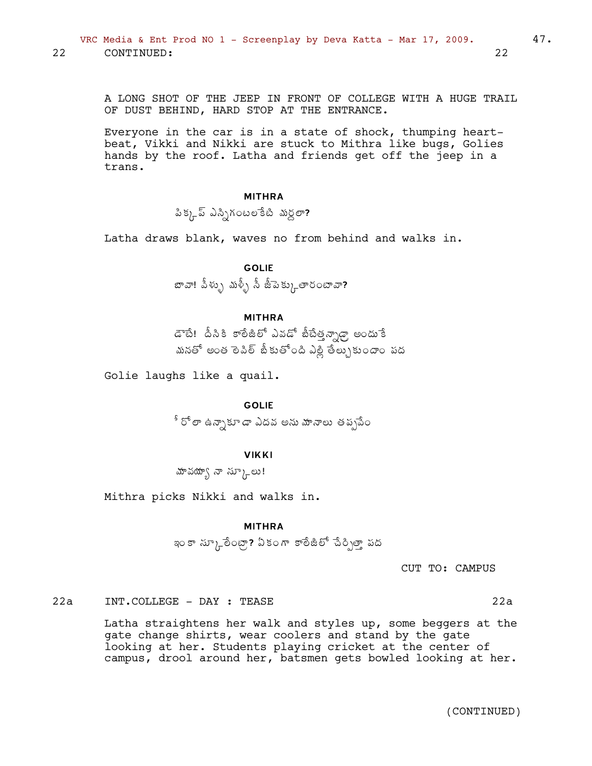A LONG SHOT OF THE JEEP IN FRONT OF COLLEGE WITH A HUGE TRAIL OF DUST BEHIND, HARD STOP AT THE ENTRANCE.

Everyone in the car is in a state of shock, thumping heartbeat, Vikki and Nikki are stuck to Mithra like bugs, Golies hands by the roof. Latha and friends get off the jeep in a trans.

#### MITHRA

 $\lambda$ క్కడ్ ఎస్నిగంటలేకటి మర్దలా?

Latha draws blank, waves no from behind and walks in.

GOLIE  $\bm{x}$ బా. పీళ్ళు మళ్ళీ సీ జీపెక్కుతారంటావా?

#### MITHRA

డాటే! పీసికి కాలీజీలో ఎవడో బీటేత్తన్నాఢ్తా అందు<sup>-</sup>కే మనతో అంత లె పిల్ జీకుతోంది ఎల్లి తేల్చుకుందాం పద

Golie laughs like a quail.

GOLIE

ీ రో ఠా ఉన్నాకూడా ఎదవ అను మానాలు తప్పపేం

#### VIKKI

మావయ్యా నా $\lambda_{\Gamma}$ లు!

Mithra picks Nikki and walks in.

#### MITHRA

ఇం కా స్కూరేంట్లా? ఏకంగా కాలేజీలో చేర్చిత్తా పద

CUT TO: CAMPUS

22a INT.COLLEGE - DAY : TEASE 22a

Latha straightens her walk and styles up, some beggers at the gate change shirts, wear coolers and stand by the gate looking at her. Students playing cricket at the center of campus, drool around her, batsmen gets bowled looking at her.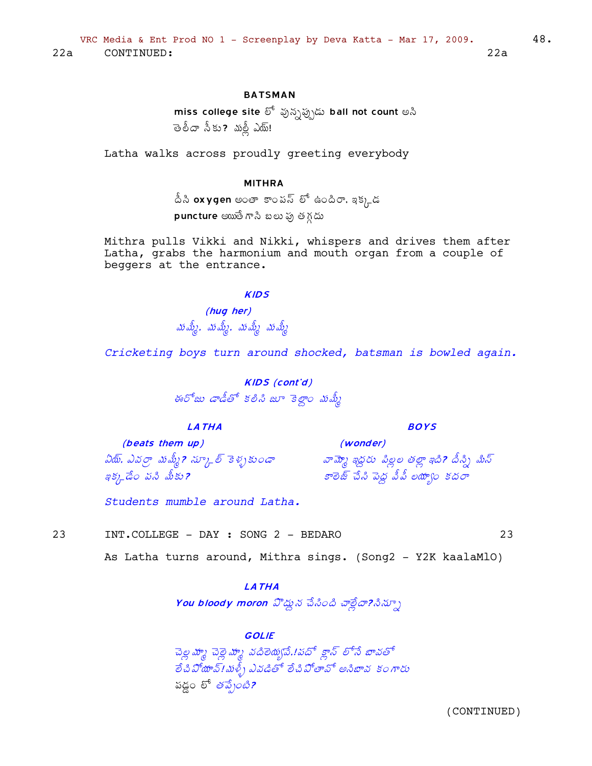### **BATSMAN**

miss college site లో వున్నప్పుడు ball not count అసి తెలీదా సీకు? మల్లీ ఎయ్!

Latha walks across proudly greeting everybody

#### **MITHRA**

 $\hat{\mathring{\vartriangle}}$ సి oxygen అంతా కాంపస్ లో ఉందిరా, ఇక్కడ  $p$ uncture అయితే గానీ బలు ఫు తగ్గడు

Mithra pulls Vikki and Nikki, whispers and drives them after Latha, grabs the harmonium and mouth organ from a couple of beggers at the entrance.

#### **KIDS**

(hug her) మమ్మే, మమ్మే, మమ్మే మమ్మే

Cricketing boys turn around shocked, batsman is bowled again.

**KIDS** (cont'd) ఈరోజు డాడీతో కలిసి జూ కెల్దాం మమ్మీ

#### **LATHA**

(beats them up) ఏరు్, ఎవర్రా మమ్మీ? చ్కూల్ కెళ్ళకుండా ఇక్కడేం పని మీకు?

Students mumble around Latha.

 $23$ 

As Latha turns around, Mithra sings. (Song2 - Y2K kaalaMlO)

### **LATHA**

You bloody moron హిద్దున చేసింది చాఠ్లేదా?సిన్సూ

#### **GOLIE**

చెల్ల <mark>హ</mark>్మ చెల్లె హృ వదిలెయ్యవే.!పదో క్లాన్ లోనే బావతో อึ๋ง มีพง 5! พยุ้) มสสต์ อึงมีอามี ผงหน รอกซ పడ్డం లో *తప్పేంటి*?

(CONTINUED)

23

48.

**BOYS** 

(wonder) వామ్మో ఇద్దరు పిల్లల తల్లా ఇది? దీస్ని మిన్

కాలెజ్ చేసి పెద్ద వీపీ లయా్ం కదరా

INT.COLLEGE - DAY : SONG 2 - BEDARO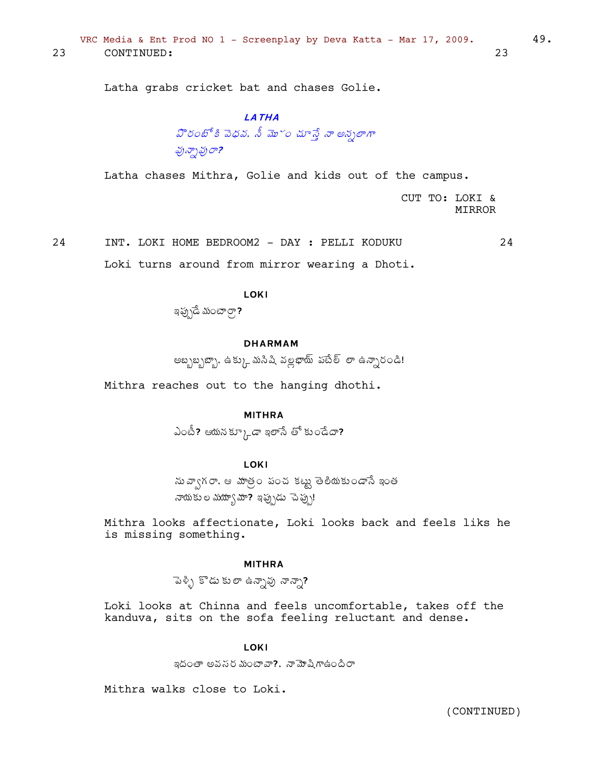Latha grabs cricket bat and chases Golie.

### **LATHA**

# హిరంబోకి వెధవ. నీ మొ~ం చూస్తే నా అన్నలాగా పున్సాపురా?

Latha chases Mithra, Golie and kids out of the campus.

CUT TO: LOKI & **MIRROR** 

INT. LOKI HOME BEDROOM2 - DAY : PELLI KODUKU 24 24

Loki turns around from mirror wearing a Dhoti.

LOKI

ఇప్పుడే మంటార్గా?

#### **DHARMAM**

అబ్బబ్బణ్బా, ఉక్కు మనిషి వల్లభాయ్ పటేల్ లా ఉన్నారండి!

Mithra reaches out to the hanging dhothi.

#### **MITHRA**

ఎంటీ? ఆయనక్కూడా ఇలాసే తో కుండేదా?

### **LOKI**

సు వ్వాగరా. ఆ మాత్రం పంచ కట్టు తెలీయకుండాసే ఇంత నాయకు ల మయ్యా మా? ఇప్పుడు చెప్పు!

Mithra looks affectionate, Loki looks back and feels liks he is missing something.

#### **MITHRA**

పెళ్ళి కొడు కులా ఉన్నావు నాన్నా?

Loki looks at Chinna and feels uncomfortable, takes off the kanduva, sits on the sofa feeling reluctant and dense.

#### **LOKI**

ఇదంతా అవసర మంటావా?, నామోషిగాఉందిరా

Mithra walks close to Loki.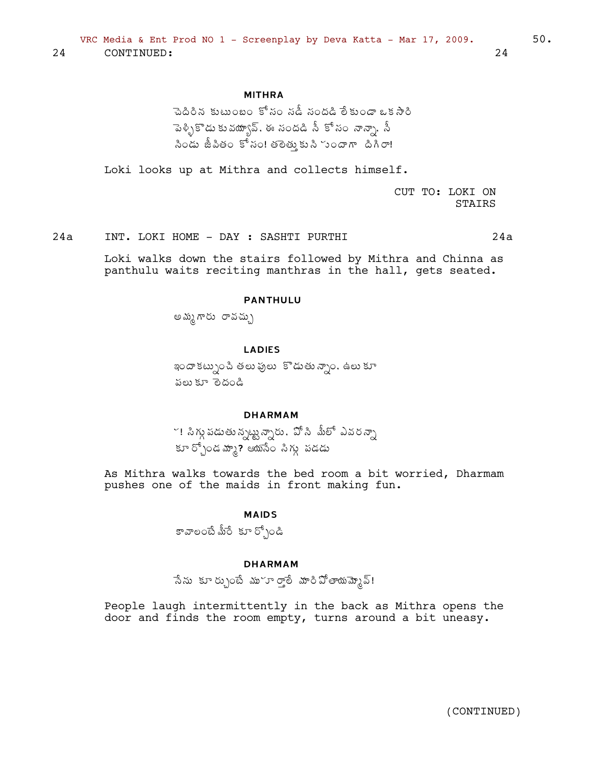### **MITHRA**

పెదిరిన కుటుంబం కోసం నడీ సందడి లేకుండా ఒక సారి ెవెళ్ళికొడు కువయ్యావ్, ఈ సందడి సీ కోసం నాన్నా, సీ సిండు జీపితం కోసం! తలెతుకుని సందాగా దిగిరా!

Loki looks up at Mithra and collects himself.

CUT TO: LOKI ON STAIRS

 $24a$ INT. LOKI HOME - DAY : SASHTI PURTHI  $24a$ 

> Loki walks down the stairs followed by Mithra and Chinna as panthulu waits reciting manthras in the hall, gets seated.

#### **PANTHULU**

అమ్మ గారు రావచ్చు

**LADIES** 

ఇందా కట్నుంచి తలు పులు కొడుతు న్నాం, ఉలు కూ పలు కూ తెదండి

### **DHARMAM**

ా! సిగ్గు పడుతు న్నట్టు న్నారు . వో సి మీలో ఎవర న్నా కూర్చోండమ్మా? ఆయసేం సిగ్గు పడడు

As Mithra walks towards the bed room a bit worried, Dharmam pushes one of the maids in front making fun.

#### **MAIDS**

కావాలంటే మీరే కూర్చోండి

#### **DHARMAM**

సేను కూర్చుంటే ము~ూరాలే మారిపోతాయమ్మెప్!

People laugh intermittently in the back as Mithra opens the door and finds the room empty, turns around a bit uneasy.

24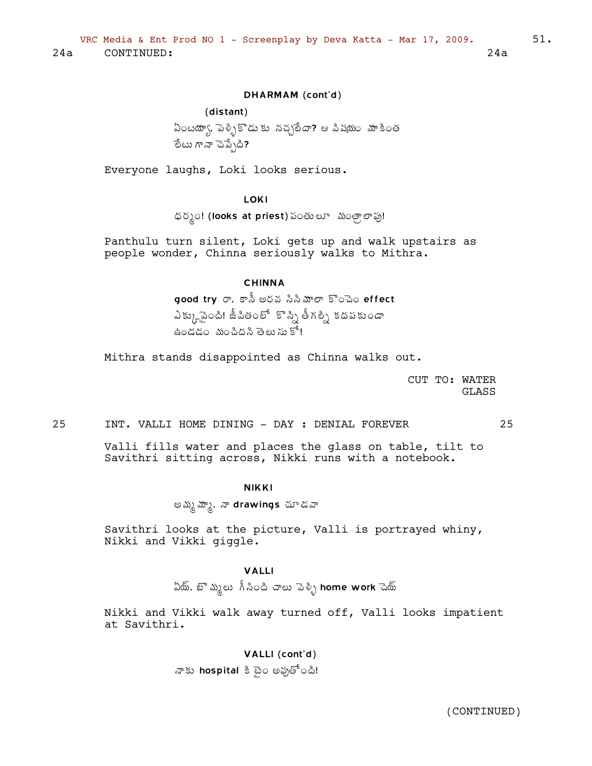### DHARMAM (cont'd)

### (distant)

ఏంటయ్యా, పెళ్ళికొడుకు నచ్చలేదా? ఆ పిషయం మాకింత ేలేటు గానా చెప్పేది?

Everyone laughs, Loki looks serious.

LOKI

ధర్మం! (looks at priest) పంతులూ మంత్రాలాపు!

Panthulu turn silent, Loki gets up and walk upstairs as people wonder, Chinna seriously walks to Mithra.

### CHINNA

 $\overline{\mathsf{good}}$  try  $\sigma$ , కాసీ అరవ సినీమాలా కొంచెం $\overline{\mathsf{effect}}$ ఎక్కుచైనెంది! జీవితంలో కొన్ని తీగల్ని కదపకుండా  $\dot{\tilde{\mathbf{a}}}$ ండడం మంచిదని తెలుసుకో!

Mithra stands disappointed as Chinna walks out.

CUT TO: WATER GLASS

#### 25 INT. VALLI HOME DINING - DAY : DENIAL FOREVER 25

Valli fills water and places the glass on table, tilt to Savithri sitting across, Nikki runs with a notebook.

#### NIKKI

అమ్మ మ్మా, నా drawings చూడవా

Savithri looks at the picture, Valli is portrayed whiny, Nikki and Vikki giggle.

#### VALLI

ఏయ్, బొ మృలు  $\hbox{\AA}$ సింది చాలు పెళ్ళి home work చెయ్

Nikki and Vikki walk away turned off, Valli looks impatient at Savithri.

#### VALLI (cont'd)

నాకు hospital కి టైం అవుతోంది!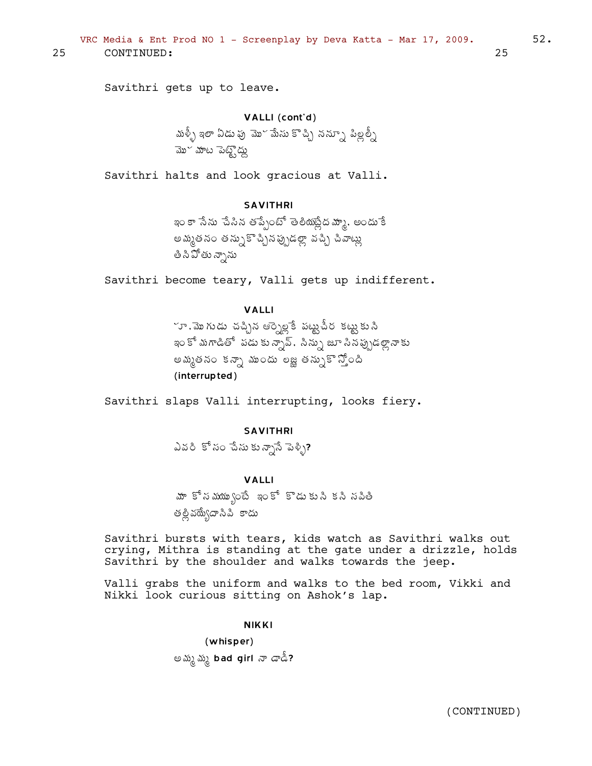VRC Media & Ent Prod NO 1 - Screenplay by Deva Katta - Mar 17, 2009.  $52.$ 25 CONTINUED: 25

Savithri gets up to leave.

VALLI (cont'd) మళ్ళీ ఇలా ఏడు పు $\vec{a}$ ు మేసు కొచ్చి నన్నూ పిల్లల్నీ మోదీ మేట పెట్టే దు

Savithri halts and look gracious at Valli.

### SAVITHRI

ఇం కా సేను పేసిన తప్పేంటో తెలీయప్లేద మ్మా, అందు కే అమ్మతనం తన్నుకొచ్చినప్పుడల్లా వచ్చి చీవాట్లు తి ని పోతు న్నాను

Savithri become teary, Valli gets up indifferent.

### VALLI

్రూ, మొగుడు చచ్చిన ఆర్పెల్లకే పట్టుచీర కట్టుకుని ఇం కో మగాడితో పడు కున్సావ్. సిన్సు జూ సినప్పుడల్లానాకు అమ్మతనం కన్నా ముందు లజ్ఞ తన్నుకొ స్తోంది (interrupted)

Savithri slaps Valli interrupting, looks fiery.

### SAVITHRI

ఎవరి కోసం చేసు కున్నాసే పెళ్ళి?

#### VALLI

మా కోసమయు∫ంటే ఇంకో కొడుకుని కని నవితి తల్లి వద్యేదానిపి కాదు

Savithri bursts with tears, kids watch as Savithri walks out crying, Mithra is standing at the gate under a drizzle, holds Savithri by the shoulder and walks towards the jeep.

Valli grabs the uniform and walks to the bed room, Vikki and Nikki look curious sitting on Ashok's lap.

#### NIKKI

(whisper) అమ్మ మృ bad girl నా డాడీ?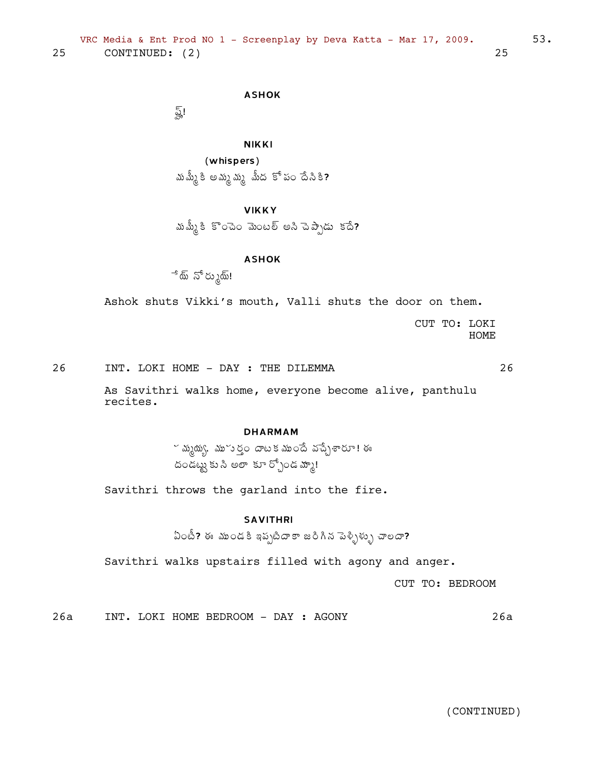### ASHOK

ত্রু।

NIKKI

(whispers) మమ్మీ కి అమ్మ మృ మీద కో పం దేసికి?

### VIKKY

మమ్మీకి కొంచెం మెంటల్ అని చెప్పాడు కదే?

### ASHOK

ే్ే ప్రామ్!

Ashok shuts Vikki's mouth, Valli shuts the door on them.

CUT TO: LOKI HOME

26 INT. LOKI HOME - DAY : THE DILEMMA 26

As Savithri walks home, everyone become alive, panthulu recites.

### DHARMAM

 $\sim$  మృథ్యు, మూసర్తం దాటక ముందే వచ్చేశారూ! ఈ దండట్టు కు సి అలా కూ ర్చోండ మ్మా!

Savithri throws the garland into the fire.

### SAVITHRI

 $\delta$ ြယ်း? ఈ ముండకి ఇప్పటిదాకా జరిగిన పెళ్ళిళ్ళు చాలదా?

Savithri walks upstairs filled with agony and anger.

CUT TO: BEDROOM

26a INT. LOKI HOME BEDROOM - DAY : AGONY 26a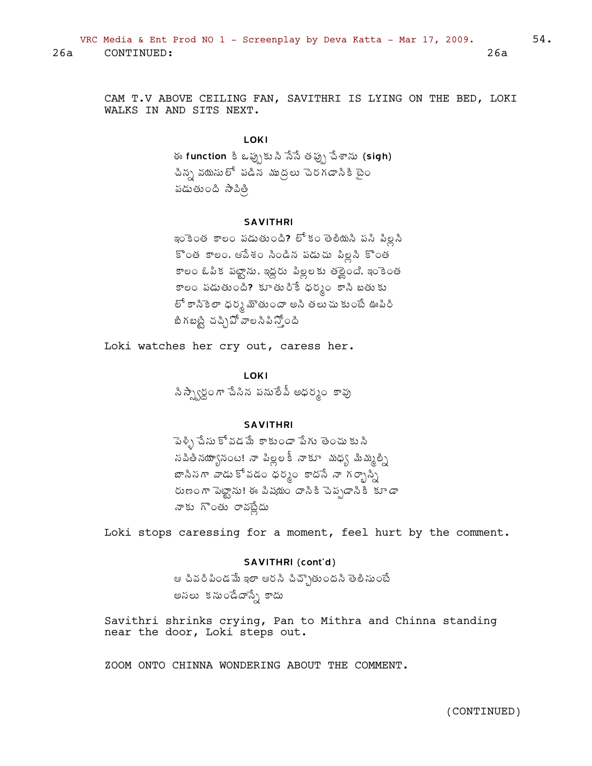CAM T.V ABOVE CEILING FAN, SAVITHRI IS LYING ON THE BED, LOKI WALKS IN AND SITS NEXT.

#### LOKI

ఈ function కి ఒప్పుకుని సేసే తప్పు చేశాను (sigh) చిన్న వయసులో పడిన ముద్దలు చెరగడానికి టైం పడుతుంది సాపిత్రి

#### **SAVITHRI**

ఇంకెంత కాలం పడుతుంది? లో కం తెలీయనీ పసి పిల్లనీ కొంత కాలం, ఆపేశం సిండిన పడుచు పిల్లని కొంత కాలం ఓపిక పట్టాను, ఇద్దరు పిల్లలకు తర్లైంది. ఇంకెంత కాలం పడుతుంది? కూతురికే ధర్మం కాసి బతుకు లో కానికెలా ధర్మ మౌతుందా అసి తలుచు కుంటే ఊపిరి బిగబట్టి చచ్చిపో వాలసిపిస్తోంది

Loki watches her cry out, caress her.

**LOKI** 

సిస్ప్వార్ధంగా చేసిన పనులేవీ అధర్మం కావు

#### **SAVITHRI**

పెళ్ళి చేసు కోవడమే కాకుండా పేగు తెంచు కు సి సపితినయ్యానంట! నా పిల్లలకీ నాకూ -మధ్య మిమ్మల్ని బాసినగా వాడు కోవడం ధర్మం కాదసే నా గర్భాస్ని రుణంగా పెట్టాను! ఈ పిషయం దాసికి చెప్పడానికి కూడా నాకు గొంతు రావట్లేదు

Loki stops caressing for a moment, feel hurt by the comment.

#### SAVITHRI (cont'd)

ఆ చివరి పిండమే ఇలా ఆరసి చిచ్చౌతుందని తెలిసుంటే అనలు కనుండేదాన్నే కాదు

Savithri shrinks crying, Pan to Mithra and Chinna standing near the door, Loki steps out.

ZOOM ONTO CHINNA WONDERING ABOUT THE COMMENT.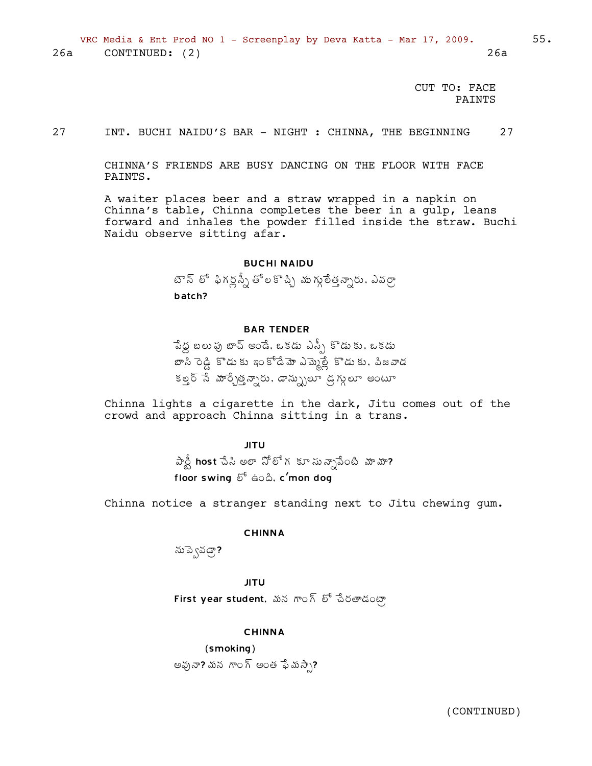CUT TO: FACE PAINTS

27 INT. BUCHI NAIDU'S BAR - NIGHT : CHINNA, THE BEGINNING 27

CHINNA'S FRIENDS ARE BUSY DANCING ON THE FLOOR WITH FACE PAINTS.

A waiter places beer and a straw wrapped in a napkin on Chinna's table, Chinna completes the beer in a gulp, leans forward and inhales the powder filled inside the straw. Buchi Naidu observe sitting afar.

#### BUCHI NAIDU

టౌన్ లో ఫిగర్లన్నీ తోలకొచ్చి ముగ్గులేత్త*న్నా*రు. ఎవర్రా batch?

#### BAR TENDER

 $\hat{a}$ పడ్డ బలు పు బాద్ అండే, ఒకడు ఎస్పీ కొడుకు, ఒకడు  $x^{\delta}$  అని సౌడు కూడి బాధ్ డేస్టీ పాడు ఉన్న అండాడు పాడ కల్ల సే మార్చేత్తన్నారు, డాన్సులూ డ్రగ్గులూ అంటూ

Chinna lights a cigarette in the dark, Jitu comes out of the crowd and approach Chinna sitting in a trans.

> JITU  $\hat{\vartheta}$ ప్రీ host చేసి అలా నోలోగకూ సున్నాపేంటి మామా? floor swing  $\delta^6$  ఉంది, c'mon dog

Chinna notice a stranger standing next to Jitu chewing gum.

#### CHINNA

ను పె్నవడా?

JITU First year student, మన గాంగ్ లో చేరతాడంటా

#### CHINNA

(smoking) అవునా? మన గాంగ్ అంత ఫేమస్సా?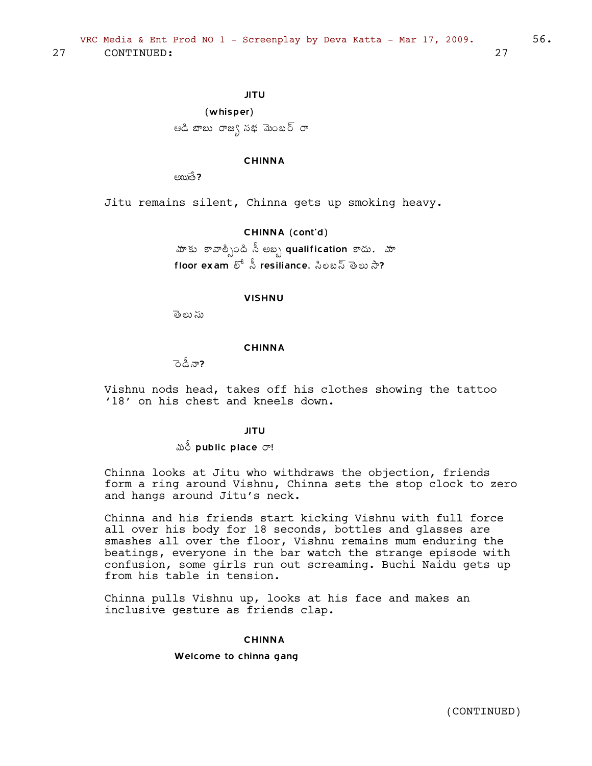JITU (whisper) ఆడి జాబు రాజ∫ నథ మెంబర్ రా

#### CHINNA

 $\epsilon$  $\frac{1}{2}$ 

Jitu remains silent, Chinna gets up smoking heavy.

CHINNA (cont'd)

మాకు కావాల్సింది సీ అబ్బ qualification కాదు, మా floor exam  $\delta^5$   $\stackrel{5}{\sim}$  resiliance, ಸಿಲಬಸ್ ತಾಲು ನೀ?

#### VISHNU

తెలు ను

#### CHINNA

ెండీనా?

Vishnu nods head, takes off his clothes showing the tattoo '18' on his chest and kneels down.

#### JITU

#### $\delta$  public place  $\sigma$ !

Chinna looks at Jitu who withdraws the objection, friends form a ring around Vishnu, Chinna sets the stop clock to zero and hangs around Jitu's neck.

Chinna and his friends start kicking Vishnu with full force all over his body for 18 seconds, bottles and glasses are smashes all over the floor, Vishnu remains mum enduring the beatings, everyone in the bar watch the strange episode with confusion, some girls run out screaming. Buchi Naidu gets up from his table in tension.

Chinna pulls Vishnu up, looks at his face and makes an inclusive gesture as friends clap.

#### CHINNA

#### Welcome to chinna gang

(CONTINUED)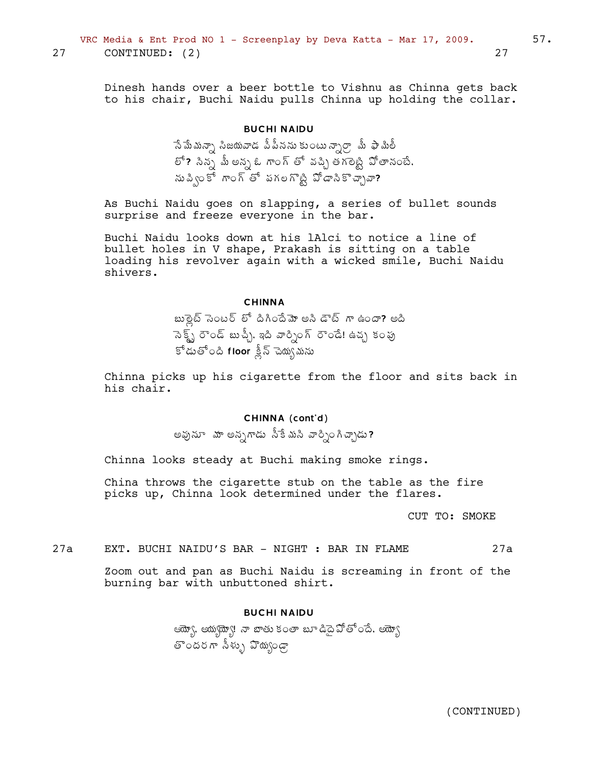Dinesh hands over a beer bottle to Vishnu as Chinna gets back to his chair, Buchi Naidu pulls Chinna up holding the collar.

### **BUCHI NAIDU**

సేమేమన్నా సిజయవాడ పీపీనను కుంటున్నార్రా మీ ఫామిలీ లో? సిన్న మీ అన్న ఓ గాంగ్ తో వచ్చి తగలెట్టి పోతానంటే. ను పి<ు కో గాంగ్ తో పగల గొట్టి పోడానికొచ్చావా?

As Buchi Naidu goes on slapping, a series of bullet sounds surprise and freeze everyone in the bar.

Buchi Naidu looks down at his lAlci to notice a line of bullet holes in V shape, Prakash is sitting on a table loading his revolver again with a wicked smile, Buchi Naidu shivers.

#### **CHINNA**

బుల్లైట్ సెంటర్ లో దిగిందేమో అని డౌట్ గా ఉందా? అది ెనెక్ట్స్ రౌండ్ బుచ్చీ, ఇది వార్సింగ్ రౌండే! ఉచ్చ కంపు కోడుతోంది floor క్లీన్ చెయ్యమను

Chinna picks up his cigarette from the floor and sits back in his chair.

#### CHINNA (cont'd)

అవునూ మా అన్నగాడు సీకేమని వార్నింగిచ్చాడు**?** 

Chinna looks steady at Buchi making smoke rings.

China throws the cigarette stub on the table as the fire picks up, Chinna look determined under the flares.

CUT TO: SMOKE

 $27a$ EXT. BUCHI NAIDU'S BAR - NIGHT : BAR IN FLAME  $27a$ 

Zoom out and pan as Buchi Naidu is screaming in front of the burning bar with unbuttoned shirt.

#### **BUCHI NAIDU**

ఆయ్యో, ఆయ్యథ్యా! నా బాతు కంతా బూ డిదై వోతోందే, ఆయ్యో తొందరగా సీళ్ళు వొయ్యండా

27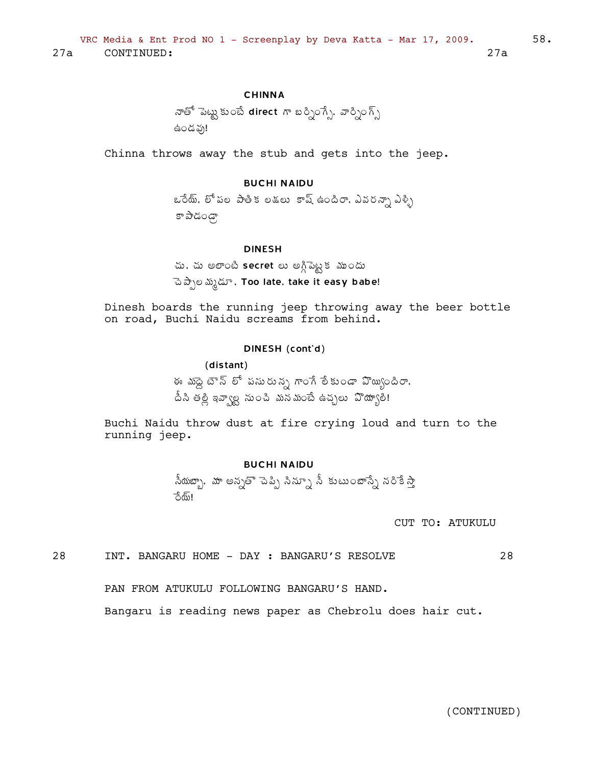#### **CHINNA**

Chinna throws away the stub and gets into the jeep.

### **BUCHI NAIDU**

ఒరేయ్, లో పల పాతిక లడలు కాష్ ఉందిరా, ఎవరన్నా ఎళ్ళి ్నాంపర్ ఇ

#### **DINESH**

చు, చు అలాంటి secret లు అగ్గిపెట్టక ముందు

ెపెప్పాల మృడూ, Too late, take it easy babe!

Dinesh boards the running jeep throwing away the beer bottle on road, Buchi Naidu screams from behind.

#### DINESH (cont'd)

(distant)

ఈ మంద్ద బౌన్ లో పసురున్న గాంగే లేకుండా ఏొ్యుందిరా, దీసి తల్లి ఇవ్వాల్ట నుంచి మనమంటే ఉచ్చలు వొయ్యాలి!

Buchi Naidu throw dust at fire crying loud and turn to the running jeep.

#### **BUCHI NAIDU**

.<br>సీయబ్బా, మా అన్నతొ చెప్పి సిన్నూ సీ కుటుంబాస్నే నరికే స్తా ுகி!

CUT TO: ATUKULU

28 INT. BANGARU HOME - DAY : BANGARU'S RESOLVE 28

PAN FROM ATUKULU FOLLOWING BANGARU'S HAND.

Bangaru is reading news paper as Chebrolu does hair cut.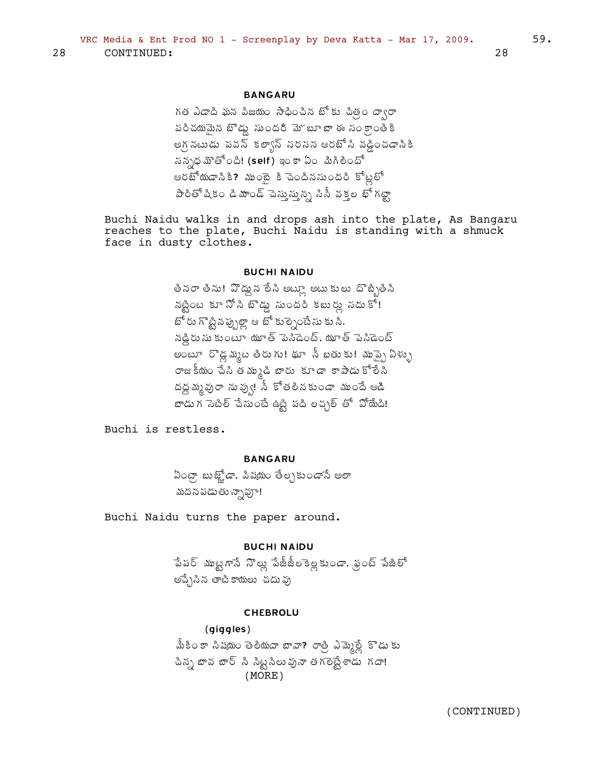#### **BANGARU**

గత ఎడాది ఘన పిజయం సాధించిన బోకు చిత్ర దా $\sigma$ పరిచయమైన బొడ్డు నుందరి మె బూ బా ఈ నం క్రాంతీకి అగ్గ నటుడు పవన్ కల్వాన్ సరసన ఆరటో సి వడ్డించడానికి సన్నధ మౌతోంది! (self) ఇంకా ఏం మిగిలిందో ఆరబోయడానికి? ముంబై కి చెందినసుందరి కోట్లలో పారితో షికం డి మాండ్ చెస్తున్ను సిసీ వక్తల భో గట్టా

Buchi Naidu walks in and drops ash into the plate, As Bangaru reaches to the plate, Buchi Naidu is standing with a shmuck face in dusty clothes.

### **BUCHI NAIDU**

తీనరా తీను! వొద్దున లేసి అట్లూ అటు కులు దొబ్బితీసి నట్టింట కూ నో సి టౌడ్డు నుందరి కబుర్లు నదుకో! బోరు గొట్టినప్పుల్లా ఆ బో కుల్నెంటేసు కు సి. నడ్డిరు సు కుంటూ యూత్ పెనీడెంట్, యూత్ పెనిడెంట్ అంటూ రొడ్ల మ్మట తీరు గు! థూ సీ బతు కు! మాప్పై ఏళ్ళు రాజకీయం చేసి తమ్ముడి బారు కూడా కాపాడుకోలేని దద్దమ్మవురా నువ్వు! సీ కోతలినకుండా ముందే ఆడి బాడు గ సెటిల్ చేసుంటే ఉట్టి పది లచ్చల్ తో పోయేది!

Buchi is restless.

**BANGARU** 

ఏంట్రా బుజ్హోడా, పిషయం తేల్చకుండానే అలా మదన పడుతు న్నావూ!

Buchi Naidu turns the paper around.

#### **BUCHI NAIDU**

పేపర్ ముట్టగానే నొల్లు పేజీజీలకెల్లకుండా, ఫ్రంట్ పేజీలో అచ్చేసిన తాటికాయలు చదువు

#### **CHEBROLU**

 $(qiqqles)$ మీకింకా సిషయం తెలియదా బావా? రాత్రి ఎమ్మెల్లే కొడు కు చిన్న బావ బార్ సి సిట్టసిలువునా తగలెప్టేశాడు గదా!  $(MORE)$ 

28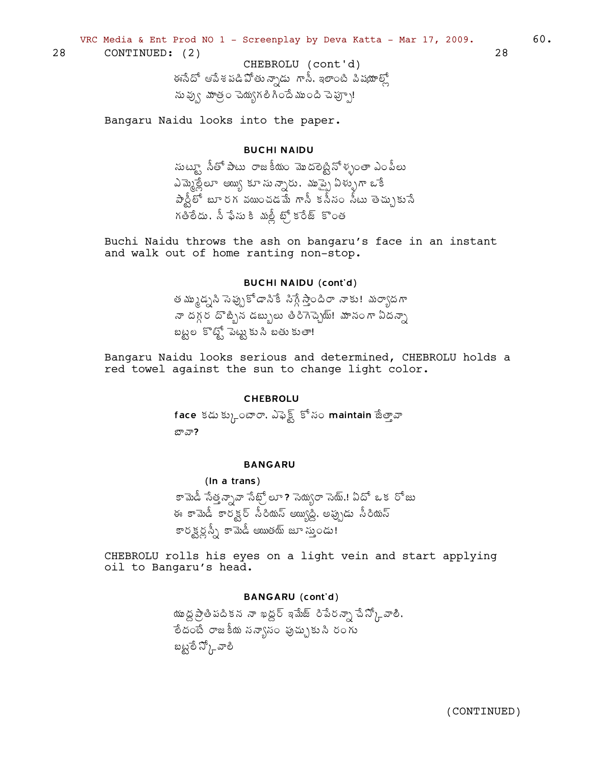VRC Media & Ent Prod NO 1 - Screenplay by Deva Katta - Mar 17, 2009.

28 CONTINUED: (2)

> CHEBROLU (cont'd) ఈసేదో ఆపేశపడి ఏోతున్నాడు గానీ, ఇలాంటి పిషయాల్లో ను వ్వు మాత్రం చెయ్యగలి గిందే ముంది చెప్పూ!

Bangaru Naidu looks into the paper.

#### **BUCHI NAIDU**

సుట్యూ నీతో పాటు రాజకీయం మొదలెట్టినోళ్ళంతా ఎంపీలు ఎమ్మెల్లేలూ అయ్యి కూసున్నారు, ముప్పై ఏళ్ళుగా ఒకే  $\hat{\sigma}$ న్లీలో బూరగ వయించడమే గానీ కనీసం నీటు తెచ్చుకునే గతిలేదు, నీ ఫేసు కి మల్లీ బ్స్ కరేజ్ కొంత

Buchi Naidu throws the ash on bangaru's face in an instant and walk out of home ranting non-stop.

### **BUCHI NAIDU (cont'd)**

త మ్ముడ్నని సెప్పుకోడానికే సిగ్గే స్తాందిరా నాకు! మర్యాదగా నా దగ్గర దొబ్బిన డబ్బులు తిరిగెచ్చెయ్! మానంగా ఏదన్నా బట్టల కొట్టో పెట్టుకుని బతుకుతా!

Bangaru Naidu looks serious and determined, CHEBROLU holds a red towel against the sun to change light color.

#### **CHEBROLU**

face కడుక్కుంటారా, ఎఫెక్ట్ కోసం maintain జేత్తావా బావా?

#### **BANGARU**

(In a trans) కామెడీ సేత్తన్నావా సేట్రో లూ ? సెయ్యరా సెయ్.! ఏదో ఒక రోజు ఈ కామెడీ కారక్టర్ సీరియస్ అయ్యిడ్డి, అప్పుడు సీరియస్ కారక్టర్లప్స్ కామెడీ అయితయ్ జూ సుండు!

CHEBROLU rolls his eyes on a light vein and start applying oil to Bangaru's head.

#### **BANGARU** (cont'd)

యు ద్ద ప్రాతిపదికన నా ఖద్దర్ ఇమేజ్ రిపేరన్నా చేస్కో్ వాలి. ేల దంటే రాజకీయ నన్యానం పుచ్చుకుని రంగు బట్టులే స్కో వాలి

60.

28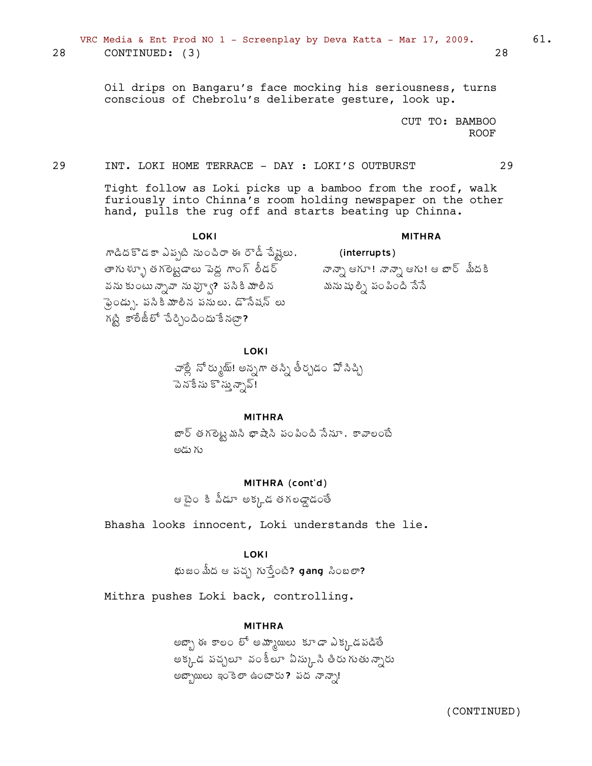### VRC Media & Ent Prod NO 1 - Screenplay by Deva Katta - Mar 17, 2009.  $61.$ 28 CONTINUED: (3) 28

Oil drips on Bangaru's face mocking his seriousness, turns conscious of Chebrolu's deliberate gesture, look up.

> CUT TO: BAMBOO ROOF

#### 29 INT. LOKI HOME TERRACE - DAY : LOKI'S OUTBURST 29

Tight follow as Loki picks up a bamboo from the roof, walk furiously into Chinna's room holding newspaper on the other hand, pulls the rug off and starts beating up Chinna.

#### **LOKI**

#### MITHRA

™డిదకొడకా ఎప్పటి నుంచిరా ఈ రౌడీ చేష్టు. తాగు ళూృ తగలెట్టడాలు పెద్ద గాంగ్ తీడర్ వను కుంటు న్నావా ను వ్వూ**?** పసికి మాలీన  $\bar{a}$ ండ్ను, పసికి మాలీన పనులు, డొసేషన్ లు గట్టి కాలేజీలో చేర్చిందిందు కేనట్లా**?** 

నాన్నా ఆగూ! నాన్నా ఆగు! ఆ బార్ మీదకి మసు షుల్ని పంపింది సేసే

(interrupts)

### LOKI

ూల్లే నోర్కుయ్! అన్నగా తస్సి తీర్చడం ఏో సిచ్చి  $\vec{a}$  నేకేసు కొను న్నావ్!

#### MITHRA

 $x\bar{b}$  తగలెట్ట మసి భాషేసి పంపింది సేనూ , కావాలంటే అడు గు

#### MITHRA (cont'd)

 $\mathfrak{g}_{\mathfrak{S}}$ ల మైం కి వీడూ అక్కడ తగలడ్డాడంతే

Bhasha looks innocent, Loki understands the lie.

#### LOKI

భుజం మీద ఆ వచ్చ గుర్తేంటి? gang సింబలా?

Mithra pushes Loki back, controlling.

#### MITHRA

అబ్బా ఈ కాలం లో అమ్మాయిలు కూడా ఎక్కడపడితే అక్కడ పచ్చలూ వం కీలూ ఏస్కుని తీరు గుతున్నారు అబ్బాయిలు ఇంకెలా ఉంటారు? పద నాన్నా!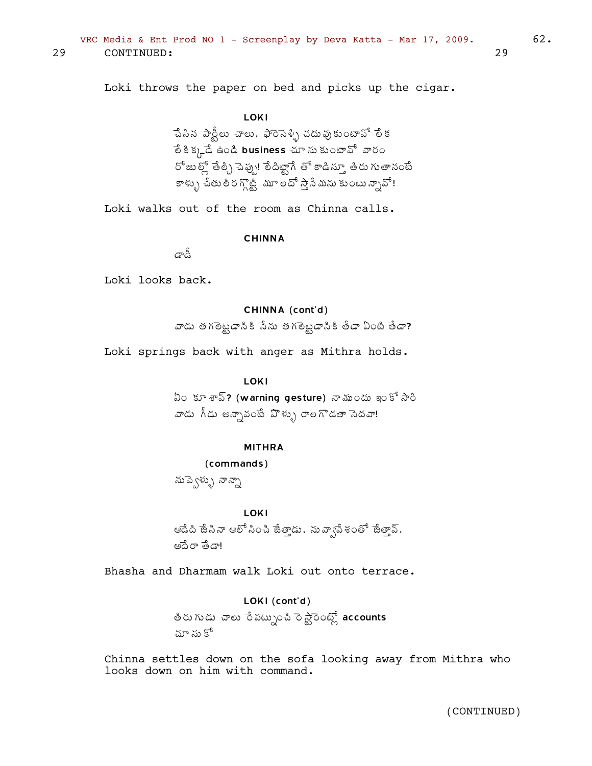Loki throws the paper on bed and picks up the cigar.

#### **LOKI**

ేచిన పార్టీలు చాలు. ఫారెసెళ్ళి చదువుకుంటావో లేక ేం కి క్కడే ఉండి business చూ ను కుంటావో వారం  $^{56}$ జుల్లో తేల్చి చెప్పు! లేదిట్టాగే తో కాడిస్తూ తిరు గుతానంటే కాళ్ళు పేతులీరగ్గొట్టీ మూలదో స్తానే మను కుంటున్నావో!

Loki walks out of the room as Chinna calls.

CHINNA

™Â™Ä

Loki looks back.

#### CHINNA (cont'd)

వాడు తగలెట్టడానికి సేను తగలెట్టడానికి తేడా ఏంటి తేడా?

Loki springs back with anger as Mithra holds.

#### LOKI

 $\mathfrak A$ ౦కూ శావ్? (warning gesture) నా ముందు ఇంకో $\mathfrak A$ రి వాడు గీడు అన్నావంటే ఏొళ్ళు రాలగొడతా సెదవా!

#### MITHRA

(commands) నుప్వేళ్ళు నాన్నా

#### **LOKI**

ఆడేది జేసినా ఆలో సించి జేత్తాడు, నువ్వాపేశంతో జేత్తావ్, €žÊ§Â œÊ™Â!

Bhasha and Dharmam walk Loki out onto terrace.

### LOKI (cont'd)

తీరు గుడు చాలు రే పట్నుంచి రె స్టారెంట్స్లో accounts చూ సు కో

Chinna settles down on the sofa looking away from Mithra who looks down on him with command.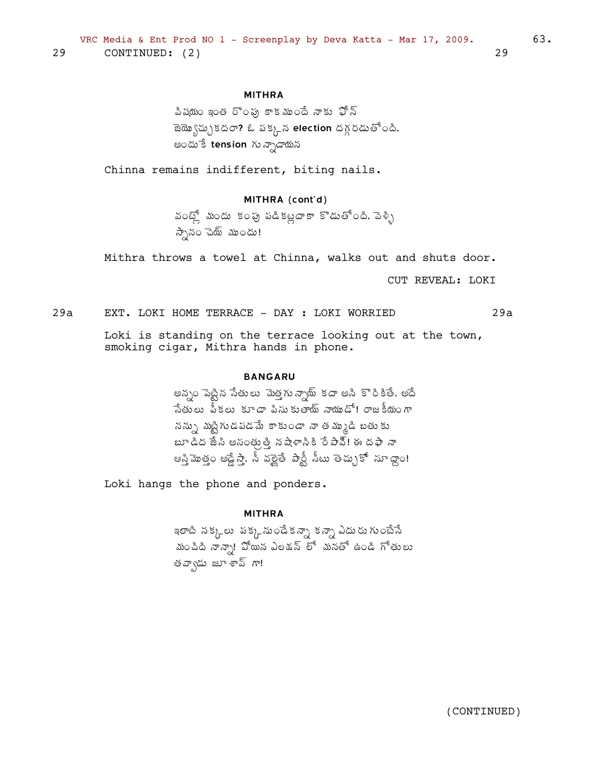### **MITHRA**

పిషయం ఇంత రొంఫు కాకముందే నాకు ఫోన్  $\mathbb{R}$   $\mathbb{R}$ ్పుకదరా? ఓ పక్కన election దగ్గరడుతోంది. అందుేకే tension గు న్నాడాయన

Chinna remains indifferent, biting nails.

### MITHRA (cont'd)

వంట్స్లో మందు కంపు పడికట్లదాకా కొడుతోంది. పెళ్ళి స్పానం చెయ్ ముందు!

Mithra throws a towel at Chinna, walks out and shuts door.

CUT REVEAL: LOKI

 $29a$ EXT. LOKI HOME TERRACE - DAY : LOKI WORRIED  $29a$ 

> Loki is standing on the terrace looking out at the town, smoking cigar, Mithra hands in phone.

#### **BANGARU**

అన్నం పెట్టిన సేతులు మెత్తగున్నాథు్ కదా అని కొరికితే, అదే సేతులు ప్కలు కూడా పిసుకుతాయ్ నాయుడో! రాజకీయంగా నన్ను మట్టిగుడపడమే కాకుండా నా తమ్ముడి బతుకు బూ డిద జేసి అసంత్రుత్తి నషేళాసికి రే పావ్!ి ఈ దఫా నా ఆస్తిమొత్తం అడ్డేస్తా, సీ వల్లైతే పార్టీ సీటు తెచ్చుకో సూధ్దాం!

Loki hangs the phone and ponders.

#### **MITHRA**

ఇలాటి నక్క్లలు పక్క్ నుండేకన్నా కన్నా ఎదురుగుంటేసే మంచిది నాన్నా! పోయిన ఎలడన్ లో మనతో ఉండి గోతులు తవ్వాడు జూ శావ్ గా!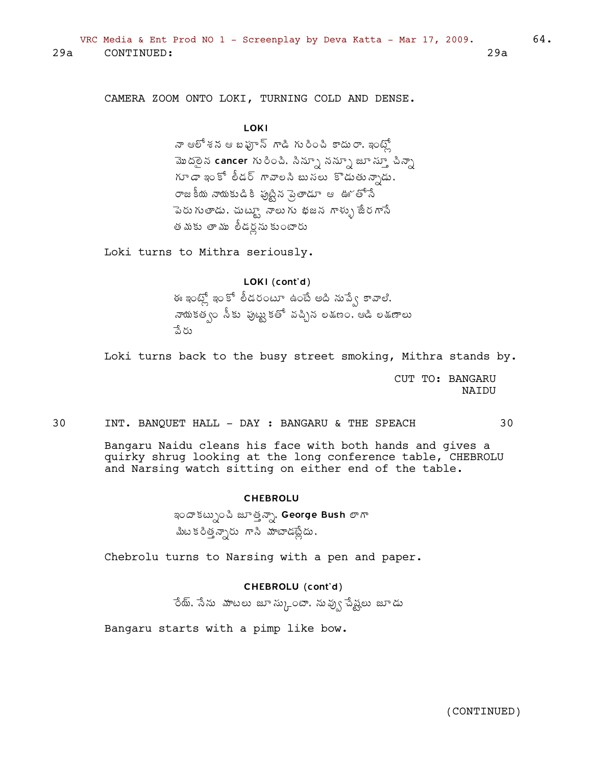VRC Media & Ent Prod NO 1 - Screenplay by Deva Katta - Mar 17, 2009.  $29a$ CONTINUED:  $29a$ 

CAMERA ZOOM ONTO LOKI, TURNING COLD AND DENSE.

### **LOKI**

నా ఆలో శన ఆ బఫూన్ గాడి గురించి కాదురా, ఇంట్లో మొదలైన cancer గురించి, సిన్సూ నన్నూ జూ స్తూ చిన్నా గూడా ఇంకో లీడర్ గావాలని బుసలు కొడుతున్నాడు, రాజకీయ నాయకుడికి పుట్టిన ప్రెంతాడూ ఆ ఊ్తోసే పెరుగుతాడు, చుట్యూ నాలుగు భజన గాళ్ళు జేరగాసే తమకు తాము లీడర్లనుకుంటారు

Loki turns to Mithra seriously.

### LOKI (cont'd)

ఈ ఇంట్లో ఇంకో లీడరంటూ ఉంటే అది నుప్వే కావాలి.<br>నాయకత్వం నీకు పుట్టుకతో వచ్చిన లకుణం. ఆడి లకుణాలు పేరు

Loki turns back to the busy street smoking, Mithra stands by.

CUT TO: BANGARU **NATDU** 

30

30 INT. BANQUET HALL - DAY : BANGARU & THE SPEACH

> Bangaru Naidu cleans his face with both hands and gives a quirky shrug looking at the long conference table, CHEBROLU and Narsing watch sitting on either end of the table.

#### **CHEBROLU**

ఇందాకట్పుంచి జూత్తన్నా, George Bush లాగా మీట కరిత్తన్నారు గాని మాటాడట్లేదు.

Chebrolu turns to Narsing with a pen and paper.

#### CHEBROLU (cont'd)

ేయ్, సేను వూటలు జూ స్కుంటా, నువ్వు పేష్టలు జూడు

Bangaru starts with a pimp like bow.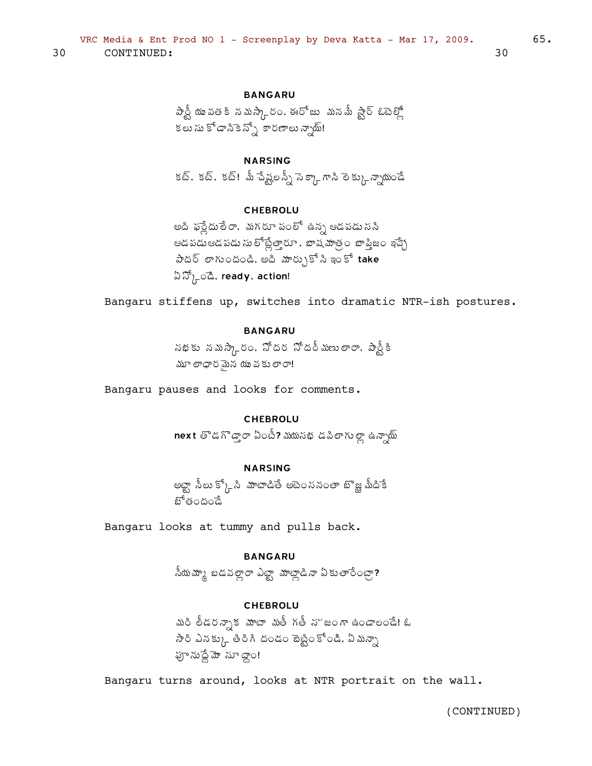#### **BANGARU**

పార్టీ యువతకి నమస్కారం. ఈరోజు మనమీ స్టార్ ఓటెల్లో ా<br>కలు సు కోడానికెన్స్తో కారణాలు న్నాయ్!

### **NARSING**

కట్, కట్, కట్! మీ చేష్ట్రలస్నీ సెక్కాగాని లెక్కు న్సాయండే

#### **CHEBROLU**

అది ఫర్లేదులేరా, మగరూ పంలో ఉన్న ఆడపడు ససి ఆడపడుఆడపడు సులోట్లేత్తారూ , బాషమాత్రం బాష్ఠిజం ఇచ్చే  $\partial \tilde{\omega}$ ద్ లాగుందండి, అది మార్చుకో సి ఇంకో take  $\Im \mathfrak{D}_{h}$ ියි, ready, action!

Bangaru stiffens up, switches into dramatic NTR-ish postures.

### **BANGARU**

సభకు నమస్కారం. నోదర నోదర్మణులారా. పార్టీకి మూ లాధారమైన యువకులారా!

Bangaru pauses and looks for comments.

#### **CHEBROLU**

next తొడగొడ్తారా ఏంటీ? ముమసభ డపిలాగుల్లా ఉన్నాయ్

### **NARSING**

అబ్ట్గా సీలు క్కోసి మాటాడితే అటెంననంతా బొజ్ఞ మీదికే బోతందండే

Bangaru looks at tummy and pulls back.

#### **BANGARU**

సీయమ్కా బడవల్లారా ఎట్టా మాట్లాడినా ఏకుతారేంట్రా?

### **CHEBROLU**

మరి లీడరన్సాక మాటా మతీ గతీ న<sup>ం</sup>జంగా ఉండాలండే! ఓ ఫూ నుద్దేమో నూ ద్వాం!

Bangaru turns around, looks at NTR portrait on the wall.

65.

30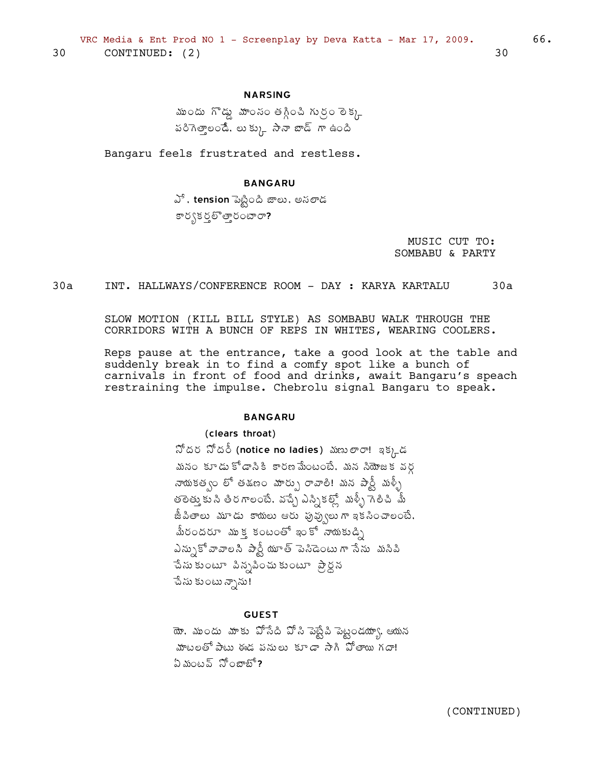### **NARSING**

ముందు గొడ్డు మాంసం తగ్గించి గుర్రం లెక్క పరిగెత్తాలండే. లుక్కు సానా బాడ్ గా ఉంది

Bangaru feels frustrated and restless.

#### **BANGARU**

వే, tension పెట్టింది జాలు, అసలాడ కార్భకర్త తారంబారా?

> MUSIC CUT TO: SOMBABU & PARTY

 $30a$ INT. HALLWAYS/CONFERENCE ROOM - DAY: KARYA KARTALU  $30a$ 

> SLOW MOTION (KILL BILL STYLE) AS SOMBABU WALK THROUGH THE CORRIDORS WITH A BUNCH OF REPS IN WHITES, WEARING COOLERS.

Reps pause at the entrance, take a good look at the table and suddenly break in to find a comfy spot like a bunch of carnivals in front of food and drinks, await Bangaru's speach restraining the impulse. Chebrolu signal Bangaru to speak.

#### **BANGARU**

#### (clears throat)

నోదర నోదర్ (notice no ladies) మణులారా! ఇక్కడ మనం కూడు కోడానికి కారణమేంటంటే. మన సియోజక వర్గ నాయకత్వం లో తడణం మార్పు రావాలి! మన పార్టీ మళ్ళీ తెలెత్తుుకు సి తిరగాలంటే. వచ్చే ఎస్సికల్లో మళ్ళీ గెలిచి మీ జీపితాలు మూడు కాయలు ఆరు ఫువ్వులుగాఇకసించాలంటే, మీరందరూ ముక కంటంతో ఇంకో నాయకుడ్ని ఎన్సుకో వావాలసి పార్టీ యూత్ పెసిడెంటు గా సేను మసిపి పేసు కుంటూ పిన్నపించు కుంటూ ప్రార్ధన ెచేసు కుంటు న్నాను!

### **GUEST**

యో. ముందు మాకు పోసేది పోసి పెబ్టేది పెట్టండయా్య, ఆయన మాటలతోపాటు ఈడ పనులు కూడా సాగి పోతాయి గదా!  $2 \omega \omega$ ప్ సోంజాబో?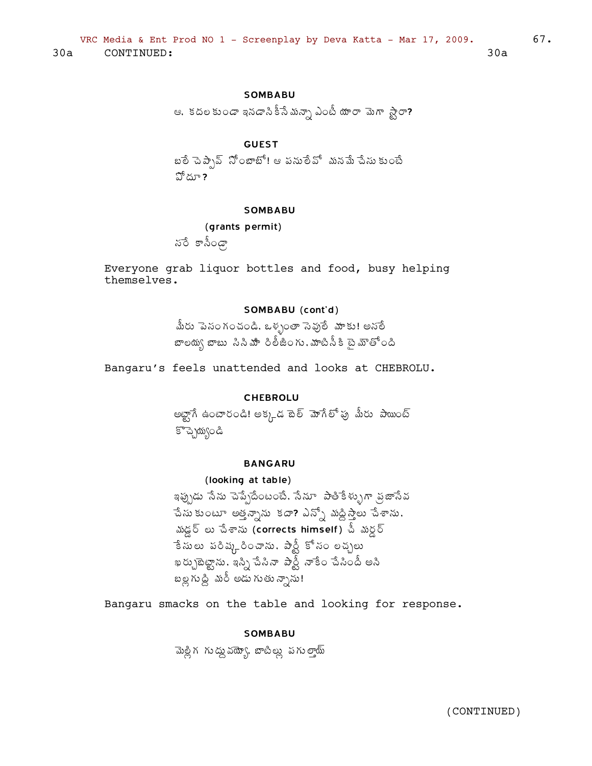### **SOMBABU**

ఆ, కదలకుండా ఇనడాని కీసే మన్సా ఎంటీ యారా మెగా స్టారా?

### **GUEST**

బలే పెప్పావ్ సోంజాటో! ఆ పనులేవో మనమే పేసు కుంటే హోదూ ?

#### **SOMBABU**

(grants permit)

నరే కాసిండా

Everyone grab liquor bottles and food, busy helping themselves.

#### SOMBABU (cont'd)

మీరు పెనంగంచండి, ఒళ్ళంతా సెవులే మాకు! అనలే బాలయ్య బాబు సినిమాిరిలీజింగు, మాటినీకి బైమౌతోంది

Bangaru's feels unattended and looks at CHEBROLU.

#### **CHEBROLU**

అబ్టాగే ఉంటారండి! అక్కడ టెల్ మోగేలో పు మీరు పాయింట్ కొచ్చెయ్యండి

#### **BANGARU**

#### (looking at table)

ఇప్పుడు సేను చెప్పేదేంటంటే, సేనూ పాతికేళ్ళుగా వ్రజాసేవ పేసు కుంటూ అత్తవ్నాను కదా? ఎన్నో మద్దిస్తాలు పేశాను, మడ్డర్ లు చేశాను (corrects himself) చీ మర్డర్ ేకే సులు పరిష్కరించాను. పార్టీ కో సం లచ్చలు ఖర్చుబెట్టాను, ఇస్సి చేసినా పార్టీ నాకేం చేసిందీ అసి బల్ల గుద్ది మరీ అడు గుతున్నాను!

Bangaru smacks on the table and looking for response.

#### **SOMBABU**

మెల్లి గౌ గు ద్దు వయ్యో, బాటిల్లు పగు ల్తాయ్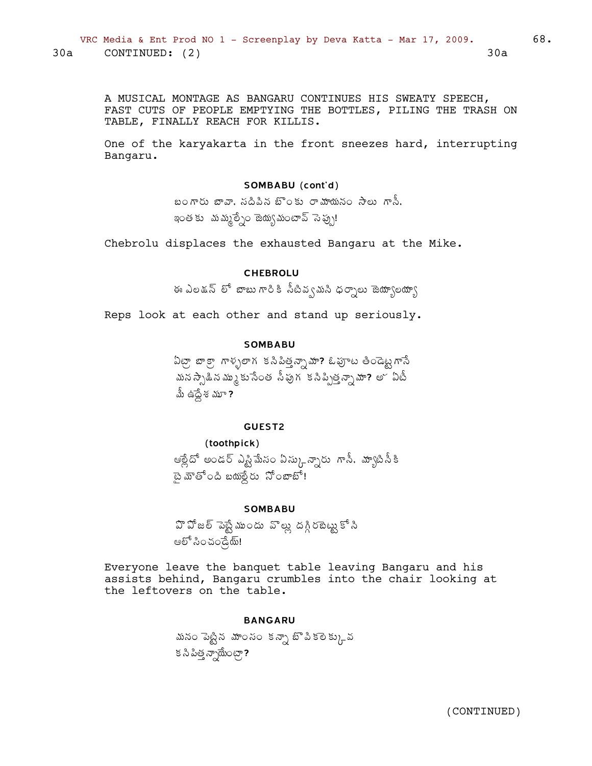A MUSICAL MONTAGE AS BANGARU CONTINUES HIS SWEATY SPEECH, FAST CUTS OF PEOPLE EMPTYING THE BOTTLES, PILING THE TRASH ON TABLE, FINALLY REACH FOR KILLIS.

One of the karyakarta in the front sneezes hard, interrupting Bangaru.

#### SOMBABU (cont'd)

బంగారు బావా, సదిపిన బొంకు రామాయనం సాలు గానీ, ఇంత కు మమ్మల్నేం జెయ్యమంటావ్ సెప్పు!

Chebrolu displaces the exhausted Bangaru at the Mike.

### **CHEBROLU**

ఈ ఎలకున్ లో బాబు గారికి సీటివ్వమని ధర్నాలు జెయ్యాలయ్యా

Reps look at each other and stand up seriously.

#### **SOMBABU**

ఏట్రా, బాక్స్టాళ్ళలాగ కనిపిత్తన్నామా? ఓఫూట తిండెట్ట్టగానే మన స్పాడిన మ్ము కుసేంత సీపుగ కసిప్పిత్తన్నా మా? అ~ ఏటీ మీ ఉద్దేశ మూ ?

#### GUEST2

#### (toothpick)

ఆల్లేదో అండర్ ఎస్టిమేసం ఏస్కున్నారు గాసీ, మ్యాపిసీకి బైమాతోంది బయల్దేరు సోంజాబో!

#### **SOMBABU**

హి హోజల్ <sup>-</sup>వెబ్టే ముందు - వొల్లు దగ్గి రబెట్టు కో సి ఆలో సించండ్రేయ్!

Everyone leave the banquet table leaving Bangaru and his assists behind, Bangaru crumbles into the chair looking at the leftovers on the table.

#### **BANGARU**

మనం పెట్టిన మాంసం కన్నా బొపికలెక్కువ క సి పిత్త న్నాయేంట్గా?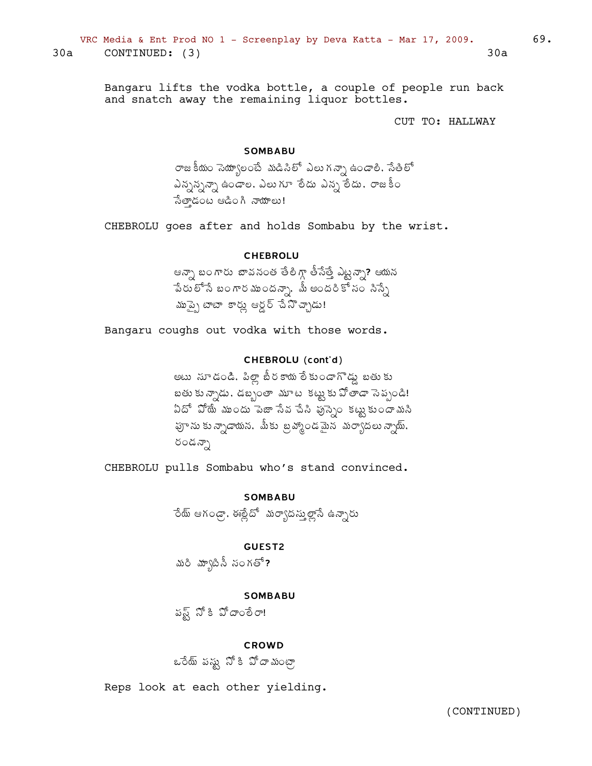Bangaru lifts the vodka bottle, a couple of people run back and snatch away the remaining liquor bottles.

CUT TO: HALLWAY

#### **SOMBABU**

రాజకీయం సెయ్యాలంటే మడిసిలో ఎలు గన్నా ఉండాలి. సేతిలో ఎన్నవ్సన్నా ఉండాల, ఎలుగూ తేదు ఎన్న తేదు, రాజకీం సేతాడంట ఆడింగి నాయాలు!

CHEBROLU goes after and holds Sombabu by the wrist.

### **CHEBROLU**

ఆన్సా బంగారు బావనంత తేలిగ్గా తీసేత్తే ఎట్టన్సా? ఆయన ేపేరులోనే బంగారముందన్నా, మీ అందరికో సం సిస్సే ముప్పై టాటా కార్లు ఆర్డర్ చేసొచ్చాడు!

Bangaru coughs out vodka with those words.

### CHEBROLU (cont'd)

అటు సూడండి, పిల్లా బీరకాయలేకుండాగొడ్డు బతుకు బతు కున్నాడు. డబ్బంతా మూట కట్టుకు పోతాడా సెప్పండి! ఏదో పోయే ముందు పెజా సేవ చేసి పుస్సెం కట్టుకుందామసి హ్రాను కు న్నాడాయన, మీకు బ్రహ్మాండమైన మర్యాదలు న్నాయ్, రండన్నా

CHEBROLU pulls Sombabu who's stand convinced.

**SOMBABU** ేయ్ ఆగండ్రా, ఈర్లేదో మర్యాదస్తుల్లాసే ఉన్నారు

GUEST2

మరి మ్యాటిసీ సంగతో?

**SOMBABU** 

పష్ట్ నోకి వోదాంలేరా!

#### CROWD

ఒరేయ్ పద్దు సోకి పోదాయంటా

Reps look at each other yielding.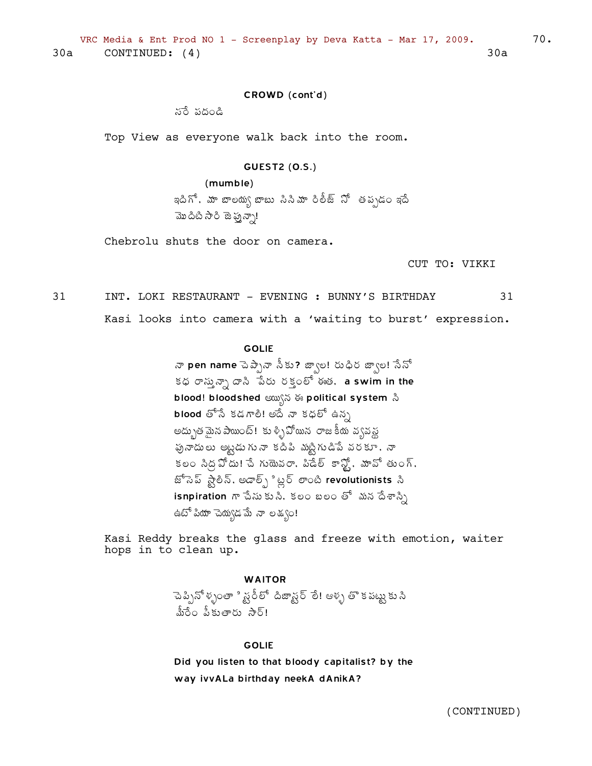### CROWD (cont'd)

నరే పదండి

Top View as everyone walk back into the room.

#### **GUEST2 (0.S.)**

 $(mumble)$ 

ఇదిగో, మా బాలయ్య బాబు సినిమా రిలీజ్ సో తప్పడం ఇదే మొదిటి సారి జెప్పన్సా!

Chebrolu shuts the door on camera.

CUT TO: VIKKI

70.

31 INT. LOKI RESTAURANT - EVENING : BUNNY'S BIRTHDAY 31

Kasi looks into camera with a 'waiting to burst' expression.

### **GOLIE**

నా pen name పెప్పేనా సీకు? జ్వాల! రుధిర జ్వాల! సేనో కధ రాస్తున్నా దాని పేరు రక్తంలో ఈత. a swim in the blood! bloodshed  $\omega$ s is political system  $\alpha$ **blood** తోనే కడగాలి! అదే నా కధలో ఉన్న అద్భుతమైన పాయింట్! కుళ్ళిపోయిన రాజకీయ వ్యవస్థ పునాదులు అట్టడుగునా కదిపి మట్టిగుడిపే వరకూ, నా కలం సిద్ద హోదు! చే గుయెవరా, పిడేల్ కాన్హో, మావో తుంగ్, జోసెప్ స్టాలిన్, అడాల్స్లో ట్లర్ లాంటి revolutionists సి isnpiration గా చేసుకుని, కలం బలం తో మన దేశాస్స్రి ఉటో పియా చెయ్యడమే నా లక్యం!

Kasi Reddy breaks the glass and freeze with emotion, waiter hops in to clean up.

#### **WAITOR**

ెుప్పినోళ్ళంతా ి స్టరీలో దిజాన్టర్ లే! ఆళ్ళ తొ క పట్టు కు సి మీరేం పీకుతారు సార్!

#### **GOLIE**

Did you listen to that bloody capitalist? by the way ivvALa birthday neekA dAnikA?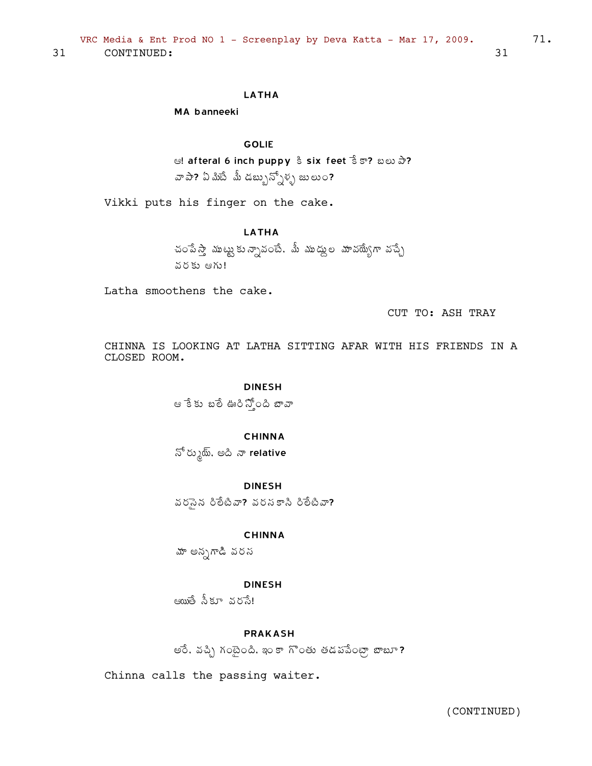### **LATHA**

MA banneeki

### **GOLIE**

ම! afteral 6 inch puppy & six feet  $\hat{S}$  5? ಬಲು ඨ? వా పా? ఏ మిటే మీ డబ్బున్నోళ్ళ జులుం?

Vikki puts his finger on the cake.

### **LATHA**

చంపేస్తా ముట్టుకున్నావంటే. మీ ముద్దుల మావయ్యేగా వచ్చే వరకు ఆగు!

Latha smoothens the cake.

CUT TO: ASH TRAY

CHINNA IS LOOKING AT LATHA SITTING AFAR WITH HIS FRIENDS IN A CLOSED ROOM.

#### **DINESH**

ఆ కేకు బలే ఊరిస్తోంది బావా

### **CHINNA**

నో రుృ్య, అది నా relative

**DINESH** 

వరనైన రిలేటివా? వరసకాసి రిలేటివా?

#### **CHINNA**

మా అన్నగాడి వరస

#### **DINESH**

ఆయుతే నీకూ వరానే!

### **PRAKASH**

అరే, వచ్చి గంటైంది, ఇం కా గొంతు తడపపేంట్రా బాబూ?

Chinna calls the passing waiter.

(CONTINUED)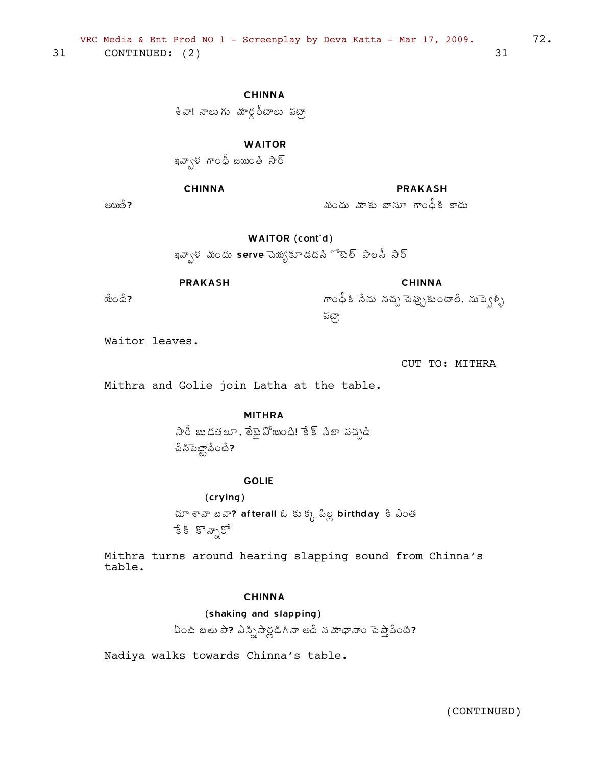**CHINNA** 

శివా! నాలుగు మార్గరీటాలు పట్రా

**WAITOR** 

ခေ့သလို အောင် အောက် အောင်

### **CHINNA**

**PRAKASH** 

మందు మాకు బాసూ గాంధీకి కాదు

అయితే **?** 

WAITOR (cont'd)

ఇవ్వాళ మందు serve చెయ్యకూడదని ో టెల్ పాలసీ సార్

**PRAKASH** 

ಹೊಂದೆ?

**CHINNA** గాంధీకి సేను నచ్చ పెప్పుకుంటాలే, నుప్వెళ్ళి పట్గా

Waitor leaves.

CUT TO: MITHRA

 $72.$ 

Mithra and Golie join Latha at the table.

### **MITHRA**

సారీ బుడతలూ, లేబైపోయింది! కేక్ సిలా పచ్చడి  $33222300$ 

### **GOLIE**

(crying) చూ శావా బవా? afterall ఓ కుక్కవీల్ల birthday కి ఎంత ేక్ కొన్సారో

Mithra turns around hearing slapping sound from Chinna's table.

### **CHINNA**

(shaking and slapping)

ఏంటి బలు పా? ఎస్నిసార్లడిగినా అదే న మాధానాం పెప్తాపేంటి?

Nadiya walks towards Chinna's table.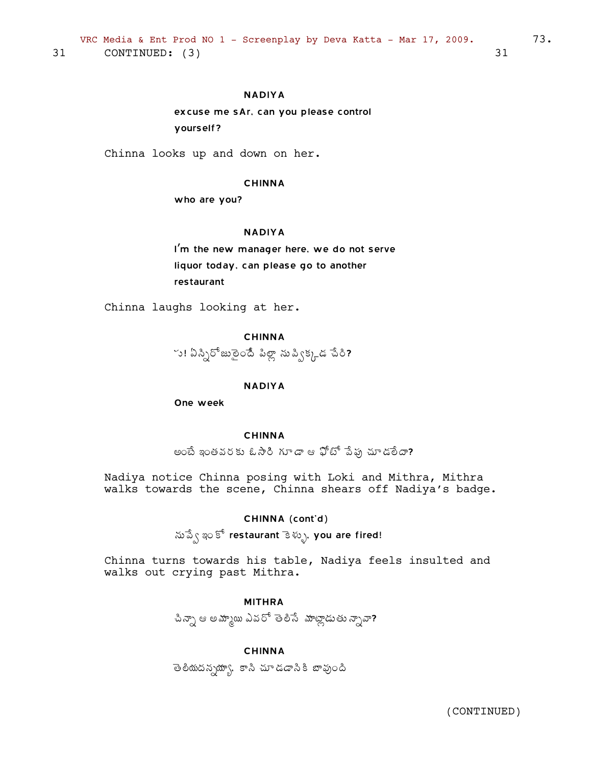# NADIYA

excuse me sAr, can you please control yourself?

Chinna looks up and down on her.

#### CHINNA

who are you?

#### NADIYA

I'm the new manager here, we do not serve liquor today, can please go to another restaurant

Chinna laughs looking at her.

# CHINNA

 $\sim$ ు! ఏస్పిరోజునైందే పిల్లా నుప్విక్కడ చేరి?

# NADIYA

One week

#### CHINNA

అంటే ఇంతవరకు ఓసారి గూడా ఆ ఫోటో పేఫు చూడలేదా?

Nadiya notice Chinna posing with Loki and Mithra, Mithra walks towards the scene, Chinna shears off Nadiya's badge.

### CHINNA (cont'd)

 $\delta\tilde{\mathfrak{g}}$ ్  $\tilde{\mathfrak{g}}$  restaurant కెళ్ళు, you are fired!

Chinna turns towards his table, Nadiya feels insulted and walks out crying past Mithra.

# MITHRA

చిన్నా ఆ అమ్మాయి ఎవరో తెలిసే మాట్లాడుతు న్నావా?

#### CHINNA

తెలీయదన్నయ్యా, కాసి చూడడాసికి బావుంది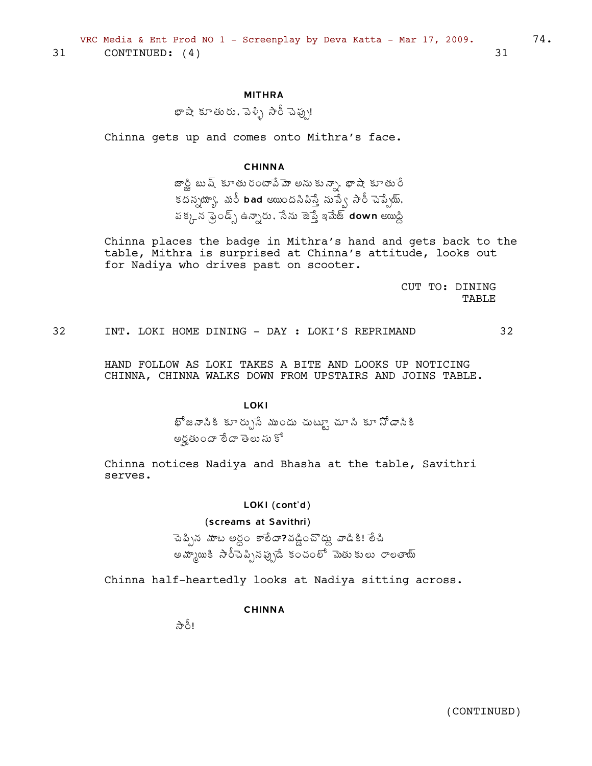**MITHRA** 

థాషా కూతురు. పెళ్ళి సారీ చెప్పు!

Chinna gets up and comes onto Mithra's face.

# **CHINNA**

జాస్ణి బుష్ కూతురంటాపేమో అనుకున్నా, భాషా కూతురే కదన్నయ్యా, మరీ bad అయిందనిపిస్తే నుప్వే సారీ చెప్పేయ్. పక్కన ఫ్రెండ్స్ ఉన్నారు, సేను జెప్తే ఇమేజ్ down అయిద్ది

Chinna places the badge in Mithra's hand and gets back to the table, Mithra is surprised at Chinna's attitude, looks out for Nadiya who drives past on scooter.

> CUT TO: DINING TABLE

32 INT. LOKI HOME DINING - DAY : LOKI'S REPRIMAND 32

HAND FOLLOW AS LOKI TAKES A BITE AND LOOKS UP NOTICING CHINNA, CHINNA WALKS DOWN FROM UPSTAIRS AND JOINS TABLE.

#### **LOKI**

భోజనానికి కూర్చునే ముందు చుట్టూ చూ*సి* కూ నోడానికి అర్తటందా లేదా తెలు సు కో

Chinna notices Nadiya and Bhasha at the table, Savithri serves.

#### LOKI (cont'd)

#### (screams at Savithri)

చెప్పిన మాట అర్ధం కాలేదా?వడ్డించొద్దు వాడికి! లేచి అమ్మాయికి సారీచెప్పినప్పుడే కంచంలో మెతుకులు రాలతాయ్

Chinna half-heartedly looks at Nadiya sitting across.

#### **CHINNA**

र्ले है।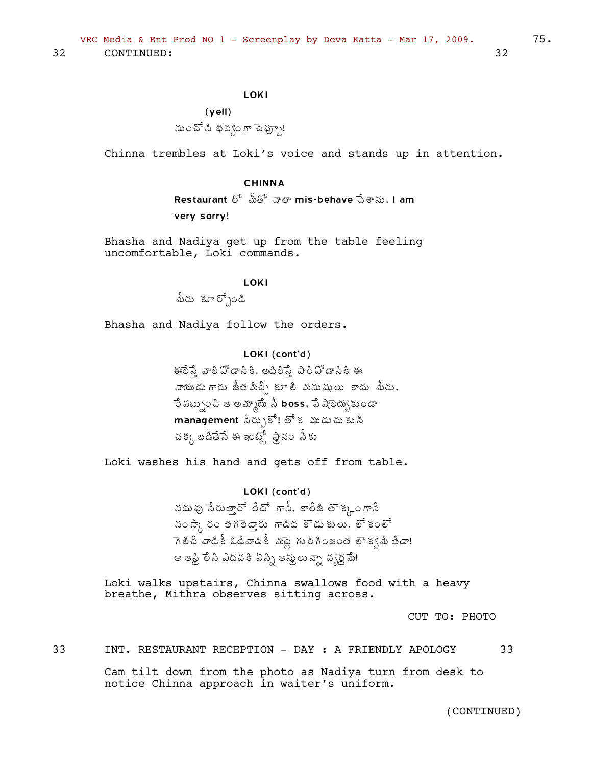# LOKI

(yell) సుంచో సి భవ్వం గా చెప్పూ!

Chinna trembles at Loki's voice and stands up in attention.

# CHINNA

Restaurant ಲ್ ಮಿೆಟ್ ಪ್**ಲ್ mis-behave ವಿ**ಕ್**ನು. I am** very sorry!

Bhasha and Nadiya get up from the table feeling uncomfortable, Loki commands.

# **LOKI**

మీరు కూర్చోండి

Bhasha and Nadiya follow the orders.

# LOKI (cont'd)

ఈ లేస్తే, వాలీ ఏో డాసికి ఈ నాయుడుగారు జీతమిచ్చే కూలి మనుషులు కాదు మీరు, ဝိ పట్నుంచి ఆ అమ్మాయే నీ <code>boss,</code> పే షాఠెయ్యకుండా  $m$ anagement సేర్చుకో! తో కడుుడుచు కుని చక్కబడితేసే ఈ ఇంట్లో స్థానం సీకు

Loki washes his hand and gets off from table.

# LOKI (cont'd)

సదువు సేరుత్తారో లేదో గాసీ, కాలేజీ తొక్క $\rho$ ంగాసే సం $\partial \eta$ రం తగలెడ్డారు గాడిద కొడుకులు, లో కంలో  $\bar{\lambda}$  గెలిచే వాడికీ డేడినాడికీ మాద్ది గురిగింజంత లౌక్యమే తేడా! ఆ ఆప్లి లేసి ఎదవ కి ఏస్ని ఆస్తులు న్నా వ్యర్ధమే!

Loki walks upstairs, Chinna swallows food with a heavy breathe, Mithra observes sitting across.

CUT TO: PHOTO

33 INT. RESTAURANT RECEPTION - DAY : A FRIENDLY APOLOGY 33

Cam tilt down from the photo as Nadiya turn from desk to notice Chinna approach in waiter's uniform.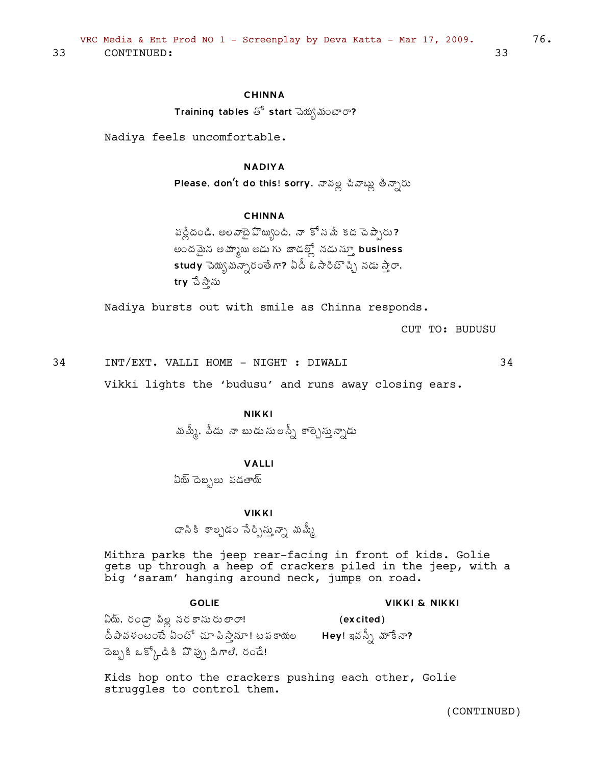# CHINNA

Training tables తో start మెద్భు మంటారా?

Nadiya feels uncomfortable.

# NADIYA

Please, don't do this! sorry, నావల్ల చివాట్లు తీన్నారు

# **CHINNA**

 $\frac{1}{2}$ పర్లీదండి, అలవాబై $\frac{1}{2}$ హ్మింది, నా కోసమే కద చెప్పారు? అందమైన అమ్మాయి అడు గు జాడల్లో నడుస్కూ business  $\mathsf{\mathop{std}}$ y చెయ్య మన్నారంతే గా? ఏడీ ఓ సారిటొచ్చి నడు స్తారా,  $try$  చే స్తాను

Nadiya bursts out with smile as Chinna responds.

CUT TO: BUDUSU

34 INT/EXT. VALLI HOME - NIGHT : DIWALI 34

Vikki lights the 'budusu' and runs away closing ears.

# NIKKI

మశ్కే, పీడు నా బుడుసులస్సీ కాల్చెస్తున్నాడు

# VALLI

ఏయ్ దెబ్బలు పడతాయ్

#### **VIKKI**

 $\varpi$ సికి కాల్చడం సేర్సిస్తున్నా మమ్మీ

Mithra parks the jeep rear-facing in front of kids. Golie gets up through a heep of crackers piled in the jeep, with a big 'saram' hanging around neck, jumps on road.

#### GOLIE

#### VIKKI & NIKKI

ఏదు్, రండ్గా పిల్ల నరకాసురులారా! దీ పావళంటంటే ఏంటో చూ పిస్తానూ! టపకాయల Hey! ఇవన్సీ మాకే నా? āబ్బకీ ఒక్కోడికి పొప్పు డిగాలి. రండే! (excited)

Kids hop onto the crackers pushing each other, Golie struggles to control them.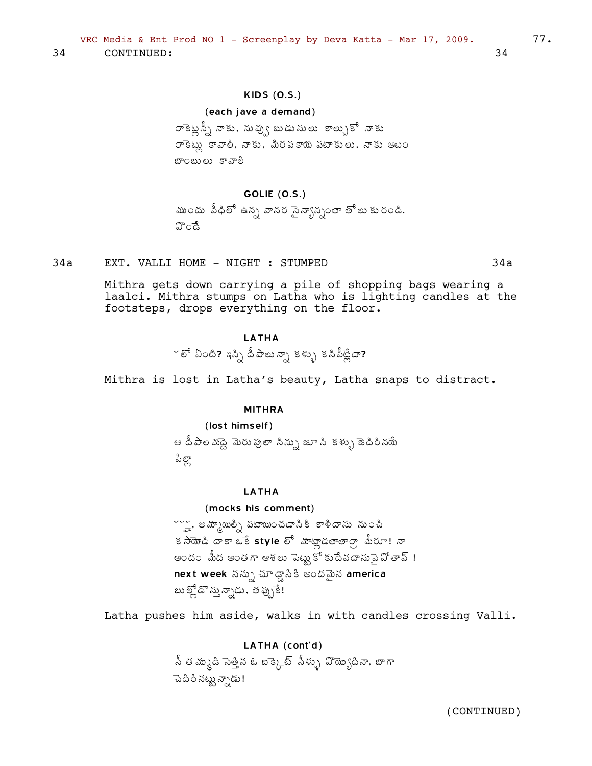# **KIDS (0.S.)**

#### (each jave a demand)

రాకెట్లన్నీ నాకు, నువ్వు బుడుసులు కాల్చుకో నాకు రాకెట్లు కావాలి, నాకు, మీరపకాయ పటాకులు, నాకు ఆటం బాంబులు కావాలీ

#### GOLIE (O.S.)

ముందు పీధిలో ఉన్న వానర సైన్యాన్నంతా తోలు కురండి. హిండే

EXT. VALLI HOME - NIGHT : STUMPED 34a

> Mithra gets down carrying a pile of shopping bags wearing a laalci. Mithra stumps on Latha who is lighting candles at the footsteps, drops everything on the floor.

# **I ATHA**

~ లో ఏంటి? ఇస్సి దీపాలున్నా కళ్ళు కసిపీట్లేదా?

Mithra is lost in Latha's beauty, Latha snaps to distract.

#### **MITHRA**

#### (lost himself)

ఆ దీపాల మద్దె మెరు పులా సిన్ను జూ సి కళ్ళు జెదిరినయే పిల్లా

# **LATHA**

# (mocks his comment)

~~~ అమ్మాయిల్ని పటాయించడానికి కాళీదాసు నుంచి కసాయొడి దాకా ఒకే style లో మాట్లాడలాలాలా మీరూ! నా అందం మీద అంతగా ఆశలు పెట్టు కోకుదేవదాసుపై పోతావ్ ! next week నన్ను చూడ్డాసికి అందమైన america బుల్లోడొ స్తున్నాడు, తప్పుకే!

Latha pushes him aside, walks in with candles crossing Valli.

# LATHA (cont'd)

.<br>సీ తమ్ముడి సెత్తిన ఓ బక్కెట్ సీళ్ళు వొయ్యొదినా. బాగా ెందిరి నట్టు న్నాడు!

(CONTINUED)

34

 $34a$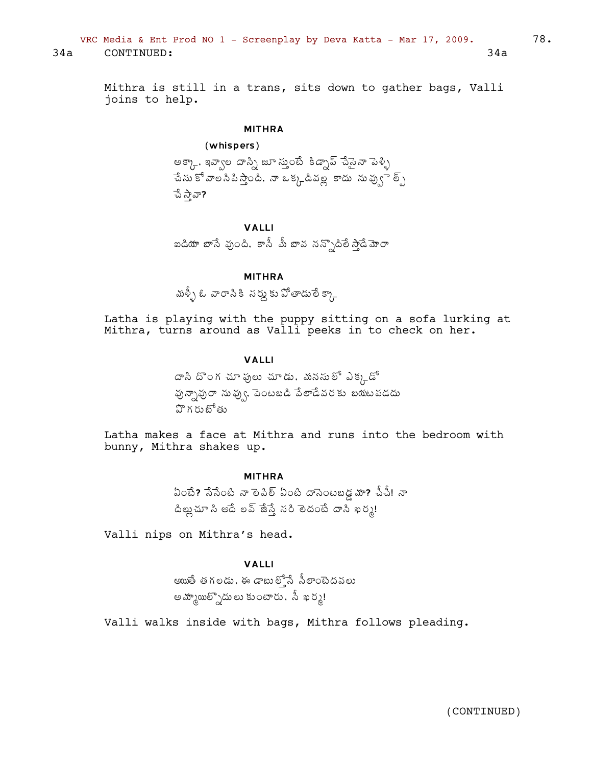VRC Media & Ent Prod NO 1 - Screenplay by Deva Katta - Mar 17, 2009.  $78.$ 34a CONTINUED: 34a

Mithra is still in a trans, sits down to gather bags, Valli joins to help.

# MITHRA

(whispers)

అక్కా, ఇవ్వాల దాస్సి జూ స్తుంటే కిడ్సాప్ షేసైనా పెళ్ళి  $\hat{a}$ సు కోవాల సిపిస్తాంది, నా ఒక్కడినల్ల కాదు సువ్వు $\hat{b}$ న్న పే స్తావా?

# VALLI

ఐడియా బాసే వుంది. కానీ మీ బావ నన్నొదిలే సాడే్మా*రా* 

# MITHRA

మళ్ళీ ఓ వారానికి నర్నుకు పోతాడులే క్కా

Latha is playing with the puppy sitting on a sofa lurking at Mithra, turns around as Valli peeks in to check on her.

# VALLI

 $\bar{\sigma}$ సి దొంగ చూ ఫులు చూడు. మనసులో ఎక్కడో  $\Sigma_{\delta}$ వృవృ $\sigma$  ను వ్వు $\varsigma_{\delta}$ . పెంటబడి పేలాడేవరకు బయటపడదు  $\mathfrak A$ గరుబోతు

Latha makes a face at Mithra and runs into the bedroom with bunny, Mithra shakes up.

#### MITHRA

 $\lambda$ ంటే? సేసేంటి నా లెపిల్ ఏంటి దాసెంటబడ్డ్ మా? చీచీ! నా  $\Delta$ ట్లన్ అదే లవ్ జేస్తే సరి లెదంటే దాని ఖర్మ!

Valli nips on Mithra's head.

# VALLI

అయితే తగలడు, ఈ డాబుల్తోసే సీలాంటెదవలు అమ్మాయిత్సాదు లు కుంటారు, సీ ఖర్శ!

Valli walks inside with bags, Mithra follows pleading.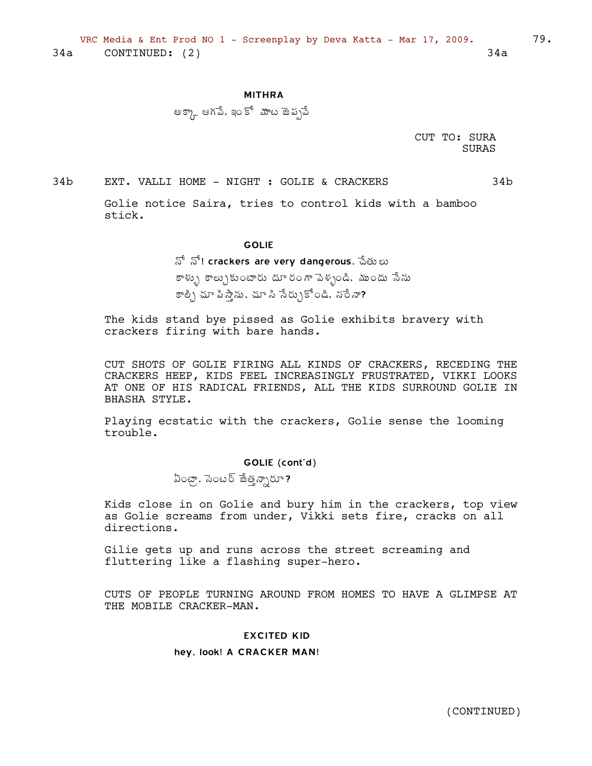#### **MITHRA**

అక్కా ఆగపే, ఇంకో మాట జెప్పపే

CUT TO: SURA **SURAS** 

 $34<sub>b</sub>$ EXT. VALLI HOME - NIGHT : GOLIE & CRACKERS  $34<sub>b</sub>$ 

> Golie notice Saira, tries to control kids with a bamboo stick.

#### **GOLIE**

నో నో! crackers are very dangerous, పేతులు

కాళ్ళు కాల్చుకుంటారు దూరంగా పెళ్ళండి. ముందు సేను కాల్చి చూ పి స్తాను , చూ సి సేర్చుకోండి, నరే నా?

The kids stand bye pissed as Golie exhibits bravery with crackers firing with bare hands.

CUT SHOTS OF GOLIE FIRING ALL KINDS OF CRACKERS, RECEDING THE CRACKERS HEEP, KIDS FEEL INCREASINGLY FRUSTRATED, VIKKI LOOKS AT ONE OF HIS RADICAL FRIENDS, ALL THE KIDS SURROUND GOLIE IN BHASHA STYLE.

Playing ecstatic with the crackers, Golie sense the looming trouble.

GOLIE (cont'd)

ఏంట్రా, సెంటర్ జేత్తన్నారూ?

Kids close in on Golie and bury him in the crackers, top view as Golie screams from under, Vikki sets fire, cracks on all directions.

Gilie gets up and runs across the street screaming and fluttering like a flashing super-hero.

CUTS OF PEOPLE TURNING AROUND FROM HOMES TO HAVE A GLIMPSE AT THE MOBILE CRACKER-MAN.

#### **EXCITED KID**

#### hey, look! A CRACKER MAN!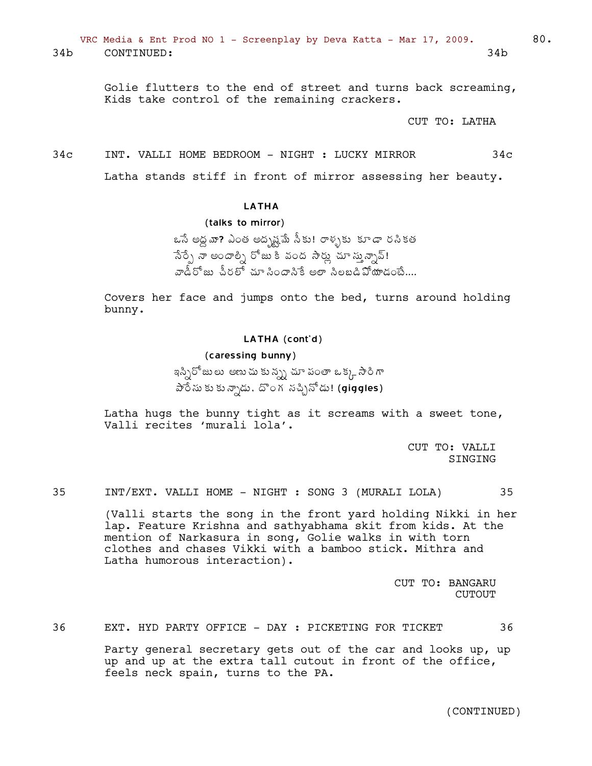VRC Media & Ent Prod NO 1 - Screenplay by Deva Katta - Mar 17, 2009. 60. 34b CONTINUED: 34b

> Golie flutters to the end of street and turns back screaming, Kids take control of the remaining crackers.

> > CUT TO: LATHA

34c INT. VALLI HOME BEDROOM - NIGHT : LUCKY MIRROR 34c

Latha stands stiff in front of mirror assessing her beauty.

LATHA

(talks to mirror)

ఒసే అద్ద వా? ఎంత అద్భష్టపే సీకు! రాళ్ళకు కూడా రసికత సేర్పే నా అందాల్ని రోజు కి వంద *సా*ర్లు చూ స్తున్నావ్!  $\tilde{\mathfrak{so}}$ డీరోజు పీరలో చూ సిందానికే అలా సిలబడి $\mathfrak{so}$ ియాడంబే....

Covers her face and jumps onto the bed, turns around holding bunny.

#### LATHA (cont'd)

(caressing bunny)

ఇస్సిరోజులు అణుచు కున్ను చూ పంతా ఒక్క సారిగా  $\partial \tilde{\phi}$ సు కు న్నాడు, దొంగ సచ్చినోడు! (giggles)

Latha hugs the bunny tight as it screams with a sweet tone, Valli recites 'murali lola'.

> CUT TO: VALLI SINGING

35 INT/EXT. VALLI HOME - NIGHT : SONG 3 (MURALI LOLA) 35

(Valli starts the song in the front yard holding Nikki in her lap. Feature Krishna and sathyabhama skit from kids. At the mention of Narkasura in song, Golie walks in with torn clothes and chases Vikki with a bamboo stick. Mithra and Latha humorous interaction).

> CUT TO: BANGARU CUTOUT

36 EXT. HYD PARTY OFFICE - DAY : PICKETING FOR TICKET 36

Party general secretary gets out of the car and looks up, up up and up at the extra tall cutout in front of the office, feels neck spain, turns to the PA.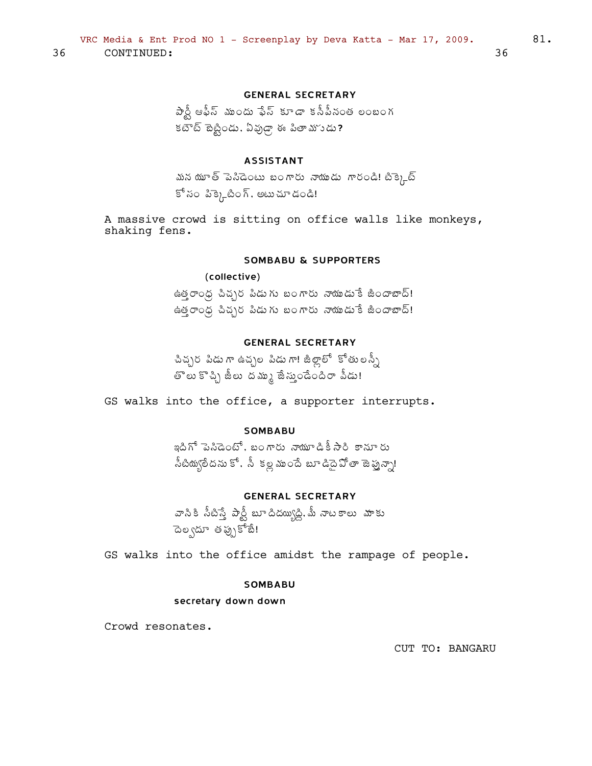# **GENERAL SECRETARY**

 $\hat{\sigma}$ న్లీ ఆఫీస్ ముందు ఫేస్ కూడా కనీపీనంత లంబంగ కటౌట్ టెట్టిండు, ఏవుడ్గా ఈ పితా మాుడు?

# **ASSISTANT**

మన యూత్ పెనిడెంటు బంగారు నాయుడు గారండి! టిక్కెట్ కో సం పిక్కెటింగ్, అటుచూ డండి!

A massive crowd is sitting on office walls like monkeys, shaking fens.

# **SOMBABU & SUPPORTERS**

# (collective)

ఉత్తరాంధ్ర చిచ్చర పిడుగు బంగారు నాయుడుకే జిందాబాద్! ఉత్తరాంధ్ర చిచ్చర పిడుగు బంగారు నాయుడుకే జిందాబాద్!

# **GENERAL SECRETARY**

చిచ్చర పిడు గా ఉచ్చల పిడు గా! జీల్లాలో కోతులన్నీ తాలు కొచ్చి జీలు దమ్ము జేస్తుండేందిరా వీడు!

GS walks into the office, a supporter interrupts.

# **SOMBABU**

ఇదిగో పెనిడెంటో, బంగారు నాయూడికీసారి కానూరు సీటియ్యలేదను కో, సీ కల్ల ముందే బూడిదై వోతా జెప్తున్నా!

### **GENERAL SECRETARY**

వాసికి సీటిస్తే పార్టీ బూదిదయ్యిడ్డి, మీ నాటకాలు మాకు ెదెల్వదూ తప్పుకోబే!

GS walks into the office amidst the rampage of people.

#### **SOMBABU**

#### secretary down down

Crowd resonates.

CUT TO: BANGARU

36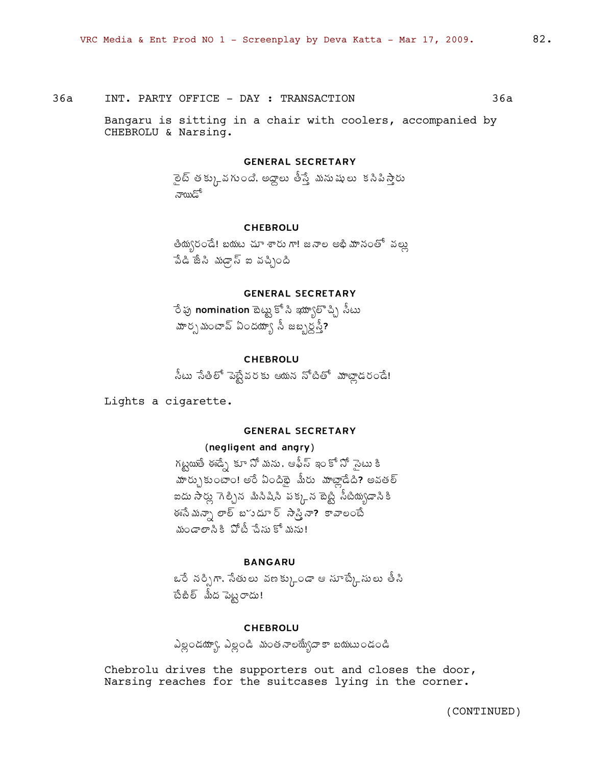$36a$ 

Bangaru is sitting in a chair with coolers, accompanied by CHEBROLU & Narsing.

#### **GENERAL SECRETARY**

ైలట్ తక్కు, వగుంది. అద్దాలు తీస్తే మనుషులు కసిపిస్తారు నాయిడో

#### **CHEBROLU**

తియ్వరండే! బయట చూ శారు గా! జనాల అభి మానంతో వల్లు పేడి జేసి మడ్గాస్ ఐ వచ్చింది

# **GENERAL SECRETARY**

ేర పు nomination బెట్టు కో సి ఇయ్యాలొచ్చి సీటు మార్చమంటావ్ ఏందయ్యా సీ జబ్బర్లస్తే?

# **CHEBROLU**

సీటు సేతిలో పెబ్టేవరకు ఆయన నోటితో మాట్లాడరండే!

Lights a cigarette.

# **GENERAL SECRETARY**

#### (negligent and angry)

గట్టయితే ఈడ్సే కూ నో మను, ఆఫీస్ ఇం కో నో సైటు కి హర్చుకుంటాం! అరే ఏందిభై మీరు హాట్లాడేది? అవతల్ ఐదు సార్లు గెల్చిన మిసిషిని పక్కన టెట్టి సీటియ్యడానికి .<br>ఈసేమన్నా లాల్ బొుదూ ర్ సాన్తినా? కావాలంటే మండాలానికి పోటీ చేసుకో మను!

#### **BANGARU**

ఒరే నర్సిగా, సేతులు వణక్కుండా ఆ సూట్కేసులు తీసి టేబిల్ మీద పెట్టరాదు!

### **CHEBROLU**

ఎల్లండయ్యా, ఎల్లండి మంతనాలయ్యేదాకా బయటుండండి

Chebrolu drives the supporters out and closes the door, Narsing reaches for the suitcases lying in the corner.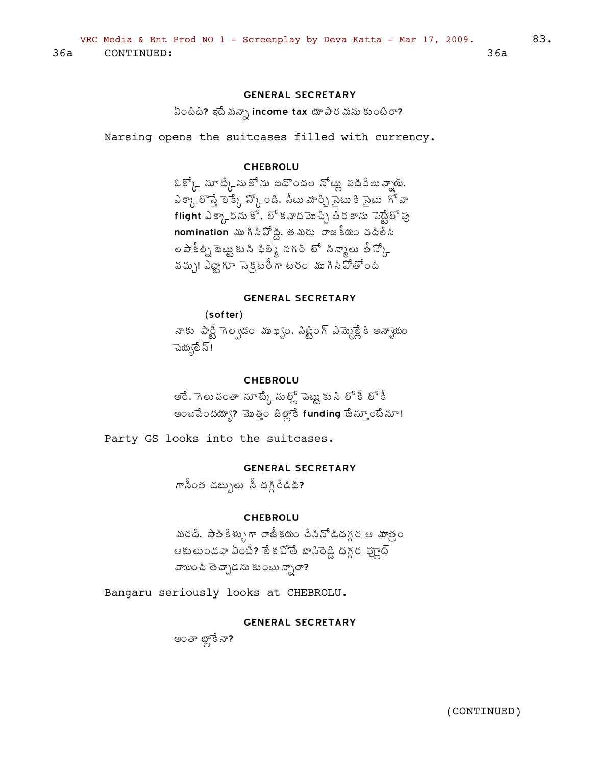# **GENERAL SECRETARY**

ఏందిది? ఇదే మన్సా income tax యా పార మను కుంటిరా?

Narsing opens the suitcases filled with currency.

# **CHEBROLU**

ఓక్క్ సూట్కేసు లోను ఐదొందల నోట్లు పదిపేలు*న్సా*థ్, ఎక్కాలొస్తే లెక్కే న్కోండి. సీటు మార్చి సైటు కి సైటు 'గో వా  $\overline{\mathbf{f}}$  is the state of  $\overline{\mathbf{f}}$  is the state of  $\overline{\mathbf{f}}$  is a state of  $\overline{\mathbf{f}}$  is  $\overline{\mathbf{f}}$  is a state of  $\overline{\mathbf{f}}$  $\bm{\mathsf{nom}}$  induction ముగినిపోద్ది, తమరు రాజకీయం వదిలేని ల పాకీల్సి టెట్టుకు సి ఫిల్మ్ నగర్ లో సిన్కాలు తీస్కో వచ్చు! ఎట్టాగూ సెక్టరీగా టరం ముగినిపోతోంది

#### **GENERAL SECRETARY**

(softer) నాకు పార్టీ గెల్వడం ముఖ్యం, సిట్టింగ్ ఎమ్మెల్లేకి అన్యాయం -పెద్యులే స్!

#### **CHEBROLU**

అరే, గెలు పంతా సూట్కే సుట్ట్ పెట్టుకు సి లో కీ లో కీ అంటపేందయ్యా? మొత్తం జిల్లాకే funding జేన్పూంటేనూ!

Party GS looks into the suitcases.

# **GENERAL SECRETARY**

గానీంత డబ్బులు నీ దగ్గిరేడిది?

#### **CHEBROLU**

మరదే. పాతికేళ్ళుగా రాజీకయం చేసినోడిదగ్గర ఆ మాత్రం ఆకులుండవా ఏంటీ? లేకపోతే బాసిరెడ్డి దగ్గర ఫ్రూట్ వాయించి తెచ్చాడను కుంటు న్సారా?

Bangaru seriously looks at CHEBROLU.

# **GENERAL SECRETARY**

అంతా బ్లాకే నా?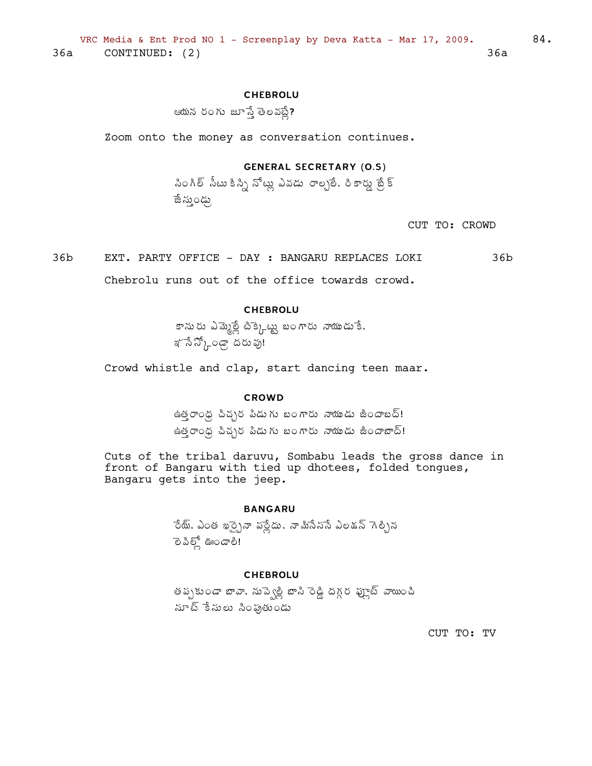# **CHEBROLU**

ఆయన రంగు జూస్తే తెలవట్లే?

Zoom onto the money as conversation continues.

# **GENERAL SECRETARY (0.5)**

సింగిల్ సీటు కిస్ని నోట్లు ఎవడు రాల్చలే, రికార్డు బ్రేక్ ాజే స్తుండ్కు

CUT TO: CROWD

 $36<sub>b</sub>$ EXT. PARTY OFFICE - DAY: BANGARU REPLACES LOKI  $36<sub>b</sub>$ Chebrolu runs out of the office towards crowd.

# **CHEBROLU**

కానురు ఎమ్మెల్లే టిక్కెట్టు బంగారు నాయుడుకే. ఞో నే స్కోండ్గా దరు వు!

Crowd whistle and clap, start dancing teen maar.

#### **CROWD**

ఉత్తరాంధ్ర చిచ్చర పిడుగు బంగారు నాయుడు జిందాబద్! ఉత్తరాంధ్ర చిచ్చర పిడుగు బంగారు నాయుడు జిందాబాద్!

Cuts of the tribal daruvu, Sombabu leads the gross dance in front of Bangaru with tied up dhotees, folded tongues, Bangaru gets into the jeep.

# **BANGARU**

ెంట్. ఎంత ఖర్చైనా పర్లేదు, నామిసేనసే ఎలక్షన్ గెల్చిన లె పిల్లో ఊండాలి!

# **CHEBROLU**

తప్పకుండా బావా, నుప్వెల్లీ బాసి రెడ్డి దగ్గర ఫ్రూట్ వాయించి సూట్ కేసులు సింఫుతుండు

CUT TO: TV

84.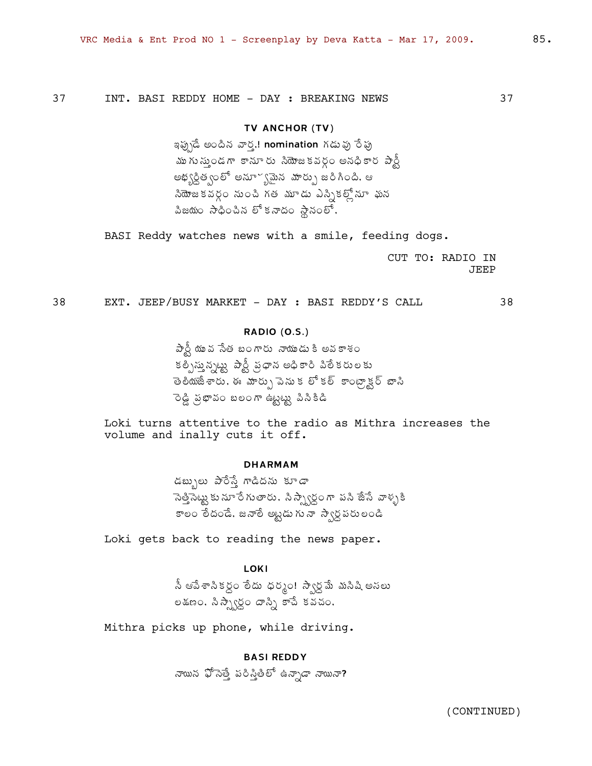INT. BASI REDDY HOME - DAY : BREAKING NEWS 37

# TV ANCHOR (TV)

ఇప్పుడే అందిన వార్త.! nomination గడువు రేపు ముగు సు్తుండగా కానూ రు సియోజకవర్గం అనధికార పార్టీ అభ్యర్ధిత్వంలో అనూ~్యమైన మార్పు జరిగింది. ఆ సియోజకవర్గం నుంచి గత మూడు ఎస్నికల్లోనూ ఘన విజయం సాధించిన లోకనాదం స్థానంలో,

BASI Reddy watches news with a smile, feeding dogs.

CUT TO: RADIO IN **JEEP** 

38 EXT. JEEP/BUSY MARKET - DAY : BASI REDDY'S CALL

38

# **RADIO (0.S.)**

పార్టీ యువ సేత బంగారు నాయుడుకి అవకాశం కల్పిస్తున్నట్టు పార్టీ ప్రధాన అధికారి పిలేకరులకు ాంతు<br>అంటేశ్రారు, ఈ మార్పు పెనుకర్కికల్ కాంట్రాక్టర్ బాసి రెడ్డి ప్రభావం బలంగా ఉట్టట్టు పిసికిడి

Loki turns attentive to the radio as Mithra increases the volume and inally cuts it off.

#### **DHARMAM**

డబ్బులు పారేస్తే గాడిదను కూడా .<br>సెత్తిసెట్టు కు నూ రే గుతారు. ని స్ప్వార్ధం గా పని జేసే వాళ్ళకి కాలం తేదండే. జనాలే అట్టడుగునా స్వార్ధపరులండి

Loki gets back to reading the news paper.

**LOKI** 

సీ ఆపేశాసికర్ధం లేదు ధర్మం! స్వార్ధమే మసిషి అసలు లక్షణం, సిస్పార్ధం దాస్స్తి కాచే కవచం,

Mithra picks up phone, while driving.

# **BASI REDDY**

నాయిన ఫోసెత్తే పరిస్తితీలో ఉన్నాడా నాయినా?

37

85.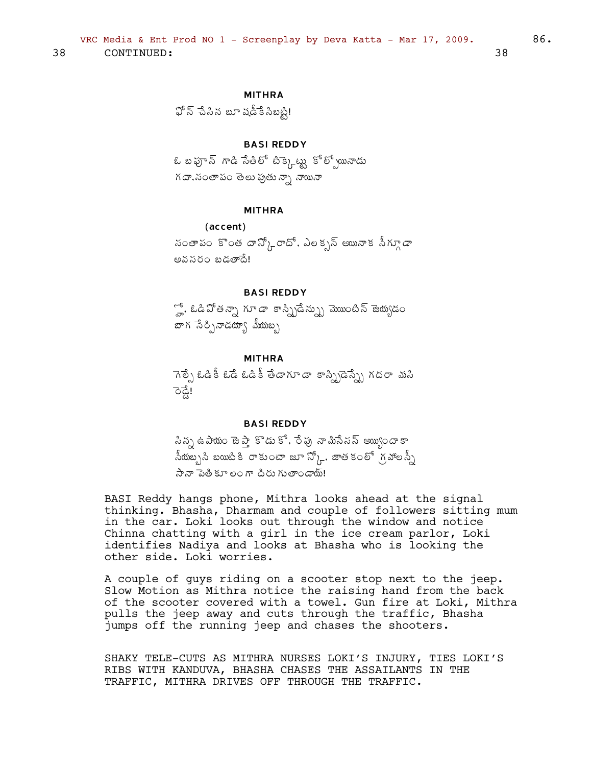# **MITHRA**

 $\mathfrak{P} \, \overline{\! 5} \,$  పేసిన బూ షడీకే సిబట్టి!

# **BASI REDDY**

ఓ బఫూన్ గాడి సేతిలో టిక్కెట్టు కోల్సోయినాడు గదా, సంతాపం తెలు ఫుతు న్నా నాయినా

#### **MITHRA**

```
(accent)
```
సంతాపం కొంత దాన్కోేందో, ఎలక్సన్ అయినాక సీగ్యూడా అవనరం బడతాదే!

# **BASI REDDY**

్హో, ఓడిపోతన్నా గూడా కాస్న్రిడేన్న్ను మొబంటిన్ జెయ్యడం బాగ సేర్చినాడయా్య మీయబృ

### **MITHRA**

ెగెల్ఫే ఓడికీ ఓడే ఓడికీ తేడాగూడా కాస్ప్రిడెస్స్నే గదరా మసి 'ਡ੍ਰੈਟ

#### **BASI REDDY**

సిన్న ఉపాయం జెప్తా కొడుకో, రేపు నామిసేనన్ అ్యుందాకా నీయబ్బని బయిటికి రాకుంటా జూ స్కో. జాతకంలో గ్రహాలన్నీ సేనా పెత్రీ కూలం గా దీరు గుతాండాయ్!

BASI Reddy hangs phone, Mithra looks ahead at the signal thinking. Bhasha, Dharmam and couple of followers sitting mum in the car. Loki looks out through the window and notice Chinna chatting with a girl in the ice cream parlor, Loki identifies Nadiya and looks at Bhasha who is looking the other side. Loki worries.

A couple of guys riding on a scooter stop next to the jeep. Slow Motion as Mithra notice the raising hand from the back of the scooter covered with a towel. Gun fire at Loki, Mithra pulls the jeep away and cuts through the traffic, Bhasha jumps off the running jeep and chases the shooters.

SHAKY TELE-CUTS AS MITHRA NURSES LOKI'S INJURY, TIES LOKI'S RIBS WITH KANDUVA, BHASHA CHASES THE ASSAILANTS IN THE TRAFFIC, MITHRA DRIVES OFF THROUGH THE TRAFFIC.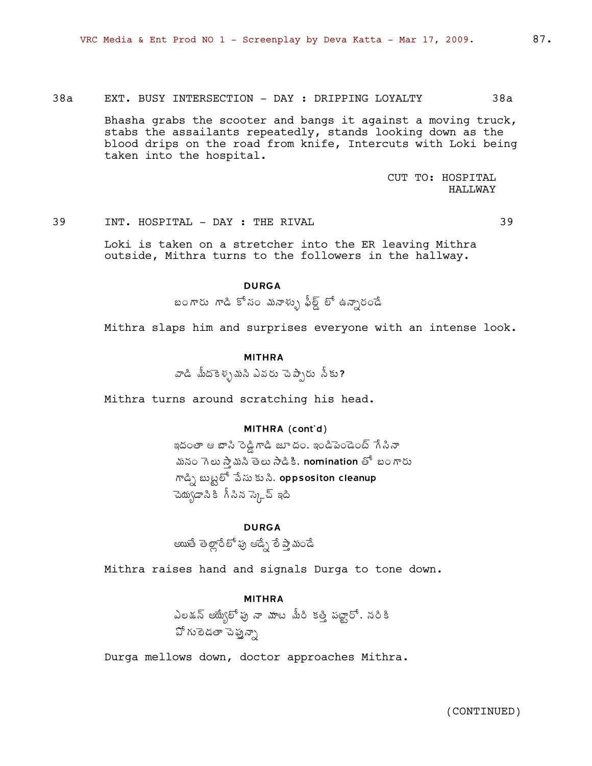# 38a EXT. BUSY INTERSECTION - DAY : DRIPPING LOYALTY 38a

Bhasha grabs the scooter and bangs it against a moving truck, stabs the assailants repeatedly, stands looking down as the blood drips on the road from knife, Intercuts with Loki being taken into the hospital.

> CUT TO: HOSPITAL HALLWAY

#### 39 INT. HOSPITAL - DAY : THE RIVAL 39

Loki is taken on a stretcher into the ER leaving Mithra outside, Mithra turns to the followers in the hallway.

# DURGA

£Ï§ÁÅ ™à ͬÁÏ ¥Áþ®ÁÅò ¢Ä¨÷Ý ¨Í "þÂä§ÁÏ™Ê

Mithra slaps him and surprises everyone with an intense look.

# MITHRA

వాడి మీదకెళ్ళమని ఎవరు చెప్పారు నీకు?

Mithra turns around scratching his head.

# MITHRA (cont'd)

ఇదంతా ఆ బాసి రెడ్డిగాడి జూ దం, ఇండిపెండెంట్ గేసినా మనం గెలు స్తామసి తెలు సాడికి, nomination తో బంగారు  $\bar{m}$ డ్పి బుట్టలో పేసు కు సి. oppsositon cleanup ె య్యెడాని కి గీ సిన స్క్రె ఇది

# DURGA

అయితే తెల్లారేలో పు ఆడ్సే లే ప్తామండే

Mithra raises hand and signals Durga to tone down.

#### MITHRA

 $\lambda$ లడన్ ఆయ్యేలో పు నా మాట మీరి కత్తి పట్టారో. నరికి వో గులెడతా చెప్తు*న్నా* 

Durga mellows down, doctor approaches Mithra.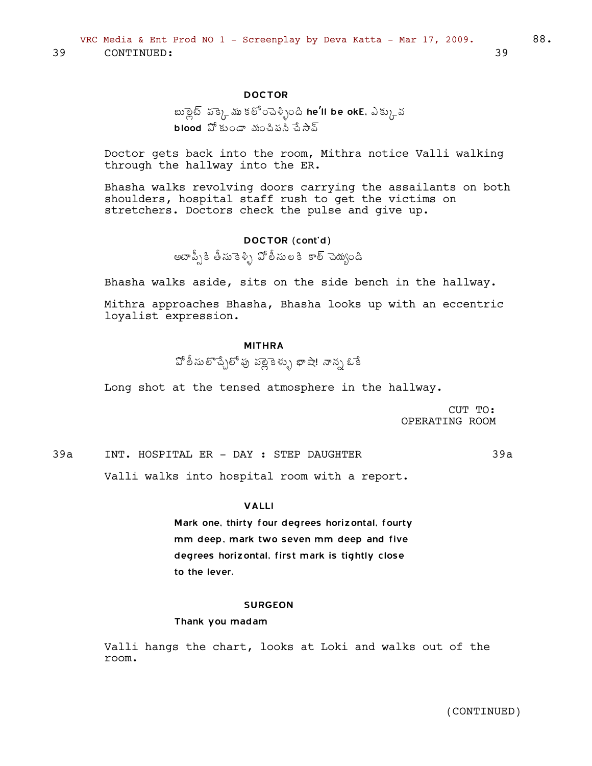# DOCTOR

# బుల్లైట్ పక్కెమ్ కలోంచెళ్ళింది he'll be okE, ఎక్కువ  $b$ lood  $\mathfrak A$  కుండా మంచిపని చేసాన్

Doctor gets back into the room, Mithra notice Valli walking through the hallway into the ER.

Bhasha walks revolving doors carrying the assailants on both shoulders, hospital staff rush to get the victims on stretchers. Doctors check the pulse and give up.

### DOCTOR (cont'd)

అటాప్స్కీ తీసుకెళ్ళి పోలీసులకి కాల్ చెయ్యండి

Bhasha walks aside, sits on the side bench in the hallway.

Mithra approaches Bhasha, Bhasha looks up with an eccentric loyalist expression.

#### MITHRA

±Í¨Ä¬ÁŨÌúÊ֨͡Áô ¡Á¨ÉìÉ®ÁÅò ¤Â´Â! þÂþÁä ‹Ê

Long shot at the tensed atmosphere in the hallway.

CUT TO: OPERATING ROOM

39a INT. HOSPITAL ER - DAY : STEP DAUGHTER 39a

Valli walks into hospital room with a report.

#### VALLI

Mark one, thirty four degrees horizontal, fourty mm deep, mark two seven mm deep and five degrees horizontal, first mark is tightly close to the lever.

#### SURGEON

#### Thank you madam

Valli hangs the chart, looks at Loki and walks out of the room.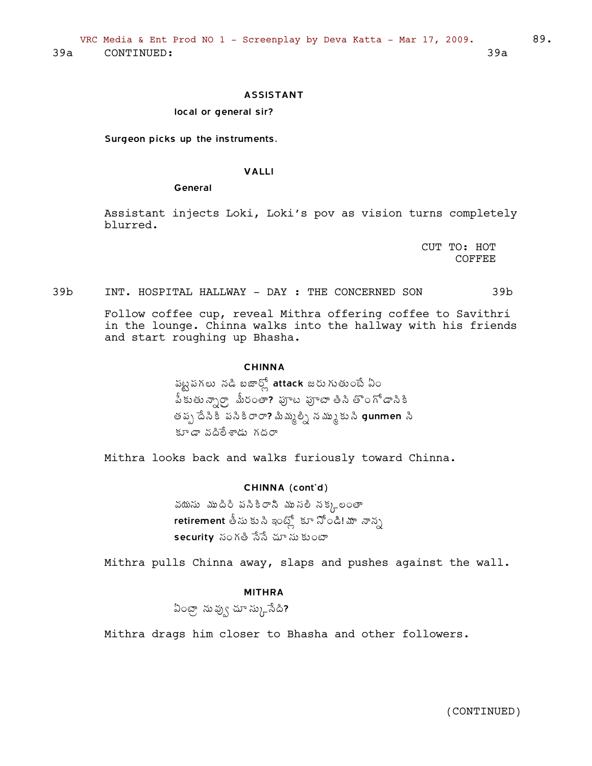#### **ASSISTANT**

#### local or general sir?

Surgeon picks up the instruments.

#### **VALLI**

#### General

Assistant injects Loki, Loki's pov as vision turns completely blurred.

> CUT TO: HOT COFFEE

#### $39<sub>b</sub>$ INT. HOSPITAL HALLWAY - DAY : THE CONCERNED SON  $39<sub>b</sub>$

Follow coffee cup, reveal Mithra offering coffee to Savithri in the lounge. Chinna walks into the hallway with his friends and start roughing up Bhasha.

# **CHINNA**

పట్టపగలు నడి బజార్లో attack జరుగుతుంటే ఏం పీకుతున్నార్గా మీరంతా? పూట పూటా తీసి తొంగోడాసికి తప్ప దేనికి పనికిరారా? మిమ్మల్ని నమ్ముకుని gunmen ని కూడా వదిలేశాడు గదరా

Mithra looks back and walks furiously toward Chinna.

#### CHINNA (cont'd)

వయసు ముదిరి పనికిరానీ మునలి నక్క $\epsilon$ లంతా retirement తీసు కు సి ఇంట్లో కూ నోండి! మా నాన్న  $\sf security$  సంగతి సేసే చూ సు కుంటా

Mithra pulls Chinna away, slaps and pushes against the wall.

### **MITHRA**

ఏంట్రా నువ్వు చూ స్కు సేది?

Mithra drags him closer to Bhasha and other followers.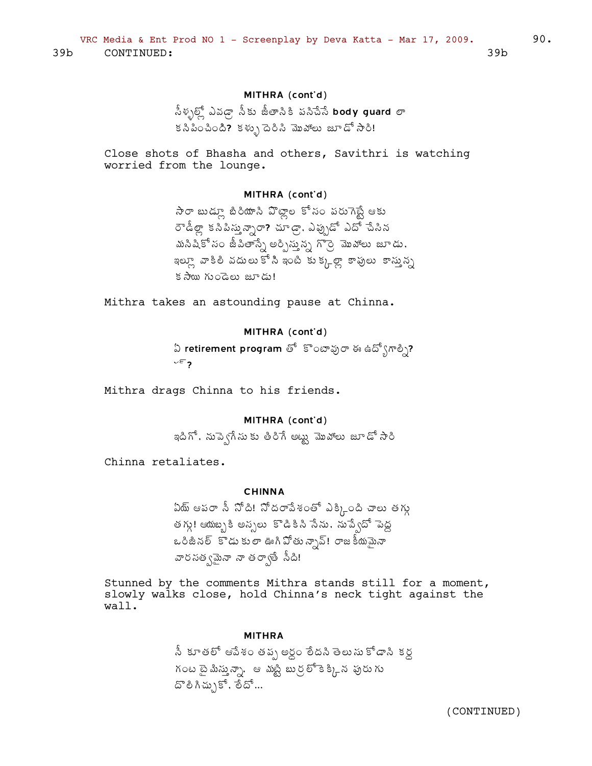# MITHRA (cont'd)

సీళ్ళల్లో ఎవడ్రా సీకు జీతాసికి పసిచేసే body guard లా కనీపించింది? కళ్ళు దెరిసి మొహాలు జూడో సారి!

Close shots of Bhasha and others, Savithri is watching worried from the lounge.

# MITHRA (cont'd)

సారా బుడ్లూ బిరియాని వొట్లాల కోసం పరుగెస్టే ఆకు రౌడీల్లా కసీపిస్తున్నారా? చూడ్రా, ఎప్పుడో ఎదో చేసిన మసిషికో సం జీవితాస్నే అర్పిస్తున్న గొర్రి మొహాలు జూడు, ఇల్లూ వాకిలి వదులుకోని ఇంటి కుక్కల్లా కాపులు కాస్తున్న  $s$   $\frac{1}{2}$   $\frac{1}{2}$   $\frac{1}{2}$   $\frac{1}{2}$   $\frac{1}{2}$   $\frac{1}{2}$   $\frac{1}{2}$   $\frac{1}{2}$   $\frac{1}{2}$   $\frac{1}{2}$   $\frac{1}{2}$   $\frac{1}{2}$   $\frac{1}{2}$   $\frac{1}{2}$   $\frac{1}{2}$   $\frac{1}{2}$   $\frac{1}{2}$   $\frac{1}{2}$   $\frac{1}{2}$   $\frac{1}{2}$   $\frac{1}{2}$   $\frac{1}{2$ 

Mithra takes an astounding pause at Chinna.

# MITHRA (cont'd)

ఏ retirement program తో కొంటావురా ఈ ఉద్భోగాల్ని?  $v \in \mathbf{z}$ 

Mithra drags Chinna to his friends.

# MITHRA (cont'd)

ఇదిగో, నుప్వెగేసుకు తిరిగే అట్టు <mark>మొ</mark>హాలు జూడో సారి

Chinna retaliates.

#### **CHINNA**

ఏయ్ ఆపరా సీ నోది! నోదరాపేశంతో ఎక్కింది చాలు తగ్గు తగ్గు! ఆయబ్బకి అన్సలు కొడికిని సేను, నుప్వేదో పెద్ద ,<br>ఒరిజీనల్ కొడుకులా ఊగిపోతున్నావ్! రాజకీయమైనా వారసత్వమైనా నా తర్వాతే సీది!

Stunned by the comments Mithra stands still for a moment, slowly walks close, hold Chinna's neck tight against the wall.

#### **MITHRA**

నీ కూతలో ఆపేశం తప్ప అర్ధం లేదని తెలుసు కోడాని కర్ద గంట టై మిస్తున్నా, ఆ మట్టి బుర్రల్ కె క్కిన పురుగు దొలిగిచ్చుకో, లేదో...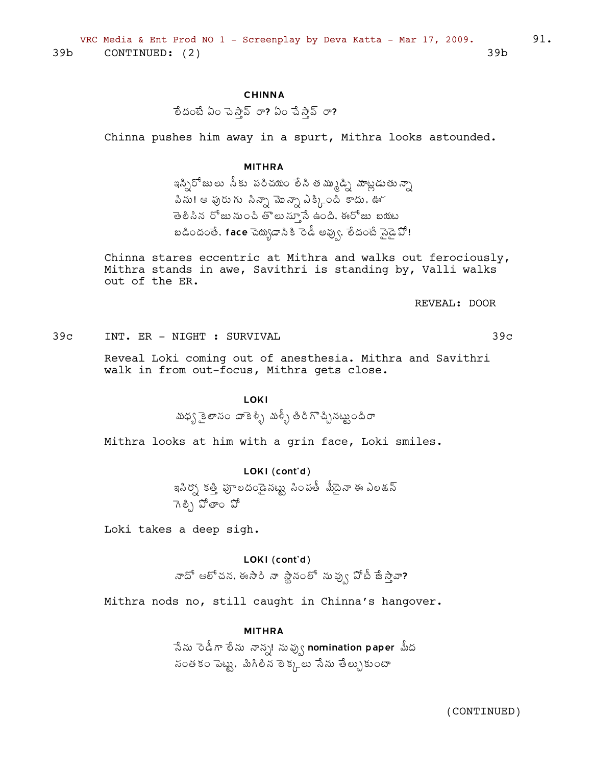# **CHINNA**

ేందంటే ఏం చెస్తావ్ రా? ఏం చేస్తావ్ రా?

Chinna pushes him away in a spurt, Mithra looks astounded.

#### **MITHRA**

ఇస్సిరోజులు సీకు పరిచయం లేసి తమ్ముడ్ని మాట్లడుతున్నా .<br>పిను! ఆ పురు గు సిన్నా మొన్నా ఎక్కింది కాదు. ఊో తెలిసిన రోజునుంచి తొలుస్తూనే ఉంది. ఈరోజు బయట బడిందంతే, face చెయ్యడాని కి రెడీ అవ్వు, లేదంటే నైడై ఏో!

Chinna stares eccentric at Mithra and walks out ferociously, Mithra stands in awe, Savithri is standing by, Valli walks out of the ER.

REVEAL: DOOR

INT. ER - NIGHT : SURVIVAL  $39<sub>c</sub>$ 

 $39c$ 

Reveal Loki coming out of anesthesia. Mithra and Savithri walk in from out-focus, Mithra gets close.

# **LOKI**

మధ్య కై లాసం దాకెళ్ళి మళ్ళీ తిరిగొచ్చినట్టుందిరా

Mithra looks at him with a grin face, Loki smiles.

# LOKI (cont'd)

ఇసిర్న్లోక త్తీ పూలదండైనట్టు సింపతీ మీదైనా ఈ ఎలక్షన్ గెలి) పోతాం పో

Loki takes a deep sigh.

LOKI (cont'd)

నాదో ఆలోచన, ఈసారి నా స్థానంలో నువ్వు పోటీ జీస్తానా?

Mithra nods no, still caught in Chinna's hangover.

#### **MITHRA**

ేసేను రెడీగా లేను నాన్న! నువ్వు nomination paper మీద సంతకం పెట్టు, మిగిలిన లెక్కలు సేను తేల్చుకుంటా

(CONTINUED)

91.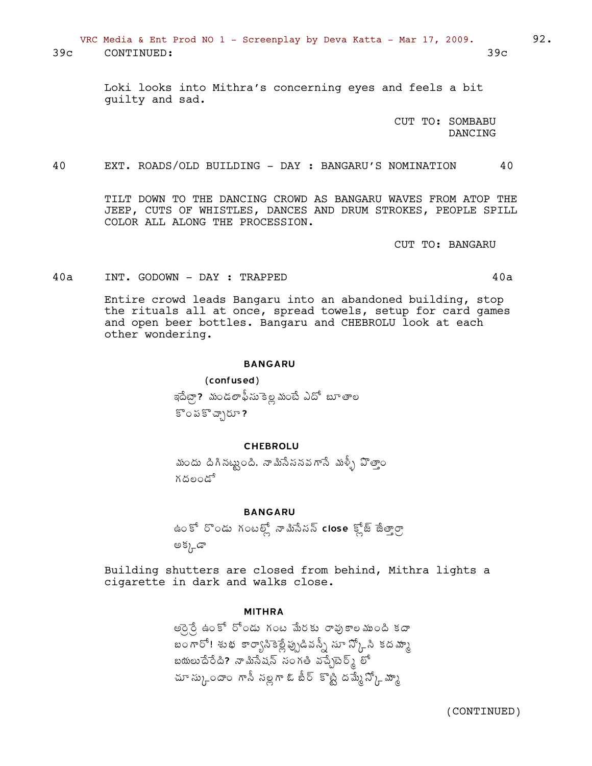VRC Media & Ent Prod NO 1 - Screenplay by Deva Katta - Mar 17, 2009. 92. 39c CONTINUED: 39c

> Loki looks into Mithra's concerning eyes and feels a bit guilty and sad.

> > CUT TO: SOMBABU DANCING

40 EXT. ROADS/OLD BUILDING - DAY : BANGARU'S NOMINATION 40

TILT DOWN TO THE DANCING CROWD AS BANGARU WAVES FROM ATOP THE JEEP, CUTS OF WHISTLES, DANCES AND DRUM STROKES, PEOPLE SPILL COLOR ALL ALONG THE PROCESSION.

CUT TO: BANGARU

40a INT. GODOWN - DAY : TRAPPED

Entire crowd leads Bangaru into an abandoned building, stop the rituals all at once, spread towels, setup for card games and open beer bottles. Bangaru and CHEBROLU look at each other wondering.

#### BANGARU

(confused) ఇదేట్గా? మండలాఫీసుకెల్ల మంటే ఎదో బూతాల  $\mathbb{S}$ ంపకిచ్చి

#### CHEBROLU

మందు దిగినట్టుంది. నామిసేననవగాసే మళ్ళీ పొతాౖం గదలండే

#### **BANGARU**

ఉంకో రొండు గంటల్లో నామిసేసన్ close క్లోజ్ జేత్తార్రా అక్కడా

Building shutters are closed from behind, Mithra lights a cigarette in dark and walks close.

#### MITHRA

.<br>అరైనే ఉంకో రోండు గంట మేరకు రాఫుకాలముంది కదా బంగారో! శుభ కార్యాసికెట్లేప్పుడివన్సీ సూ స్కోసి కదమ్మా బయలుదేరేది? నామిసేషన్ సంగతి వచ్చేటెర్మ్ లో చూ స్కుందాం గానీ సల్లగా ఓ బీర్ కొట్టి దమ్మే  $\mathfrak{F}_{\lambda}$ చ్కూ

$$
40a
$$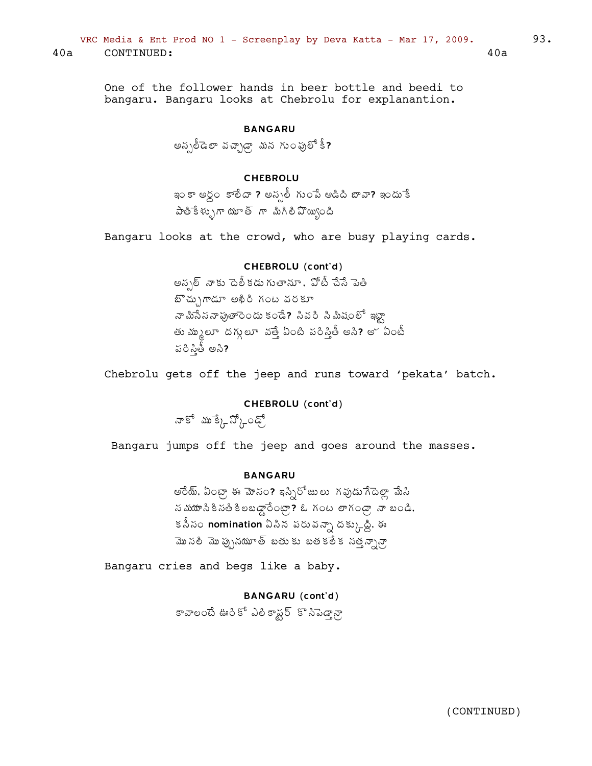VRC Media & Ent Prod NO  $1$  - Screenplay by Deva Katta - Mar 17, 2009. 93. 40a CONTINUED: 40a

One of the follower hands in beer bottle and beedi to bangaru. Bangaru looks at Chebrolu for explanantion.

# BANGARU

అస్సలీడెలా వచ్చాడ్రా మన గుంపులో కీ?

# CHEBROLU

ఇం కా అర్ధం కాలేదా ? అన్సలీ గుంపే ఆడిది బావా? ఇందుకే  $\partial^2 \partial^2 \xi \xi_0$ స్ లో మాగిలీ పొయ్యింది

Bangaru looks at the crowd, who are busy playing cards.

# CHEBROLU (cont'd)

అస్పల్ నాకు పెలీకడు గుతామా , పోటీ చేసే పెతి  $E^*$ చ్చుగాడూ అఖిరి గంట వరకూ నా మిసేసనా ఫుతారెందు కండే? సివరి సి మీషంలో ఇట్టా తు మ్కులూ దగ్గులూ వత్తే ఏంటి పరిస్తీ అసి? అ $\check{~}$ ఏంటీ  $5\delta$ పీతీ అసి?

Chebrolu gets off the jeep and runs toward 'pekata' batch.

# CHEBROLU (cont'd)

నాకో ము<sup>-</sup>క్కేస్,ంఢ్,

Bangaru jumps off the jeep and goes around the masses.

#### BANGARU

అరేయ్, ఏంట్రా ఈ మోసం? ఇస్సిరోజులు గవుడుగేదెల్లా మేసి  $\tilde{a}$  మర్యూ  $\tilde{a}$  and  $\tilde{a}$  is  $\tilde{a}$  in  $\tilde{a}$  in  $\tilde{a}$  is an  $\tilde{a}$  in  $\tilde{a}$  is an  $\tilde{a}$  is an  $\tilde{a}$  is an  $\tilde{a}$  is an  $\tilde{a}$  is an  $\tilde{a}$  is an  $\tilde{a}$  is an  $\tilde{a}$  is an  $\tilde{a}$  `కనీసం **nomination** ఏసిన పరువన్నా దక్కుద్ది, ఈ మొనలి మొప్పునయూత్ బతుకు బతకలేక నత్తన్నాన్రా

Bangaru cries and begs like a baby.

BANGARU (cont'd)

కావాలంటే ఊరికో ఎలికాష్టర్ కొనిపెడ్వాన్గా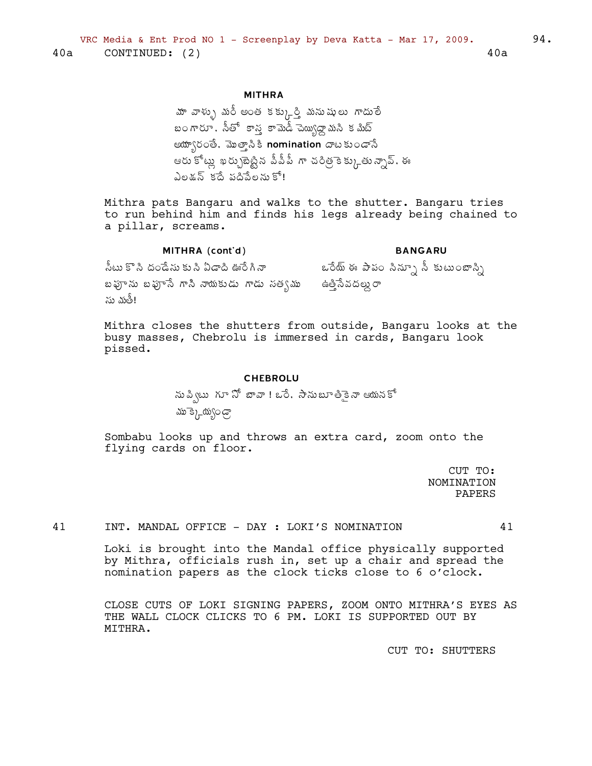# **MITHRA**

మా వాళ్ళు మరీ అంత కక్కుర్తి మనుషులు గాదులే బంగారూ, సీతో కాన కామెడీ చెయ్యిడ్డా మని కమిట్ ఆయ్యారంతే, మొత్తాసికి nomination దాటకుండాసే ఆరు కోట్లు ఖర్చుబెట్టిన పీపీపీ గా చరిత్రెకెక్కుతున్నావ్, ఈ ఎలక్షన్ కదే పదిపేలను కో!

Mithra pats Bangaru and walks to the shutter. Bangaru tries to run behind him and finds his legs already being chained to a pillar, screams.

MITHRA (cont'd) **BANGARU** సీటు కొని దండేసు కుని ఏడాది ఊరేగినా ఒరేయ్ ఈ పాపం నిన్సూ సీ కుటుంబాన్ని బఫూను బఫూసే గాని నాయకుడు గాడు సత్వము ఉత్తిసేవదల్లు రా ను నటీ!

Mithra closes the shutters from outside, Bangaru looks at the busy masses, Chebrolu is immersed in cards, Bangaru look pissed.

#### **CHEBROLU**

ను ప్విటు గూ నో బావా ! ఒరే. సానుబూ తీకైనా ఆయనకో ము క్కెయ్యండ్ర

Sombabu looks up and throws an extra card, zoom onto the flying cards on floor.

> CUT TO: NOMINATION PAPERS

INT. MANDAL OFFICE - DAY : LOKI'S NOMINATION 41

41

Loki is brought into the Mandal office physically supported by Mithra, officials rush in, set up a chair and spread the nomination papers as the clock ticks close to 6 o'clock.

CLOSE CUTS OF LOKI SIGNING PAPERS, ZOOM ONTO MITHRA'S EYES AS THE WALL CLOCK CLICKS TO 6 PM. LOKI IS SUPPORTED OUT BY MITHRA.

CUT TO: SHUTTERS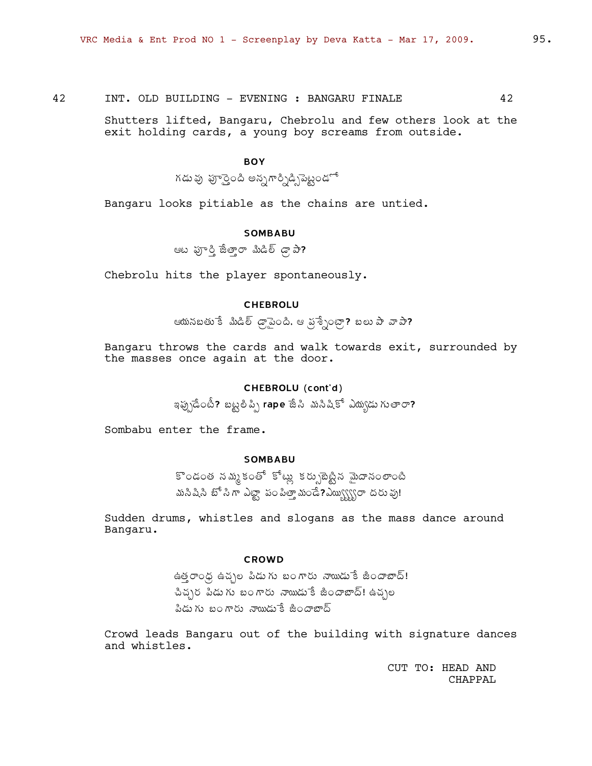42 INT. OLD BUILDING - EVENING : BANGARU FINALE 42

> Shutters lifted, Bangaru, Chebrolu and few others look at the exit holding cards, a young boy screams from outside.

# **BOY**

.<br>గడు వు పూర్తైంది అన్నగార్నిడ్సిపెట్టండో

Bangaru looks pitiable as the chains are untied.

#### **SOMBABU**

ఆట ఫూర్తి జేత్తారా మిడిల్ డ్రా పా?

Chebrolu hits the player spontaneously.

### **CHEBROLU**

ఆయనబతుకే మిడిల్ డ్రాపైంది, ఆ ప్రశ్నేంట్రా? బలు పా వాపా?

Bangaru throws the cards and walk towards exit, surrounded by the masses once again at the door.

# CHEBROLU (cont'd)

ఇప్పుడేంటీ? బట్టలిప్సి rape జేసి మసిషికో ఎద్యుడు గుతారా?

Sombabu enter the frame.

# **SOMBABU**

కొండంత నమ్మకంతో కోట్లు కర్పుబెట్టిన మైదానంలాంటి మసిషిసి బో సి గా ఎట్టా పంపిత్తా మండే?ఎయ్బ్బ్రోరా దరు వు!

Sudden drums, whistles and slogans as the mass dance around Bangaru.

#### **CROWD**

ఉత్తాంధ్ర ఉచ్చల పిడుగు బంగారు నాయిడుకే జిందాబాద్! చిచ్చర పిడుగు బంగారు నాయిడుకే జిందాబాద్! ఉచ్చల పిడుగు బంగారు నాయిడుకే జిందాబాద్

Crowd leads Bangaru out of the building with signature dances and whistles.

> CUT TO: HEAD AND CHAPPAL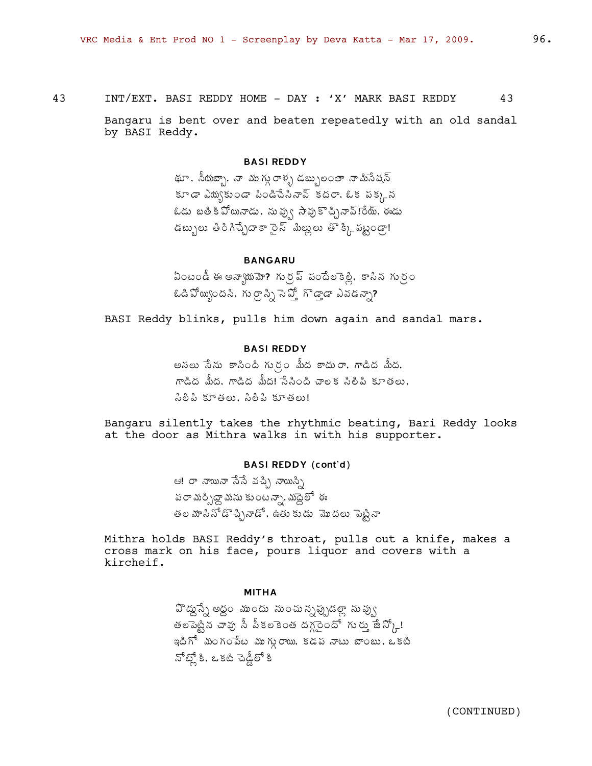43 INT/EXT. BASI REDDY HOME - DAY : 'X' MARK BASI REDDY 43

Bangaru is bent over and beaten repeatedly with an old sandal by BASI Reddy.

### BASI REDDY

థూ, సీయబ్బా, నా ముగ్గు రాళ్ళ డబ్బులంతా నామిసేషన్  $\Delta \mathbf{S} = \mathbf{S} \cdot \mathbf{S}$ స్థిశీల సిందేశేశీనా ఉది శరాం ఉక సక్కన  $\ell$ డు బతి కి ఏో్యనాడు, నువ్వు సావుకొచ్చినావ్!రేయ్, ఈడు డబ్బులు తిరిగిచ్చేదాకా సైన్ మిల్లులు తొక్కి పట్టండా!

# BANGARU

 $\Omega$ ంటండీ ఈ అన్యాయమా? గుర్ర్ పందేలకెళ్లి, కాసిన గుర్రం  $\hat{\mathbf{a}}$ డి ఏో మ $\hat{\mathbf{a}}$ ంది మ $\hat{\mathbf{a}}$ ు గుర్గా సి $\hat{\mathbf{a}}$  పోధం సిమాడన్నా?

BASI Reddy blinks, pulls him down again and sandal mars.

# BASI REDDY

అనలు సేను కాసింది గుర్రం మీద కాదురా, గాడిద మీద, mడిద మీద. గాడిద మీద! సేసింది చాలక సిలిపి కూతలు. సిలీపి కూతలు. సిలీపి కూతలు!

Bangaru silently takes the rhythmic beating, Bari Reddy looks at the door as Mithra walks in with his supporter.

#### BASI REDDY (cont'd)

ఆ! రా నాయునా సేసే వచ్చి నాయిస్సి పరా మర్పిద్దా మను కుంటన్నా, మద్దెలో ఈ తల మాసినోడొచ్చినాడో, ఉతు కుడు మొదలు పెట్టినా

Mithra holds BASI Reddy's throat, pulls out a knife, makes a cross mark on his face, pours liquor and covers with a kircheif.

#### MITHA

 $\mathfrak{P}$ డ్నుషే $\lambda$  అద్దం ముందు నుంచున్నప్పుడల్లా నువ్వు తలపెట్టిన చావు సీ పీకలకెంత దగ్గ్రెందో గుర్ను జే $\mathfrak{D}_{\mathsf{L}}!$ ఇదిగో మంగంపేట ముగ్గురాయి, కడప నాటు బాంబు, ఒకటి సోట్లో కి. ఒకటి చెడ్డీలో కి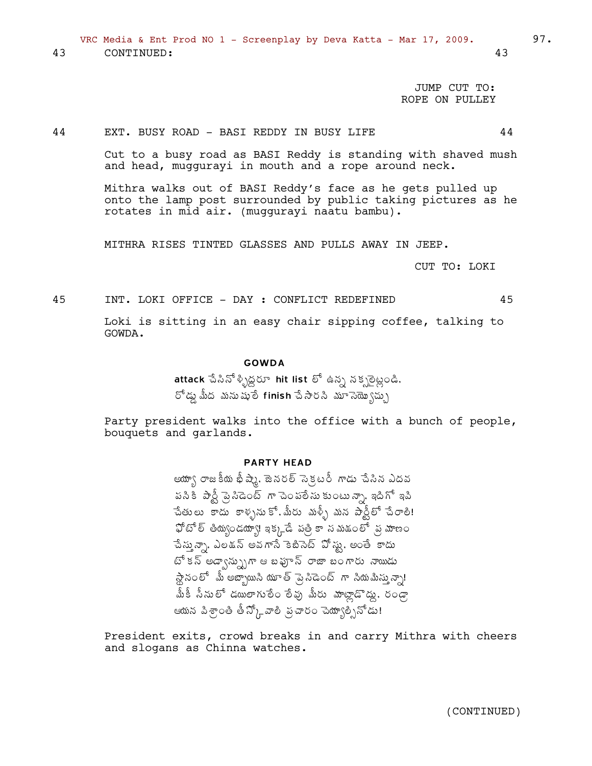VRC Media & Ent Prod NO 1 - Screenplay by Deva Katta - Mar 17, 2009. 97. 43 CONTINUED: 43

> JUMP CUT TO: ROPE ON PULLEY

#### 44 EXT. BUSY ROAD - BASI REDDY IN BUSY LIFE 44

Cut to a busy road as BASI Reddy is standing with shaved mush and head, muggurayi in mouth and a rope around neck.

Mithra walks out of BASI Reddy's face as he gets pulled up onto the lamp post surrounded by public taking pictures as he rotates in mid air. (muggurayi naatu bambu).

MITHRA RISES TINTED GLASSES AND PULLS AWAY IN JEEP.

CUT TO: LOKI

45 INT. LOKI OFFICE - DAY : CONFLICT REDEFINED 45

Loki is sitting in an easy chair sipping coffee, talking to GOWDA.

#### GOWDA

 $\overline{\text{attack}}$   $\hat{\text{a}}$ ಸಿನ್ $\hat{\text{a}}$ ృಜ್ಞರ $\text{for}$  hit list  $\delta^{\text{f}}$  ఉన్న నక్సలైట్లండి,  $5^6$ డ్డు మీద మనుషులే finish చేసారని మూ సెయ్యొస్సు

Party president walks into the office with a bunch of people, bouquets and garlands.

# PARTY HEAD

అయ్యా రాజకీయ భీష్మే, జెనరల్ సెక్రటరీ గాడు చేసిన ఎదవ పసికి పార్టీ పై సిడెంట్ గా చెంపలేను కుంటున్నా, ఇదిగో ఇపి చేతులు కాదు కాళ్ళనుకో,మీరు మళ్ళీ మన పార్టీలో చేరాలి!  $\mathfrak{P}$ టో ల్ తియ్యండయ్యా! ఇక్కడే పత్రి కాన మశుంలో న్ర మాణం చేస్తున్నా, ఎలక్షన్ అవగాసే కెబిసెట్ ఏోస్టు, అంతే కాదు  $65$  కన్ అడ్వాన్ను)గా ఆ బఫూన్ రాజా బంగారు నాయిడు  $\lambda \rightarrow \infty$ లో మీ అబ్బాయిని యూత్ పై, సిడెంట్ గా నియమిస్తున్నా! మీకీ సీనులో డయిలాగులే౦ లేవు మీరు మాట్లాడొడ్డు, ర౦డ్రా ఆయన పిశ్రాంతి తీస్కోేవాలి నుచార౦ చెయ్యాల్సినోడు!

President exits, crowd breaks in and carry Mithra with cheers and slogans as Chinna watches.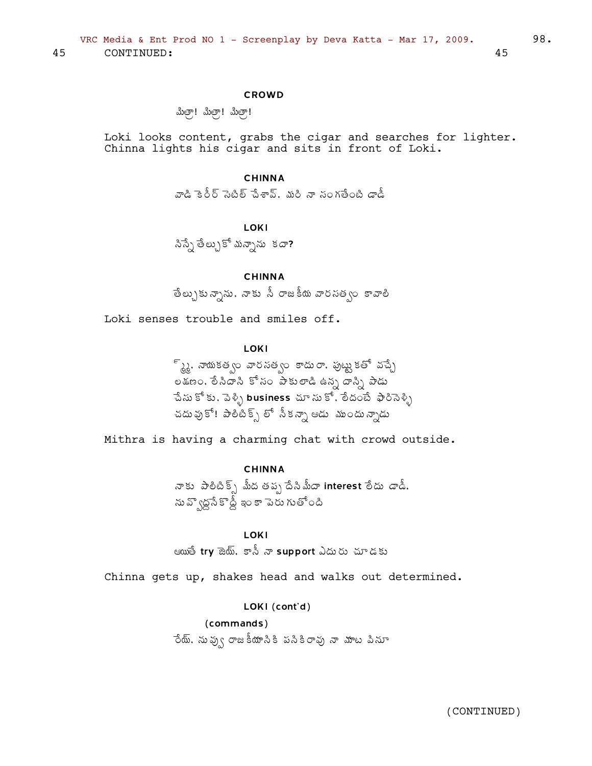#### **CROWD**

ಪಿುತ್ರಾ! ಮಿತ್ರಾ! ಮಿತ್ರಾ!

Loki looks content, grabs the cigar and searches for lighter. Chinna lights his cigar and sits in front of Loki.

#### **CHINNA**

వాడి కెరీర్ సెటిల్ చేశావ్. మరి నా సంగతేంటి డాడీ

#### LOKI

సిస్సే తేల్చుకో మన్నాను కదా?

# **CHINNA**

తేల్చుకున్నాను, నాకు సీ రాజకీయ వారసత్వం కావాలి

Loki senses trouble and smiles off.

#### LOKI

్ స్క్రై, నాయకత్వం వారసత్వం కాదురా, పుట్టుకతో వచ్చే ం<br>అక్షణం, లేనిదాని కోసం పాకులాడి ఉన్న దాన్ని పాడు ేచేసు కోకు, పెళ్ళి business చూసు కో, లేదంటే ఫారిసెళ్ళి చదువుకో! పాలిటిక్స్ లో నీకన్నా ఆడు ముందున్నాడు

Mithra is having a charming chat with crowd outside.

# **CHINNA**

నాకు పాలిటిక్స్ మీద తప్ప దేసిమీదా interest లేదు డాడీ. .<br>ను వ్వొద్ద సేకాద్దీ ఇం కా పెరు గుతోంది

# **LOKI**

ఆయుతే try జెయ్, కానీ నా support ఎదురు చూడకు

Chinna gets up, shakes head and walks out determined.

# LOKI (cont'd)

(commands) ేయ్. నువ్వు రాజకీయానికి పనికిరావు నా మాట పినూ

45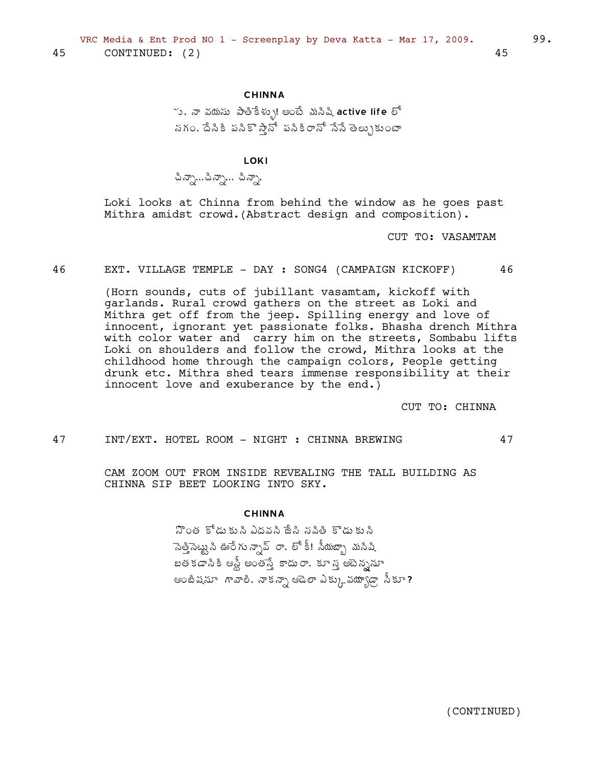# **CHINNA**

్ర, నా వయసు పాతికేళ్ళు! అంటే మసిషి active life లో నగం, దేనికి పనికొస్తానో పనికిరానో నేనే తెల్పుకుంటా

**LOKI** 

ಪಿನ್ಸ್…ಪಿನ್ಸ್… ಪಿನ್ಸ್.

Loki looks at Chinna from behind the window as he goes past Mithra amidst crowd. (Abstract design and composition).

CUT TO: VASAMTAM

46 EXT. VILLAGE TEMPLE - DAY : SONG4 (CAMPAIGN KICKOFF) 46

> (Horn sounds, cuts of jubillant vasamtam, kickoff with garlands. Rural crowd gathers on the street as Loki and Mithra get off from the jeep. Spilling energy and love of innocent, ignorant yet passionate folks. Bhasha drench Mithra with color water and carry him on the streets, Sombabu lifts Loki on shoulders and follow the crowd, Mithra looks at the childhood home through the campaign colors, People getting drunk etc. Mithra shed tears immense responsibility at their innocent love and exuberance by the end.)

> > CUT TO: CHINNA

47

47 INT/EXT. HOTEL ROOM - NIGHT : CHINNA BREWING

> CAM ZOOM OUT FROM INSIDE REVEALING THE TALL BUILDING AS CHINNA SIP BEET LOOKING INTO SKY.

#### **CHINNA**

నొంత కోడు కుసి ఎదవసి జేసి సపితి కొడు కుసి ెసెత్తిసెట్టు సి ఊరే గు న్సావ్రా, లో కీ! సీయబ్బా మసిషి బతకడానికి ఆస్టీ అంతస్తే కాదురా, కూ స్త అపెన్ననూ ఆంటిషనూ గావాలి. నాకన్నా ఆడెలా ఎక్కువయ్యాడ్గా సీకూ? 45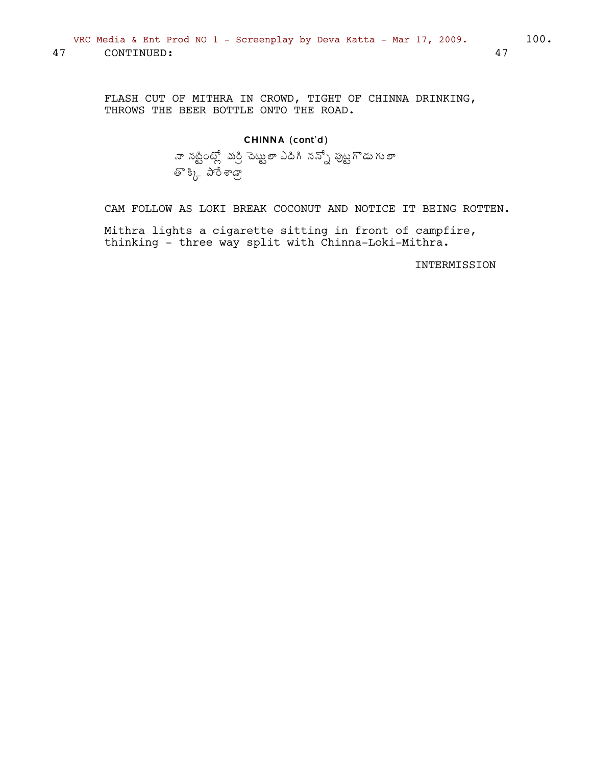FLASH CUT OF MITHRA IN CROWD, TIGHT OF CHINNA DRINKING, THROWS THE BEER BOTTLE ONTO THE ROAD.

CAM FOLLOW AS LOKI BREAK COCONUT AND NOTICE IT BEING ROTTEN.

Mithra lights a cigarette sitting in front of campfire, thinking - three way split with Chinna-Loki-Mithra.

INTERMISSION

47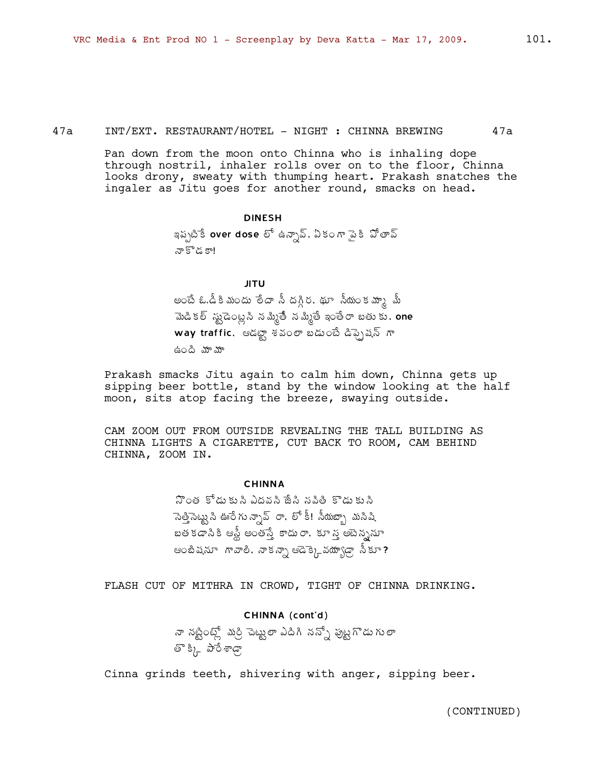47a 1NT/EXT. RESTAURANT/HOTEL - NIGHT : CHINNA BREWING 47a

Pan down from the moon onto Chinna who is inhaling dope through nostril, inhaler rolls over on to the floor, Chinna looks drony, sweaty with thumping heart. Prakash snatches the ingaler as Jitu goes for another round, smacks on head.

#### DINESH

ఇప్పటికే over dose లో ఉన్నావ్, ఏకంగా పైకి పోతావ్  $\mathbb{F}^\times$  কৰা

JITU

అంటే ఓ.డీకి మందు లేదా సీ దగ్గిర, థూ సీయంకమా<sub>గ్ది</sub> మీ మెడి కల్ స్టుడెంట్లని నమ్మితీ నమ్మితే ఇంతేరా బతు కు. one  $w$ ay traffic, ఆడబ్జా శవంలా బడుంటే డిప్పైషన్ గా ఉంది మామా

Prakash smacks Jitu again to calm him down, Chinna gets up sipping beer bottle, stand by the window looking at the half moon, sits atop facing the breeze, swaying outside.

CAM ZOOM OUT FROM OUTSIDE REVEALING THE TALL BUILDING AS CHINNA LIGHTS A CIGARETTE, CUT BACK TO ROOM, CAM BEHIND CHINNA, ZOOM IN.

#### CHINNA

 $\mathfrak F$ ంత కోడు కు సి ఎదవసి జేసి సపితీ కొడు కు సి ెసెత్తిసెట్మనీ ఊరే గు న్సావ్ రా, లో కీ! సీయబ్బా మసిషి బత కడాసి కి ఆస్టీ అంతస్తే కాదు రా. కూ స్త అపెన్ననూ ఆంబిషనూ గావాలి, నాకన్నా ఆడెక్కెవయా్్గడా నీకూ?

FLASH CUT OF MITHRA IN CROWD, TIGHT OF CHINNA DRINKING.

# CHINNA (cont'd) శా నట్టింట్లో మర్రి చెట్టులా ఎదిగి నన్నో పుట్టగొడు గులా తొక్కి పారేశాఢా

Cinna grinds teeth, shivering with anger, sipping beer.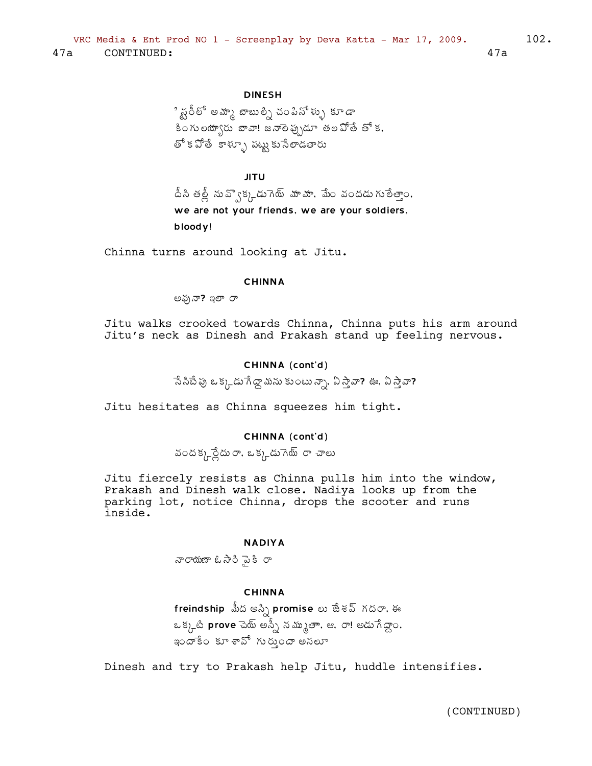ి స్ట్రేల్<sup>8</sup> అమ్మా బాబుల్ని చంపినోళ్ళు కూడా ా.<br>కింగులయాృరు బావా! జనాలె పృుడూ తల పోతే తో క, తో క వోతే కాళ్ళూ పట్టు కుసేలాడతారు

JITU

 $\Delta$ సి తల్లీ ను వ్వొక్కడు గెు్ను వూమా, మేం వందడు గులేత్తాం, we are not your friends, we are your soldiers, bloody!

Chinna turns around looking at Jitu.

#### CHINNA

అఫునా? ఇలా రా

Jitu walks crooked towards Chinna, Chinna puts his arm around Jitu's neck as Dinesh and Prakash stand up feeling nervous.

#### CHINNA (cont'd)

సే సిటే ఫు ఒక్క డుగే డ్రా మను కుంటు న్నా, ఏ స్తావా? ఊ, ఏ స్తావా?

Jitu hesitates as Chinna squeezes him tight.

# CHINNA (cont'd)

వందక్క్రస్దేదురా, ఒక్కడుగెయ్ రా చాలు

Jitu fiercely resists as Chinna pulls him into the window, Prakash and Dinesh walk close. Nadiya looks up from the parking lot, notice Chinna, drops the scooter and runs inside.

#### NADIYA

నారాయణా ఓసారి వైకీ రా

#### CHINNA

freindship మీద అస్సి promise లు జేశవ్ గదరా, ఈ ఒక్కటి prove చెయ్ అస్నీ నమ్ముతాా, ఆ, రా! అడుగేద్దాం, ్ధం<br>ఇందాకేం కూ శావో గురుందా అనలూ

Dinesh and try to Prakash help Jitu, huddle intensifies.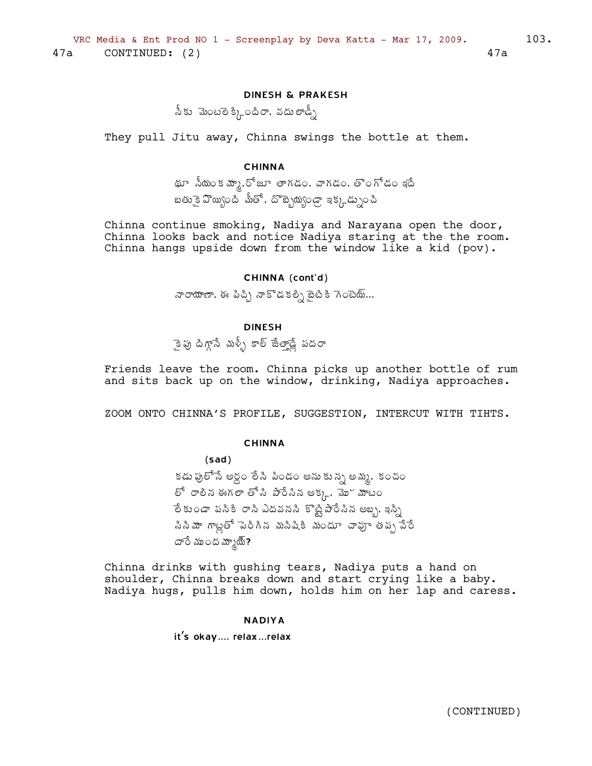# **DINESH & PRAKESH**

,<br>సీకు మెంటలెక్కిందిరా, వదులాడ్నీ

They pull Jitu away, Chinna swings the bottle at them.

#### **CHINNA**

థూ సీయంక మ్మా, రోజూ తాగడం, వాగడం, తొంగోడం ఇదే బతు కై వొయ్యింది మీతో, దొబ్బెయ్యండ్రా ఇక్కడ్నుంచి

Chinna continue smoking, Nadiya and Narayana open the door, Chinna looks back and notice Nadiya staring at the the room. Chinna hangs upside down from the window like a kid (pov).

#### CHINNA (cont'd)

నారాయాణా, ఈ పిచ్చి నాకొడకల్పి బైటికి గెంటెయ్...

# **DINESH**

ాక్పు దిగ్గానే మళ్ళీ కాల్ జేలాడ్లే పద**ా** 

Friends leave the room. Chinna picks up another bottle of rum and sits back up on the window, drinking, Nadiya approaches.

ZOOM ONTO CHINNA'S PROFILE, SUGGESTION, INTERCUT WITH TIHTS.

#### **CHINNA**

 $(sad)$ 

కడు ఫులోసే అర్ధం లేసి పిండం అను కున్న అమ్మ, కంచం లో రాలీన ఈగలా తోసి పారేసిన అక్కు. మొ<sup>ర</sup> మాటం ేల కుండా పసికి రాసి ఎదవనసి కొట్టిపారేసిన అబ్బ, ఇస్సి .<br>సినిమా గాట్లతో పెరిగిన మసిషికి మందూ చావుా తప్ప<sup>ొ</sup>చేరే దారే ముంద మ్మాయ్ి?

Chinna drinks with gushing tears, Nadiya puts a hand on shoulder, Chinna breaks down and start crying like a baby. Nadiya hugs, pulls him down, holds him on her lap and caress.

#### **NADIYA**

it's okay.... relax...relax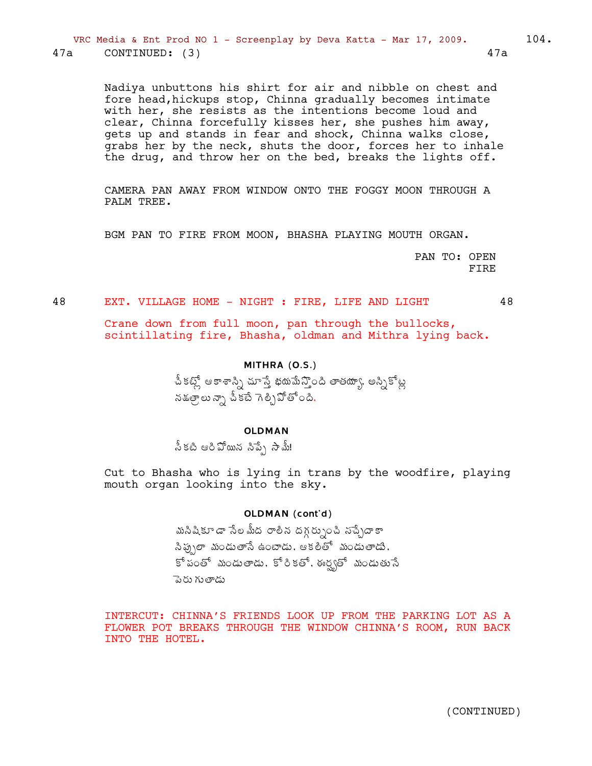Nadiya unbuttons his shirt for air and nibble on chest and fore head, hickups stop, Chinna gradually becomes intimate with her, she resists as the intentions become loud and clear, Chinna forcefully kisses her, she pushes him away, gets up and stands in fear and shock, Chinna walks close, grabs her by the neck, shuts the door, forces her to inhale the drug, and throw her on the bed, breaks the lights off.

CAMERA PAN AWAY FROM WINDOW ONTO THE FOGGY MOON THROUGH A PALM TREE.

BGM PAN TO FIRE FROM MOON, BHASHA PLAYING MOUTH ORGAN.

PAN TO: OPEN **FTRE** 

EXT. VILLAGE HOME - NIGHT : FIRE, LIFE AND LIGHT 48

48

Crane down from full moon, pan through the bullocks, scintillating fire, Bhasha, oldman and Mithra lying back.

# MITHRA (O.S.)

చీకట్లో ఆకాశాస్సి చూస్తే భయమేన్తొంది తాతయ్యా, అస్నికోట్ల నక్షత్రాలు న్నా చీకటే గెల్చిపోతోంది.

# **OLDMAN**

స్కటి ఆరిపోయిన సిప్పే సామ్!

Cut to Bhasha who is lying in trans by the woodfire, playing mouth organ looking into the sky.

# OLDMAN (cont'd)

మసిషికూడా సేలమీద రాలిన దగ్గర్నుంచి నచ్చేదాకా సిప్పులా మండుతాసే ఉంటాడు. ఆకలితో మండుతాడు. కో పంతో మండుతాడు, కోరికతో, ఈర్వతో మండుతుసే పెరు గుతాడు

INTERCUT: CHINNA'S FRIENDS LOOK UP FROM THE PARKING LOT AS A FLOWER POT BREAKS THROUGH THE WINDOW CHINNA'S ROOM, RUN BACK INTO THE HOTEL.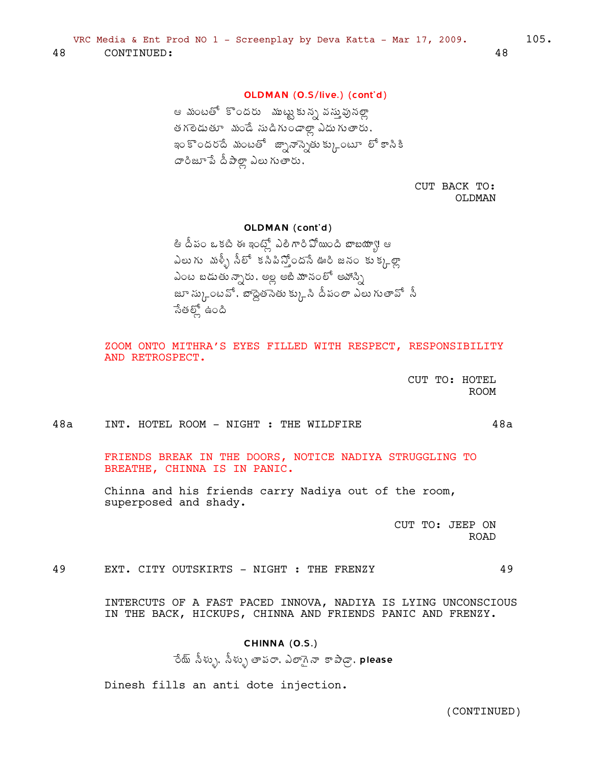# OLDMAN (O.S/live.) (cont'd)

ఆ మంటతో కొందరు ముట్టుకున్న వస్తువున్నా త గలెడుతూ మండే సుడిగుండాల్లా ఎదు గుతారు, ఇం కొందరదే మంటతో జ్నానాన్నెతు క్కుంటూ లో కాసికి దారిజూ పే దీపాల్లా ఎలు గుతారు.

> CUT BACK TO: OLDMAN

OLDMAN (cont'd)

తి దీపం ఒకటి ఈ ఇంట్లో ఎలిగారి వోయింది బాబయ్యా! ఆ ఎలుగు మళ్ళీ సీలో కసిపిస్తోందసే ఊరి జనం కుక్కల్లా ఎంట బడుతున్నారు, అల్ల అబి మానంలో అవోస్ని జూ స్కుంటవో, బాద్దెత నేతు క్కువి దీవంలా ఎలు గుతావో .సీ సేతల్లో ఉంది

ZOOM ONTO MITHRA'S EYES FILLED WITH RESPECT, RESPONSIBILITY AND RETROSPECT.

> CUT TO: HOTEL **ROOM**

> > $48a$

49

 $48a$ INT. HOTEL ROOM - NIGHT : THE WILDFIRE

> FRIENDS BREAK IN THE DOORS, NOTICE NADIYA STRUGGLING TO BREATHE, CHINNA IS IN PANIC.

Chinna and his friends carry Nadiya out of the room, superposed and shady.

> CUT TO: JEEP ON **ROAD**

49 EXT. CITY OUTSKIRTS - NIGHT : THE FRENZY

> INTERCUTS OF A FAST PACED INNOVA, NADIYA IS LYING UNCONSCIOUS IN THE BACK, HICKUPS, CHINNA AND FRIENDS PANIC AND FRENZY.

# CHINNA (O.S.)

ేయ్ సీళ్ళు, సీళ్ళు తాపరా, ఎలాగైనా కాపాడ్గా, please

Dinesh fills an anti dote injection.

(CONTINUED)

 $105.$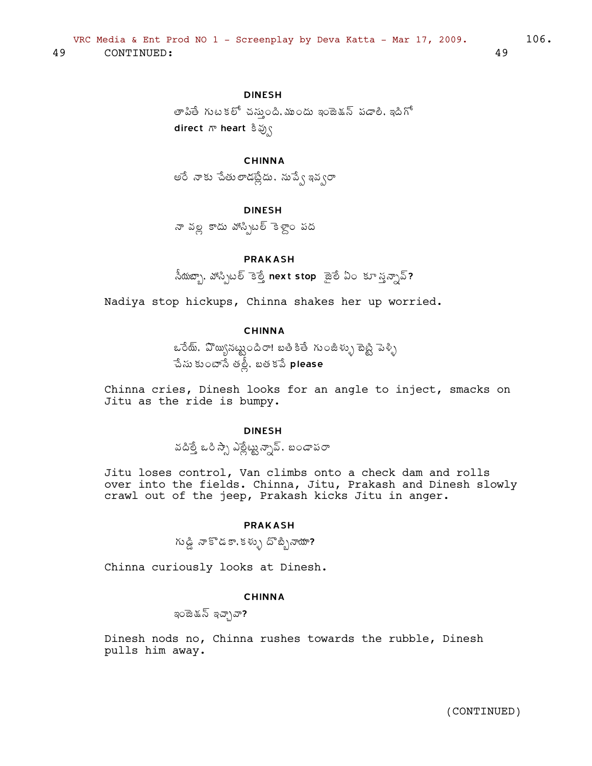తాపితే గుటకలో చస్తుంది. ముందు ఇంజెక్షన్ పడాలి. ఇదిగో direct ಗ್ heart ತಿವ್ರ್ಸ

# **CHINNA**

అరే నాకు చేతులాడట్లేదు. నుప్వే ఇవ్వరా

# **DINFSH**

నా వల్ల కాదు వాస్సిటల్ కెళ్లాం పద

#### **PRAKASH**

.<br>నీయజ్యా, హాస్పిటల్ కెల్తే next stop జైలే ఏం కూ స్త్రన్నావ్?

Nadiya stop hickups, Chinna shakes her up worried.

# **CHINNA**

ఒరేయ్. వొయ్యినట్టుందిరా! బతికితే గుంజీళ్ళు బెట్టి పెళ్ళి ేపేసు కుంటాసే తల్లీ, బత కపే $\,$  please

Chinna cries, Dinesh looks for an angle to inject, smacks on Jitu as the ride is bumpy.

# **DINESH**

వదిత్తే ఒరి స్సా ఎల్లేట్టున్నావ్. బండాపరా

Jitu loses control, Van climbs onto a check dam and rolls over into the fields. Chinna, Jitu, Prakash and Dinesh slowly crawl out of the jeep, Prakash kicks Jitu in anger.

#### **PRAKASH**

గుడ్డి నాకొడకా,కళ్ళు దొబ్బినాయా?

Chinna curiously looks at Dinesh.

# **CHINNA**

ఇంజెడన్ ఇచ్చావా?

Dinesh nods no, Chinna rushes towards the rubble, Dinesh pulls him away.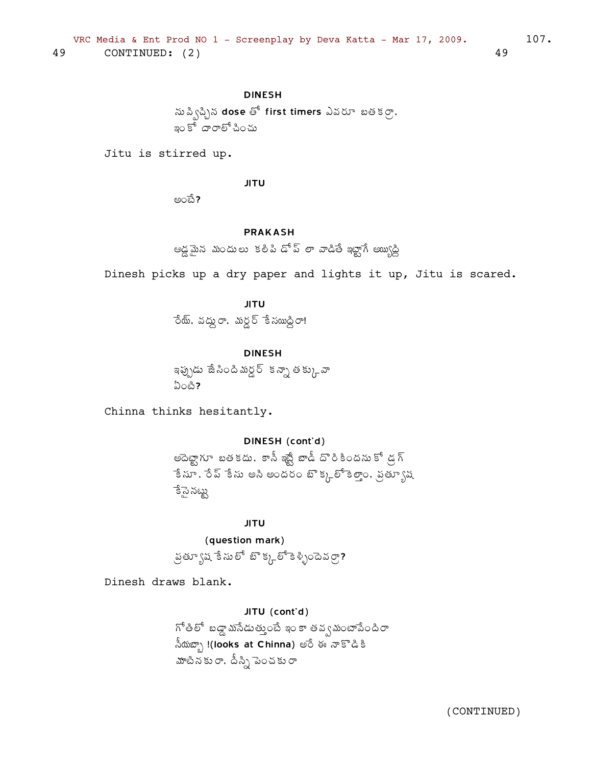ను ప్విచ్చిన dose తో first timers ఎవరూ బతకర్రా, ఇం కో దారాలో సించు

Jitu is stirred up.

**JITU** 

అంబే?

#### **PRAKASH**

ఆడ్లమైన మందులు కలిపి డోప్ లా వాడితే ఇట్టాగే అ్యుడ్ని

Dinesh picks up a dry paper and lights it up, Jitu is scared.

**JITU** ేందు్, వద్దు రా, మర్దర్ కే సయిద్ధిరా!

**DINESH** 

ఇప్పుడు జేసిందిమర్డర్ కన్నా తక్కువా  $\Omega$ on?

Chinna thinks hesitantly.

# DINESH (cont'd)

అదెట్టాగూ బతకదు, కాసీ ఇష్టే బాడీ దొరికిందను కో డ్రగ్ ేకే సూ. రేచ్ కేసు అని అందరం బొక్కలో కెలాం. వ్రత్యూష ెకేసై నట్టు

**JITU** 

(question mark)

ప్రత్యూష కేసులో బొక్కల్ కిళ్ళిందెవర్రా?

Dinesh draws blank.

JITU (cont'd) గోతిలో బడ్డా మసేడుత్తుంటే ఇం కా తవ్వమంటాపేందిరా  $\frac{1}{2}$ నీయబ్బా !(looks at Chinna) అరే ఈ నాకొడికి హాటీనకు రా, దీస్సి పెంచకు రా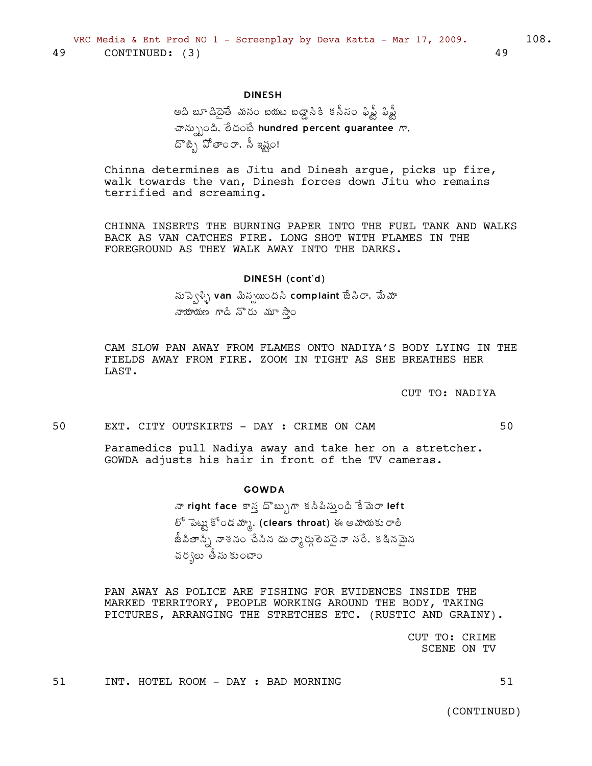అది బూడిదైతే మనం బయట బడ్డాసికి కనీసం ఫిఫ్టీ ఫిఫ్టీ చాన్స్పుంది, లేదంపే hundred percent guarantee  $\pi$ , దొబ్బి పోతాంరా, సీ ఇష్టం!

Chinna determines as Jitu and Dinesh argue, picks up fire, walk towards the van, Dinesh forces down Jitu who remains terrified and screaming.

CHINNA INSERTS THE BURNING PAPER INTO THE FUEL TANK AND WALKS BACK AS VAN CATCHES FIRE. LONG SHOT WITH FLAMES IN THE FOREGROUND AS THEY WALK AWAY INTO THE DARKS.

#### DINESH (cont'd)

నుప్వెళ్ళి van మిస్స్అుందని complaint జేసిరా, మేమా నాయాయణ గాడి నొరు మూ సాం

CAM SLOW PAN AWAY FROM FLAMES ONTO NADIYA'S BODY LYING IN THE FIELDS AWAY FROM FIRE. ZOOM IN TIGHT AS SHE BREATHES HER LAST.

CUT TO: NADIYA

50 EXT. CITY OUTSKIRTS - DAY : CRIME ON CAM 50

Paramedics pull Nadiya away and take her on a stretcher. GOWDA adjusts his hair in front of the TV cameras.

#### **GOWDA**

నా right face కాస్త దొబ్బుగా కనిపిస్తుంది కేమెరా left లో పెట్టు కోండ మ్మా, (clears throat) ఈ అమాయకు రాలి జీపితాన్ని నాశనం చేసిన దుర్మార్గులెవరైనా నరే. కఠినమైన చర్యలు తీసు కుంటాం

PAN AWAY AS POLICE ARE FISHING FOR EVIDENCES INSIDE THE MARKED TERRITORY, PEOPLE WORKING AROUND THE BODY, TAKING PICTURES, ARRANGING THE STRETCHES ETC. (RUSTIC AND GRAINY).

> CUT TO: CRIME SCENE ON TV

 $51$ INT. HOTEL ROOM - DAY : BAD MORNING

(CONTINUED)

49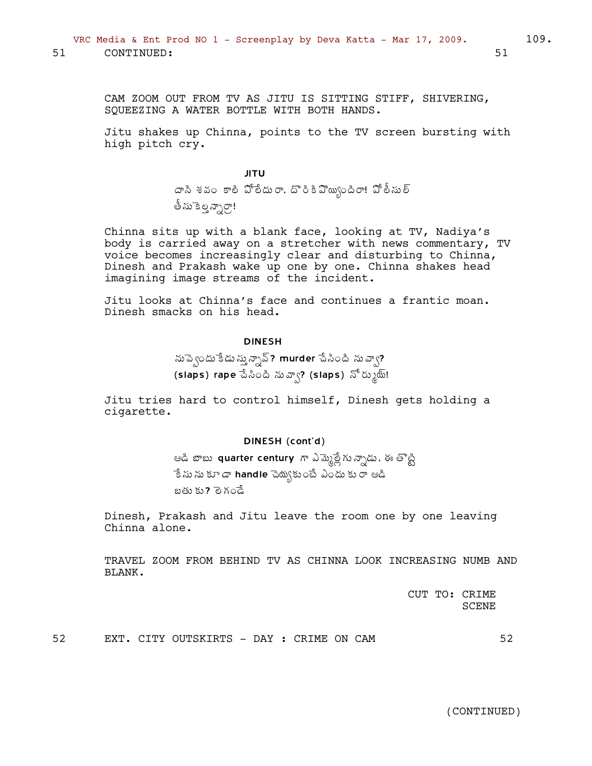CAM ZOOM OUT FROM TV AS JITU IS SITTING STIFF, SHIVERING, SQUEEZING A WATER BOTTLE WITH BOTH HANDS.

Jitu shakes up Chinna, points to the TV screen bursting with high pitch cry.

> JITU  $\bar{\alpha}$ సి శవం కాలి పోలీదురా, దొరికిపొ్ు బృందిరా! పోలీసుల్ తీసుకెల్లన్నార్గా!

Chinna sits up with a blank face, looking at TV, Nadiya's body is carried away on a stretcher with news commentary, TV voice becomes increasingly clear and disturbing to Chinna, Dinesh and Prakash wake up one by one. Chinna shakes head imagining image streams of the incident.

Jitu looks at Chinna's face and continues a frantic moan. Dinesh smacks on his head.

### DINESH

సుప్పెందు కేడు స్తున్నావ్? murder చేసింది నువ్వా? (slaps) rape သိ $\lambda$ ဝါထိ  $\infty$ ္း (slaps)  $\delta^5$ ိပာ $\delta$ ် $\delta$ !

Jitu tries hard to control himself, Dinesh gets holding a cigarette.

#### DINESH (cont'd)

ఆడి బాబు  $\bm{{\sf quarter}}$  century  $\bm{{\sf m}}$  ఎమ్మెల్లేగు న్నాడు. ఈ తొట్టి ేకే ను ను కూడా handle చెయ్యకుంటే ఎందు కు రా ఆడి బతు కు? <sup>ా</sup>రెగండే

Dinesh, Prakash and Jitu leave the room one by one leaving Chinna alone.

TRAVEL ZOOM FROM BEHIND TV AS CHINNA LOOK INCREASING NUMB AND BLANK.

> CUT TO: CRIME SCENE

52 EXT. CITY OUTSKIRTS - DAY : CRIME ON CAM 52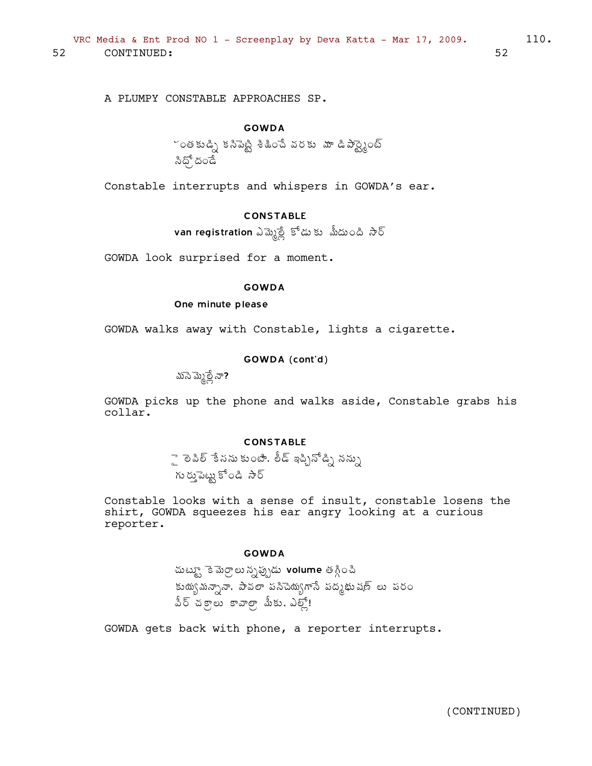A PLUMPY CONSTABLE APPROACHES SP.

## GOWDA

 $\checkmark$ ంతకుడ్పి కనిపెట్టి శీజీంచే వరకు మా డిపార్ట్నైంట్ సిధ్`దండే

Constable interrupts and whispers in GOWDA's ear.

## CONSTABLE

van registration ఎమ్మెల్లే కోడు కు మీదుంది సార్

GOWDA look surprised for a moment.

#### GOWDA

One minute please

GOWDA walks away with Constable, lights a cigarette.

### GOWDA (cont'd)

 $\overline{\text{max}}$ మ్మేల్లే నా?

GOWDA picks up the phone and walks aside, Constable grabs his collar.

## **CONSTABLE**

ై లెపిల్ `కేసను కుంటిా, లీడ్ ఇచ్చినోడ్ని నన్ను గు రుమైట్లు కోండి సౌర్

Constable looks with a sense of insult, constable losens the shirt, GOWDA squeezes his ear angry looking at a curious reporter.

#### GOWDA

మట్ట్స్తా కె మెర్రాలు న్నప్పుడు volume తగ్గించి కుయ్య మన్నానా, పావలా పసిచెయ్యగాసే పద్మభుషణ్ లు పరం మీర్ చక్రాలు కావాలా మీకు. ఎల్లో!

GOWDA gets back with phone, a reporter interrupts.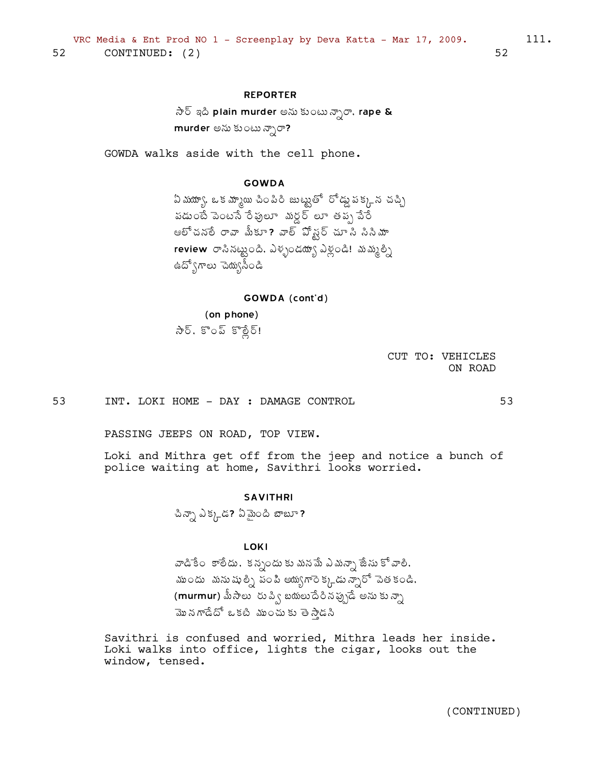### **REPORTER**

 $\partial \partial \bar{\partial}$  ఇది plain murder అను కుంటు న్నారా, rape & murder అను కుంటు న్నారా?

GOWDA walks aside with the cell phone.

## **GOWDA**

ఏ మయ్యా, ఒక మ్మాయి చింపిరి జుట్టుతో రోడ్డు పక్కన చచ్చి పడుంటే పెంటసే రేపులూ మర్డర్ లూ తప్ప వేరే ఆలోచనలే రావా మీకూ? వాల్ పోష్ట్ చూ సి సినిమా review రాసినట్టుంది. ఎళ్ళండట్యా ఎళ్లండి! మమ్మల్ని ఉద్వోగాలు చెయ్యసీండి

#### GOWDA (cont'd)

(on phone) సేర్, కొంప్ కొర్లేర్!

> CUT TO: VEHICLES ON ROAD

53 INT. LOKI HOME - DAY : DAMAGE CONTROL

PASSING JEEPS ON ROAD, TOP VIEW.

Loki and Mithra get off from the jeep and notice a bunch of police waiting at home, Savithri looks worried.

#### **SAVITHRI**

చిన్నా ఎక్కడ? ఏమైంది బాబూ?

**LOKI** 

వాడికేం కాలేదు, కన్నందు కు మనమే ఎమన్నా జేసు కో వాలి, ముందు మనుషుల్ని పంపి అయ్యగారెక్కడు న్నారో పెతకండి, (murmur) మీసాలు రుప్వి బయలుదేరినప్పుడే అను కు*న్నా* మొనగాడేదో ఒకటి ముంచుకు తెస్తాడసి

Savithri is confused and worried, Mithra leads her inside. Loki walks into office, lights the cigar, looks out the window, tensed.

53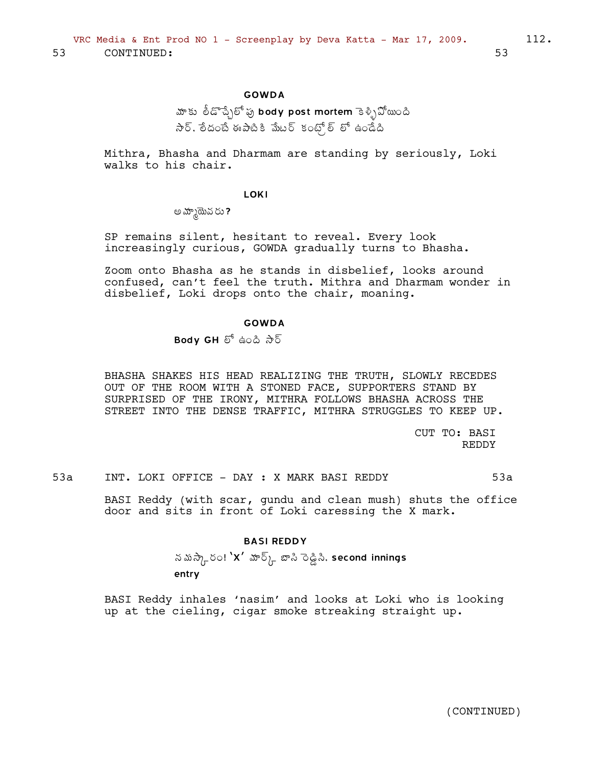### GOWDA

# మాకు లీడొచ్చేలో పు body post mortem కెళ్ళిపోయింది  $\alpha$ సేర్, లేదంబే ఈపాటికి మేటర్ కంట్స్ల్ లో ఉండేది

Mithra, Bhasha and Dharmam are standing by seriously, Loki walks to his chair.

#### **LOKI**

అమ్మోయేవరు?

SP remains silent, hesitant to reveal. Every look increasingly curious, GOWDA gradually turns to Bhasha.

Zoom onto Bhasha as he stands in disbelief, looks around confused, can't feel the truth. Mithra and Dharmam wonder in disbelief, Loki drops onto the chair, moaning.

#### GOWDA

 $Body$   $GH$   $\delta^6$  ఉంది  $\partial^5\delta$ 

BHASHA SHAKES HIS HEAD REALIZING THE TRUTH, SLOWLY RECEDES OUT OF THE ROOM WITH A STONED FACE, SUPPORTERS STAND BY SURPRISED OF THE IRONY, MITHRA FOLLOWS BHASHA ACROSS THE STREET INTO THE DENSE TRAFFIC, MITHRA STRUGGLES TO KEEP UP.

> CUT TO: BASI REDDY

53a INT. LOKI OFFICE - DAY : X MARK BASI REDDY 53a

BASI Reddy (with scar, gundu and clean mush) shuts the office door and sits in front of Loki caressing the X mark.

#### BASI REDDY

నమస్కేరం! `X' హర్క్ బాసి రెడ్డిసి, second innings entry

BASI Reddy inhales 'nasim' and looks at Loki who is looking up at the cieling, cigar smoke streaking straight up.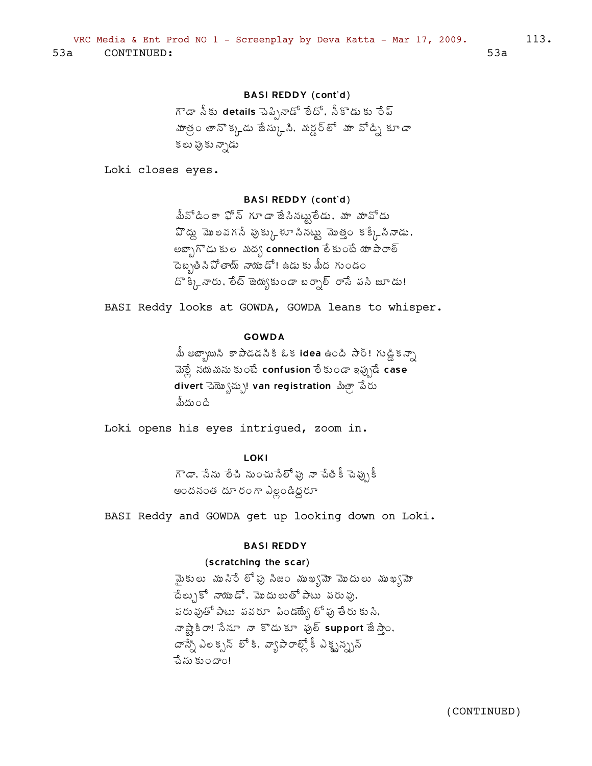## **BASI REDDY (cont'd)**

గౌడా నీకు details పెప్పినాడో లేదో, నీకొడుకు రేప్ హాత్రం తానొక్కడు జేస్కుని, మర్డర్లో మా వోడ్ని కూడా కలు ఫుకు న్నాడు

Loki closes eyes.

### **BASI REDDY (cont'd)**

మీవోడింకా ఫోన్ గూడా జేసినట్టులేడు. మా మావోడు  $\mathfrak{D}$  డ్దు మొలవగసే పుక్కు భూ సినట్టు మొత్తం కక్కేసినాడు. అబ్బాగొడుకుల మద్య connection లేకుంటే యాపారాల్ ెంబ్బతినిపోతాయ్ నాయుడో! ఉడుకు మీద గుండం దొ క్కినారు, లేట్ జెయ్యకుండా బర్నాల్ రాసే పసి జూడు!

BASI Reddy looks at GOWDA, GOWDA leans to whisper.

#### **GOWDA**

మీ అబ్బాయినీ కాపాడడనికి ఓక **idea** ఉంది సార్! గుడ్డికన్నా మెల్లీ నథుమను కుంటే confusion లేకుండా ఇప్పుడే case divert ವಹ್ಸುಾನ್ನು)! van registration ಪಿತ್ರ್ ಪಿರು మీదు౦ది

Loki opens his eyes intrigued, zoom in.

## LOKI

గౌడా, సేను లేచి నుంచుసేలో పు నా చేతికీ చెప్పుకీ అందనంత దూరం గా ఎల్లండిద్దరూ

BASI Reddy and GOWDA get up looking down on Loki.

#### **BASI REDDY**

### (scratching the scar)

మైకులు మునిరే లోపు సిజం ముఖ్యమో మొదులు ముఖ్యమో దేలు)కో నాయుడో, మొదులుతోపాటు పరువు, పరువుతో పాటు పవరూ పిండ్య్యే లో ఫు తేరు కు సి. నాష్ట్రిం! సేనూ నా కొడుకూ ఫుల్ support జేస్తాం. దాన్నే ఎలక్సన్ లో కి. వ్యాపారాల్లో కీ ఎక్ట్న్స్నన్ పేసు కుందాం!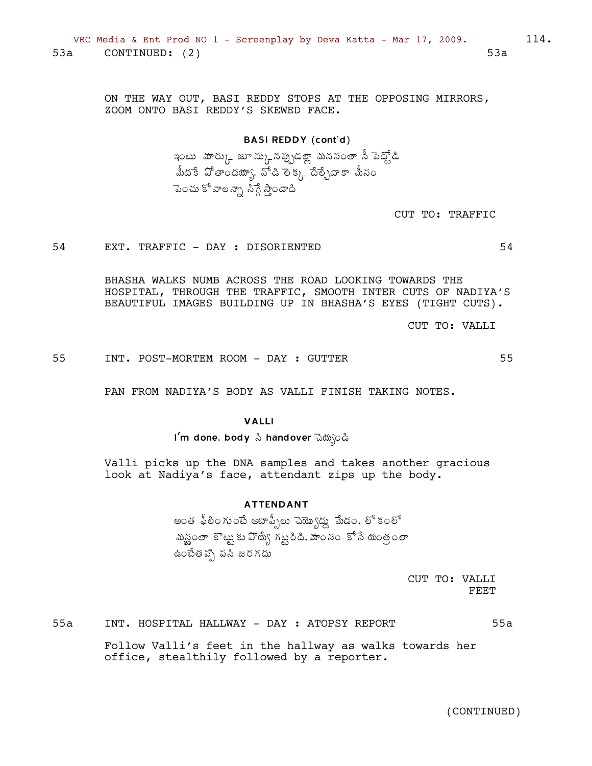ON THE WAY OUT, BASI REDDY STOPS AT THE OPPOSING MIRRORS, ZOOM ONTO BASI REDDY'S SKEWED FACE.

> **BASI REDDY (cont'd)** ఇంటు -హర్కు జూ స్కునప్పుడల్లా మనసంతా నీ పెద్దోడి మీదకే పోతాందయా\. వోడి లక్క దేల్)దాకా మీనం పెంచు కో వాలన్నా సిగ్గే స్తాండాది

> > CUT TO: TRAFFIC

54

55

54 EXT. TRAFFIC - DAY : DISORIENTED

> BHASHA WALKS NUMB ACROSS THE ROAD LOOKING TOWARDS THE HOSPITAL, THROUGH THE TRAFFIC, SMOOTH INTER CUTS OF NADIYA'S BEAUTIFUL IMAGES BUILDING UP IN BHASHA'S EYES (TIGHT CUTS).

> > CUT TO: VALLI

55 INT. POST-MORTEM ROOM - DAY : GUTTER

PAN FROM NADIYA'S BODY AS VALLI FINISH TAKING NOTES.

### **VALLI**

Valli picks up the DNA samples and takes another gracious look at Nadiya's face, attendant zips up the body.

### **ATTENDANT**

అంత ఫీలింగుంటే అటాప్సీలు చెయ్యొద్దు మేడం, లో కంలో మన్ఝంతా కొట్టుకు వొద్యే గట్టరిది. మాంసం కోసే యంత్రంలా ఉంటేత వ్పో పసి జరగదు

> CUT TO: VALLI **FEET**

 $55a$ INT. HOSPITAL HALLWAY - DAY : ATOPSY REPORT  $55a$ 

> Follow Valli's feet in the hallway as walks towards her office, stealthily followed by a reporter.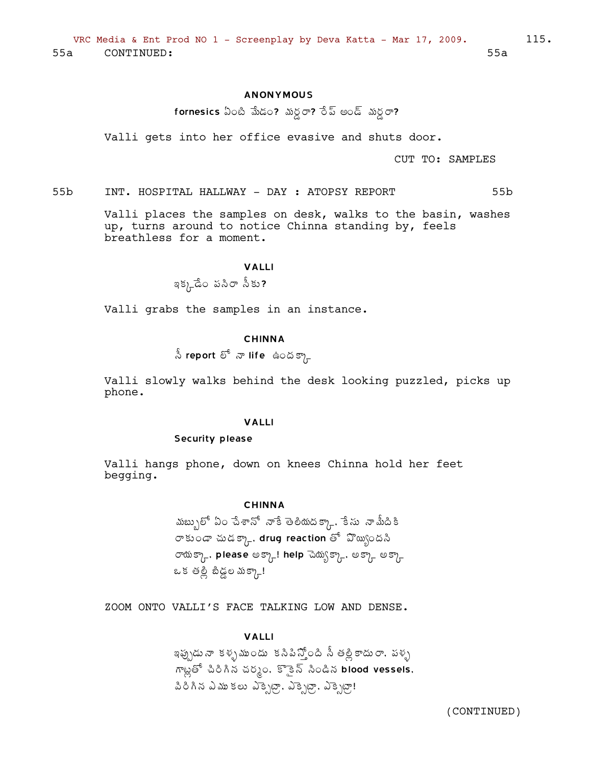### **ANONYMOUS**

fornesics ఏంటి మేడం? మర్ధా? రేప్ అండ్ మర్ధా?

Valli gets into her office evasive and shuts door.

CUT TO: SAMPLES

 $55<sub>b</sub>$ INT. HOSPITAL HALLWAY - DAY : ATOPSY REPORT  $55<sub>b</sub>$ 

> Valli places the samples on desk, walks to the basin, washes up, turns around to notice Chinna standing by, feels breathless for a moment.

#### **VALLI**

# ఇక్కడేం పసిరా నీకు?

Valli grabs the samples in an instance.

### **CHINNA**

 $\stackrel{\delta}{\sim}$  report లో నా life ఉందక్కా

Valli slowly walks behind the desk looking puzzled, picks up phone.

#### **VALLI**

#### Security please

Valli hangs phone, down on knees Chinna hold her feet begging.

### **CHINNA**

.<br>ముబ్బులో ఏ౦ చేశానో నాకే తెలియదక్కా. కేసు నామీదికి రాకుండా చుడక్కా, drug reaction తో వొయ్యిందసి రాయక్కా, please అక్కా! help చెయ్యక్కా, అక్కా అక్కా ఒక తల్లి బిడ్డల మక్కా!

ZOOM ONTO VALLI'S FACE TALKING LOW AND DENSE.

#### **VALLI**

ఇప్పుడు నా కళ్ళముందు కనిపిస్తోంది నీ తల్లికాదు రా. పళ్ళ  $\overline{N}$ బ్లతో చిరిగిన చర్మం. కొకైన్ సిండిన blood vessels. విరిగిన ఎము కలు ఎక్సెట్గా, ఎక్సెట్గా, ఎక్సెట్గా!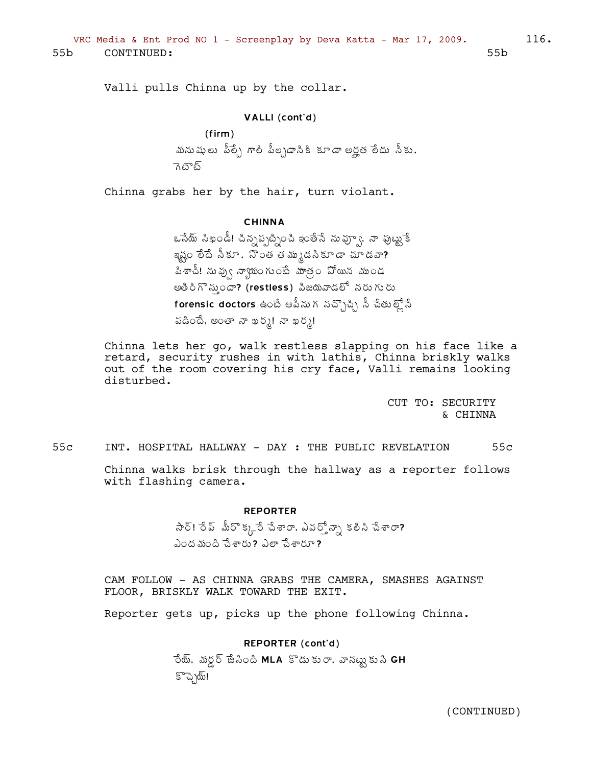Valli pulls Chinna up by the collar.

#### VALLI (cont'd)

(firm) మనుషులు పీల్సే గాలి పీల్చడానికి కూడా అర్హత లేదు నీకు, ెగిలెల్

Chinna grabs her by the hair, turn violant.

#### CHINNA

ఒసేయ్ సిఖండీ! చిన్నప్పట్నించి ఇంతేసే నువ్వూ, నా పుట్టుకే ఇష్టం లేదే సీకూ, నొంత తమ్ముడసికూడా చూడవా? పిశాచీ! ను ఫ∖ఁ నాౕ\యంగు౦బ్ మాత్౦ పోయిన ముండ అతిరిగొస్తుందా? (restless) పిజయవాడలో నరుగురు forensic doctors ఉంటే ఆపీనుగ సచ్చొప్పి నీ చేతుల్లోనే పడిందే, అంతా నా ఖర్శ! నా ఖర్శ!

Chinna lets her go, walk restless slapping on his face like a retard, security rushes in with lathis, Chinna briskly walks out of the room covering his cry face, Valli remains looking disturbed.

> CUT TO: SECURITY & CHINNA

55c INT. HOSPITAL HALLWAY - DAY : THE PUBLIC REVELATION 55c

Chinna walks brisk through the hallway as a reporter follows with flashing camera.

#### REPORTER

 $\partial_i \delta \delta$ : సేబ్ శేంపేశారా, ఎవర్తోన్నా కలిసి చేశారా?  $\lambda$ ంద మంది చేశారు?  $\lambda$ లా చేశారూ?

CAM FOLLOW - AS CHINNA GRABS THE CAMERA, SMASHES AGAINST FLOOR, BRISKLY WALK TOWARD THE EXIT.

Reporter gets up, picks up the phone following Chinna.

#### REPORTER (cont'd)

ేయ్, మర్డర్ జేసింది MLA కొడుకురా, వానట్టుకుని GH ÌúÉÖ¦÷!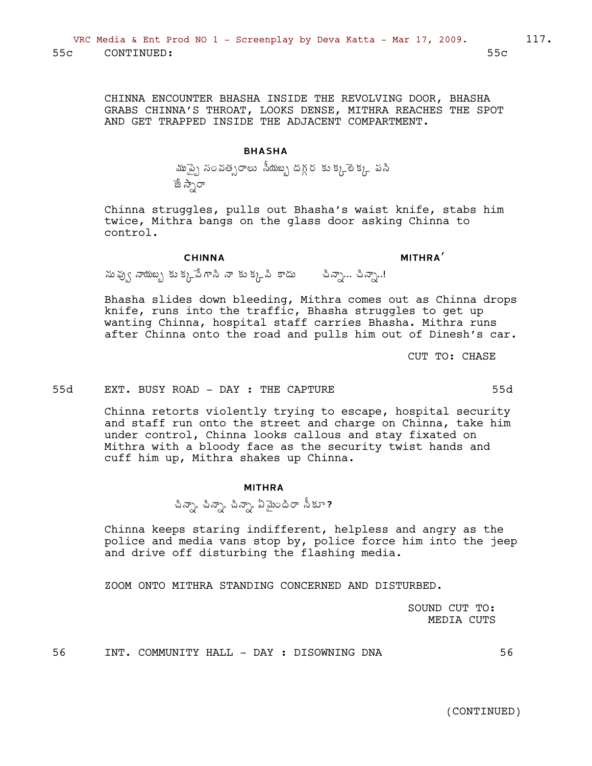CHINNA ENCOUNTER BHASHA INSIDE THE REVOLVING DOOR, BHASHA GRABS CHINNA'S THROAT, LOOKS DENSE, MITHRA REACHES THE SPOT AND GET TRAPPED INSIDE THE ADJACENT COMPARTMENT.

#### BHASHA

మొప్పై సంవత్సరాలు సీయబ్బ దగ్గర కు క్కరె్ క్క పసి  $\vec{a}$  ನ್ರಾ

Chinna struggles, pulls out Bhasha's waist knife, stabs him twice, Mithra bangs on the glass door asking Chinna to control.

CHINNA

MITHRA'

 $\tilde{\omega}$ వు $\chi$  నాయబ $\chi$  కు $\chi_{\mu}$ పే గానీ నా కుక్కపి కాదు సామీనా... చినాను..!

Bhasha slides down bleeding, Mithra comes out as Chinna drops knife, runs into the traffic, Bhasha struggles to get up wanting Chinna, hospital staff carries Bhasha. Mithra runs after Chinna onto the road and pulls him out of Dinesh's car.

CUT TO: CHASE

#### 55d EXT. BUSY ROAD - DAY : THE CAPTURE 55d

Chinna retorts violently trying to escape, hospital security and staff run onto the street and charge on Chinna, take him under control, Chinna looks callous and stay fixated on Mithra with a bloody face as the security twist hands and cuff him up, Mithra shakes up Chinna.

#### MITHRA

చిన్నా, చిన్నా, ఏమైందిరా సీకూ?

Chinna keeps staring indifferent, helpless and angry as the police and media vans stop by, police force him into the jeep and drive off disturbing the flashing media.

ZOOM ONTO MITHRA STANDING CONCERNED AND DISTURBED.

SOUND CUT TO: MEDIA CUTS

56 INT. COMMUNITY HALL - DAY : DISOWNING DNA 56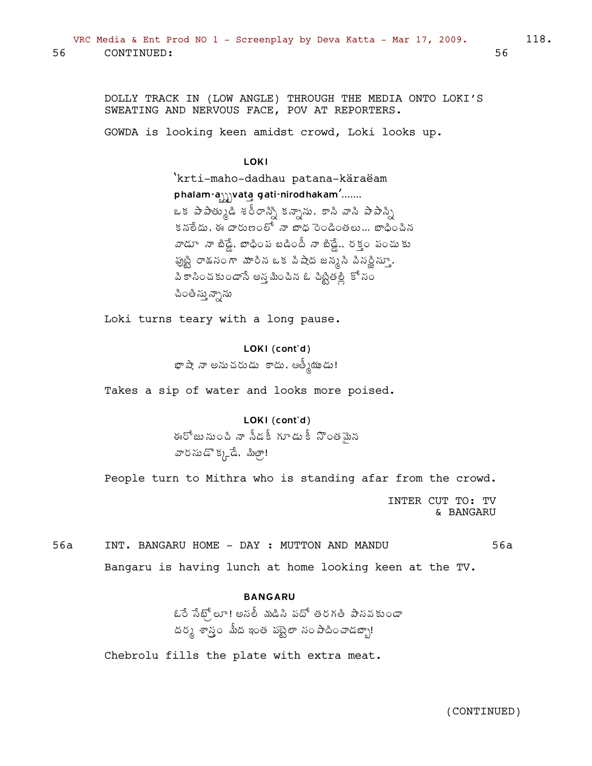56

DOLLY TRACK IN (LOW ANGLE) THROUGH THE MEDIA ONTO LOKI'S SWEATING AND NERVOUS FACE, POV AT REPORTERS.

GOWDA is looking keen amidst crowd, Loki looks up.

LOKI

'krti-maho-dadhau patana-käraëam phalam-amyata gati-nirodhakam'....... ఒక పాపాత్కుడి శరీరాన్ని కన్నాను. కాని వాని పాపాన్ని కనలేదు, ఈ దారుణంలో నా బాధ రెండింతలు... బాధించిన వాడూ నా బిడ్డే, బాధింప బడిందీ నా బిడ్డే., రక్తం పంచుకు పుట్టి రాడనంగా మారిన ఒక పిషేద జన్మనీ పినర్లిస్తూ, పి కాసించకుండాసే అన్న మించిన ఓ చిట్టితల్లి కో సం చింతి స్తున్నాను

Loki turns teary with a long pause.

LOKI (cont'd) భాషా నా అనుచరుడు కాదు, ఆత్మీయుడు!

Takes a sip of water and looks more poised.

LOKI (cont'd)

.<br>ఈరోజునుంచి నా నీడకీ గూడుకీ నొంతమైన వారసుడొక్కడే. మిల్చా!

People turn to Mithra who is standing afar from the crowd. INTER CUT TO: TV

& BANGARU

INT. BANGARU HOME - DAY : MUTTON AND MANDU 56a  $56a$ Bangaru is having lunch at home looking keen at the TV.

### **BANGARU**

ఓరే సేట్స్లూ! అనలీ మడిని పదో తరగతి పానవకుండా దర్మ శాస్త్రం మీద ఇంత వబ్టైలా సంపాదించాడబ్బా!

Chebrolu fills the plate with extra meat.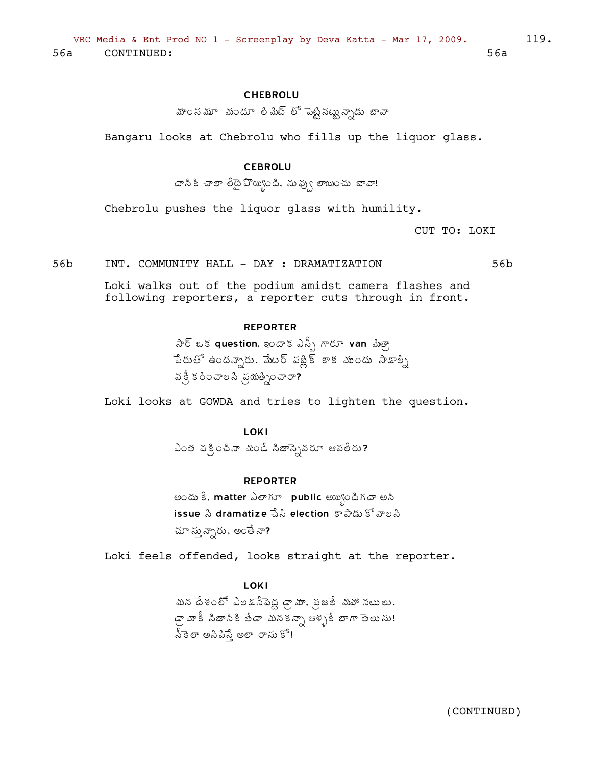## **CHEBROLU**

మాం*స* మూ - మందూ - లి మిట్ - లో - పెట్టి నట్టు న్నాడు - బావా

Bangaru looks at Chebrolu who fills up the liquor glass.

## **CEBROLU**

దానికి చాలా లేదైపొయ్యింది, నువ్వు లాయించు బావా!

Chebrolu pushes the liquor glass with humility.

CUT TO: LOKI

56b INT. COMMUNITY HALL - DAY : DRAMATIZATION 56b

Loki walks out of the podium amidst camera flashes and following reporters, a reporter cuts through in front.

### **REPORTER**

 $\partial \overline{\partial}$  ఒక question, ఇందాక ఎస్పీ గారూ van మిత్రా పేరుతో ఉందన్నారు. మేటర్ పబ్లిక్ కాక ముందు సాజాల్ని వ క్రీ కరించాల సి న్రయత్నించారా?

Loki looks at GOWDA and tries to lighten the question.

LOKI

ఎంత వక్రించినా మండే సిజాస్సెవరూ ఆహాలీరు?

#### **REPORTER**

అందుకే, matter ఎలాగూ public అయ్యిందిగదా అసి issue సి dramatize పేసి election కాపాడు కోవాలసి చూ స్తున్నారు, అంతే నా?

Loki feels offended, looks straight at the reporter.

LOKI

మన దేశంలో ఎలకుసేపెద్ద డ్రామా. ప్రజలే మహా నటులు. డ్రా మాకీ సిజాసికి తేడా మనకన్నా ఆళ్ళకే బాగా తెలుసు! <u> సీ</u>కెలా అసిపిస్తే అలా రాసు కో!

119.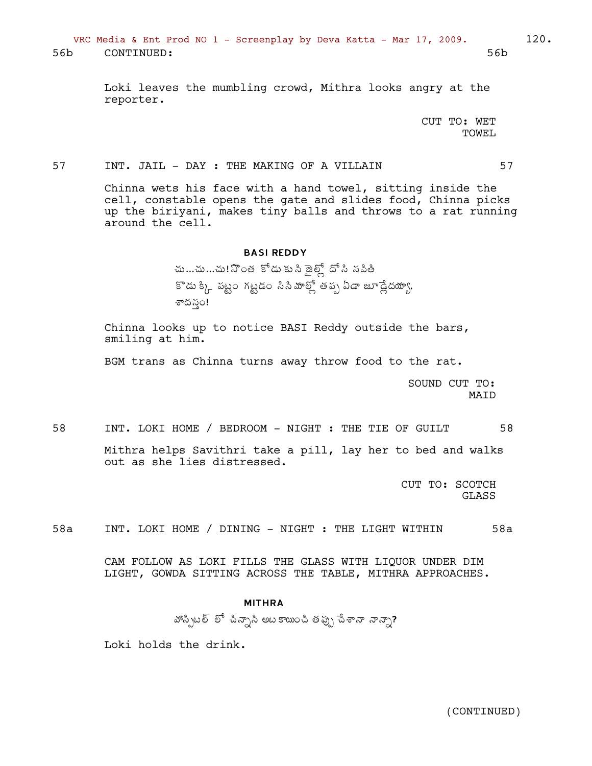VRC Media & Ent Prod NO 1 - Screenplay by Deva Katta - Mar 17, 2009. 120. 56b CONTINUED: 56b

> Loki leaves the mumbling crowd, Mithra looks angry at the reporter.

> > CUT TO: WET TOWEL

## 57 INT. JAIL - DAY : THE MAKING OF A VILLAIN 57

Chinna wets his face with a hand towel, sitting inside the cell, constable opens the gate and slides food, Chinna picks up the biriyani, makes tiny balls and throws to a rat running around the cell.

#### BASI REDDY

చు…చు…చు!నొంత కోడు కుసి జైట్లో దోసి సపితీ  $i^* \$ శ్క్, పట్టం గట్టడం సినీ మాల్లో తప్ప ఏడా జూడ్లేదయ్యా, శాదనం!

Chinna looks up to notice BASI Reddy outside the bars, smiling at him.

BGM trans as Chinna turns away throw food to the rat.

SOUND CUT TO: MAID

58 INT. LOKI HOME / BEDROOM - NIGHT : THE TIE OF GUILT 58

Mithra helps Savithri take a pill, lay her to bed and walks out as she lies distressed.

> CUT TO: SCOTCH GLASS

58a INT. LOKI HOME / DINING - NIGHT : THE LIGHT WITHIN 58a

CAM FOLLOW AS LOKI FILLS THE GLASS WITH LIQUOR UNDER DIM LIGHT, GOWDA SITTING ACROSS THE TABLE, MITHRA APPROACHES.

#### MITHRA

öÁ¬Ãåý¨÷ ¨Í úÃþÂäþà €ý¦Ïúà œÁ¡Áôå úʪÂþ þÂþÂä?

Loki holds the drink.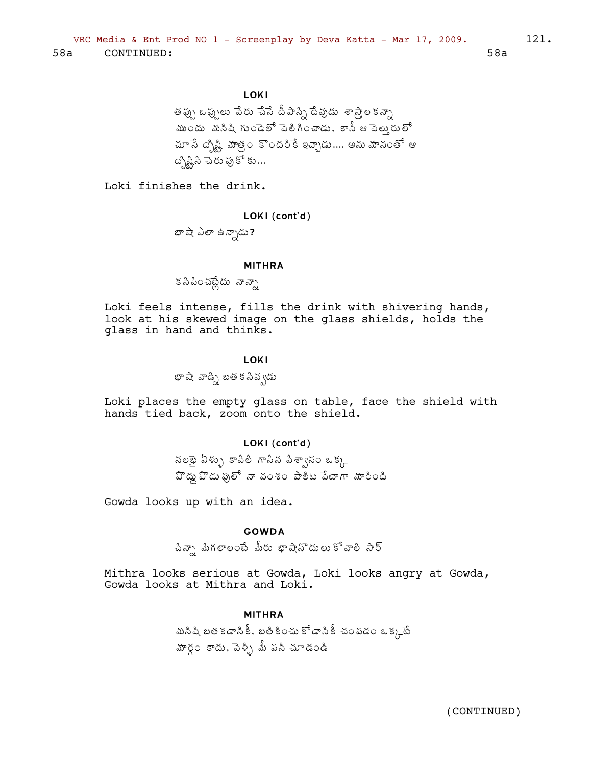LOKI

తప్పు ఒప్పులు పేరు చేసే దీపాస్ని దేవుడు శాస్త్రాలకన్నా <u>ముందు మనిషి గుండెలో పెలిగించాడు. కానీ ఆపెలు</u>రులో చూ సే ద్బిష్టి మాత్రం కొందరికే ఇచ్చాడు.... అను మానంతో ఆ ద్కిష్టిని చెరు ఫుకో కు...

Loki finishes the drink.

### LOKI (cont'd)

భాషే ఎలా ఉన్నాడు?

#### **MITHRA**

క సి పించట్లేదు నాన్నా

Loki feels intense, fills the drink with shivering hands, look at his skewed image on the glass shields, holds the glass in hand and thinks.

### LOKI

భాషా వాడ్ని బత కనివ్వడు

Loki places the empty glass on table, face the shield with hands tied back, zoom onto the shield.

### LOKI (cont'd)

నలథై ఏళ్ళు కాపిలీ గాసిన పిశ్వాసం ఒక్క హెద్దు హెడు ఫులో నా వంశం పాలీట పేటాగా మారింది

Gowda looks up with an idea.

## **GOWDA**

చిన్నా మిగలాలంటే మీరు భాషానొదులుకోవాలి సార్

Mithra looks serious at Gowda, Loki looks angry at Gowda, Gowda looks at Mithra and Loki.

#### **MITHRA**

మసిషి బత కడాసికీ, బతి కించు కోడానికీ చంపడం ఒక్కటే హార్గం కాదు, పెళ్ళి మీ పసి చూడండి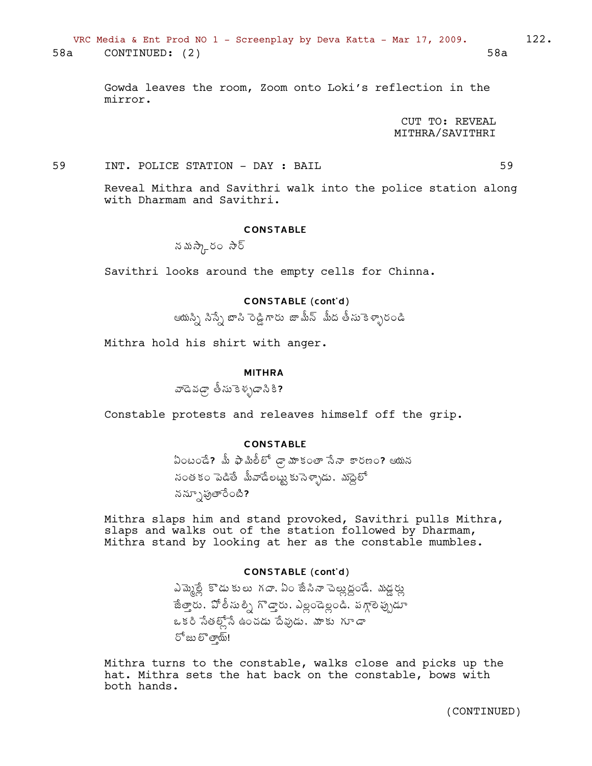Gowda leaves the room, Zoom onto Loki's reflection in the mirror.

> CUT TO: REVEAL MITHRA/SAVITHRI

59 INT. POLICE STATION - DAY : BAIL 59

Reveal Mithra and Savithri walk into the police station along with Dharmam and Savithri.

### **CONSTABLE**

నమిస్కారం సౌర్

Savithri looks around the empty cells for Chinna.

### CONSTABLE (cont'd)

ఆయస్సి సిస్సే బాసి రెడ్డిగారు జామీన్ మీద తీసుకెళ్ళారండి

Mithra hold his shirt with anger.

### MITHRA

వాడెవఢ్గా తీసుకెళ్ళడాసికి?

Constable protests and releaves himself off the grip.

## CONSTABLE

 $\delta$ ఏంటండే? మీ ఫామిలీలో డ్రామాకంతా సేనా కారణం? ఆయన సంత కం పెడితే మీవాడేలట్టు కుసెళ్ళాడు, మద్దెలో నన్పూపుతారేంటి?

Mithra slaps him and stand provoked, Savithri pulls Mithra, slaps and walks out of the station followed by Dharmam, Mithra stand by looking at her as the constable mumbles.

### CONSTABLE (cont'd)

<u>ఎమ్మెల్లే</u> కొడు కులు గదా, ఏం జేసినా పెల్లుద్దండే, మడ్డర్ను ేజీత్తారు, ఏో లీసు ల్నీ గొడ్డారు, ఎల్లండెల్లండి, *షగ్గా*లెప్పుడూ ఒకరి సేతల్లోనే ఉంచడు దేవుడు, మాకు గూడా  $5^{\circ}$ జు లొ తా్య్!

Mithra turns to the constable, walks close and picks up the hat. Mithra sets the hat back on the constable, bows with both hands.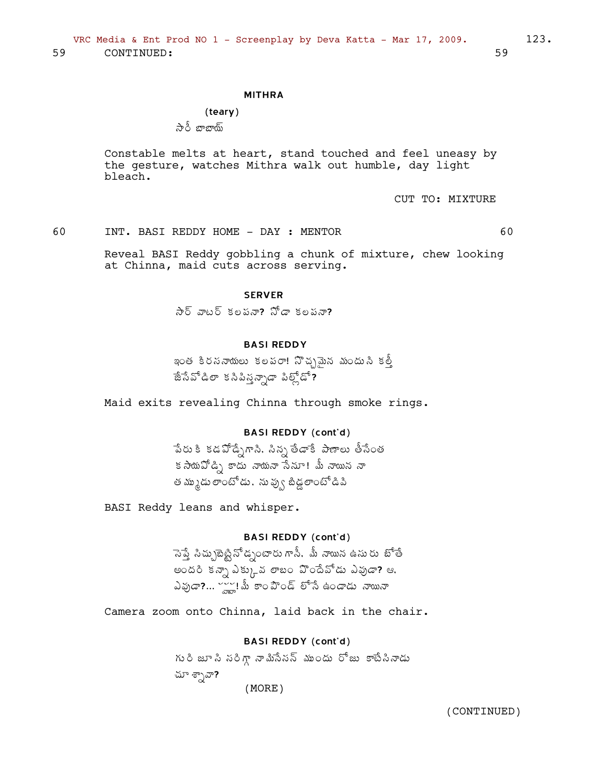#### MITHRA

(teary) సారీ బాబాయ్

Constable melts at heart, stand touched and feel uneasy by the gesture, watches Mithra walk out humble, day light bleach.

CUT TO: MIXTURE

60 INT. BASI REDDY HOME - DAY : MENTOR 60

Reveal BASI Reddy gobbling a chunk of mixture, chew looking at Chinna, maid cuts across serving.

#### **SERVER**

 $\partial \delta$  వాటర్ కలపనా?  $\Im \mathcal{L}$  గోడా కలపనా?

#### BASI REDDY

ఇంత కీరననాయలు కలపరా! సొచ్చమైన మండుసి కల్తీ ేజేసేపోడిలా కనిపిన్నన్నాడా పిల్లోడ**?** 

Maid exits revealing Chinna through smoke rings.

### BASI REDDY (cont'd)

ేపరు కి కడపోడ్సేగాని, సిన్న తేడాకే *పా*ణాలు తీసేంత కసాయపోడి) కాదు నాయనా సేనూ! మీ నాయిన నా త మ్ముడు లాంటోడు, ను ఫ్వు బీడ్లలాంటో డిపి

BASI Reddy leans and whisper.

## BASI REDDY (cont'd)

 $\vec{a}$ పే సిచ్చులెటీషన్ డృంటారు గానీ, మీ నాయిన ఉసురు బోతే అందరి కన్నా ఎక్కువ లాబం హిందేవోడు ఎవుడా? ఆ.  $\Delta$ వుడా?...  $\frac{1}{2}$ ్టీ కాం పౌండ్ లోసే ఉండాడు నాయినా

Camera zoom onto Chinna, laid back in the chair.

#### BASI REDDY (cont'd)

గురి జూ సి సరిగ్గా నా మిసేనన్ ముందు రోజు కాటేసినాడు చూ శ్నావా? (MORE)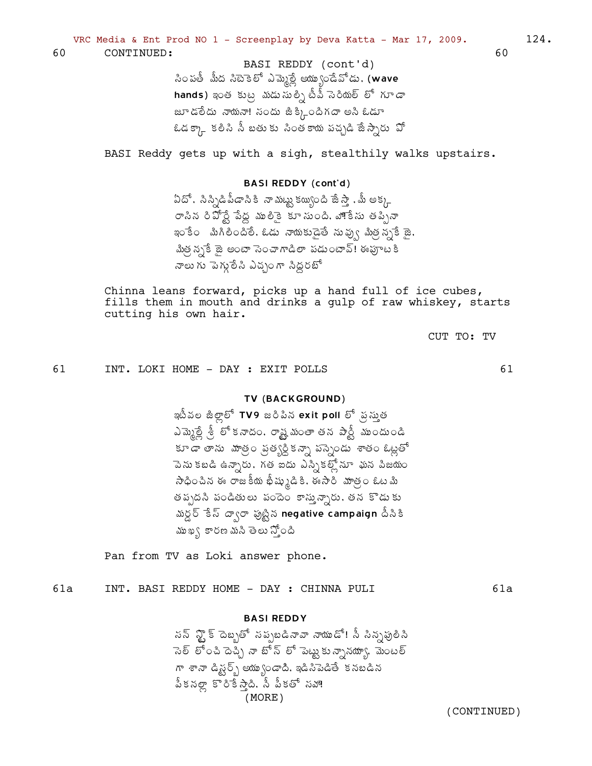BASI REDDY (cont'd) సింపతీ మీద సిటెకెలో ఎమ్మెల్లే అయ్యుండేవోడు. (wave hands) ఇంత కుట్ర మడుసుల్సి టీవీ సెరియల్ లో గూడా జూడలేదు నాయనా! సందు జీక్కిందిగదా అని ఓడూ ఓడక్కా కలిసి నీ బతుకు సింతకాయ పచ్చడి జేస్సారు పో

BASI Reddy gets up with a sigh, stealthily walks upstairs.

### **BASI REDDY (cont'd)**

ఏదో , సిన్సిడిపీడానికి నాముట్టు కయ్యింది జేస్తా , మీ అక్క రాసిన రిపోర్టే పేద్ద ములికై కూసుంది. నాంకేసు తప్పినా ఇం కేం మిగిలిందిలే. ఓడు నాయకుడైతే నువ్వు మిత్రన్నకే జై. మిత్ర న్పకే జై అంటా సెంచాగాడిలా పడుంటావ్! ఈఫూటకి నాలు గు పెగ్మలేసి ఎచ్చంగా సిద్ధరబో

Chinna leans forward, picks up a hand full of ice cubes, fills them in mouth and drinks a gulp of raw whiskey, starts cutting his own hair.

CUT TO: TV

61

61 INT. LOKI HOME - DAY : EXIT POLLS

### TV (BACKGROUND)

ఇటీవల జీల్లాలో TV9 జరిపిన exit poll లో వస్తుత ఎమ్మెల్లే త్రీ కానడం, రాష్ట్ర మంతా తన పార్టీ ముందుండి కూడా తాను మాత్రం ప్రత్యర్ధికన్నా పస్సెండు శాతం ఓట్లతో పెను కబడి ఉన్నారు. గత ఐదు ఎస్సికల్లోనూ ఘన పిజయం సాధించిన ఈ రాజకీయ భీష్ముడికి, ఈసారి వూత్రం ఓటమి తప్పదసి పండితులు పందెం కాస్తున్నారు, తన కొడుకు మర్డర్ కేస్ ద్వారా పుట్టిన negative campaign దీసికి ముఖ్య కారణ మసి తెలు న్యోంది

Pan from TV as Loki answer phone.

INT. BASI REDDY HOME - DAY : CHINNA PULI  $61a$  $61a$ 

#### **BASI REDDY**

సన్ న్టౌక్ దెబ్బతో సప్పబడినావా నాయుడో! సీ సిన్సపులిసి ెనెల్ లోంచి దెచ్చి నా బోన్ లో పెట్టుకు న్నానయ్యా, మెంటల్ గా శానా డిష్టర్స్ అయ్యుండాది. ఇడిసిపెడితే కనబడిన పీకనల్లా కొరికేస్తాది. సీ పీకతో సహా!  $(MORE)$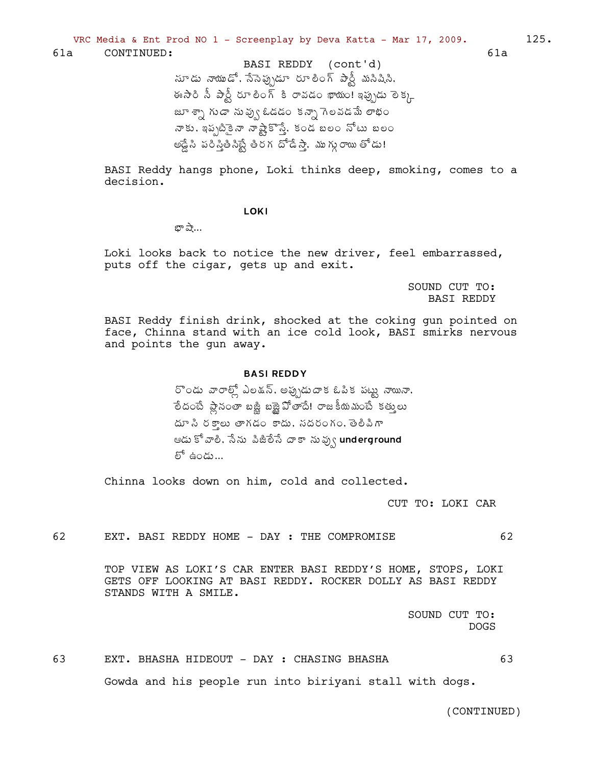$61a$ 

BASI Reddy hangs phone, Loki thinks deep, smoking, comes to a decision.

**LOKI** 

బా పా…

Loki looks back to notice the new driver, feel embarrassed, puts off the cigar, gets up and exit.

> SOUND CUT TO: **BASI REDDY**

BASI Reddy finish drink, shocked at the coking gun pointed on face, Chinna stand with an ice cold look, BASI smirks nervous and points the gun away.

### **BASI REDDY**

రొండు వారాల్లో ఎలక్షన్, అప్పుడుదాక ఓపిక పట్టు నాయినా, లేదంటే ప్లానంతా బజ్జి బజ్జెపోతాదే! రాజకీయమంటే కత్తులు దూ సి రకాలు తాగడం కాదు, నదరంగం, తెలిపిగా ఆడు కో వాలి. సేను పిజిలేసే దాకా నువ్వు underground లో ఉండు...

Chinna looks down on him, cold and collected.

CUT TO: LOKI CAR

62 EXT. BASI REDDY HOME - DAY : THE COMPROMISE

> TOP VIEW AS LOKI'S CAR ENTER BASI REDDY'S HOME, STOPS, LOKI GETS OFF LOOKING AT BASI REDDY. ROCKER DOLLY AS BASI REDDY STANDS WITH A SMILE.

> > SOUND CUT TO: **DOGS**

63 EXT. BHASHA HIDEOUT - DAY : CHASING BHASHA 63 Gowda and his people run into biriyani stall with dogs.

(CONTINUED)

62

 $125.$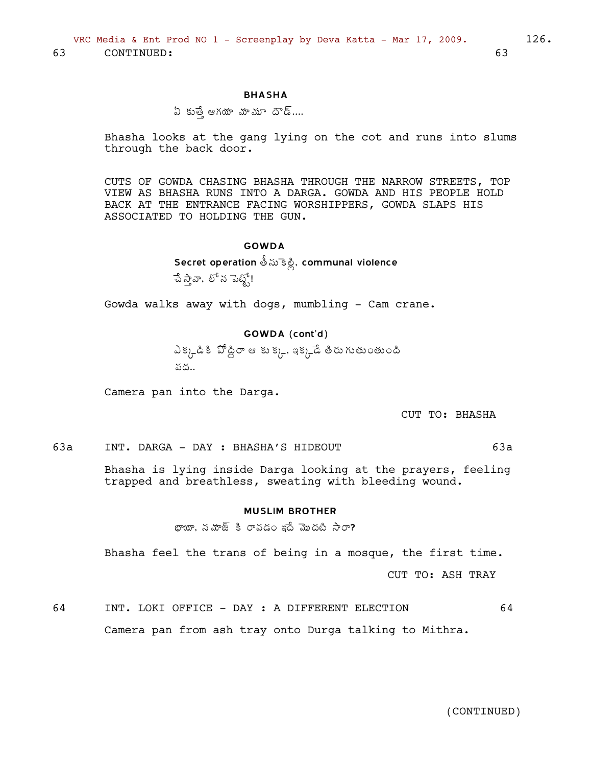63 CONTINUED: 63

#### BHASHA

## $\mathfrak A$  కుత్తే ఆగయా మాశుూ దౌడ్....

Bhasha looks at the gang lying on the cot and runs into slums through the back door.

CUTS OF GOWDA CHASING BHASHA THROUGH THE NARROW STREETS, TOP VIEW AS BHASHA RUNS INTO A DARGA. GOWDA AND HIS PEOPLE HOLD BACK AT THE ENTRANCE FACING WORSHIPPERS, GOWDA SLAPS HIS ASSOCIATED TO HOLDING THE GUN.

### GOWDA

Secret operation తీసుకెళ్లి, communal violence  $\hat{a}$   $\hat{d}$ వాండ్, బీధ్ $\hat{e}$ !

Gowda walks away with dogs, mumbling - Cam crane.

### GOWDA (cont'd)

ఎక్క్డికి ఏోడ్డిరా ఆ కుక్క్, ఇక్కడే తీరుగుతుంతుంది పద..

Camera pan into the Darga.

CUT TO: BHASHA

63a INT. DARGA - DAY : BHASHA'S HIDEOUT 63a

Bhasha is lying inside Darga looking at the prayers, feeling trapped and breathless, sweating with bleeding wound.

### MUSLIM BROTHER

 $x_{i}$ భాయా, నమాజ్ కి రావడం ఇదే మొదటి సారా?

Bhasha feel the trans of being in a mosque, the first time.

CUT TO: ASH TRAY

64 INT. LOKI OFFICE - DAY : A DIFFERENT ELECTION 64 Camera pan from ash tray onto Durga talking to Mithra.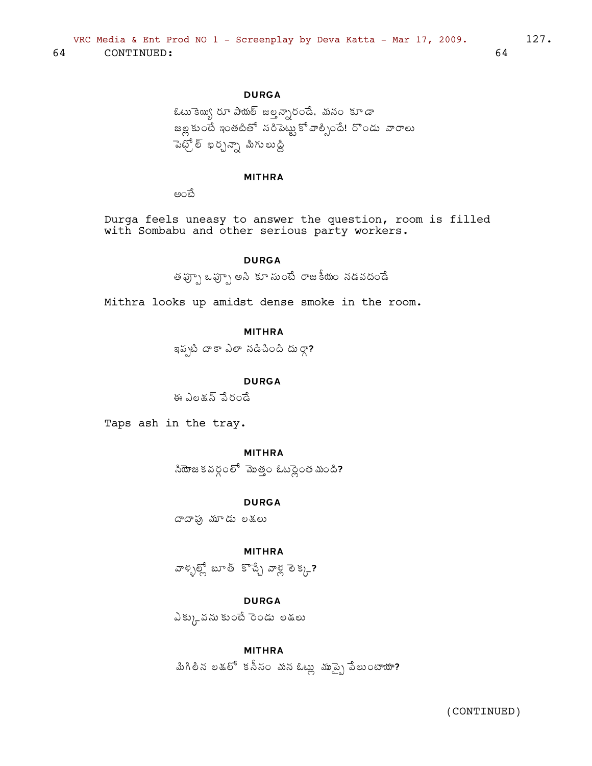## **DURGA**

ఓటు కెయ్యి రూ పాయల్ జల్హన్నారండే, మనం కూడా  $\approx$ ల్ల కుంటే ఇంతటితో సరిపెట్టు కోవాల్సిందే! రొండు వారాలు పెట్స్లో ఖర్చన్నా మిగులుద్ది

### **MITHRA**

అంచే

Durga feels uneasy to answer the question, room is filled with Sombabu and other serious party workers.

### **DURGA**

.<br>తప్పూ ఒప్పూ అని కూ సుంటే రాజకీయం నడవదండే

Mithra looks up amidst dense smoke in the room.

**MITHRA** 

ఇప్పటి దాకా ఎలా నడిచింది దుర్గా?

**DURGA** 

ఈ ఎలక్షన్ పేరండే

Taps ash in the tray.

## **MITHRA**

 $\frac{1}{2}$ ని సౌకర్యంలో మొత్తం ఓటర్లైంత మంది?

**DURGA** 

దాదాఘ మూడు లకులు

**MITHRA** 

హెళ్ళల్లో బూత్ కొచ్చే వాళ్ల లెక్కు?

## **DURGA**

ఎక్కువను కుంటే రెండు లకులు

### **MITHRA**

మిగిలీన లడ్లో కనీనం మన ఓట్లు ముప్పై పేలుంటాయా?

64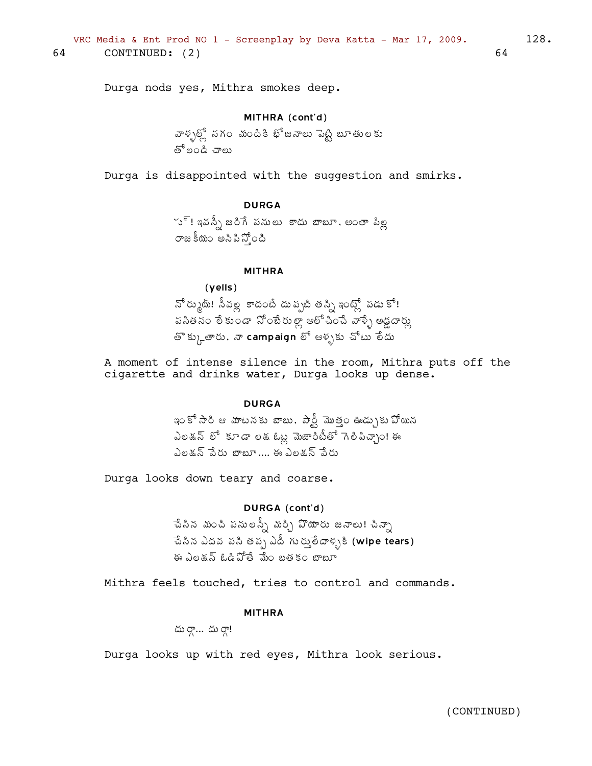Durga nods yes, Mithra smokes deep.

#### MITHRA (cont'd)

వాళ్ళల్స్తో నగం మందికి భోజనాలు పెట్టి బూతులకు తో లండి చాలు

Durga is disappointed with the suggestion and smirks.

## **DURGA**

ూ్! ఇవస్సీ జరిగే పనులు కాదు బాబూ, అంతా పిల్ల రాజకీయం అసిపిన్తోంది

### **MITHRA**

 $(yells)$ నో ర్కుట్! సీవల్ల కాదంటే దు ప్పటి తస్సి ఇంట్లో పడు కో! పసితనం లేకుండా నోంబేరుల్లా ఆలోచించే వాళ్ళే అడ్డదార్లు తొక్కుతారు, నా campaign లో ఆళ్ళకు చోటు లేదు

A moment of intense silence in the room, Mithra puts off the cigarette and drinks water, Durga looks up dense.

#### **DURGA**

ఇంకో సారి ఆ మాటనకు బాబు. పార్టీ మొత్తం ఊడ్చుకు పోయిన ఎలడన్ లో కూడా లడఓట్ల మెజారిటీతో గెలిపిచ్చాం! ఈ ఎలక్షన్ పేరు బాబూ.... ఈ ఎలక్షన్ పేరు

Durga looks down teary and coarse.

### DURGA (cont'd)

చేసిన మంచి పనులన్నీ మర్చి పొయారు జనాలు! చిన్నా -పేసిన ఎదవ పసి తప్ప ఎదీ గుర్తులేదాళ్ళకి (wipe tears) ఈ ఎలడన్ ఓడిపోతే మేం బతకం బాబూ

Mithra feels touched, tries to control and commands.

#### **MITHRA**

దు రాౖ... దు రాౖ!

Durga looks up with red eyes, Mithra look serious.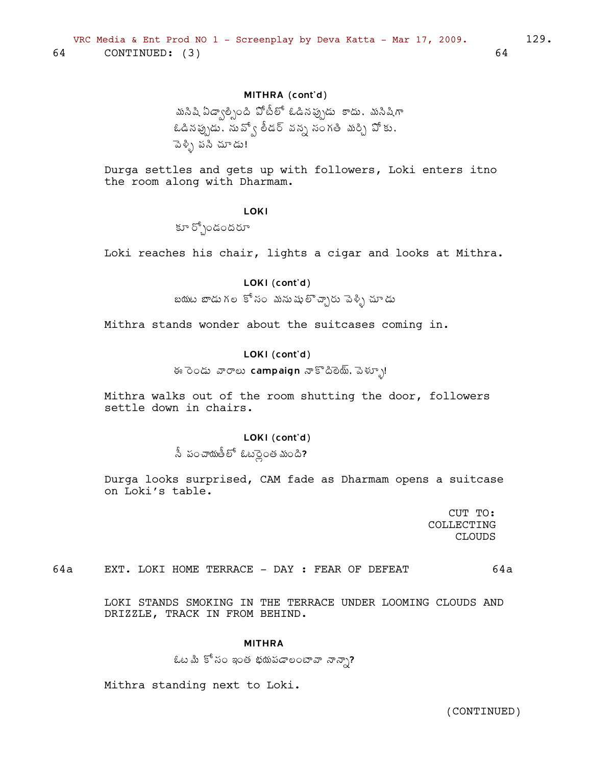## MITHRA (cont'd)

```
మసిషి ఏడ్వాల్సింది పోటీలో ఓడినప్పుడు  కాదు, మసిషిగా
ఓడినప్పుడు, నువ్వో లీడర్ వన్న సంగతి మర్చి వోకు,
ెపెళ్ళి పసి చూడు!
```
Durga settles and gets up with followers, Loki enters itno the room along with Dharmam.

### LOKI

 $\mathfrak{F}^{\delta}$ آن آن که

Loki reaches his chair, lights a cigar and looks at Mithra.

### LOKI (cont'd)

 $2\pi$ భు బాడుగల కోసం మనుషుల్చ్చారు పెళ్ళి చూడు

Mithra stands wonder about the suitcases coming in.

### LOKI (cont'd)

## ఈ రెండు వారాలు campaign నాకొదిలెయ్, పెళ్ళూ!

Mithra walks out of the room shutting the door, followers settle down in chairs.

### LOKI (cont'd)

 $\delta$  ఫంచాయితీలో ఓటర్లైంత మంది?

Durga looks surprised, CAM fade as Dharmam opens a suitcase on Loki's table.

> CUT TO: COLLECTING CLOUDS

64a EXT. LOKI HOME TERRACE - DAY : FEAR OF DEFEAT 64a

LOKI STANDS SMOKING IN THE TERRACE UNDER LOOMING CLOUDS AND DRIZZLE, TRACK IN FROM BEHIND.

### MITHRA

```
\ellట మీ కోసం ఇంత భయపడాలంటావా నాన్నా?
```
Mithra standing next to Loki.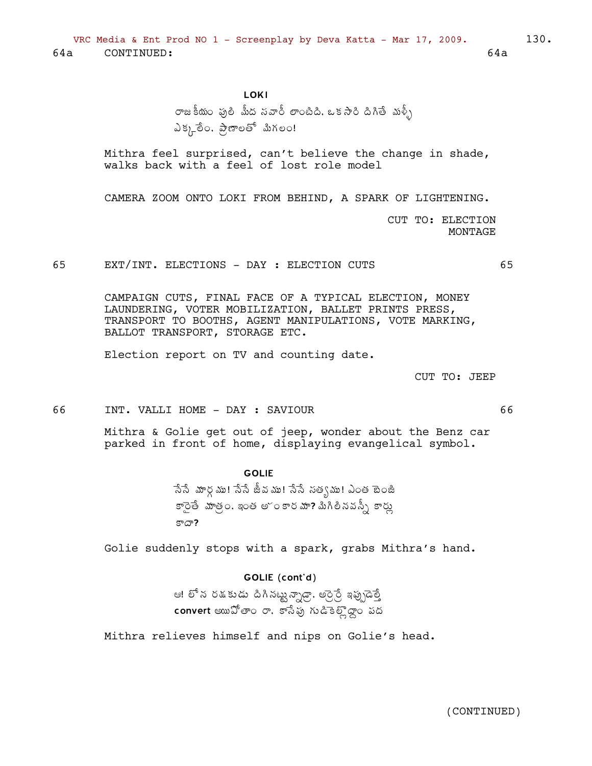**LOKI** 

రాజకీయం ఫులి మీద సవారీ లాంటిది. ఒకసారి దిగితే మళ్ళీ ఎక్కలేం. ప్రాణలతో మిగలం!

Mithra feel surprised, can't believe the change in shade, walks back with a feel of lost role model

CAMERA ZOOM ONTO LOKI FROM BEHIND, A SPARK OF LIGHTENING.

CUT TO: ELECTION MONTAGE

65 EXT/INT. ELECTIONS - DAY : ELECTION CUTS

> CAMPAIGN CUTS, FINAL FACE OF A TYPICAL ELECTION, MONEY LAUNDERING, VOTER MOBILIZATION, BALLET PRINTS PRESS, TRANSPORT TO BOOTHS, AGENT MANIPULATIONS, VOTE MARKING, BALLOT TRANSPORT, STORAGE ETC.

Election report on TV and counting date.

CUT TO: JEEP

66 INT. VALLI HOME - DAY : SAVIOUR

> Mithra & Golie get out of jeep, wonder about the Benz car parked in front of home, displaying evangelical symbol.

## **GOLIE**

సేసే మార్గము! సేసే జీవము! సేసే సత్యము! ఎంత బెంజీ కారైతే మాత్రం, ఇంత అౕంకారమా? మిగిలినవన్సీ కార్లు కాదా?

Golie suddenly stops with a spark, grabs Mithra's hand.

## GOLIE (cont'd)

ఆ! లోన రశ్కుడు దిగినట్టున్నాడ్రా. అర్రెర్రే ఇప్పుడెత్తే convert అయిపోతాం రా, కాసేపు గుడికెల్లొడ్డాం పద

Mithra relieves himself and nips on Golie's head.

(CONTINUED)

 $64a$ 

66

65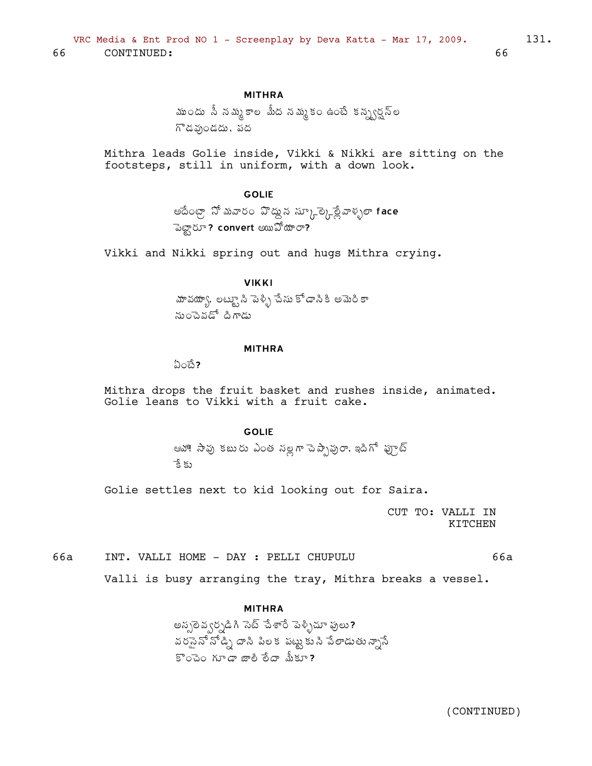## **MITHRA**

ముందు సీ నమ్మకాల మీద నమ్మకం ఉంటే కన్ప్వర్షన్ల గొడవుండదు, పద

Mithra leads Golie inside, Vikki & Nikki are sitting on the footsteps, still in uniform, with a down look.

### **GOLIE**

అదేంట్రా నో మవారం వొద్దున స్కూత్కైల్లేవాళ్ళలా face పెట్టారూ? convert అయిపోయారా?

Vikki and Nikki spring out and hugs Mithra crying.

## **VIKKI**

హవయ్యా, లట్ట్యూ సి పెళ్ళి చేసు కోడానికి అమెరికా నుంచెవడో దిగాడు

#### **MITHRA**

 $\omega$ ಂಕೆ?

Mithra drops the fruit basket and rushes inside, animated. Golie leans to Vikki with a fruit cake.

### **GOLIE**

ఆహా! సావు కబురు ఎంత సల్లగా పెప్పావురా. ఇదిగో ఫూట్ ేక్ కు

Golie settles next to kid looking out for Saira.

CUT TO: VALLI IN **KTTCHEN** 

66a INT. VALLI HOME - DAY : PELLI CHUPULU 66a

Valli is busy arranging the tray, Mithra breaks a vessel.

#### **MITHRA**

అస్సలెవ్వర్సడిగి సెట్ చేశారే పెళ్ళిచూ పులు? వరసైనో నోడ్ని దాసి పిలక పట్టుకుని పేలాడుతున్నాసే  $\mathbb{S}$ ంచెం గూడా జాలి రేదా మీకూ?

66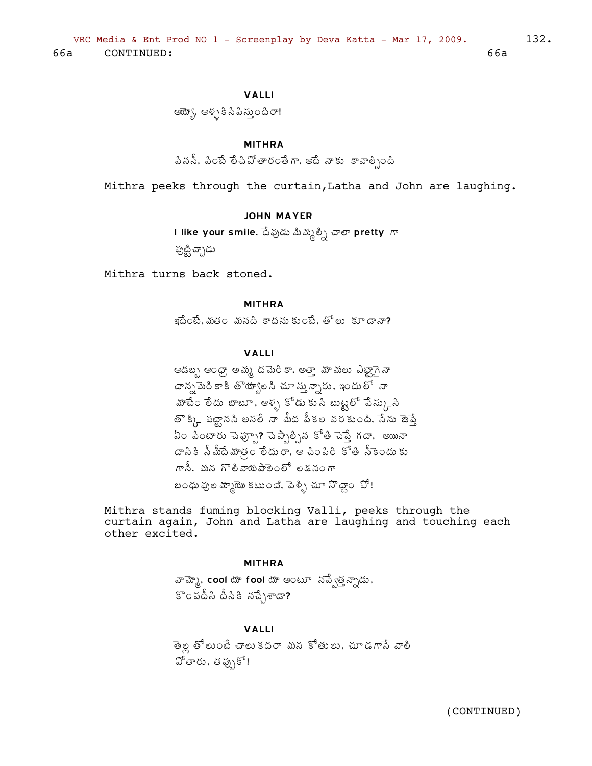## **VALLI**

ఆయ్బో, ఆళ్ళకి సిపిస్తుందిరా!

### **MITHRA**

పిననీ, పించే లేచిపోతారంతేగా, అదే నాకు కావాల్సింది

Mithra peeks through the curtain, Latha and John are laughing.

#### **JOHN MAYER**

l like your smile, దేవుడు మిమ్మల్సి చాలా pretty గా

పుట్టి చ్చాడు

Mithra turns back stoned.

#### **MITHRA**

ఇదేంటే. మతం మనది కాదను కుంటే. తోలు కూడానా?

## **VALLI**

ఆడబ్బ ఆంధ్రా అమ్మ దమెరికా, అత్తా మామలు ఎట్టాగైనా దాన్నమెరి కాకి తొయ్యాలసి చూ స్తున్నారు, ఇందులో నా హాటేం లేదు బాబూ, ఆళ్ళ కోడు కుసి బుట్టలో పేస్కుని తొక్కి పట్టానని అనలే నా మీద పీకల వరకుంది. సేను జెప్తే ఏం పింటారు చెప్పూ? చెప్పాల్సిన కోతి చెప్తే గదా. అయినా దానికి నీమీదేమాత్రం లేదురా. ఆ చింపిరి కోతి నీకెందుకు గానీ. మన గొలివాయపాలెంలో లకునంగా బంధు వుల మ్మాయొ కటుంది, పెళ్ళి చూ నొద్దాం ఏో!

Mithra stands fuming blocking Valli, peeks through the curtain again, John and Latha are laughing and touching each other excited.

#### **MITHRA**

వామ్మో, cool యా fool యా అంటూ నప్పేత్తన్నాడు.  $s$ ంపదీసి దీనికి నచ్చేశాడా?

## **VALLI**

తెల్ల తోలుంటే చాలు కదరా మన కోతులు, చూడగానే వాలి హోతారు, తప్పుకో!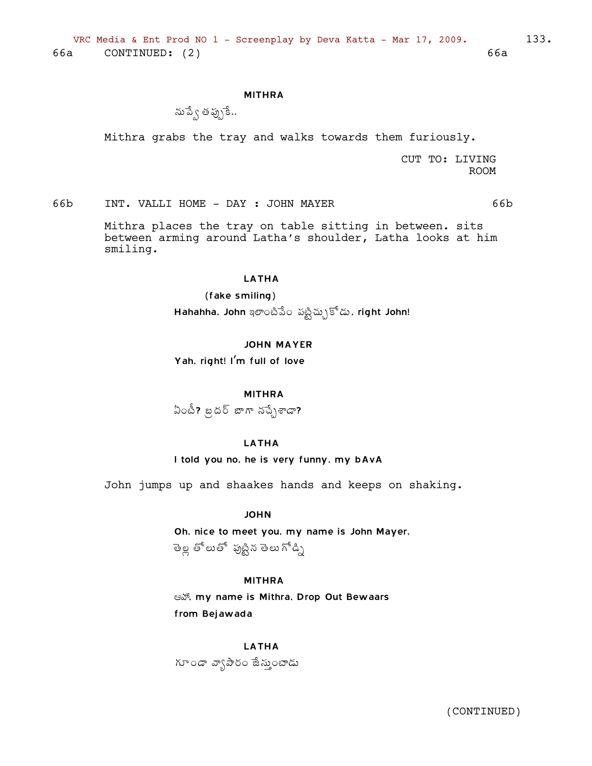#### **MITHRA**

ను ప్వే తప్పుకే..

Mithra grabs the tray and walks towards them furiously.

CUT TO: LIVING **ROOM** 

INT. VALLI HOME - DAY : JOHN MAYER 66b

> Mithra places the tray on table sitting in between. sits between arming around Latha's shoulder, Latha looks at him smiling.

#### **LATHA**

(fake smiling) Hahahha, John ఇలాంటిపేం పట్టిచ్చుకోడు, right John!

#### **JOHN MAYER**

Yah, right! I'm full of love

**MITHRA** 

ఏంటీ? బ్రదర్ బాగా నచ్చేశాడా?

#### **LATHA**

I told you no, he is very funny, my bAvA

John jumps up and shaakes hands and keeps on shaking.

**JOHN** 

Oh, nice to meet you, my name is John Mayer, తెల్ల తోలుతో పుట్టిన తెలు గోడ్ని

## **MITHRA**

Sext, my name is Mithra, Drop Out Bewaars from Bejawada

**LATHA** గూండా వ్యాపారం జేస్తుంటాడు

(CONTINUED)

66b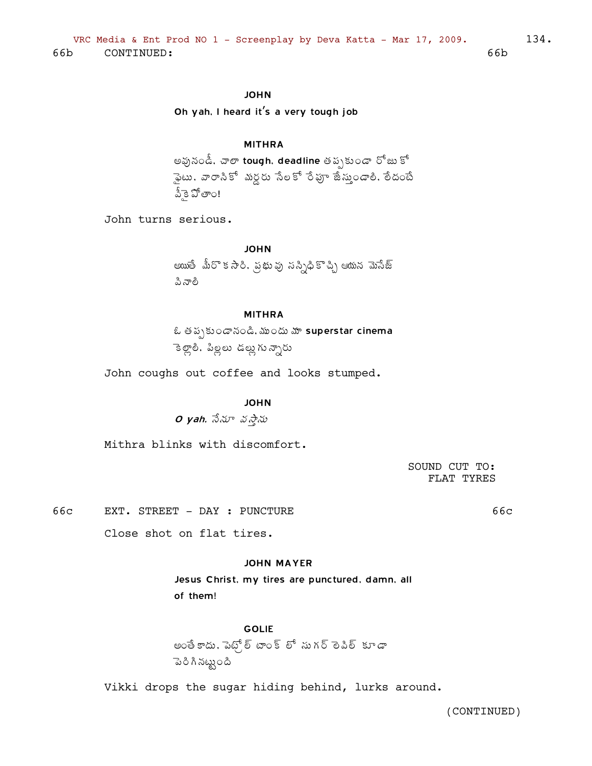## **JOHN**

Oh yah, I heard it's a very tough job

### **MITHRA**

అవునండీ, చాలా tough, deadline తప్పకుండా రోజు కో సైటు, వారానికో మర్డరు సేలకో రేపూ జేస్తుండాలి, రేదంటే వీకె పోతాం!

John turns serious.

**JOHN** అయితే మీరొకసారి, ప్రభువు నస్సిధికొచ్చి ఆయన మెసేజ్ ಪಿ ನಾಶಿ

#### **MITHRA**

ఓ తప్పకుండానండి, ముందు మా superstar cinema ెకెల్లాలి, పిల్లలు డల్లుగున్నారు

John coughs out coffee and looks stumped.

### **JOHN**

 $O$  yah,  $\vec{\partial} \Delta \vec{v}$  వస్తాను

Mithra blinks with discomfort.

SOUND CUT TO: FLAT TYRES

66c EXT. STREET - DAY : PUNCTURE 66c

Close shot on flat tires.

### **JOHN MAYER**

Jesus Christ, my tires are punctured, damn, all of them!

**GOLIE** అంతే కాదు, పెట్స్ల్ టాంక్ లో సుగర్ లెపిల్ కూడా <u>ಾ</u>ರಿ ಗಿ ನಟ್ಟುಂದಿ

Vikki drops the sugar hiding behind, lurks around.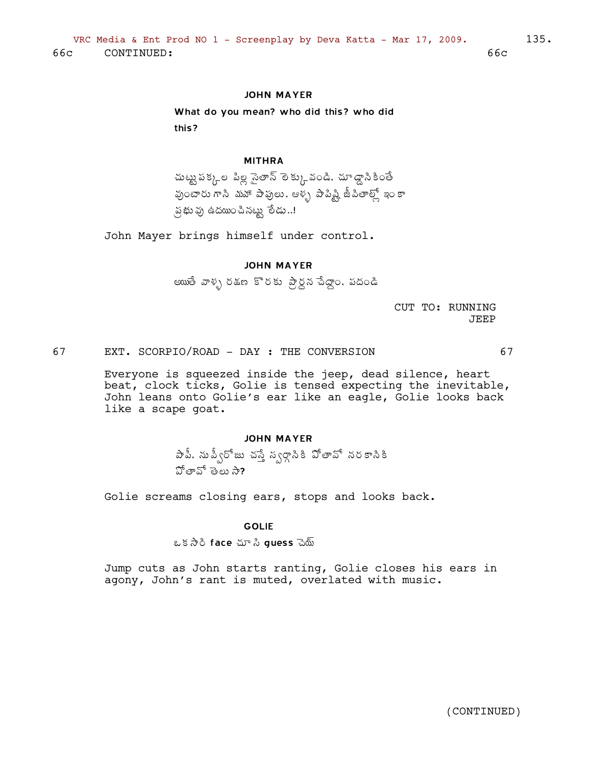## **JOHN MAYER**

What do you mean? who did this? who did this?

#### **MITHRA**

చుట్టు పక్కల పిల్ల సైతాన్ లెక్కువండి. చూడ్డానికింతే వుంటారు గాని మహా పాపులు, ఆళ్ళ పాపిష్టి జీపితాల్లో ఇం కా న భువు ఉదయించినట్టు లేడు..!

John Mayer brings himself under control.

#### **JOHN MAYER**

అయితే వాళ్ళ రకుణ కొరకు ప్రైనపేదాం. పదండి

CUT TO: RUNNING **JEEP** 

67 EXT. SCORPIO/ROAD - DAY : THE CONVERSION 67

Everyone is squeezed inside the jeep, dead silence, heart beat, clock ticks, Golie is tensed expecting the inevitable, John leans onto Golie's ear like an eagle, Golie looks back like a scape goat.

#### **JOHN MAYER**

పాపీ. నుప్వీరోజు చస్తే స్వర్గానికి పోతావో నరకానికి హీతాన్ తెలు సా

Golie screams closing ears, stops and looks back.

### **GOLIE**

ఒక సారి face చూ సి guess చెయ్

Jump cuts as John starts ranting, Golie closes his ears in agony, John's rant is muted, overlated with music.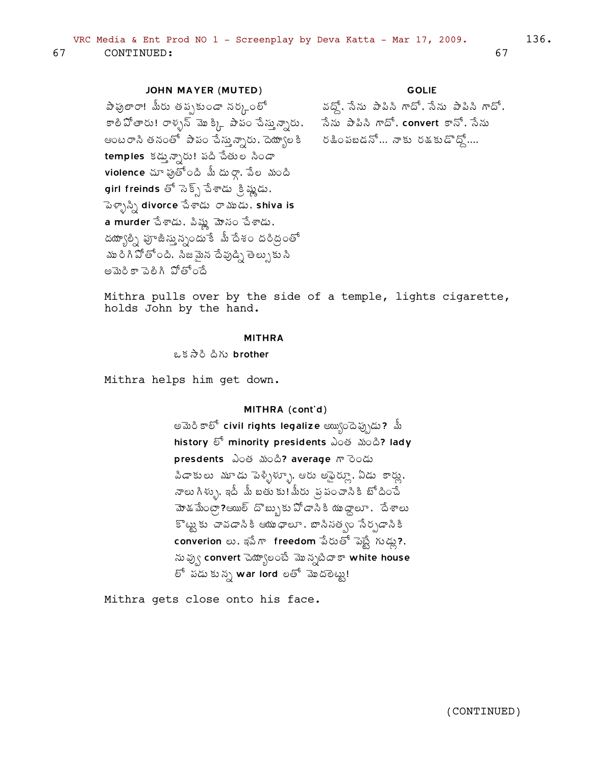### **JOHN MAYER (MUTED)**

పాపులారా! మీరు తప్పకుండా నర్కంలో వద్దో, సేను పాపిసి గాదో, సేను పాపిసి గాదో, కాలిపోతారు! రాళ్ళన్ మొక్కి పాపం చేస్తున్నారు, సేను పాపిని గాదో, convert కానో, సేను ఆంటరాని తనంతో పాపం చేస్తున్నారు, దెయ్యాలకి రెజింపబడనో... నాకు రశుకుడొద్దో.... temples కడ్తున్నారు! పది చేతుల సిండా  $vi$ olence చూ ఫుతోంది మీ దు రాగా సేల మంది girl freinds తో సెక్స్ చేశాడు క్రిష్ణుడు, పెళ్ళాస్సి divorce సేశాడు రాముడు, shiva is a murder సేశాడు, పిష్ణ మోసం సేశాడు, దయ్యాల్ని పూజీస్తున్నందుకే మీ దేశం దరిద్రంతో ము రి గి పోతోంది. సిజమైన దేవుడ్ని తెల్పుకు సి అమెరికా పెలిగి పోతోందే

#### **GOLIE**

Mithra pulls over by the side of a temple, lights cigarette, holds John by the hand.

#### **MITHRA**

ఒక సారి దిగు brother

Mithra helps him get down.

### MITHRA (cont'd)

అమెరి కాలో civil rights legalize అయ్యిందెప్పుడు? మీ history හි minority presidents ఎంత మంది? lady presdents ఎంత మంది? average గారెండు పిడాకులు మూడు పెళ్ళిళ్ళూ, ఆరు అఫైర్కూ, ఏడు కార్లు, నాలు గిళ్ళు, ఇదీ మీ బతు కు!మీరు ప్రపంచానికి బోదించే మోడమేంట్రా?ఆయుల్ దొబ్బుకుపోడానికి యుద్ధాలూ, దేశాలు కొట్టుకు చావడానికి ఆయుధాలూ, బానినత్వం సేర్పడానికి converion లు, ఇపేగా freedom పేరుతో పెట్టే గుడ్లు?, ను వ్వు convert చెయ్యాలంటే మొన్నటిదాకా white house లో పడుకున్న war lord లతో మొదలెట్టు!

Mithra gets close onto his face.

67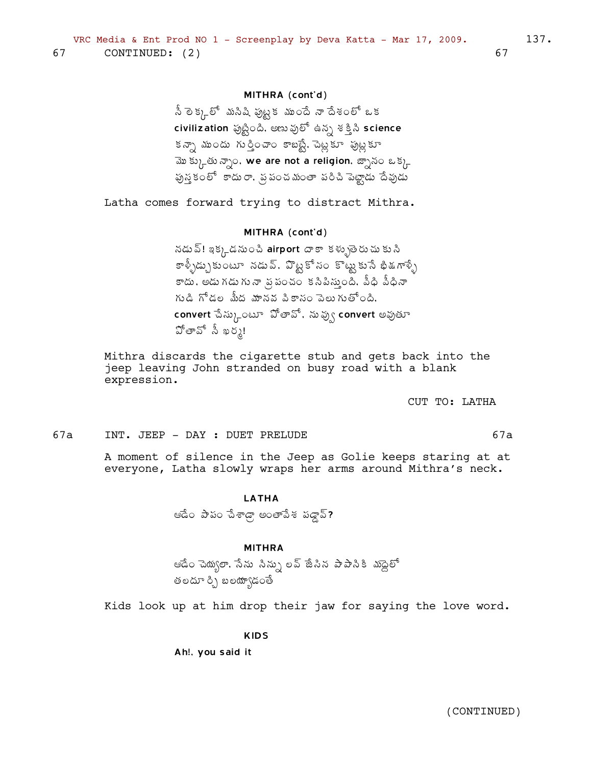## MITHRA (cont'd)

నీ లెక్కలో మనిషి ఫుట్టక ముందే నా దేశంలో ఒక civilization ఫుట్టింది. అణు ఫులో ఉన్న శక్తి సి science కన్నా ముందు గుర్తించాం కాబట్టే, పెట్లకూ పుట్లకూ మొక్కుతున్నాం, we are not a religion, జ్నానం ఒక్క పున్హకంలో కాదురా, ప్రపంచమంతా పరిచి పెట్టాడు దేవుడు

Latha comes forward trying to distract Mithra.

#### MITHRA (cont'd)

నడు వ్! ఇక్కడనుంచి airport దాకా కళ్ళుతైరుచు కుని కాళ్ళీడ్చుకుంటూ నడువ్, వొట్టకోనం కొట్టుకుసే భిత్గాళ్ళే కాదు, అడు గడు గు నా వ్ర పంచం కనిపిన్తుంది, పీధి పీధినా గుడి గోడల మీద మానవ పికాసం పెలుగుతోంది. convert పేస్కుంటూ పోతావో, నువ్వు convert అవుతూ పోతావో సీ ఖర్మ!

Mithra discards the cigarette stub and gets back into the jeep leaving John stranded on busy road with a blank expression.

CUT TO: LATHA

 $67a$ 

 $67a$ INT. JEEP - DAY : DUET PRELUDE

> A moment of silence in the Jeep as Golie keeps staring at at everyone, Latha slowly wraps her arms around Mithra's neck.

#### **LATHA**

ఆడేం పాపం చేశాడ్గా అంతాపేశ పడ్డావ్?

### **MITHRA**

ఆడేం చెయ్యలా, సేను సిన్సు లవ్ జేసిన పాపాసికి మాద్దెలో తలదూ ర్చి బలయ్యాడంతే

Kids look up at him drop their jaw for saying the love word.

**KIDS** 

Ah!, you said it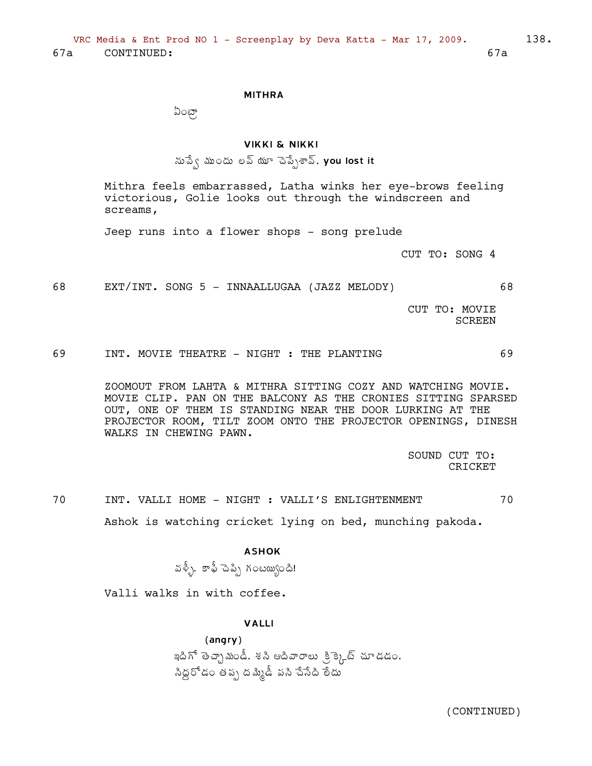#### MITHRA

 $\mathfrak{O}$ ంటా

### VIKKI & NIKKI

ను పే $\zeta$  ముందు లవ్ యూ చెప్పేశావ్. you lost it

Mithra feels embarrassed, Latha winks her eye-brows feeling victorious, Golie looks out through the windscreen and screams,

Jeep runs into a flower shops - song prelude

CUT TO: SONG 4

68 EXT/INT. SONG 5 - INNAALLUGAA (JAZZ MELODY) 68

CUT TO: MOVIE SCREEN

69 INT. MOVIE THEATRE - NIGHT : THE PLANTING 69

ZOOMOUT FROM LAHTA & MITHRA SITTING COZY AND WATCHING MOVIE. MOVIE CLIP. PAN ON THE BALCONY AS THE CRONIES SITTING SPARSED OUT, ONE OF THEM IS STANDING NEAR THE DOOR LURKING AT THE PROJECTOR ROOM, TILT ZOOM ONTO THE PROJECTOR OPENINGS, DINESH WALKS IN CHEWING PAWN.

> SOUND CUT TO: CRICKET

70 INT. VALLI HOME - NIGHT : VALLI'S ENLIGHTENMENT 70 Ashok is watching cricket lying on bed, munching pakoda.

#### ASHOK

©Á®Äò, 墀 úÉ¡Ãå ÁÏý¦êÏžÃ!

Valli walks in with coffee.

### VALLI

(angry) ఇదిగో తెచ్చా మండీ, శసి ఆదివారాలు క్రిక్కెట్ చూడడం, సిద్దరోడం తప్ప దమ్మిడీ పసి చేసేది లేదు $\check{\phantom{a}}$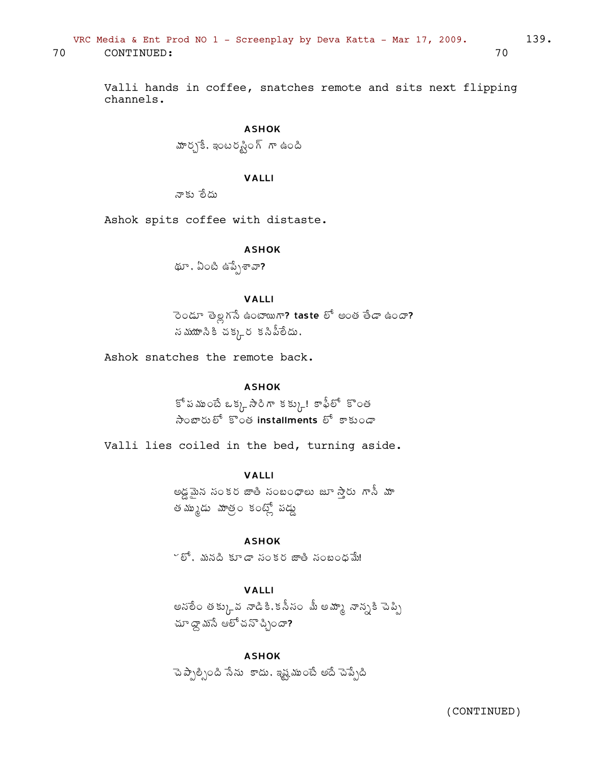VRC Media & Ent Prod NO  $1$  - Screenplay by Deva Katta - Mar 17, 2009. 139. 70 CONTINUED: 70

Valli hands in coffee, snatches remote and sits next flipping channels.

# ASHOK మార్చకే, ఇంటరష్టింగ్ గా ఉంది

## VALLI

నాకు రేదు

Ashok spits coffee with distaste.

### ASHOK

థూ, ఏంటి ఉప్పేశావా?

## VALLI

ెండూ తెల్లగసే ఉంటాయిగా? taste లో అంత తేడా ఉందా?  $\sim$  నమయానికిచక్కర కనిపీలేదు,

Ashok snatches the remote back.

### ASHOK

 $\tilde{\mathcal{S}}$  పముంటే ఒక్క సిరిగా కక్కు! కాఫీలో కొంత సెంబారులో కొంత installments లో కాకుండా

Valli lies coiled in the bed, turning aside.

## VALLI

అడ్డమైన సంకర జాతి సంబంధాలు జూ స్తారు గానీ మా త మృృడు మాత్రం కంట్స్లో పడ్డు

### ASHOK

 $\check{\phantom{a}}$ ోలీ, మనది కూడా సంకర జాతి సంబంధమే!

## VALLI

అనలేం తక్కువ నాడికి.కసీసం మీ అమ్మా నాన్నకి పెప్పి  $\mathfrak{g}$ దా డాస్ట్రే అలో చన్ స్ప్రిందా?

ASHOK ెచెప్పాల్సింది సేను కాదు. ఇష్టముంటే అదే చెప్పేది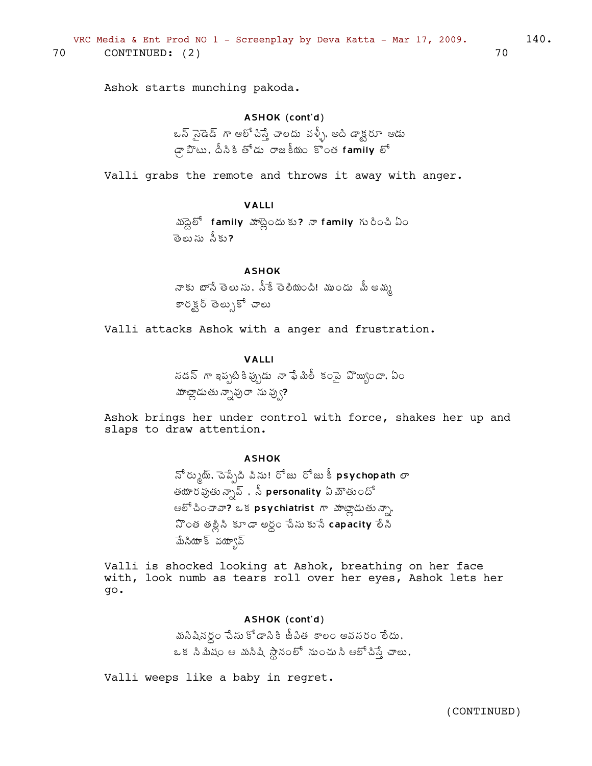Ashok starts munching pakoda.

### ASHOK (cont'd)

ఒన్ సైడెడ్ గా ఆలోచిస్తే చాలదు వళ్ళీ, అది డాక్టరూ ఆడు  $\mathcal{F}_{\mathcal{G}}$   $\mathbb{Z}^n$   $\mathbb{Z}^n$   $\mathbb{Z}^n$   $\mathbb{Z}^n$   $\mathbb{Z}^n$   $\mathbb{Z}^n$   $\mathbb{Z}^n$   $\mathbb{Z}^n$   $\mathbb{Z}^n$   $\mathbb{Z}^n$   $\mathbb{Z}^n$   $\mathbb{Z}^n$   $\mathbb{Z}^n$   $\mathbb{Z}^n$   $\mathbb{Z}^n$   $\mathbb{Z}^n$   $\mathbb{Z}^n$   $\mathbb{Z}^n$   $\mathbb{Z}^$ 

Valli grabs the remote and throws it away with anger.

### VALLI

 $\mathbb{Z}\otimes \mathbb{S}^{\mathbb{S}}$  family  $\mathbb{Z}\otimes \mathbb{Z}$  and  $\mathbb{Z}\otimes \mathbb{Z}$  is tamily  $\mathbb{Z}\otimes \mathbb{Z}$   $\mathbb{Z}\otimes \mathbb{Z}$ తెలుసు నీకు**?** 

### ASHOK

నాకు బాసే తెలుసు, స్కే తెలియంది! ముందు మీ అమ్మ కారక్ల తెల్సుకో చాలు

Valli attacks Ashok with a anger and frustration.

### VALLI

 $\tilde{a}$  సడన్  $\tilde{a}$  ఇప్పటి కి ఫ్లేషీ శులీ కంపై హెబ్బుందా, ఏం హాట్లాడుతు న్నావురా ను వ్వు?

Ashok brings her under control with force, shakes her up and slaps to draw attention.

### ASHOK

 $\tilde{\mathfrak{S}}$  రు $\chi$ ్య, చెప్పేది పిసు! రోజు లోజు కీ psychopath లా తయార వుతు న్నావ్ , సీ $\,$  personality ఏ మౌతు $\,$ ందో ఆలో చించావా? ఒక psychiatrist గా మాట్లాడుతున్నా.  $3\degree$ ంత తల్లిని కూడా అర్ధం చేసుకునే capacity లేని మేసియాక్ వయా్న

Valli is shocked looking at Ashok, breathing on her face with, look numb as tears roll over her eyes, Ashok lets her go.

#### ASHOK (cont'd)

మసిషినర్ధం చేసు కోడాసికి జీపిత కాలం అవసరం లేదు,  $\iota$  క సి మీషం ఆ మసిషి స్థానంలో నుంచుసి ఆలో చిస్తే చాలు,

Valli weeps like a baby in regret.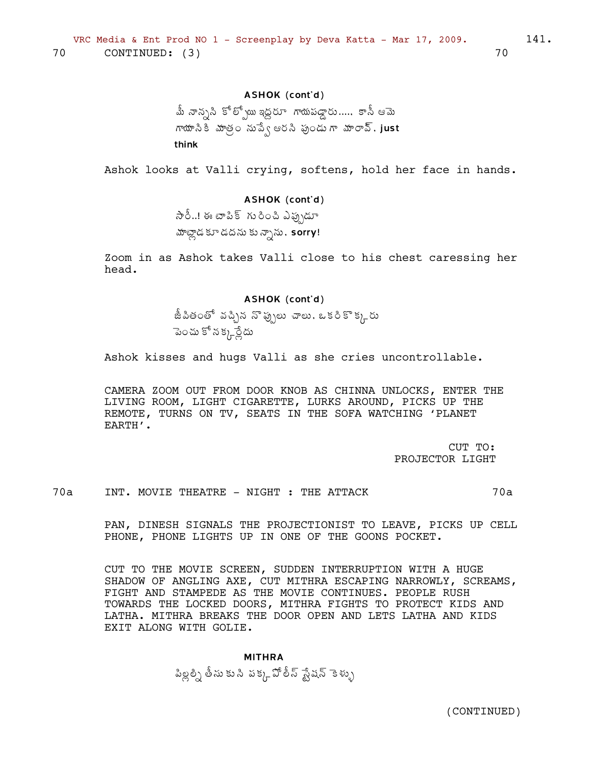### ASHOK (cont'd)

.<br>మీ నాన్నని కోల్పోయి ఇద్దరూ గాయపడ్డారు..... కానీ ఆమె గాయానికి మాత్ర నుపేఁ ఆరని ఫుండు గా మారావ్. just think

Ashok looks at Valli crying, softens, hold her face in hands.

## ASHOK (cont'd)

సారీ..! ఈ టాపిక్ గురించి ఎఫ్సుడూ హాట్లాడ కూడదను కున్నాను, sorry!

Zoom in as Ashok takes Valli close to his chest caressing her head.

### ASHOK (cont'd)

.<br>జీపితంతో వచ్చిన నొప్పులు చాలు. ఒకరికొక్కరు పెంచు కో న క్క్లర్లేదు

Ashok kisses and hugs Valli as she cries uncontrollable.

CAMERA ZOOM OUT FROM DOOR KNOB AS CHINNA UNLOCKS, ENTER THE LIVING ROOM, LIGHT CIGARETTE, LURKS AROUND, PICKS UP THE REMOTE, TURNS ON TV, SEATS IN THE SOFA WATCHING 'PLANET EARTH'.

> CUT TO: PROJECTOR LIGHT

 $70a$  $70a$ INT. MOVIE THEATRE - NIGHT : THE ATTACK

> PAN, DINESH SIGNALS THE PROJECTIONIST TO LEAVE, PICKS UP CELL PHONE, PHONE LIGHTS UP IN ONE OF THE GOONS POCKET.

> CUT TO THE MOVIE SCREEN, SUDDEN INTERRUPTION WITH A HUGE SHADOW OF ANGLING AXE, CUT MITHRA ESCAPING NARROWLY, SCREAMS, FIGHT AND STAMPEDE AS THE MOVIE CONTINUES. PEOPLE RUSH TOWARDS THE LOCKED DOORS, MITHRA FIGHTS TO PROTECT KIDS AND LATHA. MITHRA BREAKS THE DOOR OPEN AND LETS LATHA AND KIDS EXIT ALONG WITH GOLIE.

**MITHRA** పిల్లల్ని తీసు కు సి పక్క చోలీస్ స్టేషన్ కెళ్ళు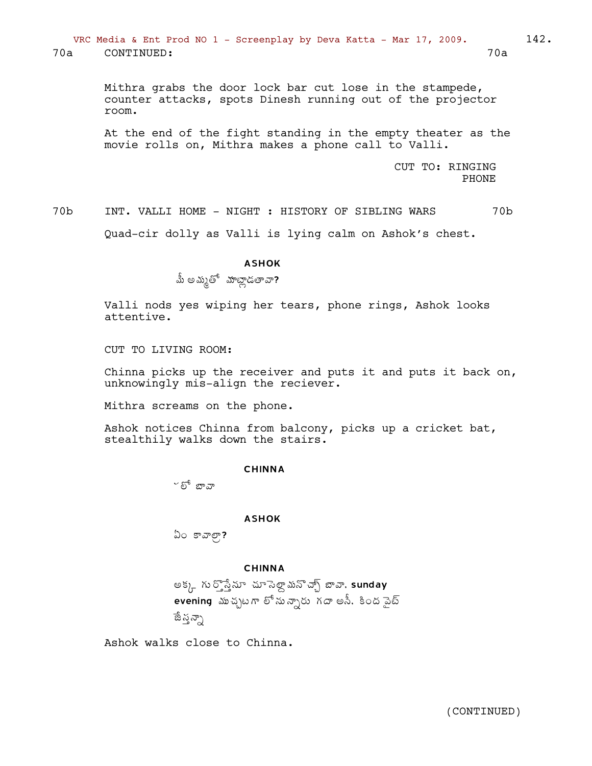VRC Media & Ent Prod NO 1 - Screenplay by Deva Katta - Mar 17, 2009. 142. 70a CONTINUED: 70a

> Mithra grabs the door lock bar cut lose in the stampede, counter attacks, spots Dinesh running out of the projector room.

At the end of the fight standing in the empty theater as the movie rolls on, Mithra makes a phone call to Valli.

> CUT TO: RINGING PHONE

70b INT. VALLI HOME - NIGHT : HISTORY OF SIBLING WARS 70b Quad-cir dolly as Valli is lying calm on Ashok's chest.

#### ASHOK

 $\stackrel{1}{\text{a}}$  అమ్మతో మాట్లాడతావా?

Valli nods yes wiping her tears, phone rings, Ashok looks attentive.

CUT TO LIVING ROOM:

Chinna picks up the receiver and puts it and puts it back on, unknowingly mis-align the reciever.

Mithra screams on the phone.

Ashok notices Chinna from balcony, picks up a cricket bat, stealthily walks down the stairs.

#### CHINNA

 $\sim$ గ్ బాగా

#### ASHOK

 $\omega$ ం కావాలా?

#### CHINNA

అక్క గుర్తోననూ చూసెల్లా మన్చ్స్ బావా, sunday  $\overline{\phantom{a}}$ evening ముచ్చటగా లోనున్నారు గదా అసీ, కింద పైట్ ేజే న్హ న్స్టా

Ashok walks close to Chinna.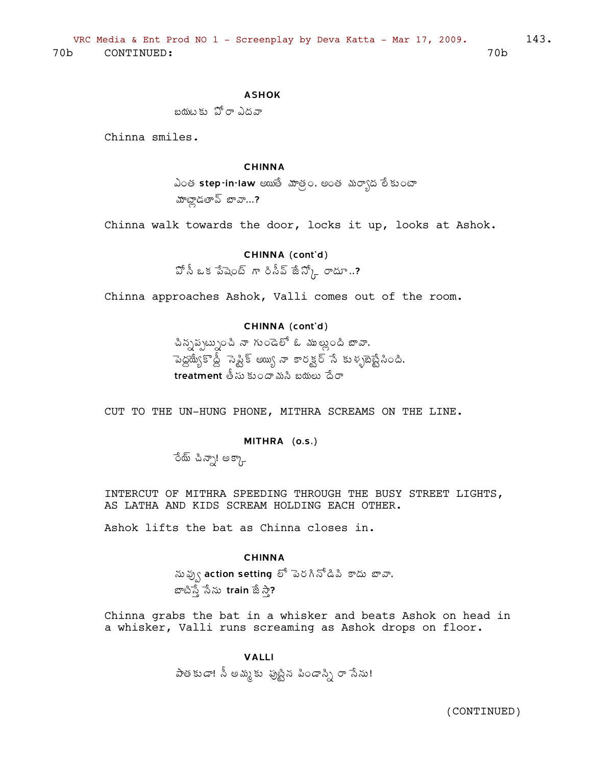### **ASHOK**

బయటకు పోరాం ఎదనా

Chinna smiles.

### **CHINNA**

ఎంత step-in-law అయితే మాత్రం, అంత మర్యాద లేకుంటా మాట్లాడతావ్ బావా...?

Chinna walk towards the door, locks it up, looks at Ashok.

### CHINNA (cont'd)

 $\mathfrak{I}^{\natural}$  ఓ క పేషెంట్ గా రిసీవ్ జీ $\mathfrak{I}^{\flat}$ ) లాదూ..?

Chinna approaches Ashok, Valli comes out of the room.

### CHINNA (cont'd)

చిన్నప్పట్నుంచి నా గుండెలో ఓ ముల్లుంది బావా, పెద్దయ్యేకొద్దీ సెప్టిక్ అయ్యి నా కారక్టర్ సే కుళ్ళబెబ్టేనింది.  $\overline{\text{treatment}}$  and  $\overline{\text{t}}$  and  $\overline{\text{t}}$  and  $\overline{\text{t}}$  and  $\overline{\text{t}}$  and  $\overline{\text{t}}$ 

CUT TO THE UN-HUNG PHONE, MITHRA SCREAMS ON THE LINE.

## MITHRA (o.s.)

రేయ్ చిన్నా! అక్కా

INTERCUT OF MITHRA SPEEDING THROUGH THE BUSY STREET LIGHTS, AS LATHA AND KIDS SCREAM HOLDING EACH OTHER.

Ashok lifts the bat as Chinna closes in.

#### **CHINNA**

ను ఫ్వు action setting లో పెరగినోడిపి కాదు బావా, బాటిస్తే సేను train జేసా?

Chinna grabs the bat in a whisker and beats Ashok on head in a whisker, Valli runs screaming as Ashok drops on floor.

> **VAIII** పాతకుడా! సీ అమ్మకు పుట్టిన పిండాస్ని రా సేను!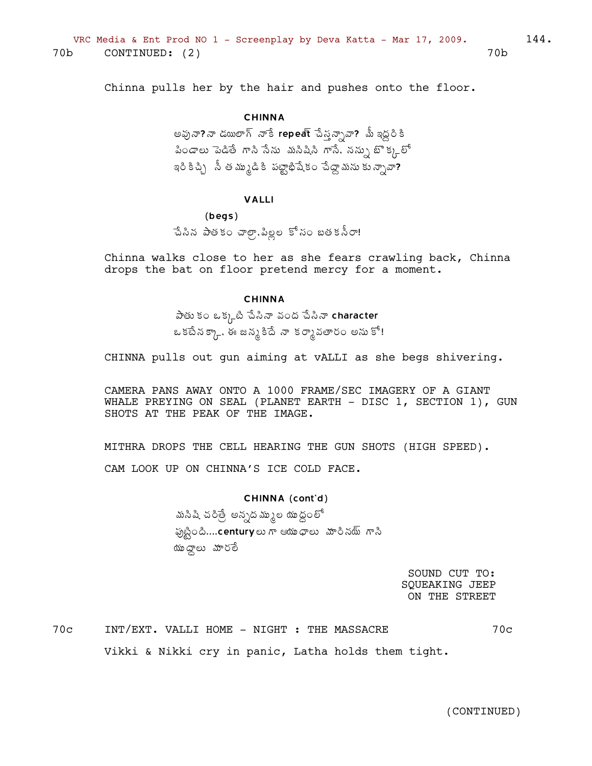Chinna pulls her by the hair and pushes onto the floor.

### **CHINNA**

అవునా?నా డయిలాగ్ నాకే repeat చేస్తన్నావా? మీ ఇద్దరికి పిండాలు పెడితే గాని సేను మసిషిని గాసే, నన్ను బొక్కలో ఇరి కిచ్చి నీ త మ్ముడి కి పట్టాభిషేకం చేద్దా మను కు న్నావా?

#### **VALLI**

### $(begs)$

చేసిన పాతకం చాల్రా,పిల్లల కోసం బతకనీరా!

Chinna walks close to her as she fears crawling back, Chinna drops the bat on floor pretend mercy for a moment.

#### **CHINNA**

పేతు కం ఒక్క్టటి పేసినా వంద పేసినా character ఒకటేనక్కా, ఈ జన్మకిదే నా కర్మావతారం అనుకో!

CHINNA pulls out gun aiming at vALLI as she begs shivering.

CAMERA PANS AWAY ONTO A 1000 FRAME/SEC IMAGERY OF A GIANT WHALE PREYING ON SEAL (PLANET EARTH - DISC 1, SECTION 1), GUN SHOTS AT THE PEAK OF THE IMAGE.

MITHRA DROPS THE CELL HEARING THE GUN SHOTS (HIGH SPEED).

CAM LOOK UP ON CHINNA'S ICE COLD FACE.

### CHINNA (cont'd)

మసిషి చరిత్రే అన్నదమ్ముల యుద్ధంలో పుట్టింది....centuryలు గా ఆయుధాలు మారినయ్ గాని యుండాలు మారలే

> SOUND CUT TO: **SQUEAKING JEEP** ON THE STREET

 $70c$ INT/EXT. VALLI HOME - NIGHT : THE MASSACRE  $70c$ Vikki & Nikki cry in panic, Latha holds them tight.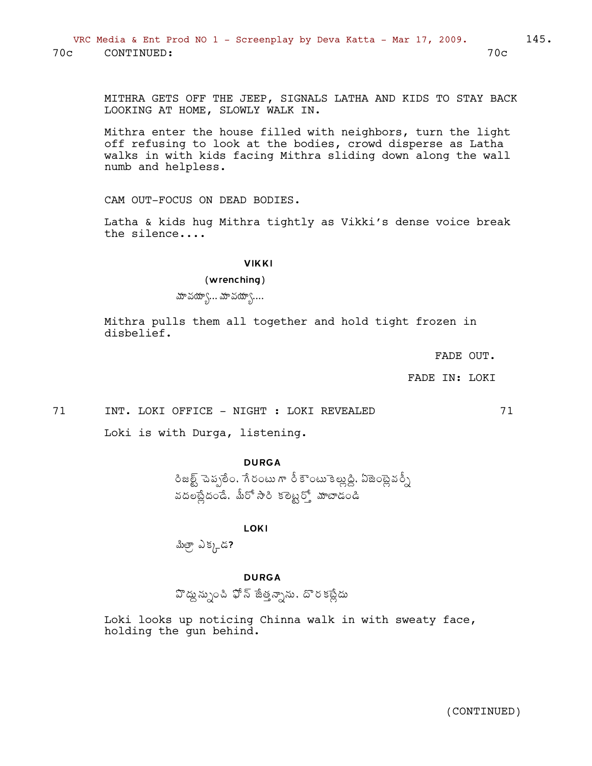MITHRA GETS OFF THE JEEP, SIGNALS LATHA AND KIDS TO STAY BACK LOOKING AT HOME, SLOWLY WALK IN.

Mithra enter the house filled with neighbors, turn the light off refusing to look at the bodies, crowd disperse as Latha walks in with kids facing Mithra sliding down along the wall numb and helpless.

CAM OUT-FOCUS ON DEAD BODIES.

Latha & kids hug Mithra tightly as Vikki's dense voice break the silence....

#### **VIKKI**

### (wrenching)

మావయ్యా... మావయ్యా....

Mithra pulls them all together and hold tight frozen in disbelief.

FADE OUT.

71

FADE IN: LOKI

71

INT. LOKI OFFICE - NIGHT : LOKI REVEALED

Loki is with Durga, listening.

### **DURGA**

రిజల్ట్ చెప్పలేం, గేరంటు గా రీ కౌంటు కెల్లుడ్డి, ఏజెంట్లైవర్నీ వదలట్లేదండే, మీరో సారి కలెట్టర్తో మాటాడండి

**LOKI** 

మిత్రా, ఎక్కడ?

### **DURGA**

వొద్దు న్నుంచి ఫోన్ జేత్తన్నాను, దొరకట్లేదు

Loki looks up noticing Chinna walk in with sweaty face, holding the gun behind.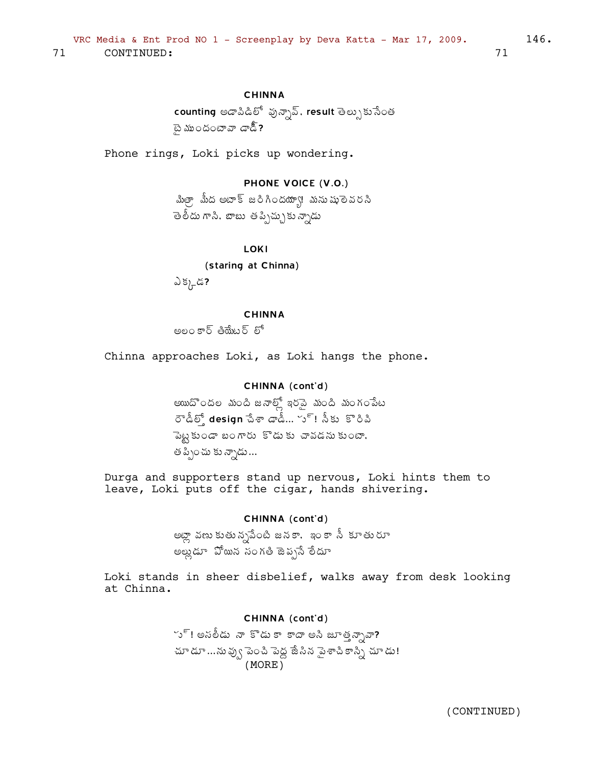## **CHINNA**

counting అడాపిడిలో వున్సావ్, result తెల్సుకుసేంత టై ముందంటావా డాడ్.?

Phone rings, Loki picks up wondering.

## PHONE VOICE (V.O.)

మిత్రా మీద అటాక్ జరిగిందయ్యా! మనుషులెవరసి తెలీదు గాని. బాబు తప్పిచ్చుకు న్నాడు

**LOKI** 

(staring at Chinna)

ఎక్కడ?

#### **CHINNA**

అలం కార్ తియేటర్ లో

Chinna approaches Loki, as Loki hangs the phone.

### CHINNA (cont'd)

అయిదొందల మంది జనాల్లో ఇరనై మంది మంగంపేట రౌడీల్తో design చేశా డాడీ... స్! నీకు కొరివి పెట్టకుండా బంగారు కొడుకు చావడనుకుంటా, త ప్పించు కు న్నాడు...

Durga and supporters stand up nervous, Loki hints them to leave, Loki puts off the cigar, hands shivering.

### CHINNA (cont'd)

అట్లా వణు కుతున్నపేంటి జనకా, ఇంకా సీ కూతురూ అల్లుడూ ఏో యిన సంగతి జెప్పసే లేదూ

Loki stands in sheer disbelief, walks away from desk looking at Chinna.

#### CHINNA (cont'd)

ూ్! అసలీడు నా కొడు కా కాదా అసి జూత్త న్నావా? చూ డూ ...ను వ్వు పెంచి పెద్ద జేసిన పైశాచి కాన్ని చూ డు!  $(MORE)$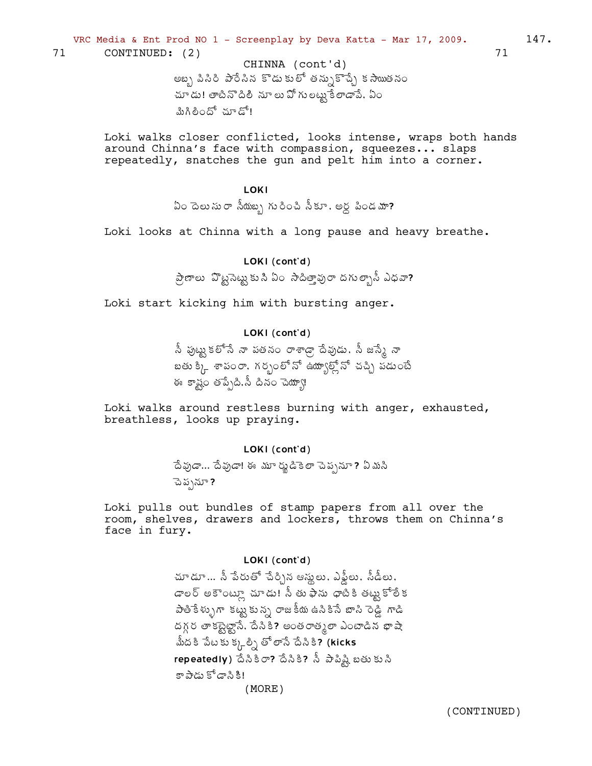VRC Media & Ent Prod NO 1 - Screenplay by Deva Katta - Mar 17, 2009.

71 CONTINUED: (2)

> CHINNA (cont'd) అబ్బ పినిరి పారేనిన కొడుకులో తన్సుకొచ్చే కసాయితనం చూ డు! తాటినొ దిలీ నూ లు ఏో గు లట్టు కే లాడాపే, ఏం మిగిలిందో చూడో!

Loki walks closer conflicted, looks intense, wraps both hands around Chinna's face with compassion, squeezes... slaps repeatedly, snatches the gun and pelt him into a corner.

**LOKI** 

ఏం దెలుసురా సీయబ్బ గురించి సీకూ, అర్ద పిండమా?

Loki looks at Chinna with a long pause and heavy breathe.

## LOKI (cont'd)

ప్రాణాలు 'వొట్టసెట్టుకుని ఏం సాదిత్తావురా దగుత్బాసీ ఎధవా?

Loki start kicking him with bursting anger.

## LOKI (cont'd)

.<br>సీ పుట్టు కలోసే నా పతనం రాశాడ్రా దేవుడు, సీ జస్కే నా బతు క్కి శాపంరా, గర్భంలోనో ఉద్యూల్డ్లోనో చచ్చి పడుంటే ఈ కాష్ట్రం తప్పేది, సీ దినం చెయ్యా!

Loki walks around restless burning with anger, exhausted, breathless, looks up praying.

### LOKI (cont'd)

దేవుడా... దేవుడా! ఈ మూర్మడికెలా చెప్పనూ? ఏమసి ెపె ప్పనూ ?

Loki pulls out bundles of stamp papers from all over the room, shelves, drawers and lockers, throws them on Chinna's face in fury.

### LOKI (cont'd)

చూడూ... నీ పేరుతో చేర్చిన ఆస్త్రలు, ఎఫ్డీలు, సీడీలు, డాలర్ అకౌంట్లూ చూడు! సీ తు ఫాను ధాటికి తట్టుకోలేక పాతికేళ్ళుగా కట్టుకున్న రాజకీయ ఉనికిసే బాసి రెడ్డి గాడి దగ్గర తాకట్టెట్టానే, దేసికి? అంతరాత్మలా ఎంటాడిన భాషా మీదకి పేటకు క్క్లల్ని తో లాసే దేసికి? (kicks repeatedly) దేనికిరా? దేనికి? నీ పాపిష్టి బతుకుని కా పాడు కోడాని కి!  $(MORE)$ 

(CONTINUED)

71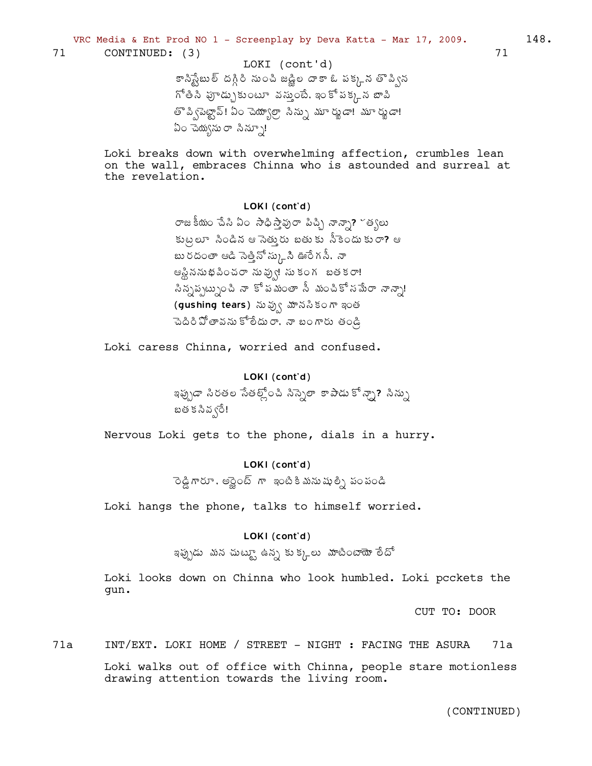VRC Media & Ent Prod NO 1 - Screenplay by Deva Katta - Mar 17, 2009.

71 CONTINUED: (3)

Loki breaks down with overwhelming affection, crumbles lean on the wall, embraces Chinna who is astounded and surreal at the revelation.

### LOKI (cont'd)

రాజకీయం చేసి ఏం సాధిస్తావురా పిచ్చి నాన్నా? ~త్యలు కుట్రలూ సిండిన ఆ సెత్తురు బతుకు సీకెందుకురా? ఆ బు రదంతా ఆడి సెత్తినో స్క్రుసి ఊరే గసీ, నా ఆస్టిననుభపించరా నువ్వు! సుకంగ బతకరా! సిన్నప్పట్నుంచి నా కోపమంతా సీ మంచికోనమేరా నాన్నా! (gushing tears) నువ్వు మానసికంగా ఇంత పెదిరి పోతావను కోలేదురా, నా బంగారు తండ్రి

Loki caress Chinna, worried and confused.

### LOKI (cont'd)

ఇప్పుడా సిరతల సేతల్లోంచి సిస్నెలా కాపాడు కో*న్నా*? సిన్ను బత క సివ ్రే!

Nervous Loki gets to the phone, dials in a hurry.

## LOKI (cont'd)

ెండ్డి గారూ , అన్లైంట్ గా ఇంటికి మను షుల్ని పంపండి

Loki hangs the phone, talks to himself worried.

### LOKI (cont'd)

ఇప్పుడు మన చుటూ ఉన్న కుక్కలు మాటింటాయో లేదో

Loki looks down on Chinna who look humbled. Loki pcckets the gun.

CUT TO: DOOR

INT/EXT. LOKI HOME / STREET - NIGHT : FACING THE ASURA  $71a$ 71a Loki walks out of office with Chinna, people stare motionless drawing attention towards the living room.

 $148.$ 

71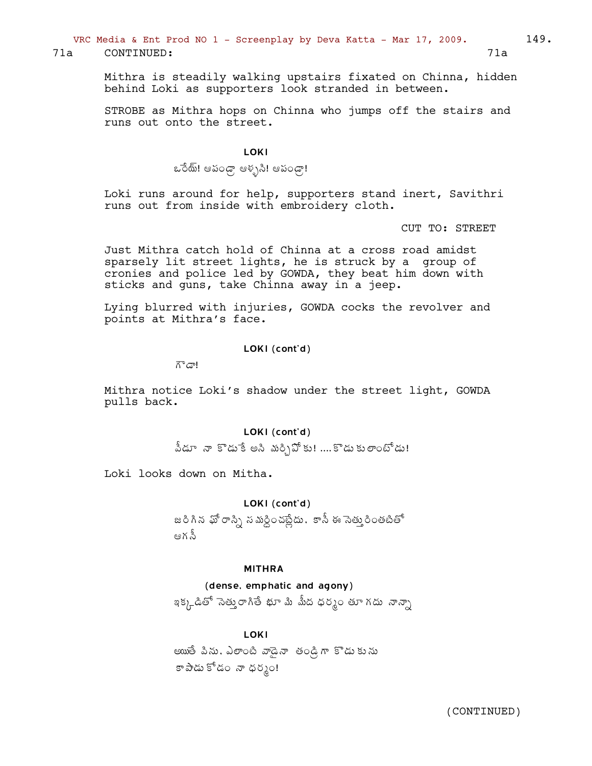VRC Media & Ent Prod NO  $1$  - Screenplay by Deva Katta - Mar 17, 2009. 149.

71a CONTINUED: 71a

Mithra is steadily walking upstairs fixated on Chinna, hidden behind Loki as supporters look stranded in between.

STROBE as Mithra hops on Chinna who jumps off the stairs and runs out onto the street.

### LOKI

ఒరేయ్! ఆపండ్గా ఆశ్చని! ఆపండ్గా!

Loki runs around for help, supporters stand inert, Savithri runs out from inside with embroidery cloth.

CUT TO: STREET

Just Mithra catch hold of Chinna at a cross road amidst sparsely lit street lights, he is struck by a group of cronies and police led by GOWDA, they beat him down with sticks and guns, take Chinna away in a jeep.

Lying blurred with injuries, GOWDA cocks the revolver and points at Mithra's face.

### LOKI (cont'd)

గాడా!

Mithra notice Loki's shadow under the street light, GOWDA pulls back.

## LOKI (cont'd)

వీడూ నా కొడు<sup>ร్కి</sup> అని మర్సిఏోకు! ....కొడు కులాంటోడు!

Loki looks down on Mitha.

#### LOKI (cont'd)

జరిగిన ఖో రాస్ని న మర్దించబ్రేదు. కానీ ఈ సెత్తురింతటితో ఆగ స్టీ

#### MITHRA

#### (dense, emphatic and agony)

ఇక్కడితో సెతుౖరాగితే భూ మి మీద ధర్మం తూ గదు నాన్సా

#### LOKI

eౠే పిను, ఎలాంటి వాడైనా తండ్రిగా కొడుకును కా పాడు కోడం నా ధర్మం!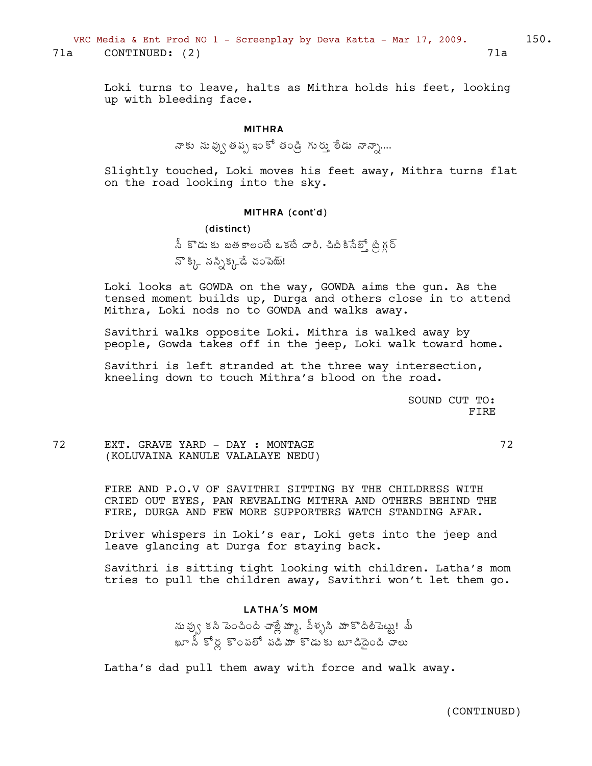Loki turns to leave, halts as Mithra holds his feet, looking up with bleeding face.

#### MITHRA

శాకు నువ్వు తప్ప ఇంకో తండ్రి గురు ైలేడు నాన్నా....

Slightly touched, Loki moves his feet away, Mithra turns flat on the road looking into the sky.

#### MITHRA (cont'd)

(distinct)  $\delta$  కొడుకు బతకాలంటే ఒకటే దారి, చిటికినేల్తో ట్రిగ్గర్  $\mathbb{S}^3_{\mathbb{A}^-}$  నస్నిక్కడే చంపెయ్!

Loki looks at GOWDA on the way, GOWDA aims the gun. As the tensed moment builds up, Durga and others close in to attend Mithra, Loki nods no to GOWDA and walks away.

Savithri walks opposite Loki. Mithra is walked away by people, Gowda takes off in the jeep, Loki walk toward home.

Savithri is left stranded at the three way intersection, kneeling down to touch Mithra's blood on the road.

> SOUND CUT TO: FIRE

72 EXT. GRAVE YARD - DAY : MONTAGE 72 (KOLUVAINA KANULE VALALAYE NEDU)

FIRE AND P.O.V OF SAVITHRI SITTING BY THE CHILDRESS WITH CRIED OUT EYES, PAN REVEALING MITHRA AND OTHERS BEHIND THE FIRE, DURGA AND FEW MORE SUPPORTERS WATCH STANDING AFAR.

Driver whispers in Loki's ear, Loki gets into the jeep and leave glancing at Durga for staying back.

Savithri is sitting tight looking with children. Latha's mom tries to pull the children away, Savithri won't let them go.

## LATHA'S MOM

సు ఫు్య కసి పెంచింది చాల్లే మాృ. వీళ్ళసి మాకొదిలిపెట్టు! మీ ఖూ సీ కోర్ల కొంపలో పడిమా కొడుకు బూడిదైంది చాలు

Latha's dad pull them away with force and walk away.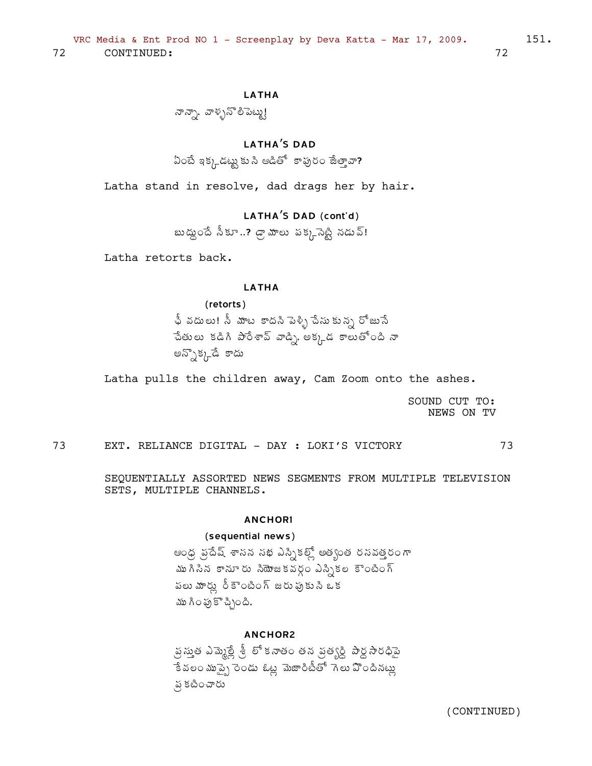## **LATHA**

నాన్నా, వాళ్ళనొలిపెట్టు!

## **LATHA'S DAD**

ఏంటే ఇక్కడట్టు కు సి ఆడితో కాపురం జేత్తావా?

Latha stand in resolve, dad drags her by hair.

## LATHA'S DAD (cont'd)

బుద్ధుందే నీకూ..? డ్రా మాలు పక్కనెట్టి నడువ్!

Latha retorts back.

### **LATHA**

(retorts) ఫీ వదులు! సీ మాట కాదసి పెళ్ళి చేసు కున్న రోజుసే చేతులు కడిగి పారేశావ్ వాడ్ని అక్కడ కాలుతోంది నా అన్సొక్కడే కాదు

Latha pulls the children away, Cam Zoom onto the ashes.

SOUND CUT TO: NEWS ON TV

73 EXT. RELIANCE DIGITAL - DAY : LOKI'S VICTORY 73

SEQUENTIALLY ASSORTED NEWS SEGMENTS FROM MULTIPLE TELEVISION SETS, MULTIPLE CHANNELS.

#### **ANCHORI**

### (sequential news)

ఆంధ్ర ప్రదేష్ శాసన సభ ఎస్సికల్లో అత్యంత రసవత్తరంగా ముగినిన కానూరు నియోజకవర్గం ఎస్సీకల కౌంటింగ్ పలు మార్లు రీకౌంటింగ్ జరు పుకుని ఒక ము గింఛు కొచ్చింది.

### **ANCHOR2**

స్ర స్తుత ఎమ్మెల్లే శ్రీ లో కనాతం తన వ్రత్యర్ధి పార్ధ సారధిపై ేకే వలం ముప్పై రెండు ఓట్ల మెజారిటీతో గెలు వొందినట్లు న కటించారు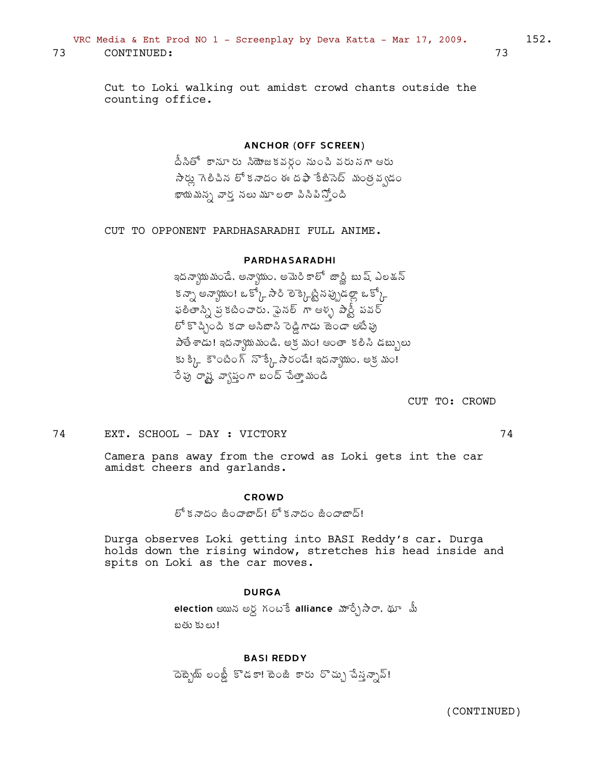## VRC Media & Ent Prod NO 1 - Screenplay by Deva Katta - Mar 17, 2009.  $152$ .

73 CONTINUED: 73

Cut to Loki walking out amidst crowd chants outside the counting office.

#### ANCHOR (OFF SCREEN)

<u>దీ</u>సీతో కానూరు సియోజకవర్గం నుంచి వరుసగా ఆరు  $\lambda$ స్డ్రీ గెలిచిన లో కనాదం ఈ దఫా కేబిసెట్ మంత్ర వ్వడం ఖాయమన్న వార్త నలు మూలలా పినిపి*స్*ంది

CUT TO OPPONENT PARDHASARADHI FULL ANIME.

### PARDHASARADHI

ఇదన్వాయమండే, అన్వాయం, అమెరికాలో జార్ణి బుష్ ఎలక్షన్ కన్నా అన్యాయం! ఒక్కో సారి లెక్కెట్టీనప్పుడల్లా ఒక్కో ఫలితాన్ని న కటించారు. ఫైనల్ *గా ఆళ్ళ పా*ర్టీ పవర్ ్ కొచ్చింది కదా అనిబాసి రెడ్డి గాడు జెండా అటేఫు  $\frac{1}{2}$ తే శాడు! ఇదన్యాయమండి, అక్ర మం! ఆంతా కలిసి డబ్బులు కు క్కి కౌంటింగ్ నొక్కే సౌరండే! ఇదన్యాయం, అక్రమం! ేంపు రాష్ట్ర వ్యాస్థుండి స్టేతా మండి

CUT TO: CROWD

74 EXT. SCHOOL - DAY : VICTORY 74

Camera pans away from the crowd as Loki gets int the car amidst cheers and garlands.

#### CROWD

లో కనాదం జిందాబాద్! లో కనాదం జిందాబాద్!

Durga observes Loki getting into BASI Reddy's car. Durga holds down the rising window, stretches his head inside and spits on Loki as the car moves.

#### DURGA

 $\blacksquare$ election ఆయిన అర్ధ గంటేకీ alliance మార్చేసారా, థూ మీ బతు కులు!

### BASI REDDY

ె దెబ్బైయ్ లంబ్డీ కొడకా! టెంజీ కారు రొచ్చు పేనన్నూవ్!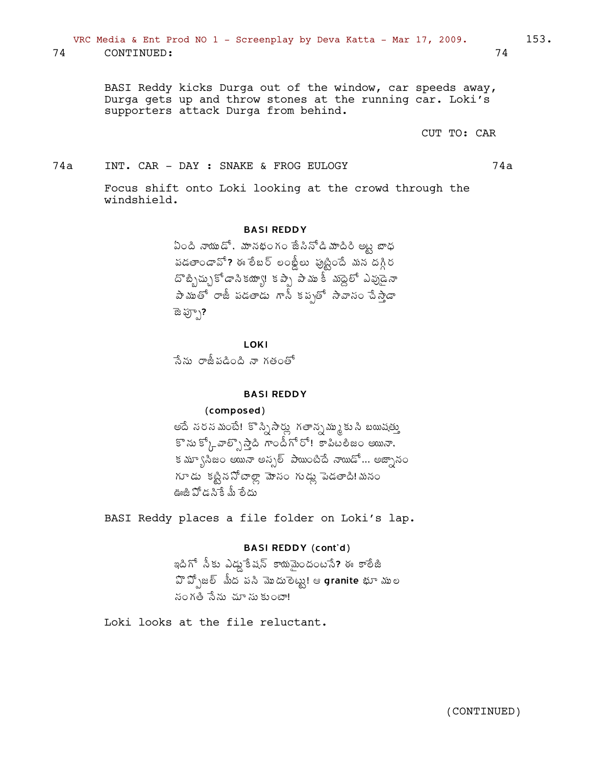74 CONTINUED: 74

BASI Reddy kicks Durga out of the window, car speeds away, Durga gets up and throw stones at the running car. Loki's supporters attack Durga from behind.

CUT TO: CAR

### 74a INT. CAR - DAY : SNAKE & FROG EULOGY 74a

Focus shift onto Loki looking at the crowd through the windshield.

### BASI REDDY

ఏంది నాయుడో, మానభంగం జే*సి*నోడి మాదిరి అట్ట బాధ పడతాండావో? ఈ లేబర్ లంఖ్లీలు ఫుట్టిందే మన దగ్గిర దొబ్బిచ్చుకోడాని కయ్యా! కప్పే పాము కీ మెద్దలో ఎవుడైనా ±Â¥ÁÅœÍ §ÂüÄ ¡Á™ÁœÂ™ÁÅ ÂþÄ Á¡ÁåœÍ ³Â©Â¬ÁÏ úʳÂà™Â ాజ ఫ్స్)**?** 

LOKI

సేను రాజీపడింది నా గతంతో

### BASI REDDY

#### (composed)

అదే సరసమంటే! కొస్సిసార్లు గతాన్నమ్ము కుసి బయిషత్తు  $\mathbb{S}^{\infty}$ సు కో $\bigcap_{k \geq 0} \mathbb{Z}$ ై గాండీగో రో! కాపిటలీజం అయినా, కమ్ృాసీజం అయినా అనృల్ పాయింటిదే నాయిడో... అజ్నానం గూడు కట్టిననోేటాల్లా మోసం గుడ్లు పెడతాది! మనం ఊజీ పోడసికే మీ లేదు

BASI Reddy places a file folder on Loki's lap.

## BASI REDDY (cont'd)

ఇదిగో నీకు ఎడ్డుకేషన్ కాయమైందంటసే? ఈ కాలేజీ  ${\mathfrak{A}}$  హీ $\bar{\mathfrak{A}}$   $\bar{\mathfrak{A}}$   $\bar{\mathfrak{A}}$   $\bar{\mathfrak{A}}$   $\bar{\mathfrak{A}}$   $\bar{\mathfrak{A}}$   $\bar{\mathfrak{A}}$   $\bar{\mathfrak{A}}$   $\bar{\mathfrak{A}}$   $\bar{\mathfrak{A}}$   $\bar{\mathfrak{A}}$   $\bar{\mathfrak{A}}$   $\bar{\mathfrak{A}}$   $\bar{\mathfrak{A}}$   $\bar{\mathfrak{A}}$   $\bar{\mathfrak{A}}$   $\bar{\mathfrak{A}}$  సంగతి సేను చూ సుకుంటా!

Loki looks at the file reluctant.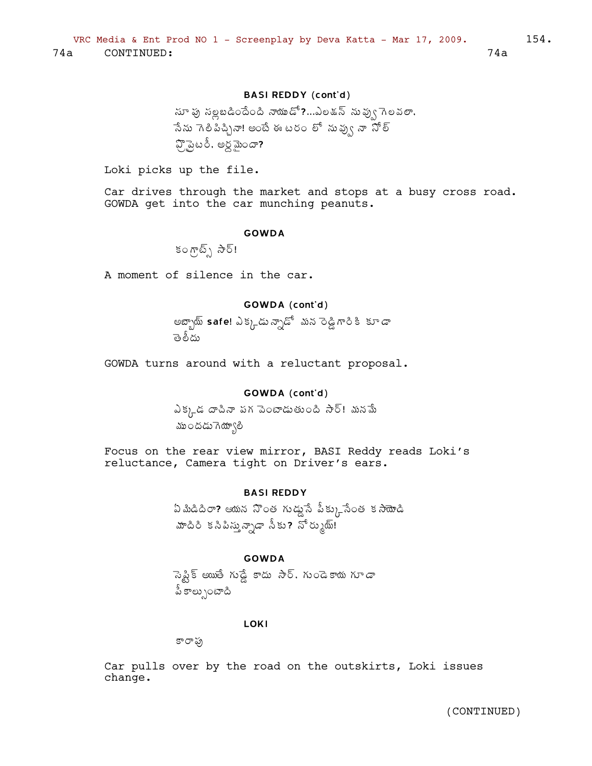## BASI REDDY (cont'd)

 $\tilde{\omega}$  సుధ సుడిందేంది నాయుడో?...ఎలడన్ నువ్వు గెలవలా, సేను గెలిపిచ్చినా! అంటే ఈ టరం లో నువ్వు నా నోల్  $\mathfrak{P}$ ్టెటరీ, అర్ధమెందా?

Loki picks up the file.

Car drives through the market and stops at a busy cross road. GOWDA get into the car munching peanuts.

#### GOWDA

 $\mathcal{S} \circ \mathcal{P}(\overline{\mathcal{S}})$  సౌ $\overline{\mathcal{S}}$ !

A moment of silence in the car.

## GOWDA (cont'd)

అబ్బాయ్ **safe**! ఎక్కడు న్నాడో మన రెడ్డి గారి కి కూడా తెలీదు

GOWDA turns around with a reluctant proposal.

### GOWDA (cont'd)

ఎక్క్డ దాపినా పగ పెంటాడుతుంది సౌర్! మనమే ముందడుగెయ్యాలి

Focus on the rear view mirror, BASI Reddy reads Loki's reluctance, Camera tight on Driver's ears.

### BASI REDDY

 $\lambda$  మీడిదిరా? ఆయన నొంత గుడ్డుసే పీక్కునేంత కసాయోడి మాదిరి కనిపిస్తున్నాడా నీకు? నోర్కుయ్!

### GOWDA

నెప్టిక్ అయితే గుడ్డే కాదు *సా*ర్, గు౦డెకాయ గూ*డా* <u> పీ కాల్పుం</u>టాది

#### LOKI

కారాఫు

Car pulls over by the road on the outskirts, Loki issues change.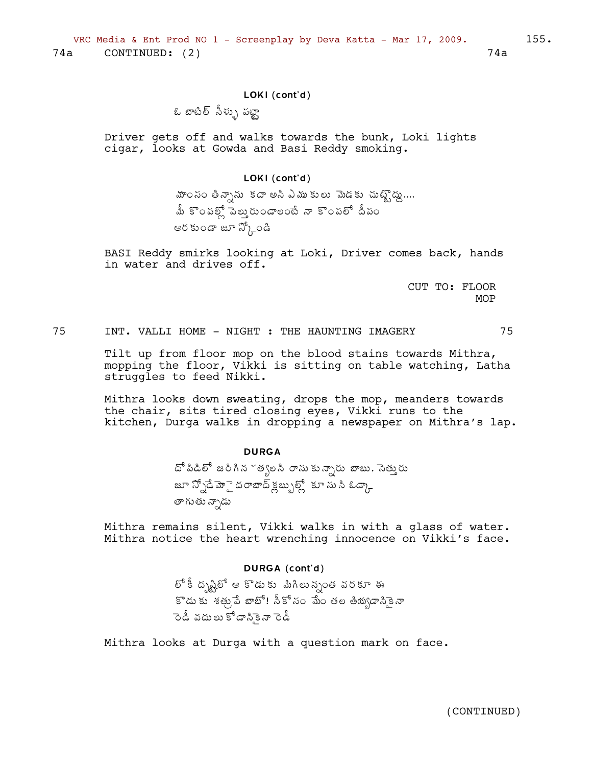### LOKI (cont'd)

# ఓ బాటిల్ సీళ్ళు పట్టా

Driver gets off and walks towards the bunk, Loki lights cigar, looks at Gowda and Basi Reddy smoking.

#### LOKI (cont'd)

మాంనం తిన్నాను కదా అసి ఎముకులు మెడకు చుట్టొద్దు....<br>మీ కొంపల్లో పెలు్తరుండాలంటే నా కొంపలో దీపం ఆరకుండా జూ స్కోండి

BASI Reddy smirks looking at Loki, Driver comes back, hands in water and drives off.

> CUT TO: FLOOR MOP

75 INT. VALLI HOME - NIGHT : THE HAUNTING IMAGERY 75

Tilt up from floor mop on the blood stains towards Mithra, mopping the floor, Vikki is sitting on table watching, Latha struggles to feed Nikki.

Mithra looks down sweating, drops the mop, meanders towards the chair, sits tired closing eyes, Vikki runs to the kitchen, Durga walks in dropping a newspaper on Mithra's lap.

### **DURGA**

దో పిడిలో జరిగిన ~త్యలసి రాసుకున్నారు బాబు, సెత్తురు జూ న్నోడే మోై దరాబాద్ క్లబ్బుల్స్లో కూ సు సి ఓడ్క్గా తాగుతు న్నాడు

Mithra remains silent, Vikki walks in with a glass of water. Mithra notice the heart wrenching innocence on Vikki's face.

## DURGA (cont'd)

లో కీ ద్భష్టిలో ఆ కొడుకు మిగిలున్నంత వరకూ ఈ కొడుకు శత్తువే జాబో! సీకోనం మేం తల తియ్యడానికైనా .<br>రెడీ వదులు కోడానికైనా రెడీ

Mithra looks at Durga with a question mark on face.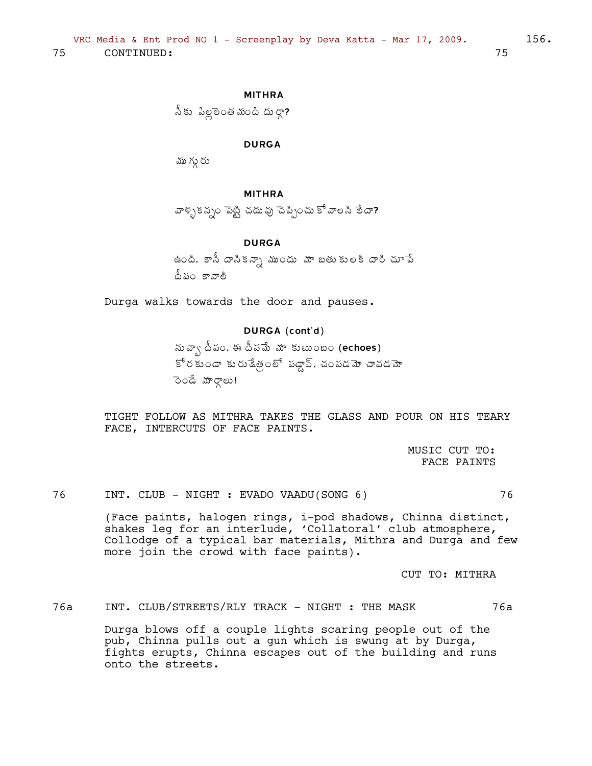## MITHRA

సీకు పిల్లలెంత మంది దుర్గా?

### DURGA

ము గ్గు రు

#### MITHRA

వాళ్ళకన్నం పెట్టి చదువు చెప్పించు కో వాలసి లేదా?

### DURGA

ఉంది, కానీ దానికన్నా ముందు మా బతుకులకి దారి చూపే <u>దీ</u>పం కావాలి

Durga walks towards the door and pauses.

## DURGA (cont'd)

సువ్వా దీపం, ఈ దీపమే మా కుటుంబం (echoes)  $\mathbb{S}^{\sharp}$ ర కుండా కురు శేత్రలో పడ్డా, చంపడమో చావడమో ెండే మార్గాలు!

TIGHT FOLLOW AS MITHRA TAKES THE GLASS AND POUR ON HIS TEARY FACE, INTERCUTS OF FACE PAINTS.

> MUSIC CUT TO: FACE PAINTS

76 INT. CLUB - NIGHT : EVADO VAADU(SONG 6) 76

(Face paints, halogen rings, i-pod shadows, Chinna distinct, shakes leg for an interlude, 'Collatoral' club atmosphere, Collodge of a typical bar materials, Mithra and Durga and few more join the crowd with face paints).

CUT TO: MITHRA

76a INT. CLUB/STREETS/RLY TRACK - NIGHT : THE MASK 76a

Durga blows off a couple lights scaring people out of the pub, Chinna pulls out a gun which is swung at by Durga, fights erupts, Chinna escapes out of the building and runs onto the streets.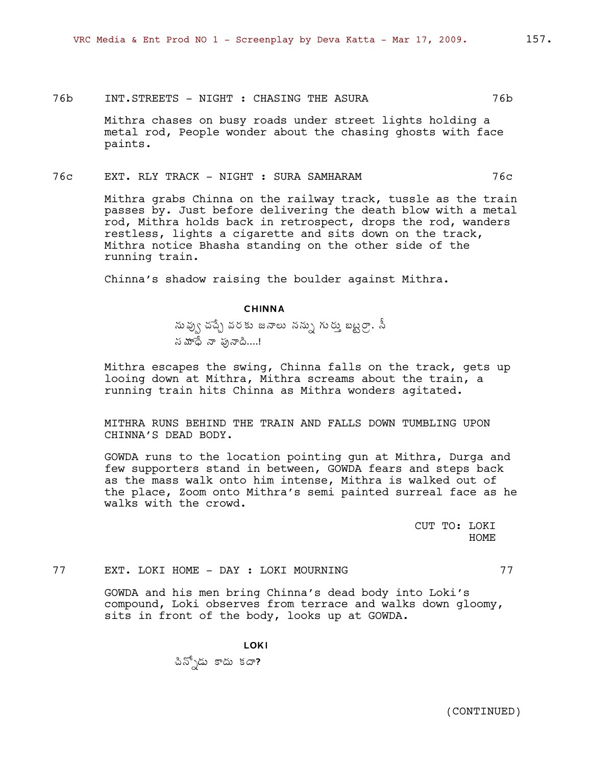### 76b INT.STREETS - NIGHT : CHASING THE ASURA 76b

Mithra chases on busy roads under street lights holding a metal rod, People wonder about the chasing ghosts with face paints.

### 76c EXT. RLY TRACK - NIGHT : SURA SAMHARAM 76c

Mithra grabs Chinna on the railway track, tussle as the train passes by. Just before delivering the death blow with a metal rod, Mithra holds back in retrospect, drops the rod, wanders restless, lights a cigarette and sits down on the track, Mithra notice Bhasha standing on the other side of the running train.

Chinna's shadow raising the boulder against Mithra.

### CHINNA

సు ఫ్వు చచ్చే వరకు జనాలు నన్ను గురు బట్టర్గా, సీ  $\check{\omega}$ మాధే నా ఫునాది....!

Mithra escapes the swing, Chinna falls on the track, gets up looing down at Mithra, Mithra screams about the train, a running train hits Chinna as Mithra wonders agitated.

MITHRA RUNS BEHIND THE TRAIN AND FALLS DOWN TUMBLING UPON CHINNA'S DEAD BODY.

GOWDA runs to the location pointing gun at Mithra, Durga and few supporters stand in between, GOWDA fears and steps back as the mass walk onto him intense, Mithra is walked out of the place, Zoom onto Mithra's semi painted surreal face as he walks with the crowd.

> CUT TO: LOKI HOME

77 EXT. LOKI HOME - DAY : LOKI MOURNING 77

GOWDA and his men bring Chinna's dead body into Loki's compound, Loki observes from terrace and walks down gloomy, sits in front of the body, looks up at GOWDA.

LOKI

చిన్నోడు కాదు కదా?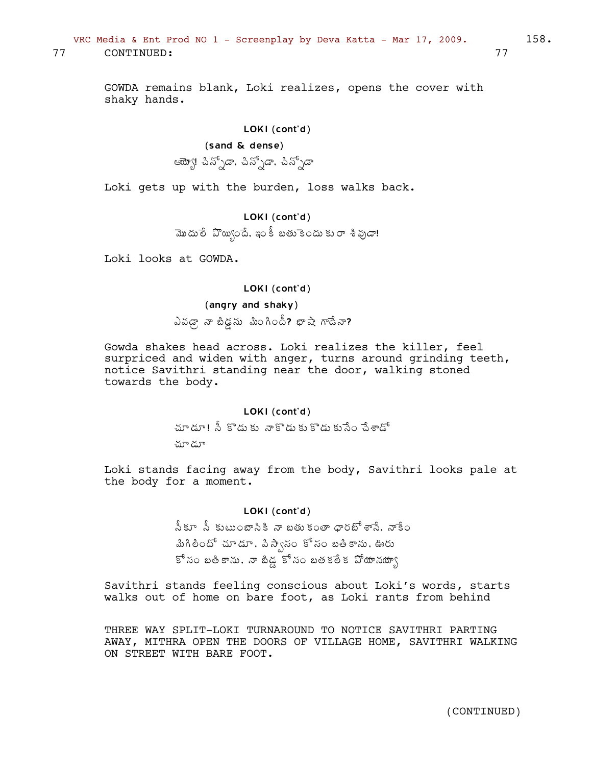## VRC Media & Ent Prod NO  $1$  - Screenplay by Deva Katta - Mar 17, 2009. 158. 77 CONTINUED: 77

GOWDA remains blank, Loki realizes, opens the cover with shaky hands.

### LOKI (cont'd)

### (sand & dense)

ఆయ్యో! చిన్నోడా, చిన్నోడా<br>ఆయ్యేటీ

Loki gets up with the burden, loss walks back.

## LOKI (cont'd)

మొదులే ఏొ్యగ్రిందే, ఇం కీ బతుకెందు కు*రా* శిఫ్ర*డా*!

Loki looks at GOWDA.

### LOKI (cont'd)

### (angry and shaky)

 $\Delta$ వడ్గా నా బిడ్డను మింగిందీ? భాషా గాడేనా?

Gowda shakes head across. Loki realizes the killer, feel surpriced and widen with anger, turns around grinding teeth, notice Savithri standing near the door, walking stoned towards the body.

#### LOKI (cont'd)

మాడూ! సీ కొడుకు నాకొడుకు కొడుకుసేం <del>సే</del>శాడో

మా డూ

Loki stands facing away from the body, Savithri looks pale at the body for a moment.

### LOKI (cont'd)

<u>నీ</u>కూ నీ కుటుంబానికి నా బతుకంతా ధారబోశాసే, నాకేం మిగిలిందో చూడూ, పి.స్వాసం కోసం బతికాను, ఊరు కో సం బతికాను, నా బీడ్లో సం బతకలేక పోయానయా్∖

Savithri stands feeling conscious about Loki's words, starts walks out of home on bare foot, as Loki rants from behind

THREE WAY SPLIT-LOKI TURNAROUND TO NOTICE SAVITHRI PARTING AWAY, MITHRA OPEN THE DOORS OF VILLAGE HOME, SAVITHRI WALKING ON STREET WITH BARE FOOT.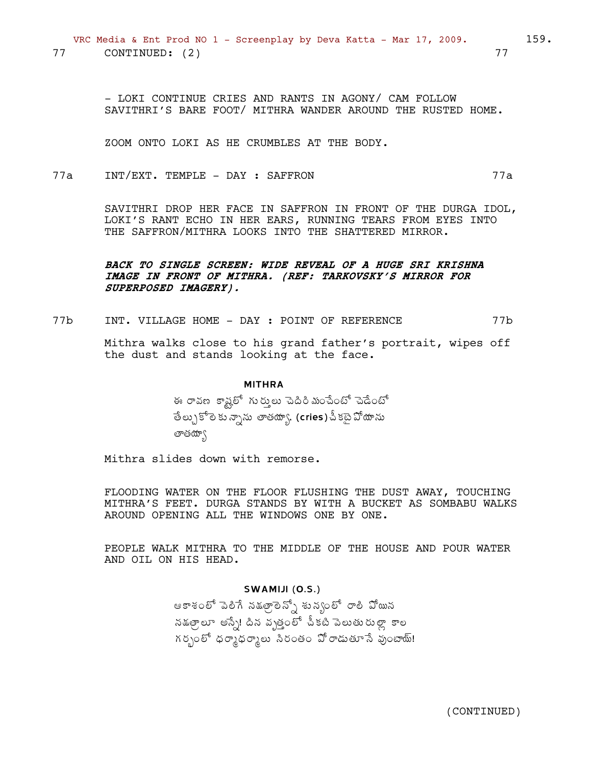- LOKI CONTINUE CRIES AND RANTS IN AGONY/ CAM FOLLOW SAVITHRI'S BARE FOOT/ MITHRA WANDER AROUND THE RUSTED HOME.

ZOOM ONTO LOKI AS HE CRUMBLES AT THE BODY.

 $77a$ INT/EXT. TEMPLE - DAY : SAFFRON  $77a$ 

> SAVITHRI DROP HER FACE IN SAFFRON IN FRONT OF THE DURGA IDOL, LOKI'S RANT ECHO IN HER EARS, RUNNING TEARS FROM EYES INTO THE SAFFRON/MITHRA LOOKS INTO THE SHATTERED MIRROR.

## BACK TO SINGLE SCREEN: WIDE REVEAL OF A HUGE SRI KRISHNA IMAGE IN FRONT OF MITHRA. (REF: TARKOVSKY'S MIRROR FOR SUPERPOSED IMAGERY).

 $77b$ INT. VILLAGE HOME - DAY : POINT OF REFERENCE  $77b$ 

> Mithra walks close to his grand father's portrait, wipes off the dust and stands looking at the face.

#### **MITHRA**

ఈ రావణ కాష్ట్రలో గుర్తులు పెదిరిమంచేంటో చెడేంటో తేల్చుకోలెకున్నాను తాతయ్యా, (cries) పీకటై వోయాను తాతయా్

Mithra slides down with remorse.

FLOODING WATER ON THE FLOOR FLUSHING THE DUST AWAY, TOUCHING MITHRA'S FEET. DURGA STANDS BY WITH A BUCKET AS SOMBABU WALKS AROUND OPENING ALL THE WINDOWS ONE BY ONE.

PEOPLE WALK MITHRA TO THE MIDDLE OF THE HOUSE AND POUR WATER AND OIL ON HIS HEAD.

### SWAMIJI (O.S.)

ఆకాశంలో పెలిగే నడత్రెలెన్నో శున్యలో రాలి పోయిన నక్ష్యులూ అస్సే! దిన వృత్తంలో చీకటి పెలుతురుల్లా కాల గర్భంలో ధర్మాధర్మాలు సిరంతం వోరాడుతూసే వుంటాయ్!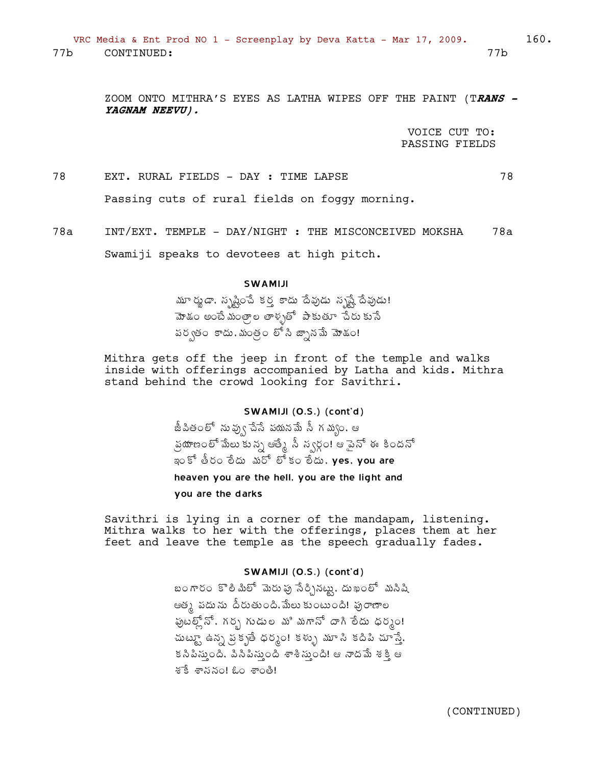ZOOM ONTO MITHRA'S EYES AS LATHA WIPES OFF THE PAINT (T**RANS - YAGNAM NEEVU).**

> VOICE CUT TO: PASSING FIELDS

78 EXT. RURAL FIELDS - DAY : TIME LAPSE 78 Passing cuts of rural fields on foggy morning.

78a INT/EXT. TEMPLE - DAY/NIGHT : THE MISCONCEIVED MOKSHA 78a

Swamiji speaks to devotees at high pitch.

### SWAMIJI

 $\frac{\hbox{Im}\, \kappa}{\hbox{Im}\, \kappa}$  , సృష్టించే కర్త కాదు దేవుడు సృష్టే దేవుడు! మోశం అంటే మంత్రాల తాళ్ళతో పాకుతూ చేరుకునే పర్వతం కాదు, మంత్రం లో సి జ్నానమే మోడం!

Mithra gets off the jeep in front of the temple and walks inside with offerings accompanied by Latha and kids. Mithra stand behind the crowd looking for Savithri.

### SWAMIJI (O.S.) (cont'd)

జీపితంలో నువ్వు చేసే పయనమే సీ గమ్వం, ఆ <sub>్</sub>ప్రయాణంలో మేలు కున్న ఆత్మే సీ న్వర్గం! ఆ పైనో ఈ కిందనో ఇంకో తీరం లేదు మరో లో కం లేదు, yes, you are

heaven you are the hell, you are the light and

you are the darks

Savithri is lying in a corner of the mandapam, listening. Mithra walks to her with the offerings, places them at her feet and leave the temple as the speech gradually fades.

### SWAMIJI (O.S.) (cont'd)

బంగారం కొలి మిలో మెరు పు సేర్చినట్లు, దుఖంలో మసిషి ఆత్క పదును దీరుతుంది.మేలు కుంటుంది! పురాణాల .<br>ఫుటల్ల్లోనే, గర్భ గుడుల మి మగానో దాగి లేదు ధర్మం! చుట్టూ ఉన్న ప్రకృతి ధర్మం! కళ్ళు మూ సి కదిపి చూస్తే,  $\delta$  సిపిస్తుంది, పిసిపిస్తుంది శాశీస్తుంది! ఆ నాదమే శక్తి ఆ  $8\bar{5}$  శాసనం! ఓం శాంతి!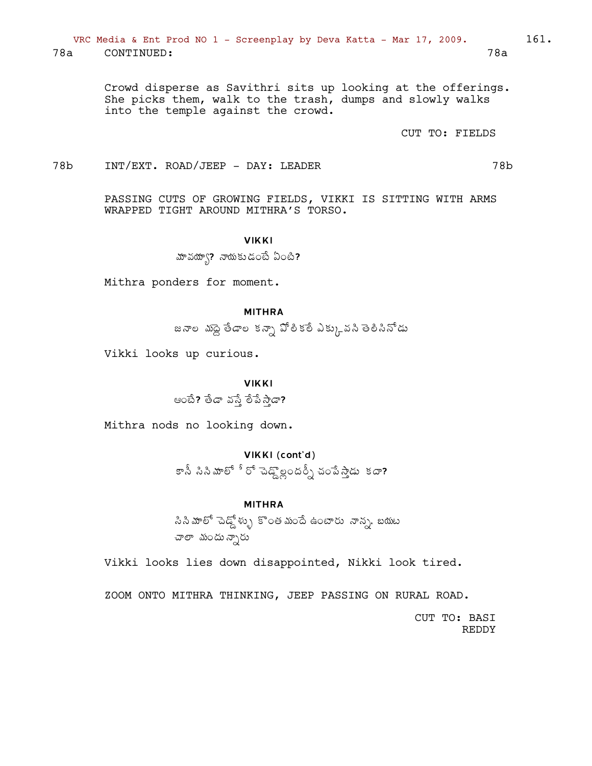VRC Media & Ent Prod NO 1 - Screenplay by Deva Katta - Mar 17, 2009. 78a CONTINUED:  $78a$ 

> Crowd disperse as Savithri sits up looking at the offerings. She picks them, walk to the trash, dumps and slowly walks into the temple against the crowd.

> > CUT TO: FIELDS

78b  $INT/EXT$ . ROAD/JEEP - DAY: LEADER

> PASSING CUTS OF GROWING FIELDS, VIKKI IS SITTING WITH ARMS WRAPPED TIGHT AROUND MITHRA'S TORSO.

#### **VIKKI**

<u>మా వయ్యా? నాయకుడంటే ఏంటి?</u>

Mithra ponders for moment.

#### **MITHRA**

జనాల మొద్ద తేడాల కన్నా పోలీకలే ఎక్కువని తెలిసినోడు

Vikki looks up curious.

## **VIKKI**

ఆంటే? తేడా వస్తే పేస్తా?

Mithra nods no looking down.

## VIKKI (cont'd)

కానీ సినిమాలో ీరో చెడ్డొల్లందర్సీ చంపేస్తాడు కదా**?** 

#### **MITHRA**

సిని మాలో చెడ్డ్ ళ్ళు కొంత మందే ఉంటారు నాన్న, బయట చాలా మందు న్పారు

Vikki looks lies down disappointed, Nikki look tired.

ZOOM ONTO MITHRA THINKING, JEEP PASSING ON RURAL ROAD.

CUT TO: BASI **REDDY** 

78b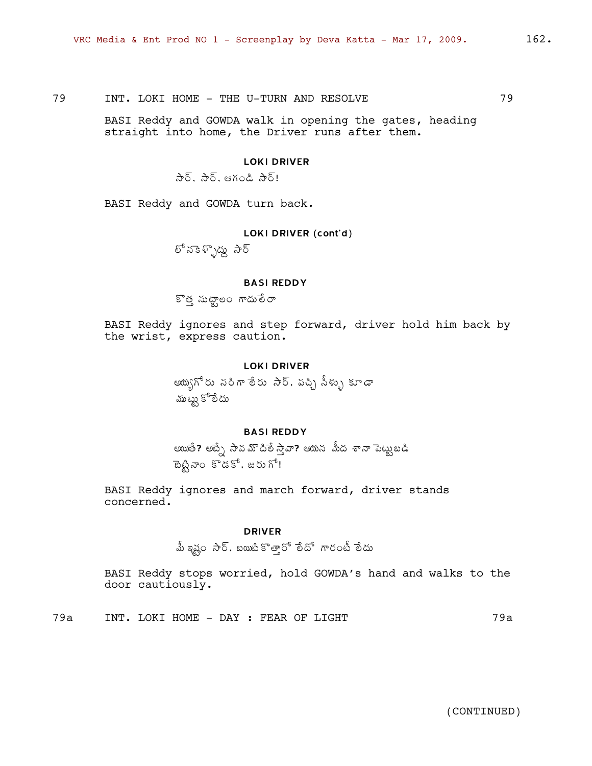79 INT. LOKI HOME - THE U-TURN AND RESOLVE 79

BASI Reddy and GOWDA walk in opening the gates, heading straight into home, the Driver runs after them.

### LOKI DRIVER

 $\partial_{\xi} \overline{\delta}$ ,  $\partial_{\xi} \overline{\delta}$ , esko $\partial_{\xi}$ ,  $\partial_{\xi} \overline{\delta}$ 

BASI Reddy and GOWDA turn back.

### LOKI DRIVER (cont'd)

లో నకెళ్ళొద్దు సౌర్

### BASI REDDY

కొత్త సుట్టాలం గాదులేరా

BASI Reddy ignores and step forward, driver hold him back by the wrist, express caution.

#### LOKI DRIVER

ఆయ్యగోరు నరిగా లేరు సార్. పచ్చి సీళ్ళు కూడా ముట్టు కోలేదు

### BASI REDDY

అయితే? అబ్నే సావమొదిలే స్తావా? ఆయన మీద శానా పెట్టుబడి  $B_{\infty}^{\delta}$  and  $\tilde{S}$ . which

BASI Reddy ignores and march forward, driver stands concerned.

#### DRIVER

మీ ఇష్ట సార్. బయిటీ కొత్తారో లేదో గారంటీ లేదు

BASI Reddy stops worried, hold GOWDA's hand and walks to the door cautiously.

79a INT. LOKI HOME - DAY : FEAR OF LIGHT 79a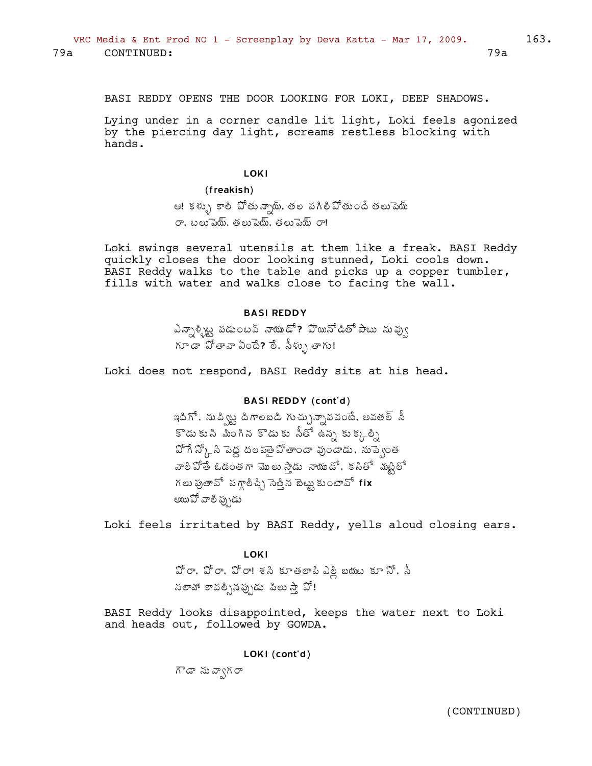BASI REDDY OPENS THE DOOR LOOKING FOR LOKI, DEEP SHADOWS.

Lying under in a corner candle lit light, Loki feels agonized by the piercing day light, screams restless blocking with hands.

#### LOKI

#### (freakish)

ఆ! కళ్ళు కాలీ పోతున్నాయ్. తల పగిలీపోతుందే తలుపెయ్ రా, టలుపెయ్, తలుపెయ్, తలుపెయ్ $\sigma$ !

Loki swings several utensils at them like a freak. BASI Reddy quickly closes the door looking stunned, Loki cools down. BASI Reddy walks to the table and picks up a copper tumbler, fills with water and walks close to facing the wall.

#### BASI REDDY

ఎన్సాళ్ళిట్ట పడుంటవ్ నాయుడో? హెయినోడితో పాటు నువ్వు  $\widetilde{\Lambda}$ r  $\widetilde{G}$   $\widetilde{G}$   $\widetilde{G}$   $\widetilde{G}$   $\widetilde{G}$   $\widetilde{G}$   $\widetilde{G}$   $\widetilde{G}$   $\widetilde{G}$   $\widetilde{G}$   $\widetilde{G}$   $\widetilde{G}$   $\widetilde{G}$   $\widetilde{G}$   $\widetilde{G}$   $\widetilde{G}$   $\widetilde{G}$   $\widetilde{G}$   $\widetilde{G}$   $\widetilde{G}$   $\widetilde{G}$ 

Loki does not respond, BASI Reddy sits at his head.

### BASI REDDY (cont'd)

ఇదిగో, నుప్విట్ట దిగాలబడి గుచ్చున్నావవంటే, అవతల్ సీ  $\tilde{\mathbf{s}}$ డుకు  $\tilde{\mathbf{a}}$  మీంగిన కొడుకు నీతో ఉన్న కుక్కలి  $\mathfrak{I}^{\sharp}$ గే  $\mathfrak{I}^{\sharp}{}_{L}$ సి పెద్ద దల పతై  $\mathfrak{I}^{\sharp}$ తాండా వుండాడు, నుప్వెంత వాలీపోతే ఓడంతగా మొలు స్తాడు *నా*యుడో, కనితో మంట్టిలో గలు పుతావో పగ్గాలిచ్చి సెత్తిన టెట్టు కుంటావో fix అయిఏో వాలి ప్ప}డు

Loki feels irritated by BASI Reddy, yells aloud closing ears.

LOKI  $\mathfrak{D}$ ్రా,  $\mathfrak{D}$ ్రా! శని కూతలాపి ఎల్లి బయట కూ  $\mathfrak{D}^*$ , స్ నలామో కావల్సినప్పుడు పిలు సా్ వో!

BASI Reddy looks disappointed, keeps the water next to Loki and heads out, followed by GOWDA.

LOKI (cont'd)

 $\vec{h}$ డా నువ్వాగ రా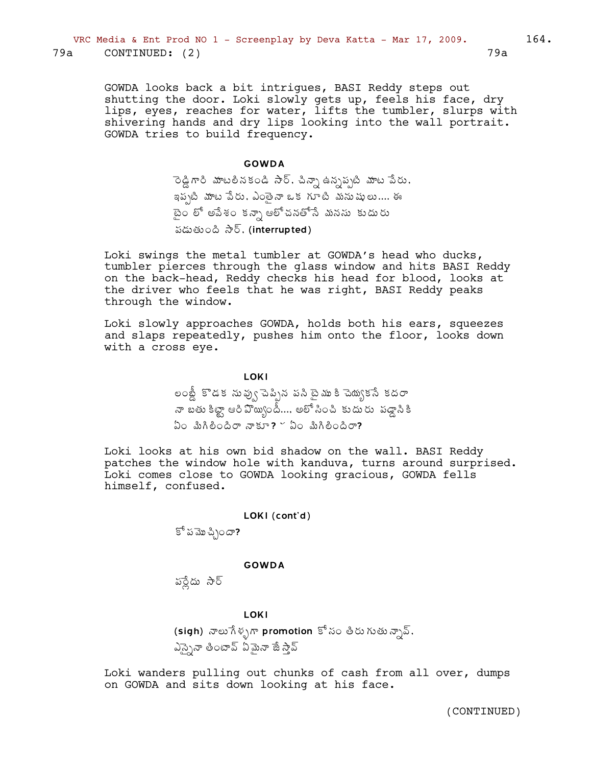GOWDA looks back a bit intrigues, BASI Reddy steps out shutting the door. Loki slowly gets up, feels his face, dry lips, eyes, reaches for water, lifts the tumbler, slurps with shivering hands and dry lips looking into the wall portrait. GOWDA tries to build frequency.

#### GOWDA

 $\vec{a}$  రెడ్డి గాంధీ నేశాధీ నిర్ధాని ఉన్నప్పటి మాట పేరు, ఇప్పటి మాట పేరు, ఎంతైనా ఒక గూటి మనుషులు.... ఈ ైటెం లో అపేశం కన్నా ఆలోచనతోసే మనసు కుదురు పడుతుంది  $\partial \delta$ , (interrupted)

Loki swings the metal tumbler at GOWDA's head who ducks, tumbler pierces through the glass window and hits BASI Reddy on the back-head, Reddy checks his head for blood, looks at the driver who feels that he was right, BASI Reddy peaks through the window.

Loki slowly approaches GOWDA, holds both his ears, squeezes and slaps repeatedly, pushes him onto the floor, looks down with a cross eye.

> లంబ్డీ కొడక నువు్న పెన్సిన పని టైము కి చెయ్యకనే కదరా నా బతు కిట్టా ఆరీ ఏొయ్సిందీ…, అలో సించి కుదురు *పడ్డా*ని కి  $\Omega$  and  $\partial \Omega$   $\sigma$   $\partial \Omega$   $\sigma$   $\partial \Omega$   $\sigma$   $\partial \Omega$   $\partial \Omega$   $\partial \Omega$

**LOKI** 

Loki looks at his own bid shadow on the wall. BASI Reddy patches the window hole with kanduva, turns around surprised. Loki comes close to GOWDA looking gracious, GOWDA fells himself, confused.

#### LOKI (cont'd)

 $\mathbb{S}^6$  పమొచి $\infty$ ?

#### GOWDA

పర్లేదు సార్

#### LOKI

(sigh) నాలు $\hat{\pi}$ శృగా promotion కోసం తీరుగుతున్నావ్, ఎస్సైనా తింటావ్ ఏమైనా జే స్తావ్

Loki wanders pulling out chunks of cash from all over, dumps on GOWDA and sits down looking at his face.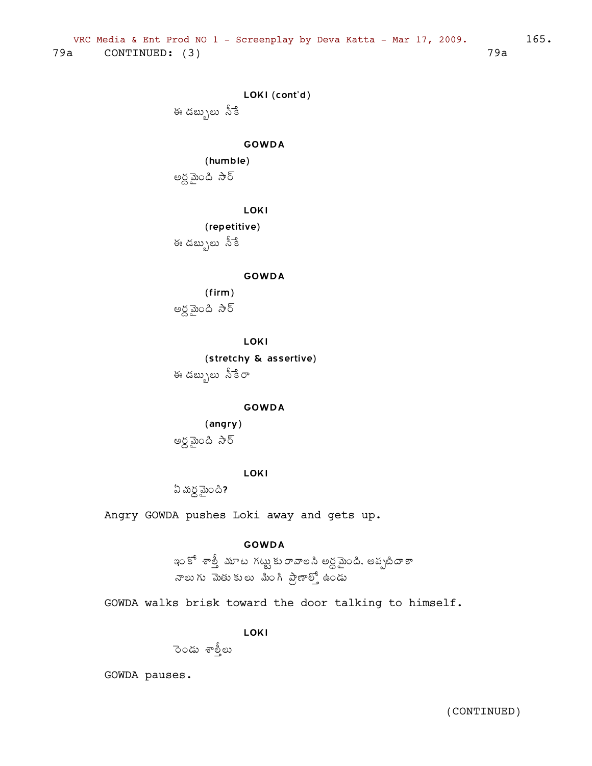```
LOKI (cont'd)
```
ఈ డబ్బులు నీకే

## **GOWDA**

(humble) అర్ధమైంది సార్

**LOKI** 

(repetitive)

ఈ డబ్బులు సీకే

### **GOWDA**

 $(firm)$ అర్ధమైంది సార్

**LOKI** 

(stretchy & assertive) ఈ డబ్బులు సీకేరా

### **GOWDA**

## (angry)

అర్ధమైంది సార్

## **LOKI**

 $2 \text{ m} \leq \frac{1}{2}$ 

Angry GOWDA pushes Loki away and gets up.

## **GOWDA**

ఇం కో శాత్తీ మూట గట్టు కురావాలసి అర్ధమైంది. అప్పటిదాకా నాలుగు మెతుకులు మింగి ప్రాణాల్తో ఉండు

GOWDA walks brisk toward the door talking to himself.

## **LOKI**

ెండు శాల్తీలు

GOWDA pauses.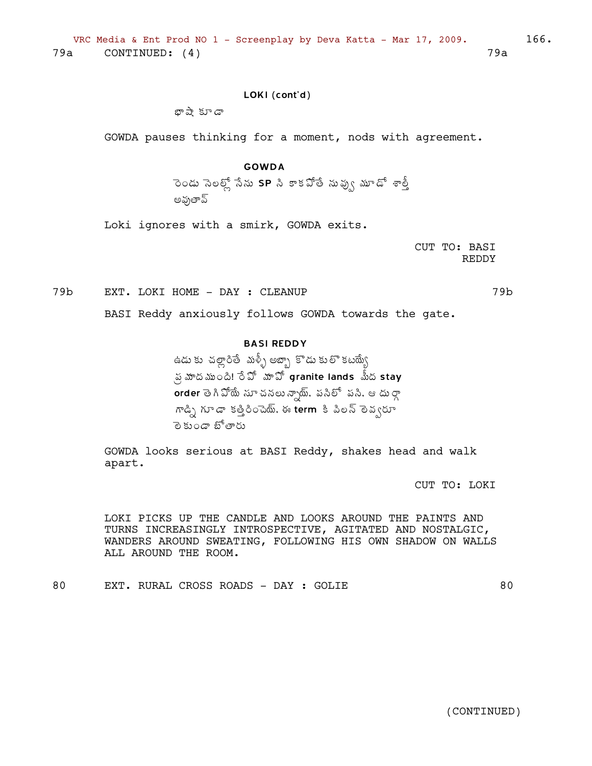## LOKI (cont'd)

¤Â´Â ÁÆ™Â

GOWDA pauses thinking for a moment, nods with agreement.

### GOWDA

ెండు సెలల్లో సేను SP సి కాకపోతే నువ్వు మూడో శాల్తీ అవుతావ్

Loki ignores with a smirk, GOWDA exits.

CUT TO: BASI REDDY

79b EXT. LOKI HOME - DAY : CLEANUP 79b

BASI Reddy anxiously follows GOWDA towards the gate.

## BASI REDDY

ఉడు కు చల్లాంితే మళ్ళీ అబ్బా కొడు కులొ కటయ్యే  $\sim$  స్త మాంది!  $\rm \hat{S}$ ో మావో granite lands  $\stackrel{\rm f}{\rm d}$ పీద stay  $\overline{\text{order}}$  తె గి  $\mathfrak{D}^{\text{in}}$  నుా చనలు న్నాథు్, పసిలో పసి, ఆ దు ర్గా ™డ్ని గూడా కత్తిరించెయ్, ఈ term కి పిలన్ లెవ్వరూ లె కుండా బోతారు

GOWDA looks serious at BASI Reddy, shakes head and walk apart.

CUT TO: LOKI

LOKI PICKS UP THE CANDLE AND LOOKS AROUND THE PAINTS AND TURNS INCREASINGLY INTROSPECTIVE, AGITATED AND NOSTALGIC, WANDERS AROUND SWEATING, FOLLOWING HIS OWN SHADOW ON WALLS ALL AROUND THE ROOM.

80 EXT. RURAL CROSS ROADS - DAY : GOLIE 60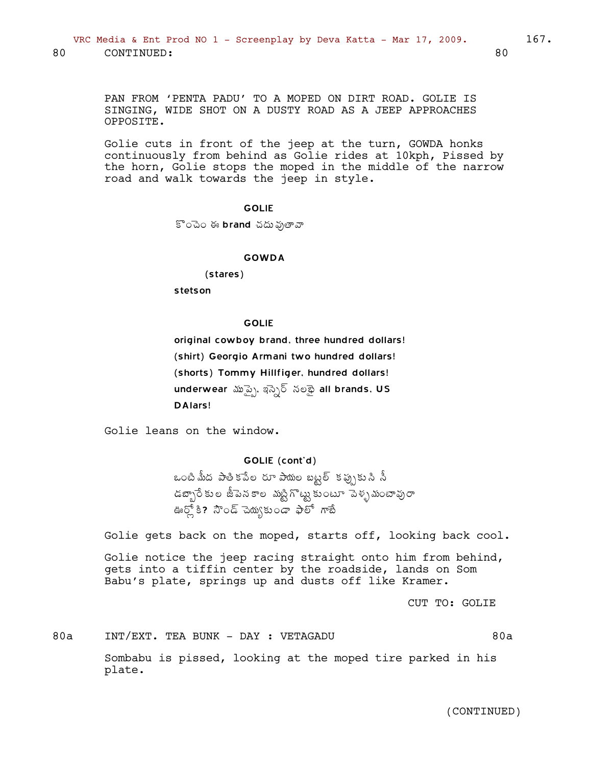PAN FROM 'PENTA PADU' TO A MOPED ON DIRT ROAD. GOLIE IS SINGING, WIDE SHOT ON A DUSTY ROAD AS A JEEP APPROACHES OPPOSITE.

Golie cuts in front of the jeep at the turn, GOWDA honks continuously from behind as Golie rides at 10kph, Pissed by the horn, Golie stops the moped in the middle of the narrow road and walk towards the jeep in style.

### GOLIE

 $\Gamma$ ంచెం ఈ brand చదు వుతావా

#### GOWDA

(stares)

stetson

#### **GOLIE**

original cowboy brand, three hundred dollars! (shirt) Georgio Armani two hundred dollars! (shorts) Tommy Hillfiger, hundred dollars! underwear మృప్పై, ఇస్ఫెర్ నలభై all brands, US DAlars!

Golie leans on the window.

### GOLIE (cont'd)

ఒంటి మీద పాతికపేల రూ పాయల బట్టల్ కప్పుకుని నీ  $\sim$ డబ్బారేకుల జీపెనకాల మట్టిగొట్టు కుంటూ పెళ్ళమంటావురా ఊర్లో కి? నౌండ్ చెయ్కుండా ఫాలో గాబే

Golie gets back on the moped, starts off, looking back cool.

Golie notice the jeep racing straight onto him from behind, gets into a tiffin center by the roadside, lands on Som Babu's plate, springs up and dusts off like Kramer.

CUT TO: GOLIE

80a INT/EXT. TEA BUNK - DAY : VETAGADU 80a

Sombabu is pissed, looking at the moped tire parked in his plate.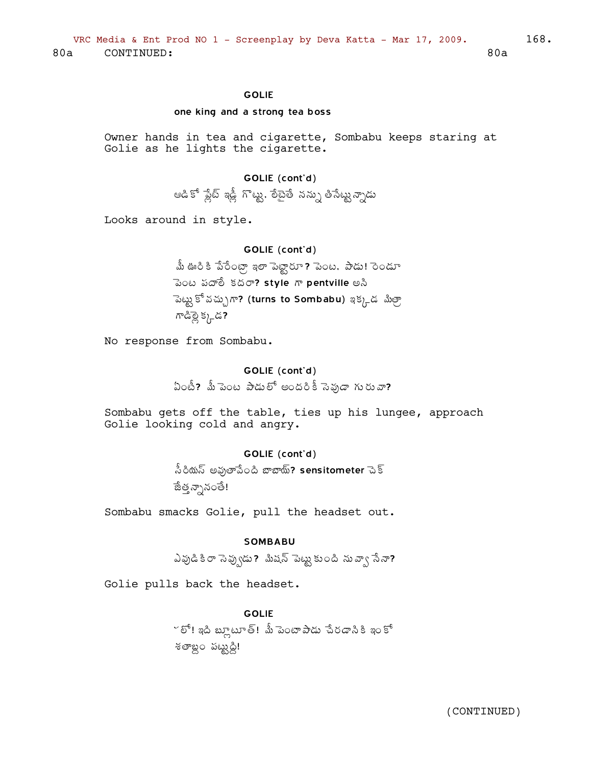### **GOLIE**

#### one king and a strong tea boss

Owner hands in tea and cigarette, Sombabu keeps staring at Golie as he lights the cigarette.

## GOLIE (cont'd)

ఆడికో ప్లేట్ ఇడ్లీ గొట్టు, లేటైతే నన్ను తిసేట్టున్నాడు

Looks around in style.

## GOLIE (cont'd)

మీ ఊరి కి పేరేంట్రా ఇలా పెట్టారూ ? పెంట. పాడు! రెండూ ెచెంట పదాలీ కదరా? style గా pentville అసి ్టెట్టు కో వచ్చుగా? (turns to Sombabu) ఇక్కడ మిత్రా గాడిస్లై క్కడ?

No response from Sombabu.

## GOLIE (cont'd) ఏంటీ? మీ పెంట పాడులో అందరికీ సెఫుడా గురువా?

Sombabu gets off the table, ties up his lungee, approach Golie looking cold and angry.

## GOLIE (cont'd)

.సీరియస్ అవుతాపేంది బాబాయ్? sensitometer చెక్ జేత్త న్నానంతే!

Sombabu smacks Golie, pull the headset out.

### **SOMBABU**

ఎవుడి కి రా సెవ్వుడు ? మిషన్ పెట్టు కుంది ను వ్వా సేనా?

Golie pulls back the headset.

**GOLIE** ~ లో! ఇది బ్లూటూత్! మీ పెంటాపాడు చేరడానికి ఇంకో శతాబ్దం పట్టుద్ది!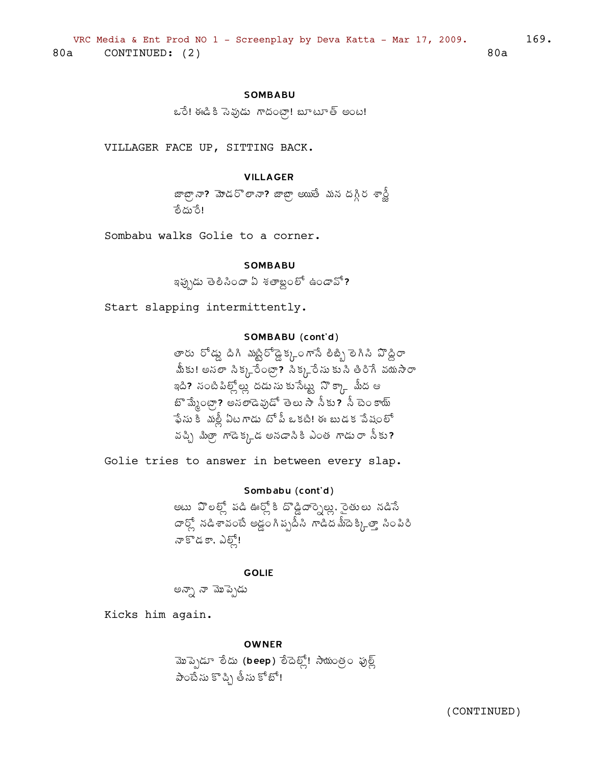### **SOMBABU**

ఒరే! ఈడికి సెఫుడు గాదంటా! బూటూత్ అంట!

VILLAGER FACE UP, SITTING BACK.

### **VILLAGER**

జాబ్సా? మోండరొలానా? జాబ్స్ అయుతే మన దగ్గీర శాన్హీ ేందు రే!

Sombabu walks Golie to a corner.

### **SOMBABU**

ఇఫ్చుడు తెలిసిందా ఏ శతాబ్దంలో ఉండావో?

Start slapping intermittently.

### SOMBABU (cont'd)

తారు రోడ్డు దిగి ముట్టిరోడ్డెక్కుంగానే లిబ్బి లెగిని పొద్దిరా .<br>మీకు! అసలా సిక్కనేంట్రా? సిక్కనే సుకు సి తిరిగే వయసారా ఇది? సంటిపిల్లోల్లు దడుసుకుసేట్టు నొక్కా మీద ఆ <u>బొ మ్మేంట్రా? అనలాడెవుడో తెలు సా సీకు? సీ టెం కాయ్</u> ఫేసు కీ మల్లీ ఏటగాడు టోపీ ఒకటి! ఈ బుడక పేషంలో వచ్చి మిత్రా, గాడెక్కడ అనడానికి ఎంత గాడురా నీకు?

Golie tries to answer in between every slap.

Sombabu (cont'd) అటు వొలల్గ్ పడి ఊర్గ్ కి దొడ్డిదార్నెల్లు, రైతులు నడిసే దార్లో నడిశావంటే అడ్డంగిప్పటీసి గాడిదమీదెక్కిత్తా సింపిరి నా కొడకా, ఎట్లో!

**GOLIE** 

అన్నా నా మొప్పెడు

Kicks him again.

#### **OWNER**

మొప్పెడూ లేదు (beep) లేదెల్లో! సాయంత్రం ఫుల్ల్ పాంటే సు కొచ్చి తీసు కోటో!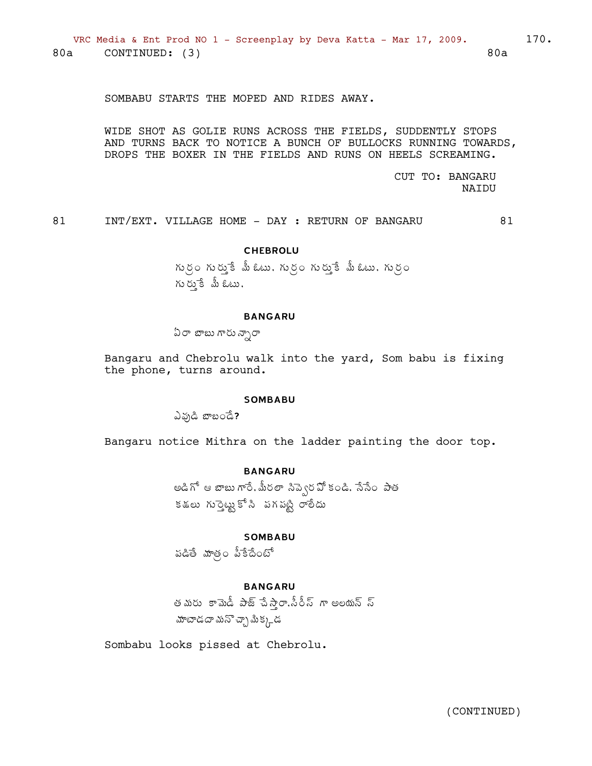SOMBABU STARTS THE MOPED AND RIDES AWAY.

WIDE SHOT AS GOLIE RUNS ACROSS THE FIELDS, SUDDENTLY STOPS AND TURNS BACK TO NOTICE A BUNCH OF BULLOCKS RUNNING TOWARDS, DROPS THE BOXER IN THE FIELDS AND RUNS ON HEELS SCREAMING.

> CUT TO: BANGARU **NAIDU**

81 INT/EXT. VILLAGE HOME - DAY : RETURN OF BANGARU

81

## **CHEBROLU**

గుర్రం గుర్ముకే మీ ఓటు, గుర్రం గుర్ముకే మీ ఓటు, గుర్రం  $\kappa$  )  $\kappa$   $\zeta$   $\zeta$   $\zeta$   $\zeta$   $\zeta$   $\zeta$ 

### **BANGARU**

ఏరా బాబు గారు న్నారా

Bangaru and Chebrolu walk into the yard, Som babu is fixing the phone, turns around.

#### **SOMBABU**

ఎవుడి బాబండే?

Bangaru notice Mithra on the ladder painting the door top.

### **BANGARU**

అడిగో ఆ బాబు గారే, మీరలా సిప్వెరపో కండి, సేసేం పాత కశలు గుర్తెట్టుకోసి పగపట్టి రాలీదు

### **SOMBABU**

పడితే మాత్రం పీకేదేంటో

## **BANGARU**

తమరు కామెడీ పాజ్ పేస్తా,సీరీస్ గా అలయన్ స్ మాటాడదా మనొచ్చా మీక్క<sub>ా</sub>డ

Sombabu looks pissed at Chebrolu.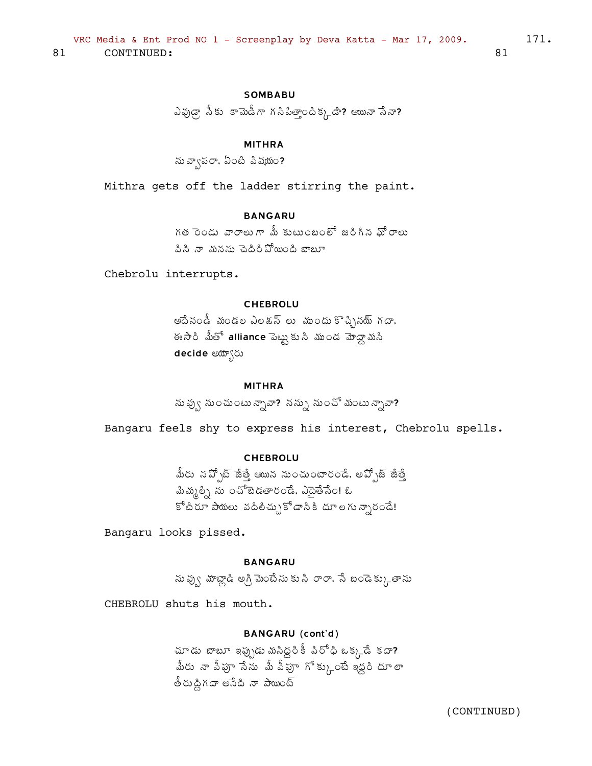## **SOMBABU**

ఎవుడ్గా సీకు కామెడీగా గసిపిత్తాందిక్కడి? ఆయినా సేనా?

### **MITHRA**

ను వ్వాపరా, ఏంటి పిషయం?

Mithra gets off the ladder stirring the paint.

## **BANGARU**

గత రెండు వారాలుగా మీ కుటుంబంలో జరిగిన ఘోరాలు పిసి నా మనసు చెదిరిపోయింది బాబూ

Chebrolu interrupts.

### **CHEBROLU**

అదేనండీ మండల ఎలక్షన్ లు ముందుకొచ్చినయ్ గదా, ఈసారి మీతో alliance పెట్టుకుని ముండ మోద్దామని decide అయ్యారు

## **MITHRA**

ను వ్వు నుంచుంటు న్నావా? నన్ను నుంచో మంటు న్నావా?

Bangaru feels shy to express his interest, Chebrolu spells.

## **CHEBROLU**

మీరు సప్పోట్ జేత్తే ఆయిన నుంచుంటారండే, అప్పోజ్ జేత్తే మిమ్మల్ని ను ౦చోబెడతార౦డే. ఎదైతేసే౦! ఓ కోటిరూ పాయలు వదిలిచ్చుకోడానికి దూలగున్నారండే!

Bangaru looks pissed.

### **BANGARU**

ను వ్వు మాట్లాడి అగ్రి మెంటేసు కు సి రారా, సే బండెక్కుతాను

CHEBROLU shuts his mouth.

### **BANGARU** (cont'd)

చూడు బాబూ ఇప్పుడు మసిద్ధరికీ పిరోధి ఒక్కడే కదా? .<br>మీరు నా వీపూ సేను మీ వీపూ గోక్కుంటే ఇద్దరి దూ లా త్రుద్ధిగదా అసేది నా పాయింట్

(CONTINUED)

81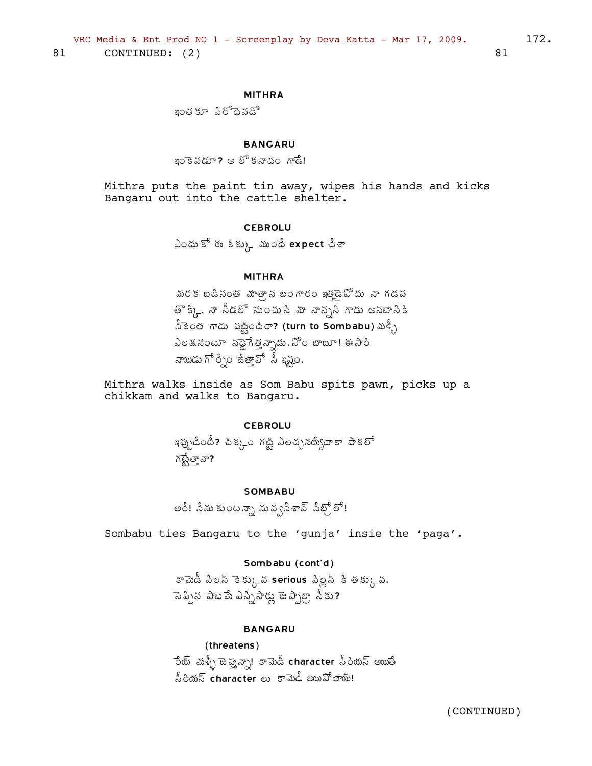### **MITHRA**

ఇంత కూ పిరోధైవడో

## **BANGARU**

ఇంకెవడూ? ఆ లో కనాదం గాడే!

Mithra puts the paint tin away, wipes his hands and kicks Bangaru out into the cattle shelter.

#### **CEBROLU**

ఎందు కో ఈ కిక్కును ముందే expect చేశా

### **MITHRA**

మరక బడినంత మాత్రాన బంగారం ఇత్తైడ్ మోదు నా గడప తొ క్కి. నా సీడలో నుంచుని మా నాన్ససి గాడు అనటాసికి నీకెంత గాడు పట్టిందిరా? (turn to Sombabu) మళ్ళీ ఎలడనంటూ నడ్డెగేత్తన్నాడు.నోం బాబూ! ఈసారి నాయిడు గోర్సేం జేత్తావో సీ ఇష్టం.

Mithra walks inside as Som Babu spits pawn, picks up a chikkam and walks to Bangaru.

### **CEBROLU**

ఇప్పుడేంటీ? చిక్కం గట్టి ఎలచ్చన్యయేగాకా పాకలో గబ్లేత్తావా?

### **SOMBABU**

అరే! సేను కుంటన్నా నువ్వసేశావ్ సేట్స్ లో!

Sombabu ties Bangaru to the 'gunja' insie the 'paga'.

### Sombabu (cont'd)

కామెడీ పిలన్ కెక్కువ serious పిల్లన్ కి తక్కువ. సెప్పిన పాటమే ఎస్పిసార్లు జెప్పాల్గా సీకు?

### **BANGARU**

### (threatens)

ేయ్ మళ్ళీ జెప్నన్సా! కామెడీ character సీరియస్ అయితే  $\stackrel{5}{\sim}$ ియన్ character లు కామెడీ అయిపోతాయ్!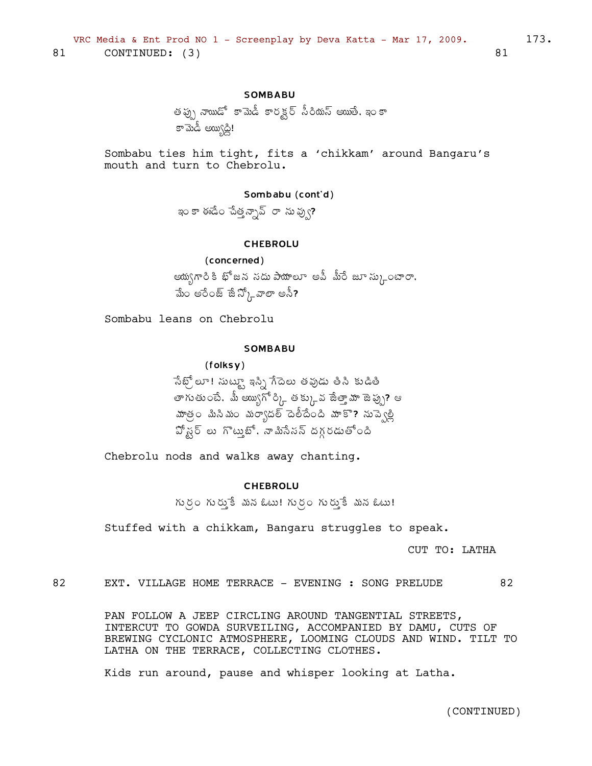### **SOMBABU**

```
తప్పు నాయిడో కామెడీ కారక్టర్ సీరియస్ అయితే, ఇంకా
డా మెడ్ అయిగ్రస్గ్
```
Sombabu ties him tight, fits a 'chikkam' around Bangaru's mouth and turn to Chebrolu.

### Sombabu (cont'd)

ఇం కా ఈడేం చేత్తన్నావ్ రా ను వ్వు?

#### **CHEBROLU**

(concerned) ఆయ్వగారికి భోజన నదు పాయాలూ అవీ మీరే జూ స్కుంటారా, మేం అరేంజ్ జేన్కోవాలా అసీ?

Sombabu leans on Chebrolu

### **SOMBABU**

 $(folsy)$ సేట్స్లో : సుట్యా ఇస్సి గేదెలు తవుడు తీసి కుడితి తాగుతుంటే. మీ అయ్యిగో ర్క్గితక్కువ జేతా్హ జెప్పు? ఆ .<br>మాత్రం మిసిమం మర్యాదల్ దెలీదేంది మాకా? నుప్వెల్లి .<br>పో*ష్*ర్ లు గొటుౖబో, నా మినేనన్ దగ్గరడుతో౦ది

Chebrolu nods and walks away chanting.

### **CHEBROLU**

గుర్రం గురుకే మన ఓటు! గుర్రం గురుకే మన ఓటు!

Stuffed with a chikkam, Bangaru struggles to speak.

CUT TO: LATHA

82 EXT. VILLAGE HOME TERRACE - EVENING : SONG PRELUDE 82

> PAN FOLLOW A JEEP CIRCLING AROUND TANGENTIAL STREETS, INTERCUT TO GOWDA SURVEILING, ACCOMPANIED BY DAMU, CUTS OF BREWING CYCLONIC ATMOSPHERE, LOOMING CLOUDS AND WIND. TILT TO LATHA ON THE TERRACE, COLLECTING CLOTHES.

Kids run around, pause and whisper looking at Latha.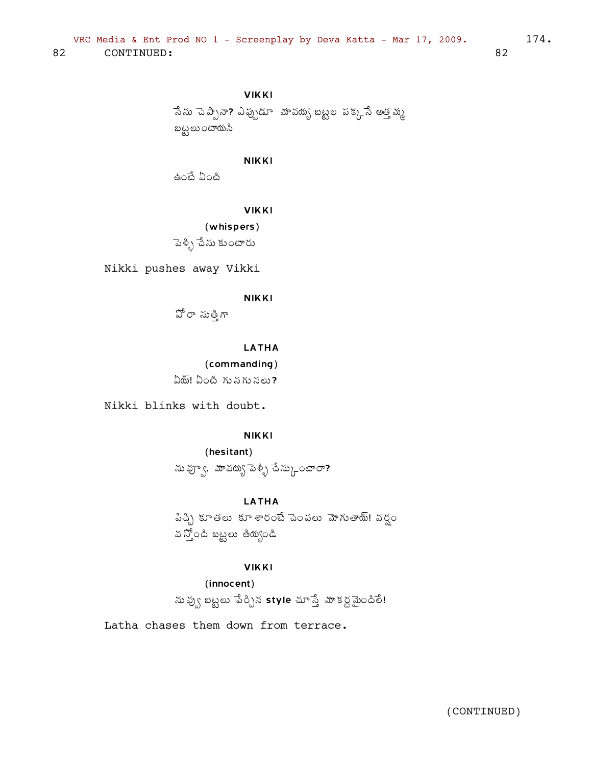**VIKKI** ేనేను చెప్పానా? ఎప్పుడూ మావయ్య బట్టల పక్కనే అత్తమ్మ బట్టలుంటాయసి

**NIKKI** 

ఉంటే ఏంటి

**VIKKI** 

(whispers) పెళ్ళి చేసు కుంటారు

Nikki pushes away Vikki

**NIKKI** 

పోరా సుత్తిగా

**LATHA** 

(commanding)  $\delta$ ్យ ఏంటి గు నగు నలు?

Nikki blinks with doubt.

**NIKKI** 

(hesitant) ను వ్యూ, మావయ్య పెళ్ళి చేస్కు $\sim$ లాం?

**LATHA** 

పిచ్చి కూతలు కూశారంటే పెంపలు మోగుతాయ్! వర్షం వ స్తోంది బట్టలు తియ్యండి

**VIKKI** 

(innocent)

నువ్వు బట్టలు పేర్చిన style చూస్తే మాకర్ధమైందితే!

Latha chases them down from terrace.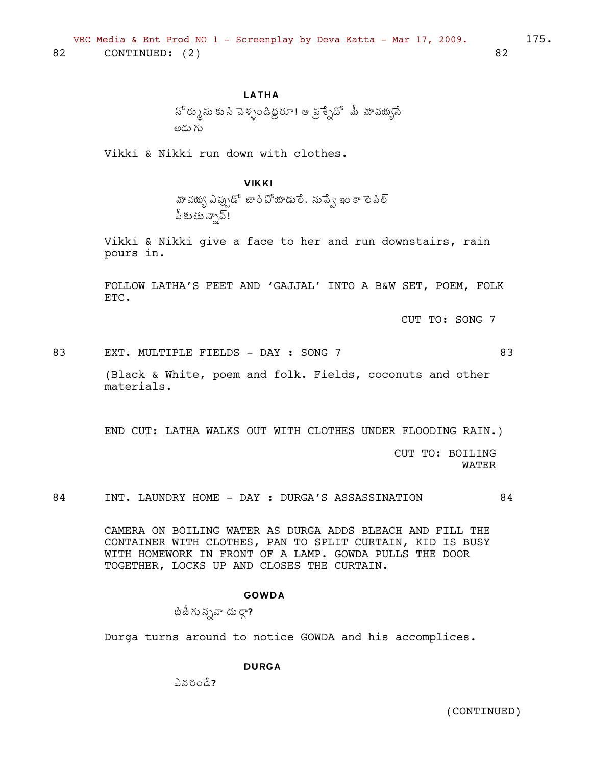## **LATHA**

నో ర్కుసు కు సి పెళ్ళండిద్దరూ! ఆ వ్రశ్నేదో మీ మావయ్యసే అడు గు

Vikki & Nikki run down with clothes.

## **VIKKI**

మావద్యు ఎప్పుడో జారి వోయాడులే. నుప్వే ఇం కా లె పిల్ పీకుతున్నావ్!

Vikki & Nikki give a face to her and run downstairs, rain pours in.

FOLLOW LATHA'S FEET AND 'GAJJAL' INTO A B&W SET, POEM, FOLK ETC.

CUT TO: SONG 7

EXT. MULTIPLE FIELDS - DAY : SONG 7 83

83

(Black & White, poem and folk. Fields, coconuts and other materials.

END CUT: LATHA WALKS OUT WITH CLOTHES UNDER FLOODING RAIN.)

CUT TO: BOILING **WATER** 

INT. LAUNDRY HOME - DAY : DURGA'S ASSASSINATION 84 84

> CAMERA ON BOILING WATER AS DURGA ADDS BLEACH AND FILL THE CONTAINER WITH CLOTHES, PAN TO SPLIT CURTAIN, KID IS BUSY WITH HOMEWORK IN FRONT OF A LAMP. GOWDA PULLS THE DOOR TOGETHER, LOCKS UP AND CLOSES THE CURTAIN.

#### **GOWDA**

బిజీ గు న్నవా దు ర్గా?

Durga turns around to notice GOWDA and his accomplices.

**DURGA** 

ఎవరండే?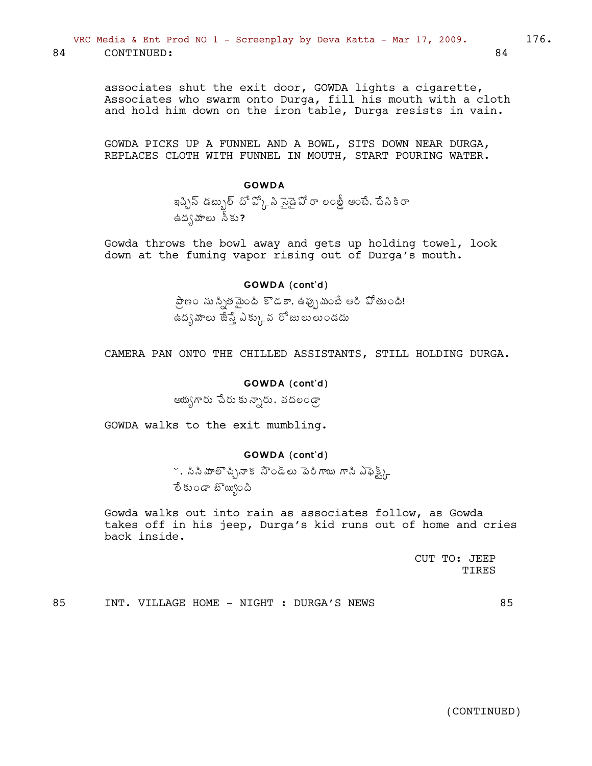associates shut the exit door, GOWDA lights a cigarette, Associates who swarm onto Durga, fill his mouth with a cloth and hold him down on the iron table, Durga resists in vain.

GOWDA PICKS UP A FUNNEL AND A BOWL, SITS DOWN NEAR DURGA, REPLACES CLOTH WITH FUNNEL IN MOUTH, START POURING WATER.

### **GOWDA**

ఇప్చిన్ డబ్బుల్ దో వ్కో సి సైడై వో రా లంబ్డీ అంటే, దేసికి రా ఉద్భమాలు సీకు?

Gowda throws the bowl away and gets up holding towel, look down at the fuming vapor rising out of Durga's mouth.

#### GOWDA (cont'd)

ప్రాణం సుస్సితమైంది కొడకా, ఉప్పుమంటే ఆరి పోతుంది! ఉద్భవాలు జేస్తే ఎక్కువ రోజులులుండదు

CAMERA PAN ONTO THE CHILLED ASSISTANTS, STILL HOLDING DURGA.

#### GOWDA (cont'd)

ఆయ్యగారు చేరు కున్నారు, వదలండ్రా

GOWDA walks to the exit mumbling.

### GOWDA (cont'd)

ి, సినీమాలొచ్చినాక సౌండ్లు పెరిగాయి గానీ ఎఫెక్ట్స్ లే కుండా బొయ్యింది

Gowda walks out into rain as associates follow, as Gowda takes off in his jeep, Durga's kid runs out of home and cries back inside.

> CUT TO: JEEP **TTRES**

85 INT. VILLAGE HOME - NIGHT : DURGA'S NEWS 85

(CONTINUED)

84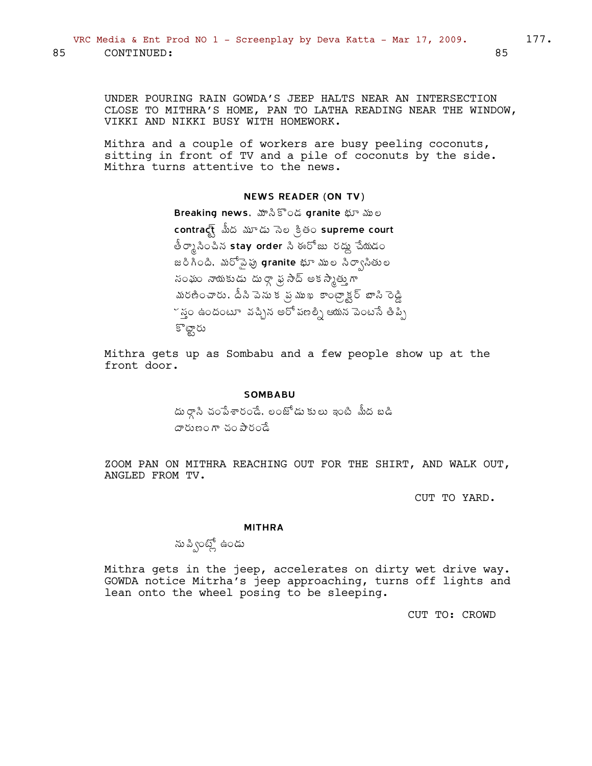UNDER POURING RAIN GOWDA'S JEEP HALTS NEAR AN INTERSECTION CLOSE TO MITHRA'S HOME, PAN TO LATHA READING NEAR THE WINDOW, VIKKI AND NIKKI BUSY WITH HOMEWORK.

Mithra and a couple of workers are busy peeling coconuts, sitting in front of TV and a pile of coconuts by the side. Mithra turns attentive to the news.

### NEWS READER (ON TV)

Breaking news, మాసికొండ granite భూ ముల contract మీద మూడు సెల క్రితం supreme court తీర్కా సించిన stay order సి ఈరోజు రద్దు చేయడం జరిగింది. మరోవైపు granite భూ ముల సిర్వాసితుల సంఘం నాయకుడు దుర్గా ఫ్ర సాద్ అకస్మేత్తుగా మరణించారు, దీని పెను క*ొ*న ముఖ కాంట్రాక్టర్ బాసి రెడ్డి  $\check{\;}$ స్తం ఉందంటూ వచ్చిన అరో పణల్నీ ఆయన పెంటసే తిప్పి కొట్టారు

Mithra gets up as Sombabu and a few people show up at the front door.

#### SOMBABU

దు ర్గాసి చంపేశారండే, లంజోడు కులు ఇంటి మీద బడి  $\sigma$ řín $\alpha$ ř $\alpha$  30 $\sigma$ 

ZOOM PAN ON MITHRA REACHING OUT FOR THE SHIRT, AND WALK OUT, ANGLED FROM TV.

CUT TO YARD.

#### MITHRA

ను ప్వింట్లో ఉండు

Mithra gets in the jeep, accelerates on dirty wet drive way. GOWDA notice Mitrha's jeep approaching, turns off lights and lean onto the wheel posing to be sleeping.

CUT TO: CROWD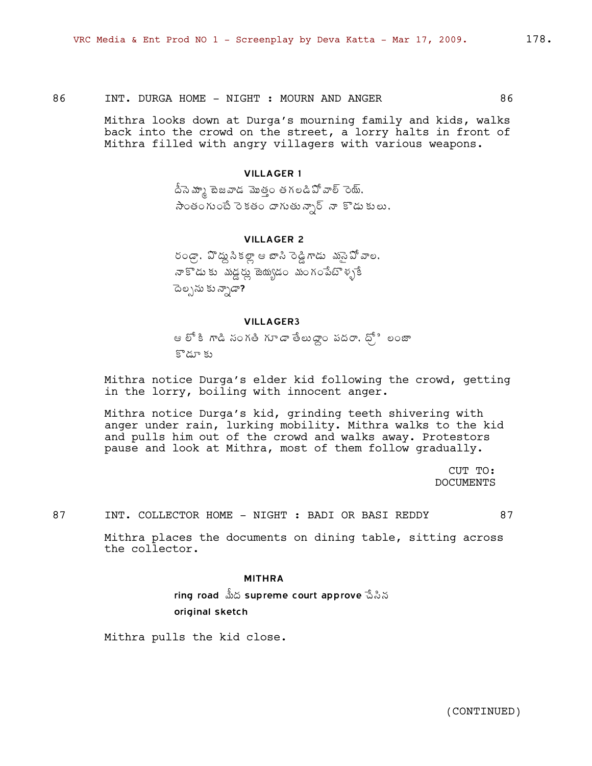86 INT. DURGA HOME - NIGHT : MOURN AND ANGER 86

Mithra looks down at Durga's mourning family and kids, walks back into the crowd on the street, a lorry halts in front of Mithra filled with angry villagers with various weapons.

#### VILLAGER 1

.<br>దీనె మ్మా టెజవాడ మొత్తం తగలడిఏో వాల్ రెయ్, సౌంతంగుంటే రెకతం దాగుతున్నార్ నా కొడుకులు,

### VILLAGER 2

 $6$ ండ్రా, ఏొద్దు సీకల్లా ఆ బాసి రెడ్డి గాడు క్లుసే పో వాల, నా కొడు కు*మడ్డ* మృడం మంగంపేటొళ్ళకే āల్పను కు*న్నా*డా?

#### VILLAGER3

ఆ లో కి గాడి సంగతి గూడా తేలుద్దాం పదరా, ధ్రీ లంజా కొడూ కు

Mithra notice Durga's elder kid following the crowd, getting in the lorry, boiling with innocent anger.

Mithra notice Durga's kid, grinding teeth shivering with anger under rain, lurking mobility. Mithra walks to the kid and pulls him out of the crowd and walks away. Protestors pause and look at Mithra, most of them follow gradually.

> CUT TO: DOCUMENTS

87 INT. COLLECTOR HOME - NIGHT : BADI OR BASI REDDY 87

Mithra places the documents on dining table, sitting across the collector.

#### MITHRA

ring road మీద supreme court approve సేసిన original sketch

Mithra pulls the kid close.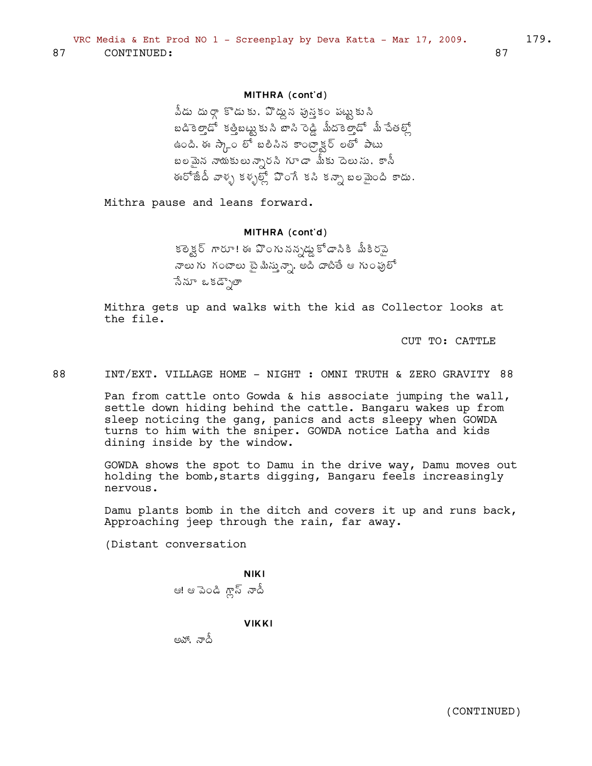## MITHRA (cont'd)

,<br>వీడు దుర్గా కొడుకు, పొద్దున ఫున్హకం పట్టుకుని  $\bm{a}$  a  $\vec{a}$  and  $\vec{a}$  is a canal whole  $\vec{a}$  is  $\vec{b}$  and  $\vec{b}$  is  $\vec{b}$ ఉంది. ఈ స్కాం ల<sup>ే</sup> బలిసిన కాంట్రా<sub>న్</sub>ర్ లతో పాటు  $x$  బలమైన నాయకులున్నారసి గూడా మీకు పెలుసు, కానీ ఈరోజేదీ వాళ్ళ కళ్ళల్లో పొంగే కసి కన్నా బలమైంది కాదు.

Mithra pause and leans forward.

#### MITHRA (cont'd)

కఠెక్టర్ గారూ! ఈ ఏొంగు నన్నడ్డ కోడానికి మీకిరపై నాలు గు $\sim$ గంటాలు టై మీస్తున్నా, అది దాటితే ఆ గుంపులో సేనూ ఒకడ్చౌతా

Mithra gets up and walks with the kid as Collector looks at the file.

CUT TO: CATTLE

88 INT/EXT. VILLAGE HOME - NIGHT : OMNI TRUTH & ZERO GRAVITY 88

Pan from cattle onto Gowda & his associate jumping the wall, settle down hiding behind the cattle. Bangaru wakes up from sleep noticing the gang, panics and acts sleepy when GOWDA turns to him with the sniper. GOWDA notice Latha and kids dining inside by the window.

GOWDA shows the spot to Damu in the drive way, Damu moves out holding the bomb,starts digging, Bangaru feels increasingly nervous.

Damu plants bomb in the ditch and covers it up and runs back, Approaching jeep through the rain, far away.

(Distant conversation

NIKI ఆ! ఆ పెండి గ్లాస్ నాదీ

**VIKKI** 

అవో. నాదీ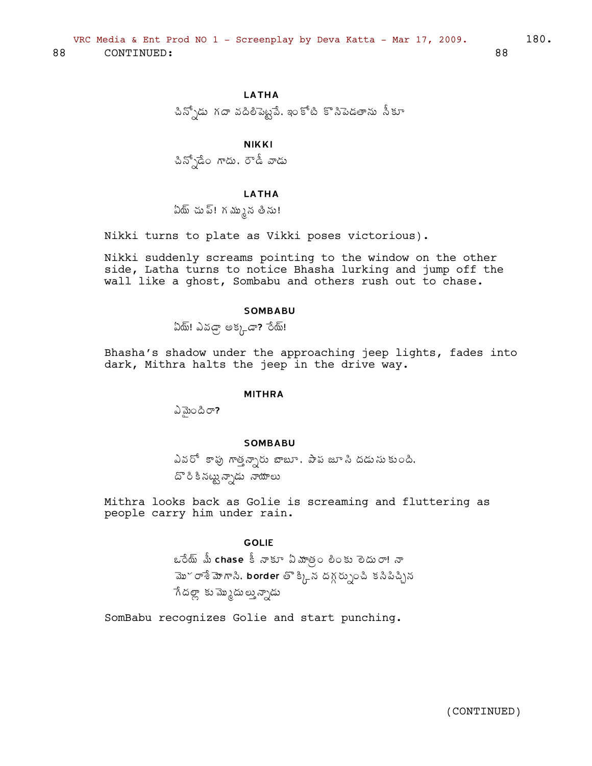**LATHA** 

చిన్నోడు గదా వదిలిపెట్టైవే, ఇంకోటి కొనిపెడతాను నీకూ

**NIKKI** 

చిన్సోడేం గాదు, రౌడీ వాడు

### **LATHA**

ఏయ్ చు ప్! గ మ్మున తీను!

Nikki turns to plate as Vikki poses victorious).

Nikki suddenly screams pointing to the window on the other side, Latha turns to notice Bhasha lurking and jump off the wall like a ghost, Sombabu and others rush out to chase.

#### **SOMBABU**

ఏథ్! ఎవడ్రా అక్కడా? రేథ్!

Bhasha's shadow under the approaching jeep lights, fades into dark, Mithra halts the jeep in the drive way.

#### **MITHRA**

ವಿತುಂದಿರ್?

### **SOMBABU**

ఎవరో కాపు గాత్తచ్చారు బాబూ. పాప జూ సి దడుసుకుంది. దొరికినట్టున్నాడు నాయాలు

Mithra looks back as Golie is screaming and fluttering as people carry him under rain.

### **GOLIE**

ఒరేయ్ మీ chase కీ నాకూ ఏమాత్రం లింకు లెదురా! నా మొ~ రాశే మోగాని, border తొ క్కిన దగ్గర్సుంచి కనిపిచ్చిన ేగడల్లా కు మ్మొదులు వ్నాడు

SomBabu recognizes Golie and start punching.

88

180.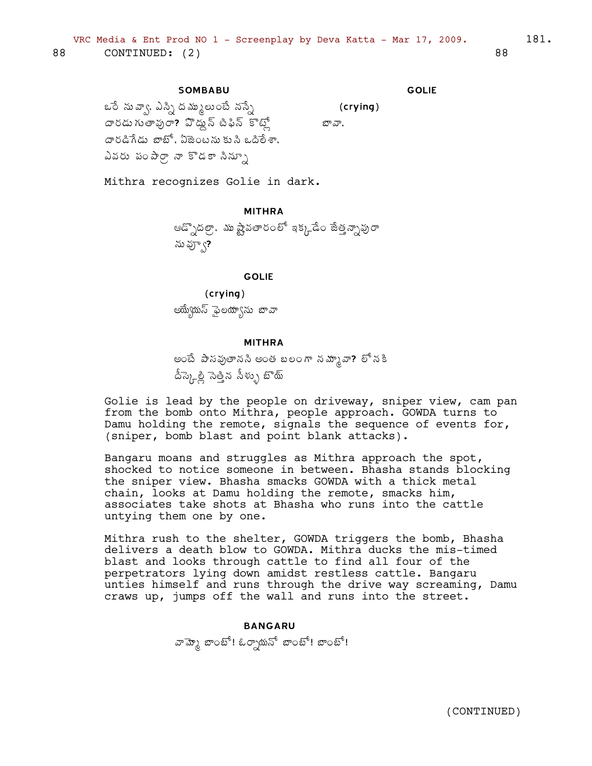### **SOMBABU**

GOLIE

(crying)

బావా,

ఒరే నువ్వా, ఎస్ని దమ్ములుంటే నస్నే దారడు గుతాఫురా**?** హెద్దు స్ పిఫిన్ కొట్లో దారడిగేడు బాటో, ఏజెంటను కుసి ఒదిలేశా, ఎవరు పంపార్గా నా కొడకా సిన్సూ

Mithra recognizes Golie in dark.

## MITHRA

ఆడ్పొదల్గా, ము ష్టేషతారంలో ఇక్కడేం జేత్తన్నావురా ను వ్వూ?

#### GOLIE

(crying)

అయ్యేయస్ ఫైలయాςను జావా

#### MITHRA

అంటే పాసవుతానసి అంత బలంగా నమ్మానా? లో నకి డీస్కెల్లీ సెత్తిన సీళ్ళు బొయ్

Golie is lead by the people on driveway, sniper view, cam pan from the bomb onto Mithra, people approach. GOWDA turns to Damu holding the remote, signals the sequence of events for, (sniper, bomb blast and point blank attacks).

Bangaru moans and struggles as Mithra approach the spot, shocked to notice someone in between. Bhasha stands blocking the sniper view. Bhasha smacks GOWDA with a thick metal chain, looks at Damu holding the remote, smacks him, associates take shots at Bhasha who runs into the cattle untying them one by one.

Mithra rush to the shelter, GOWDA triggers the bomb, Bhasha delivers a death blow to GOWDA. Mithra ducks the mis-timed blast and looks through cattle to find all four of the perpetrators lying down amidst restless cattle. Bangaru unties himself and runs through the drive way screaming, Damu craws up, jumps off the wall and runs into the street.

# BANGARU వామ్కో బాంబో! ఓర్సాయనో బాంబో! బాంబో!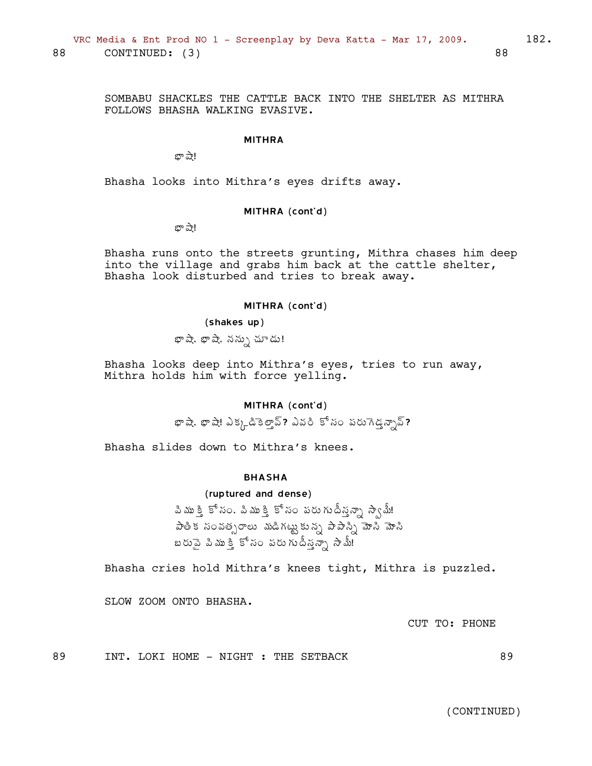SOMBABU SHACKLES THE CATTLE BACK INTO THE SHELTER AS MITHRA FOLLOWS BHASHA WALKING EVASIVE.

#### MITHRA

భా ష<u>ా</u>!

Bhasha looks into Mithra's eyes drifts away.

#### MITHRA (cont'd)

బా ష<u>ా</u>!

Bhasha runs onto the streets grunting, Mithra chases him deep into the village and grabs him back at the cattle shelter, Bhasha look disturbed and tries to break away.

#### MITHRA (cont'd)

#### (shakes up)

భా*షే*, భాషే, నన్ను చూడు!

Bhasha looks deep into Mithra's eyes, tries to run away, Mithra holds him with force yelling.

### MITHRA (cont'd)

 $x^2$ ఫా షా ఎ $y^2 + y^2 = 2$ శ్వల్లో పేశ్రీ పేశ్రీ పేరు గడబ్బాద్

Bhasha slides down to Mithra's knees.

#### BHASHA

### (ruptured and dense)

పిముక్తి కోసం, పిముక్తి కోసం పరుగుదీనన్నా స్వామీ! పాతిక సంవత్సరాలు *మ*డిగట్టుకున్న పాపాన్ని మోసి బరుపై పిముక్తి కోసం పరుగుదీన్తన్నా సామీ!

Bhasha cries hold Mithra's knees tight, Mithra is puzzled.

SLOW ZOOM ONTO BHASHA.

CUT TO: PHONE

89 INT. LOKI HOME - NIGHT : THE SETBACK 89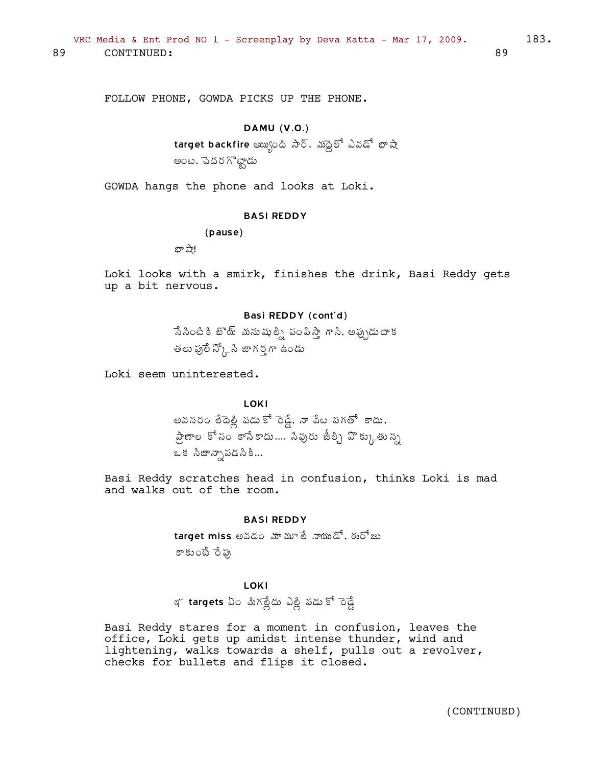FOLLOW PHONE, GOWDA PICKS UP THE PHONE.

## DAMU (V.O.)

target backfire అయ్యంది సార్. మాధైలో ఎవడో భాషా అంట, చెదర గొట్టాడు

GOWDA hangs the phone and looks at Loki.

#### BASI REDDY

(pause)

భా ష<u>ా</u>!

Loki looks with a smirk, finishes the drink, Basi Reddy gets up a bit nervous.

### Basi REDDY (cont'd)

సేసింటి కి బొ్ే మనుషుల్ని పంపిస్తాే గాసి, అప్పుడుదాక తలు పు్లే న్క్లోసి జాగర్గగా ఉండు

Loki seem uninterested.

LOKI అవసరం లేదెల్లి పడుకో రెడ్డే, నా పేట పగతో కాదు, ప్రేణాల కోసం కాసేకాదు.... సివురు జీల్పీ హెక్కుతున్న ఒక సిజాన్సాపడసికి...

Basi Reddy scratches head in confusion, thinks Loki is mad and walks out of the room.

#### BASI REDDY

 $t$ arget miss అవడం మామూలే నాయుడో, ఈరోజు కాకుంటే రేఫు

## LOKI

ఇ
$$
\frac{1}{2}
$$
 **targets** ఏం మిగల్లేదు ఎల్లి పడు కో రెడ్డే

Basi Reddy stares for a moment in confusion, leaves the office, Loki gets up amidst intense thunder, wind and lightening, walks towards a shelf, pulls out a revolver, checks for bullets and flips it closed.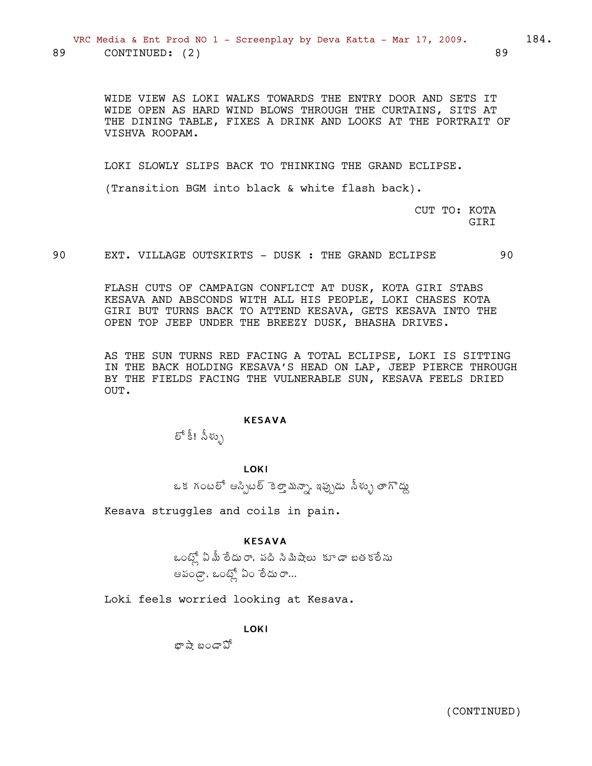WIDE VIEW AS LOKI WALKS TOWARDS THE ENTRY DOOR AND SETS IT WIDE OPEN AS HARD WIND BLOWS THROUGH THE CURTAINS, SITS AT THE DINING TABLE, FIXES A DRINK AND LOOKS AT THE PORTRAIT OF VISHVA ROOPAM.

LOKI SLOWLY SLIPS BACK TO THINKING THE GRAND ECLIPSE.

(Transition BGM into black & white flash back).

CUT TO: KOTA GIRI

90 EXT. VILLAGE OUTSKIRTS - DUSK : THE GRAND ECLIPSE 90

FLASH CUTS OF CAMPAIGN CONFLICT AT DUSK, KOTA GIRI STABS KESAVA AND ABSCONDS WITH ALL HIS PEOPLE, LOKI CHASES KOTA GIRI BUT TURNS BACK TO ATTEND KESAVA, GETS KESAVA INTO THE OPEN TOP JEEP UNDER THE BREEZY DUSK, BHASHA DRIVES.

AS THE SUN TURNS RED FACING A TOTAL ECLIPSE, LOKI IS SITTING IN THE BACK HOLDING KESAVA'S HEAD ON LAP, JEEP PIERCE THROUGH BY THE FIELDS FACING THE VULNERABLE SUN, KESAVA FEELS DRIED OUT.

### KESAVA

లో కీ! సీళ్ళు

## LOKI

ఒక గంటలో ఆస్సిటల్ కెలాౖమన్సా, ఇప్పుడు సీళ్ళు తాగొడ్డు

Kesava struggles and coils in pain.

### KESAVA

ఒంట్లో ఏ మీ లేదురా, పది సిమిషేలు కూడా బతకలేను ఆపండ్గా, ఒంట్లో ఏం లేదు రా…

Loki feels worried looking at Kesava.

LOKI

 $x^{\frac{1}{2}}$ బండా  $\mathfrak A$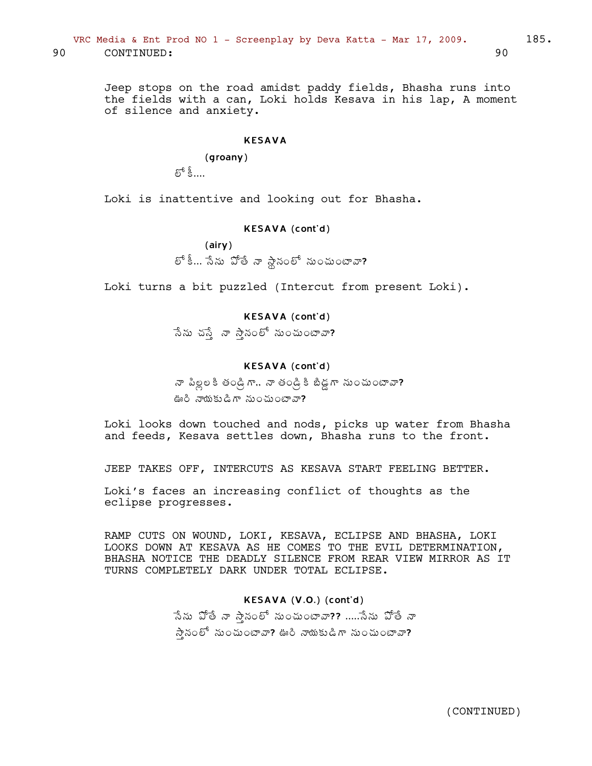Jeep stops on the road amidst paddy fields, Bhasha runs into the fields with a can, Loki holds Kesava in his lap, A moment of silence and anxiety.

#### KESAVA

## (groany)

 $\varepsilon^5$ နီ....

Loki is inattentive and looking out for Bhasha.

### KESAVA (cont'd)

(airy)

 $E^{\text{th}}$ ీ... సేను ఏోతే నా స్థానంలో నుంచుంటావా?

Loki turns a bit puzzled (Intercut from present Loki).

## KESAVA (cont'd)

సేను చస్తే నా స్తానంలో నుంచుంటావా?

### KESAVA (cont'd)

నా పిల్లలకి తండ్రిగా.. నా తండ్రికి బిడ్డగా నుంచుంటావా? ఊరి నాయకుడిగా నుంచుంటావా?

Loki looks down touched and nods, picks up water from Bhasha and feeds, Kesava settles down, Bhasha runs to the front.

JEEP TAKES OFF, INTERCUTS AS KESAVA START FEELING BETTER.

Loki's faces an increasing conflict of thoughts as the eclipse progresses.

RAMP CUTS ON WOUND, LOKI, KESAVA, ECLIPSE AND BHASHA, LOKI LOOKS DOWN AT KESAVA AS HE COMES TO THE EVIL DETERMINATION, BHASHA NOTICE THE DEADLY SILENCE FROM REAR VIEW MIRROR AS IT TURNS COMPLETELY DARK UNDER TOTAL ECLIPSE.

## KESAVA (V.O.) (cont'd)

సేను ఏోతే నా స్తానంలో నుంచుంటావా?? .....సేను ఏోతే నా  $\lambda$ సైనంలో నుంచుంటావా? ఊరి నాయకుడిగా నుంచుంటావా?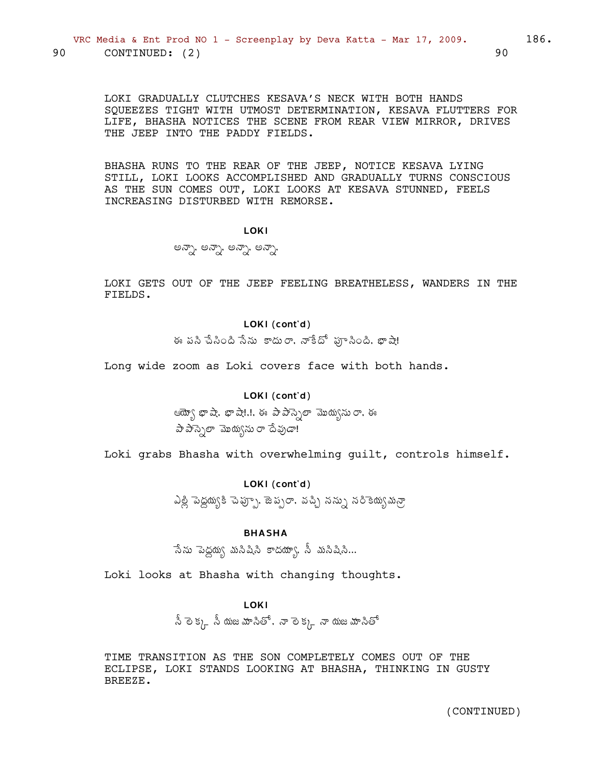LOKI GRADUALLY CLUTCHES KESAVA'S NECK WITH BOTH HANDS SOUEEZES TIGHT WITH UTMOST DETERMINATION, KESAVA FLUTTERS FOR LIFE, BHASHA NOTICES THE SCENE FROM REAR VIEW MIRROR, DRIVES THE JEEP INTO THE PADDY FIELDS.

BHASHA RUNS TO THE REAR OF THE JEEP, NOTICE KESAVA LYING STILL, LOKI LOOKS ACCOMPLISHED AND GRADUALLY TURNS CONSCIOUS AS THE SUN COMES OUT, LOKI LOOKS AT KESAVA STUNNED, FEELS INCREASING DISTURBED WITH REMORSE.

**LOKI** 

అన్నా, అన్నా, అన్నా, అన్నా,

LOKI GETS OUT OF THE JEEP FEELING BREATHELESS, WANDERS IN THE FIELDS.

## LOKI (cont'd)

ఈ పసి పేసింది సేను కాదురా, నాకేదో ఫూసింది, భాషే!

Long wide zoom as Loki covers face with both hands.

## LOKI (cont'd)

ఆయ్యో భాషా. భాషా!.!. ఈ పాపాస్సెలా మొయ్యను రా. ఈ పా పాస్సెలా మొయ్యను రా దేవుడా!

Loki grabs Bhasha with overwhelming quilt, controls himself.

## LOKI (cont'd)

ఎల్లి పెద్దయ్యకి చెప్పూ, జెప్సరా, వచ్చి నన్ను నరికెయ్యమన్రా

## **BHASHA**

సేను పెద్దయ్య మనిషిని కాదయా్య, నీ మనిషిని...

Loki looks at Bhasha with changing thoughts.

### **LOKI**

 $\hat{\mathbb{S}}$  లెక్క,  $\hat{\mathbb{S}}$  యజమానితో, నా లెక్క, నా యజమానితో

TIME TRANSITION AS THE SON COMPLETELY COMES OUT OF THE ECLIPSE, LOKI STANDS LOOKING AT BHASHA, THINKING IN GUSTY BREEZE.

90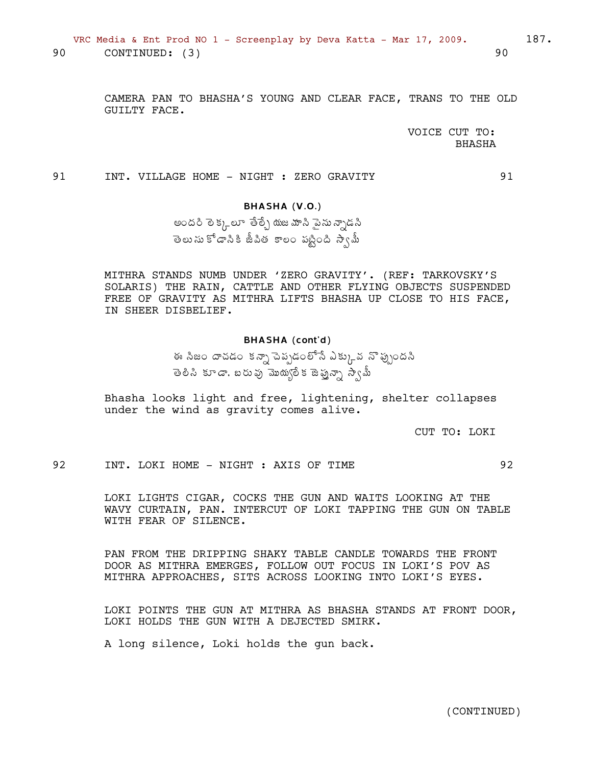VRC Media & Ent Prod NO 1 - Screenplay by Deva Katta - Mar 17, 2009. 90 CONTINUED: (3)

187.

90

91

CAMERA PAN TO BHASHA'S YOUNG AND CLEAR FACE, TRANS TO THE OLD GUILTY FACE.

> VOICE CUT TO: **BHASHA**

91 INT. VILLAGE HOME - NIGHT : ZERO GRAVITY

## BHASHA (V.O.)

అందరి లెక్కలూ తేల్చే యజమాని పైను న్నాడని తెలు ను కోడానికి జీపిత కాలం పట్టింది స్వామీ

MITHRA STANDS NUMB UNDER 'ZERO GRAVITY'. (REF: TARKOVSKY'S SOLARIS) THE RAIN, CATTLE AND OTHER FLYING OBJECTS SUSPENDED FREE OF GRAVITY AS MITHRA LIFTS BHASHA UP CLOSE TO HIS FACE, IN SHEER DISBELIEF.

#### BHASHA (cont'd)

ఈ సిజం దాచడం కన్నా పెప్పడంలోనే ఎక్కువ నొప్పుందసి తెలిసి కూడా, బరువు మొయ్యలేక జెప్తున్నా స్వామీ

Bhasha looks light and free, lightening, shelter collapses under the wind as gravity comes alive.

CUT TO: LOKI

92 INT. LOKI HOME - NIGHT : AXIS OF TIME 92

LOKI LIGHTS CIGAR, COCKS THE GUN AND WAITS LOOKING AT THE WAVY CURTAIN, PAN. INTERCUT OF LOKI TAPPING THE GUN ON TABLE WITH FEAR OF SILENCE.

PAN FROM THE DRIPPING SHAKY TABLE CANDLE TOWARDS THE FRONT DOOR AS MITHRA EMERGES, FOLLOW OUT FOCUS IN LOKI'S POV AS MITHRA APPROACHES, SITS ACROSS LOOKING INTO LOKI'S EYES.

LOKI POINTS THE GUN AT MITHRA AS BHASHA STANDS AT FRONT DOOR, LOKI HOLDS THE GUN WITH A DEJECTED SMIRK.

A long silence, Loki holds the gun back.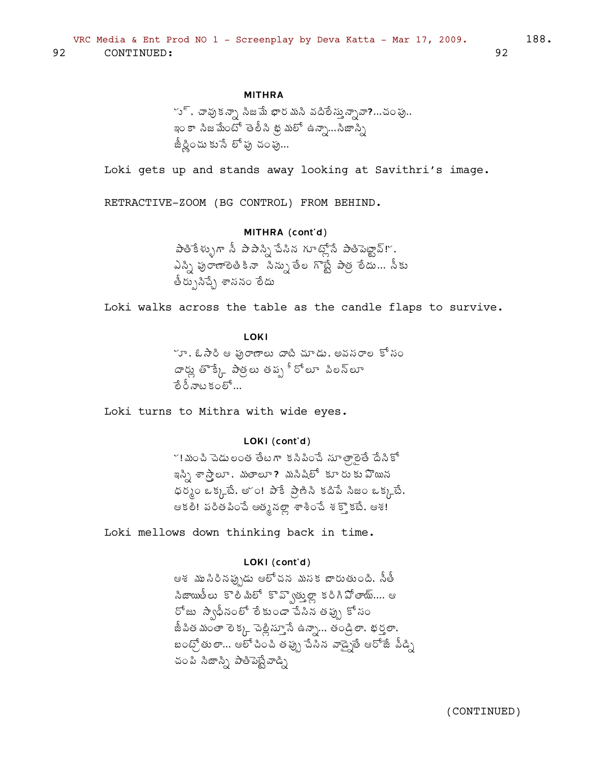## **MITHRA**

~ు్, చావుకన్నా సిజమే భార మసి వదిలేస్తున్నావా?…చంపు.. ఇంకా సిజమేంటో తెలీసి థ్ర మలో ఉన్నా...సిజాన్సీ జీర్ణించు కుసే లో పు చంపు...

Loki gets up and stands away looking at Savithri's image.

RETRACTIVE-ZOOM (BG CONTROL) FROM BEHIND.

#### MITHRA (cont'd)

పెతికేళ్ళుగా నీ పాపాస్ని చేసిన గూట్లోనే పాతిపెట్టావ్!", ఎస్సి పురాణాలెతికినా సిన్సు తేల గొట్టే పాత్ర లేదు... సీకు తీరుృసిచ్చే శాసనం లేదు

Loki walks across the table as the candle flaps to survive.

**LOKI** 

ూ, ఓ సారి ఆ ఫురాణాలు దాటి చూడు, అవసరాల కోసం దార్లు తొక్కే పాత్రలు తప్ప<sup>ీ</sup> రోలూ పిలన్లూ ేంరీనాటకంలో...

Loki turns to Mithra with wide eyes.

## LOKI (cont'd)

~! మంచి చెడులంత తేటగా కనిపించే సూత్రాలైతే దేనికో ఇస్సీ శా స్త్రాలూ. మతాలూ? మనిషిలో కూరు కు వొయిన ధర్మం ఒక్కబే. అ~ం! పాకే ప్రాణిసి కదిపే సిజం ఒక్కబే. ఆకలి! పరితపించే ఆత్మనల్లా శాశించే శక్తొకటే, ఆశ!

Loki mellows down thinking back in time.

### LOKI (cont'd)

ఆశ ముసిరినప్పుడు ఆలోచన మనక బారుతుంది. నీతీ సిజాయింలు కొలిమిలో కొవ్వాత్తుల్లా కరిగిపోతాయ్.... ఆ రోజు స్వాధీనంలో లేకుండా చేసిన తప్పు కోసం జీపిత మంతా లెక్కు చెల్లిస్తూనే ఉన్నా... తండ్రితా. భర్తలా, బంట్రో తులా... ఆలోచించి తప్పు చేసిన వాడ్నైతే ఆరోజే వీడ్ని చంపి సిజాస్సి పాతిపెట్టేవాడ్ని

92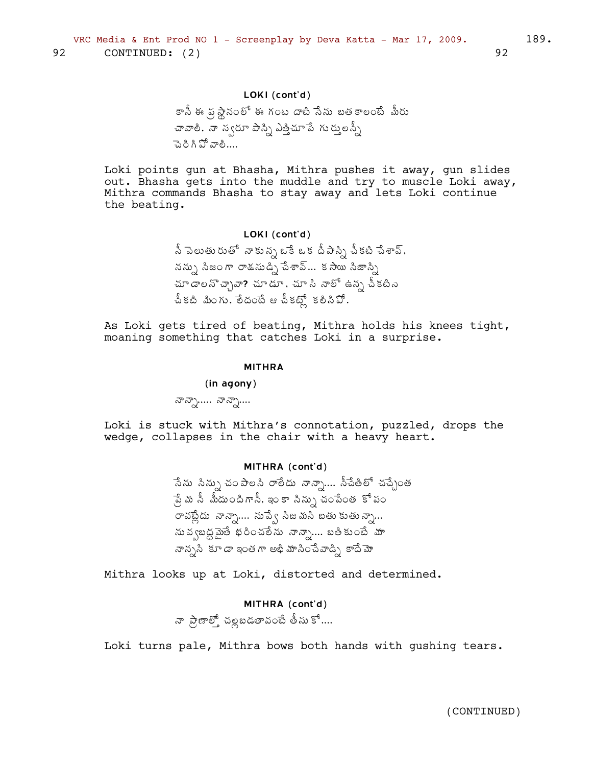## LOKI (cont'd)

కానీ ఈ వ్రస్థానంలో ఈ గంట దాటి సేను బతకాలంటే మీరు చావాలి, నా స్వరూ పాస్ని ఎత్తిచూ పే గుర్తులన్నీ పెరిగి పో వాలి....

Loki points gun at Bhasha, Mithra pushes it away, gun slides out. Bhasha gets into the muddle and try to muscle Loki away, Mithra commands Bhasha to stay away and lets Loki continue the beating.

#### LOKI (cont'd)

నీ పెలుతురుతో నాకున్న ఒకే ఒక దీపాస్ని చీకటి చేశావ్, నన్ను సిజంగా రాశ్వుడ్ని పేశావ్... కసాయి సిజాస్ని చూ డాలనొచ్చావా? చూడూ, చూ సి నాలో ఉన్న చీకటిని చీకటి మింగు, లేదంటే ఆ చీకట్లో కలిసిపో.

As Loki gets tired of beating, Mithra holds his knees tight, moaning something that catches Loki in a surprise.

#### **MITHRA**

#### (in agony)

$$
\sigma \sigma \gamma \dots \sigma \sigma \gamma \dots
$$

Loki is stuck with Mithra's connotation, puzzled, drops the wedge, collapses in the chair with a heavy heart.

#### MITHRA (cont'd)

ేనేను సిన్ను చంపాలసి రాలీదు నాన్సా.... సీచేతిలో చచ్చేంత ్షేమ సీ మీదుందిగానీ, ఇం కా సిన్సు చంపేంత కో పం రావట్లేదు నాన్నా.... నుప్వే సీజమని బతుకుతున్నా... నువ్వబద్ధమైతే భరించలేను నాన్నా.... బతికుంటే మా నాన్నసి కూడా ఇంతగా అభి మాసించేవాడ్సి కాదేమో

Mithra looks up at Loki, distorted and determined.

## MITHRA (cont'd)

నా ప్రాణాల్తో చల్లబడతావంటే తీసు కో....

Loki turns pale, Mithra bows both hands with gushing tears.

92

189.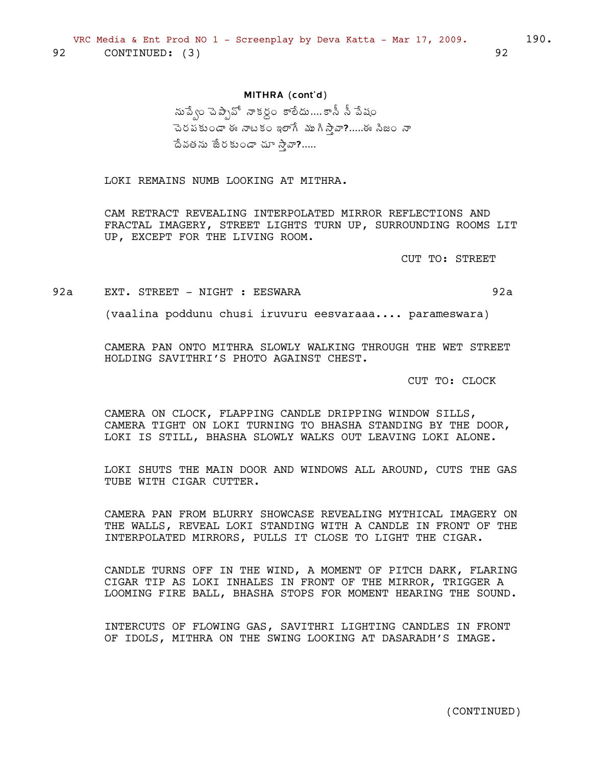## MITHRA (cont'd)

నుపే్ం చెప్సావో నాకర్దం కాలేదు....కానీ నీ పేషం చెరపకుండా ఈ నాటకం ఇలాగే ముగి స్తా.....ఈ సీజం నా దేవతను జేరకుండా చూ స్తావా?.....

LOKI REMAINS NUMB LOOKING AT MITHRA.

CAM RETRACT REVEALING INTERPOLATED MIRROR REFLECTIONS AND FRACTAL IMAGERY, STREET LIGHTS TURN UP, SURROUNDING ROOMS LIT UP, EXCEPT FOR THE LIVING ROOM.

CUT TO: STREET

92a EXT. STREET - NIGHT : EESWARA

(vaalina poddunu chusi iruvuru eesvaraaa.... parameswara)

CAMERA PAN ONTO MITHRA SLOWLY WALKING THROUGH THE WET STREET HOLDING SAVITHRI'S PHOTO AGAINST CHEST.

CUT TO: CLOCK

CAMERA ON CLOCK, FLAPPING CANDLE DRIPPING WINDOW SILLS, CAMERA TIGHT ON LOKI TURNING TO BHASHA STANDING BY THE DOOR, LOKI IS STILL, BHASHA SLOWLY WALKS OUT LEAVING LOKI ALONE.

LOKI SHUTS THE MAIN DOOR AND WINDOWS ALL AROUND, CUTS THE GAS TUBE WITH CIGAR CUTTER.

CAMERA PAN FROM BLURRY SHOWCASE REVEALING MYTHICAL IMAGERY ON THE WALLS, REVEAL LOKI STANDING WITH A CANDLE IN FRONT OF THE INTERPOLATED MIRRORS, PULLS IT CLOSE TO LIGHT THE CIGAR.

CANDLE TURNS OFF IN THE WIND, A MOMENT OF PITCH DARK, FLARING CIGAR TIP AS LOKI INHALES IN FRONT OF THE MIRROR, TRIGGER A LOOMING FIRE BALL, BHASHA STOPS FOR MOMENT HEARING THE SOUND.

INTERCUTS OF FLOWING GAS, SAVITHRI LIGHTING CANDLES IN FRONT OF IDOLS, MITHRA ON THE SWING LOOKING AT DASARADH'S IMAGE.

(CONTINUED)

 $92a$